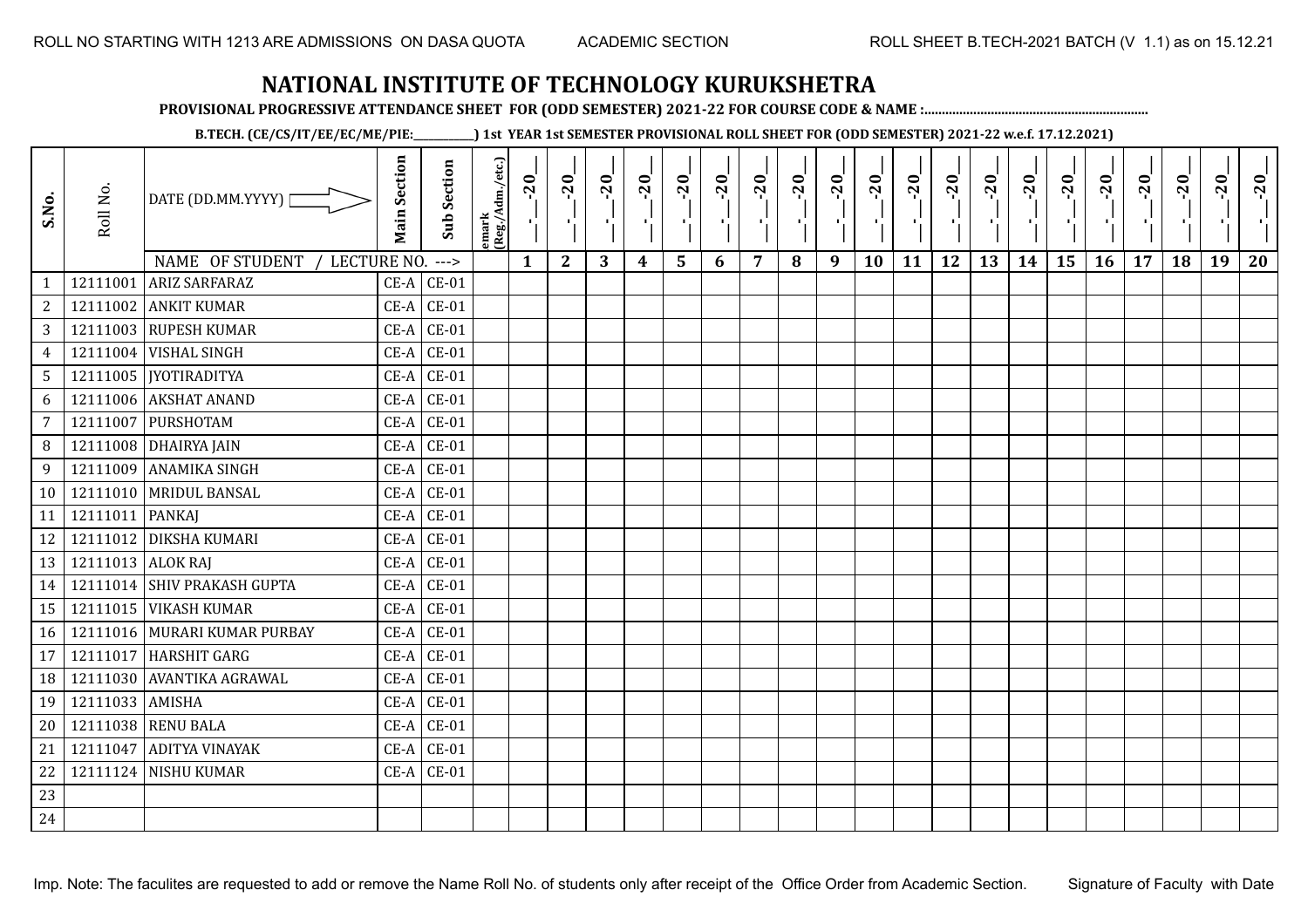**PROVISIONAL PROGRESSIVE ATTENDANCE SHEET FOR (ODD SEMESTER) 2021-22 FOR COURSE CODE & NAME :................................................................**

**B.TECH. (CE/CS/IT/EE/EC/ME/PIE:\_\_\_\_\_\_\_\_\_\_\_\_) 1st YEAR 1st SEMESTER PROVISIONAL ROLL SHEET FOR (ODD SEMESTER) 2021-22 w.e.f. 17.12.2021)**

| S.No.           | Roll No.          | DATE (DD.MM.YYYY)  <br>NAME OF STUDENT<br>LECTURE NO. ---> | <b>Main Section</b> | <b>Sub Section</b> | emark<br> (Reg./Adm./etc.) | $-20$<br>$\mathcal{F}_{\mathbf{L}}^{\mathbf{r}}$<br>$\mathbf{1}$ | $-20$<br>$\mathbf{2}$ | $-20$<br>3 | $-20$<br>4 | $-20$<br>$5\phantom{1}$ | $-20$<br>т.<br>6 | $-20$<br>7 | $-20$<br>л.<br>8 | $-20$<br>Œ.<br>9 | $-20$<br>10 | $-20$<br>11 | $-20$<br>12 | $-20$<br>13 | $-20$<br>14 | $-20$<br>÷.<br>15 | $-20$<br>16 | $-20$<br>п.<br>17 | $-20$<br>18 | $-20$<br>19 | $-20$<br>20 |
|-----------------|-------------------|------------------------------------------------------------|---------------------|--------------------|----------------------------|------------------------------------------------------------------|-----------------------|------------|------------|-------------------------|------------------|------------|------------------|------------------|-------------|-------------|-------------|-------------|-------------|-------------------|-------------|-------------------|-------------|-------------|-------------|
| $\mathbf{1}$    | 12111001          | <b>ARIZ SARFARAZ</b>                                       | $CE-A$              | $CE-01$            |                            |                                                                  |                       |            |            |                         |                  |            |                  |                  |             |             |             |             |             |                   |             |                   |             |             |             |
| 2               | 12111002          | <b>ANKIT KUMAR</b>                                         | $CE-A$              | $CE-01$            |                            |                                                                  |                       |            |            |                         |                  |            |                  |                  |             |             |             |             |             |                   |             |                   |             |             |             |
| 3               |                   | 12111003 RUPESH KUMAR                                      | $CE-A$              | $CE-01$            |                            |                                                                  |                       |            |            |                         |                  |            |                  |                  |             |             |             |             |             |                   |             |                   |             |             |             |
| $\overline{4}$  | 12111004          | <b>VISHAL SINGH</b>                                        | $CE-A$              | $CE-01$            |                            |                                                                  |                       |            |            |                         |                  |            |                  |                  |             |             |             |             |             |                   |             |                   |             |             |             |
| $5\phantom{.0}$ |                   | 12111005   [YOTIRADITYA                                    | $CE-A$              | $CE-01$            |                            |                                                                  |                       |            |            |                         |                  |            |                  |                  |             |             |             |             |             |                   |             |                   |             |             |             |
| 6               | 12111006          | <b>AKSHAT ANAND</b>                                        | $CE-A$              | $CE-01$            |                            |                                                                  |                       |            |            |                         |                  |            |                  |                  |             |             |             |             |             |                   |             |                   |             |             |             |
| $\overline{7}$  | 12111007          | PURSHOTAM                                                  | $CE-A$              | $CE-01$            |                            |                                                                  |                       |            |            |                         |                  |            |                  |                  |             |             |             |             |             |                   |             |                   |             |             |             |
| 8               | 12111008          | <b>DHAIRYA JAIN</b>                                        | $CE-A$              | $CE-01$            |                            |                                                                  |                       |            |            |                         |                  |            |                  |                  |             |             |             |             |             |                   |             |                   |             |             |             |
| 9               | 12111009          | <b>ANAMIKA SINGH</b>                                       | $CE-A$              | $CE-01$            |                            |                                                                  |                       |            |            |                         |                  |            |                  |                  |             |             |             |             |             |                   |             |                   |             |             |             |
| 10              |                   | 12111010 MRIDUL BANSAL                                     | $CE-A$              | $CE-01$            |                            |                                                                  |                       |            |            |                         |                  |            |                  |                  |             |             |             |             |             |                   |             |                   |             |             |             |
| 11              | 12111011          | <b>PANKAJ</b>                                              |                     | $CE-A$ $CE-01$     |                            |                                                                  |                       |            |            |                         |                  |            |                  |                  |             |             |             |             |             |                   |             |                   |             |             |             |
| 12              |                   | 12111012 DIKSHA KUMARI                                     | $CE-A$              | $CE-01$            |                            |                                                                  |                       |            |            |                         |                  |            |                  |                  |             |             |             |             |             |                   |             |                   |             |             |             |
| 13              | 12111013 ALOK RAJ |                                                            | $CE-A$              | $CE-01$            |                            |                                                                  |                       |            |            |                         |                  |            |                  |                  |             |             |             |             |             |                   |             |                   |             |             |             |
| 14              |                   | 12111014 SHIV PRAKASH GUPTA                                | $CE-A$              | $CE-01$            |                            |                                                                  |                       |            |            |                         |                  |            |                  |                  |             |             |             |             |             |                   |             |                   |             |             |             |
| 15              |                   | 12111015 VIKASH KUMAR                                      | $CE-A$              | $CE-01$            |                            |                                                                  |                       |            |            |                         |                  |            |                  |                  |             |             |             |             |             |                   |             |                   |             |             |             |
| 16              |                   | 12111016 MURARI KUMAR PURBAY                               | $CE-A$              | $CE-01$            |                            |                                                                  |                       |            |            |                         |                  |            |                  |                  |             |             |             |             |             |                   |             |                   |             |             |             |
| 17              | 12111017          | <b>HARSHIT GARG</b>                                        | $CE-A$              | $CE-01$            |                            |                                                                  |                       |            |            |                         |                  |            |                  |                  |             |             |             |             |             |                   |             |                   |             |             |             |
| 18              | 12111030          | AVANTIKA AGRAWAL                                           | $CE-A$              | $CE-01$            |                            |                                                                  |                       |            |            |                         |                  |            |                  |                  |             |             |             |             |             |                   |             |                   |             |             |             |
| 19              | 12111033          | <b>AMISHA</b>                                              | $CE-A$              | $CE-01$            |                            |                                                                  |                       |            |            |                         |                  |            |                  |                  |             |             |             |             |             |                   |             |                   |             |             |             |
| 20              | 12111038          | <b>RENU BALA</b>                                           |                     | $CE-A$ $CE-01$     |                            |                                                                  |                       |            |            |                         |                  |            |                  |                  |             |             |             |             |             |                   |             |                   |             |             |             |
| 21              | 12111047          | <b>ADITYA VINAYAK</b>                                      | $CE-A$              | $CE-01$            |                            |                                                                  |                       |            |            |                         |                  |            |                  |                  |             |             |             |             |             |                   |             |                   |             |             |             |
| 22              |                   | 12111124 NISHU KUMAR                                       |                     | $CE-A$ $CE-01$     |                            |                                                                  |                       |            |            |                         |                  |            |                  |                  |             |             |             |             |             |                   |             |                   |             |             |             |
| 23              |                   |                                                            |                     |                    |                            |                                                                  |                       |            |            |                         |                  |            |                  |                  |             |             |             |             |             |                   |             |                   |             |             |             |
| 24              |                   |                                                            |                     |                    |                            |                                                                  |                       |            |            |                         |                  |            |                  |                  |             |             |             |             |             |                   |             |                   |             |             |             |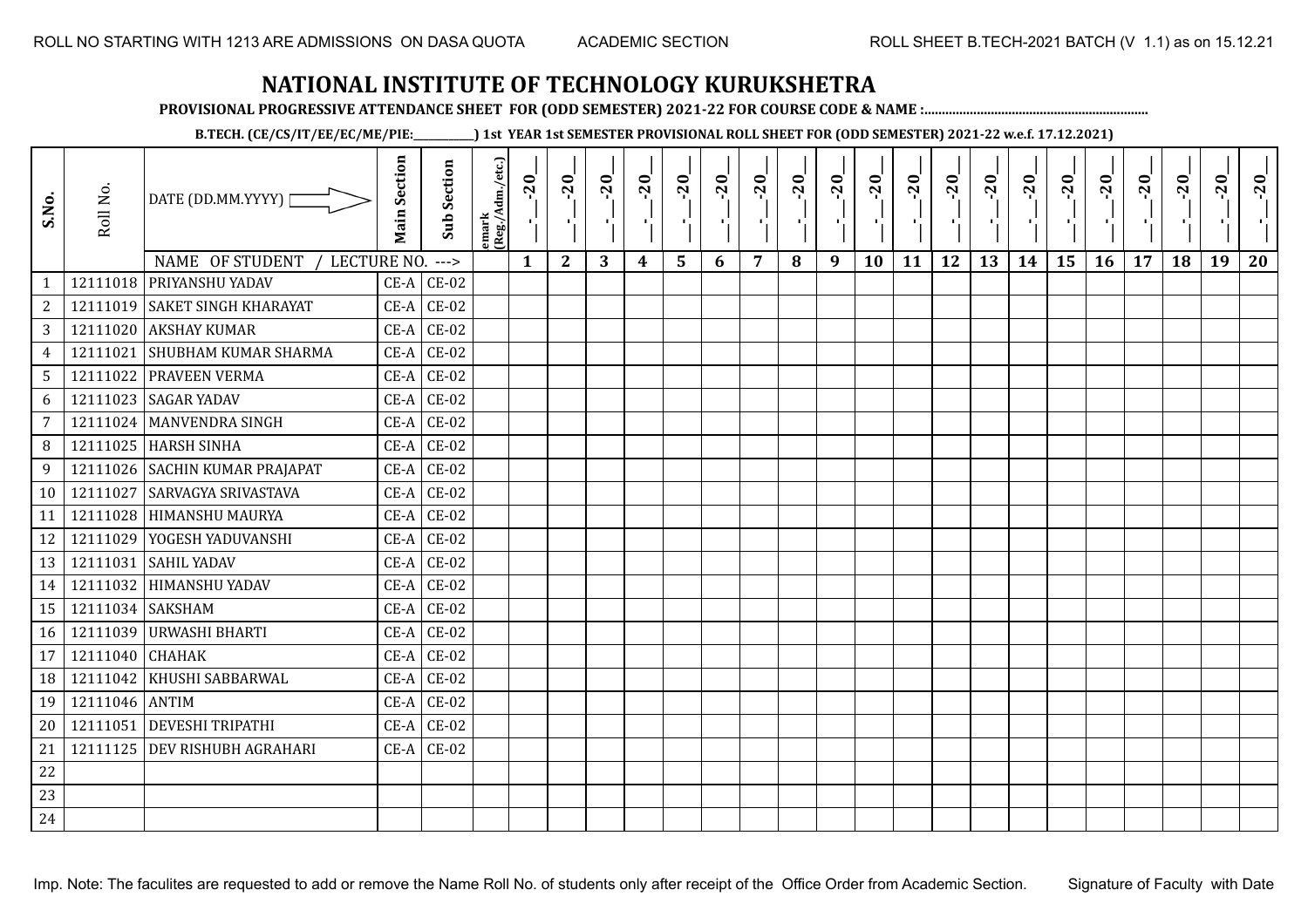**PROVISIONAL PROGRESSIVE ATTENDANCE SHEET FOR (ODD SEMESTER) 2021-22 FOR COURSE CODE & NAME :................................................................**

**B.TECH. (CE/CS/IT/EE/EC/ME/PIE:\_\_\_\_\_\_\_\_\_\_\_\_) 1st YEAR 1st SEMESTER PROVISIONAL ROLL SHEET FOR (ODD SEMESTER) 2021-22 w.e.f. 17.12.2021)**

| S.No.           | Roll No.         | DATE (DD.MM.YYYY)  <br>NAME OF STUDENT /<br>LECTURE NO. | <b>Main Section</b> | <b>Sub Section</b><br>$--->$ | emark<br>(Reg./Adm./etc.) | $-20$<br>$\mathbf{1}$ | $-20$<br>π÷<br>$\mathbf{2}$ | $-20$<br>шĵ<br>3 | $-20$<br>π÷<br>4 | $-20$<br>- 1<br>5 | $-20$<br>п.<br>6 | $-20$<br>7 | $-20$<br>8 | $-20$<br>π÷<br>9 | $-20$<br>×,<br>10 | $-20$<br>τj<br>11 | $-20$<br>π÷<br>12 | $-20$<br>٠.<br>13 | $-20$<br>$\blacksquare$<br>14 | $-20$<br>۱,<br>15 | $-20$<br>л÷,<br>16 | $-20$<br>17 | $-20$<br>18 | $-20$<br>×.<br>19 | $-20$<br>20 |
|-----------------|------------------|---------------------------------------------------------|---------------------|------------------------------|---------------------------|-----------------------|-----------------------------|------------------|------------------|-------------------|------------------|------------|------------|------------------|-------------------|-------------------|-------------------|-------------------|-------------------------------|-------------------|--------------------|-------------|-------------|-------------------|-------------|
| $\mathbf{1}$    |                  | 12111018 PRIYANSHU YADAV                                | $CE-A$              | $CE-02$                      |                           |                       |                             |                  |                  |                   |                  |            |            |                  |                   |                   |                   |                   |                               |                   |                    |             |             |                   |             |
| $\overline{c}$  |                  | 12111019 SAKET SINGH KHARAYAT                           | $CE-A$              | $CE-02$                      |                           |                       |                             |                  |                  |                   |                  |            |            |                  |                   |                   |                   |                   |                               |                   |                    |             |             |                   |             |
| 3               |                  | 12111020 AKSHAY KUMAR                                   | $CE-A$              | $CE-02$                      |                           |                       |                             |                  |                  |                   |                  |            |            |                  |                   |                   |                   |                   |                               |                   |                    |             |             |                   |             |
| $\overline{4}$  | 12111021         | <b>SHUBHAM KUMAR SHARMA</b>                             | $CE-A$              | $CE-02$                      |                           |                       |                             |                  |                  |                   |                  |            |            |                  |                   |                   |                   |                   |                               |                   |                    |             |             |                   |             |
| $5\phantom{.0}$ |                  | 12111022 PRAVEEN VERMA                                  | $CE-A$              | $CE-02$                      |                           |                       |                             |                  |                  |                   |                  |            |            |                  |                   |                   |                   |                   |                               |                   |                    |             |             |                   |             |
| 6               | 12111023         | <b>SAGAR YADAV</b>                                      | $CE-A$              | $CE-02$                      |                           |                       |                             |                  |                  |                   |                  |            |            |                  |                   |                   |                   |                   |                               |                   |                    |             |             |                   |             |
| $\overline{7}$  | 12111024         | <b>MANVENDRA SINGH</b>                                  | $CE-A$              | $CE-02$                      |                           |                       |                             |                  |                  |                   |                  |            |            |                  |                   |                   |                   |                   |                               |                   |                    |             |             |                   |             |
| 8               |                  | 12111025 HARSH SINHA                                    | $CE-A$              | $CE-02$                      |                           |                       |                             |                  |                  |                   |                  |            |            |                  |                   |                   |                   |                   |                               |                   |                    |             |             |                   |             |
| 9               |                  | 12111026 SACHIN KUMAR PRAJAPAT                          | $CE-A$              | $CE-02$                      |                           |                       |                             |                  |                  |                   |                  |            |            |                  |                   |                   |                   |                   |                               |                   |                    |             |             |                   |             |
| 10              | 12111027         | <b>SARVAGYA SRIVASTAVA</b>                              |                     | $CE-A$ $CE-02$               |                           |                       |                             |                  |                  |                   |                  |            |            |                  |                   |                   |                   |                   |                               |                   |                    |             |             |                   |             |
| 11              | 12111028         | <b>HIMANSHU MAURYA</b>                                  | $CE-A$              | $CE-02$                      |                           |                       |                             |                  |                  |                   |                  |            |            |                  |                   |                   |                   |                   |                               |                   |                    |             |             |                   |             |
| 12              |                  | 12111029 YOGESH YADUVANSHI                              | $CE-A$              | $CE-02$                      |                           |                       |                             |                  |                  |                   |                  |            |            |                  |                   |                   |                   |                   |                               |                   |                    |             |             |                   |             |
| 13              | 12111031         | <b>SAHIL YADAV</b>                                      | $CE-A$              | $CE-02$                      |                           |                       |                             |                  |                  |                   |                  |            |            |                  |                   |                   |                   |                   |                               |                   |                    |             |             |                   |             |
| 14              |                  | 12111032 HIMANSHU YADAV                                 | $CE-A$              | $CE-02$                      |                           |                       |                             |                  |                  |                   |                  |            |            |                  |                   |                   |                   |                   |                               |                   |                    |             |             |                   |             |
| 15              | 12111034 SAKSHAM |                                                         | $CE-A$              | $CE-02$                      |                           |                       |                             |                  |                  |                   |                  |            |            |                  |                   |                   |                   |                   |                               |                   |                    |             |             |                   |             |
| 16              |                  | 12111039 URWASHI BHARTI                                 | $CE-A$              | $CE-02$                      |                           |                       |                             |                  |                  |                   |                  |            |            |                  |                   |                   |                   |                   |                               |                   |                    |             |             |                   |             |
| 17              | 12111040         | <b>CHAHAK</b>                                           | $CE-A$              | $CE-02$                      |                           |                       |                             |                  |                  |                   |                  |            |            |                  |                   |                   |                   |                   |                               |                   |                    |             |             |                   |             |
| 18              | 12111042         | KHUSHI SABBARWAL                                        | CE-A                | $CE-02$                      |                           |                       |                             |                  |                  |                   |                  |            |            |                  |                   |                   |                   |                   |                               |                   |                    |             |             |                   |             |
| 19              | 12111046 ANTIM   |                                                         | $CE-A$              | $CE-02$                      |                           |                       |                             |                  |                  |                   |                  |            |            |                  |                   |                   |                   |                   |                               |                   |                    |             |             |                   |             |
| 20              | 12111051         | <b>DEVESHI TRIPATHI</b>                                 | $CE-A$              | $CE-02$                      |                           |                       |                             |                  |                  |                   |                  |            |            |                  |                   |                   |                   |                   |                               |                   |                    |             |             |                   |             |
| 21              |                  | 12111125 DEV RISHUBH AGRAHARI                           | $CE-A$              | $CE-02$                      |                           |                       |                             |                  |                  |                   |                  |            |            |                  |                   |                   |                   |                   |                               |                   |                    |             |             |                   |             |
| 22              |                  |                                                         |                     |                              |                           |                       |                             |                  |                  |                   |                  |            |            |                  |                   |                   |                   |                   |                               |                   |                    |             |             |                   |             |
| 23              |                  |                                                         |                     |                              |                           |                       |                             |                  |                  |                   |                  |            |            |                  |                   |                   |                   |                   |                               |                   |                    |             |             |                   |             |
| 24              |                  |                                                         |                     |                              |                           |                       |                             |                  |                  |                   |                  |            |            |                  |                   |                   |                   |                   |                               |                   |                    |             |             |                   |             |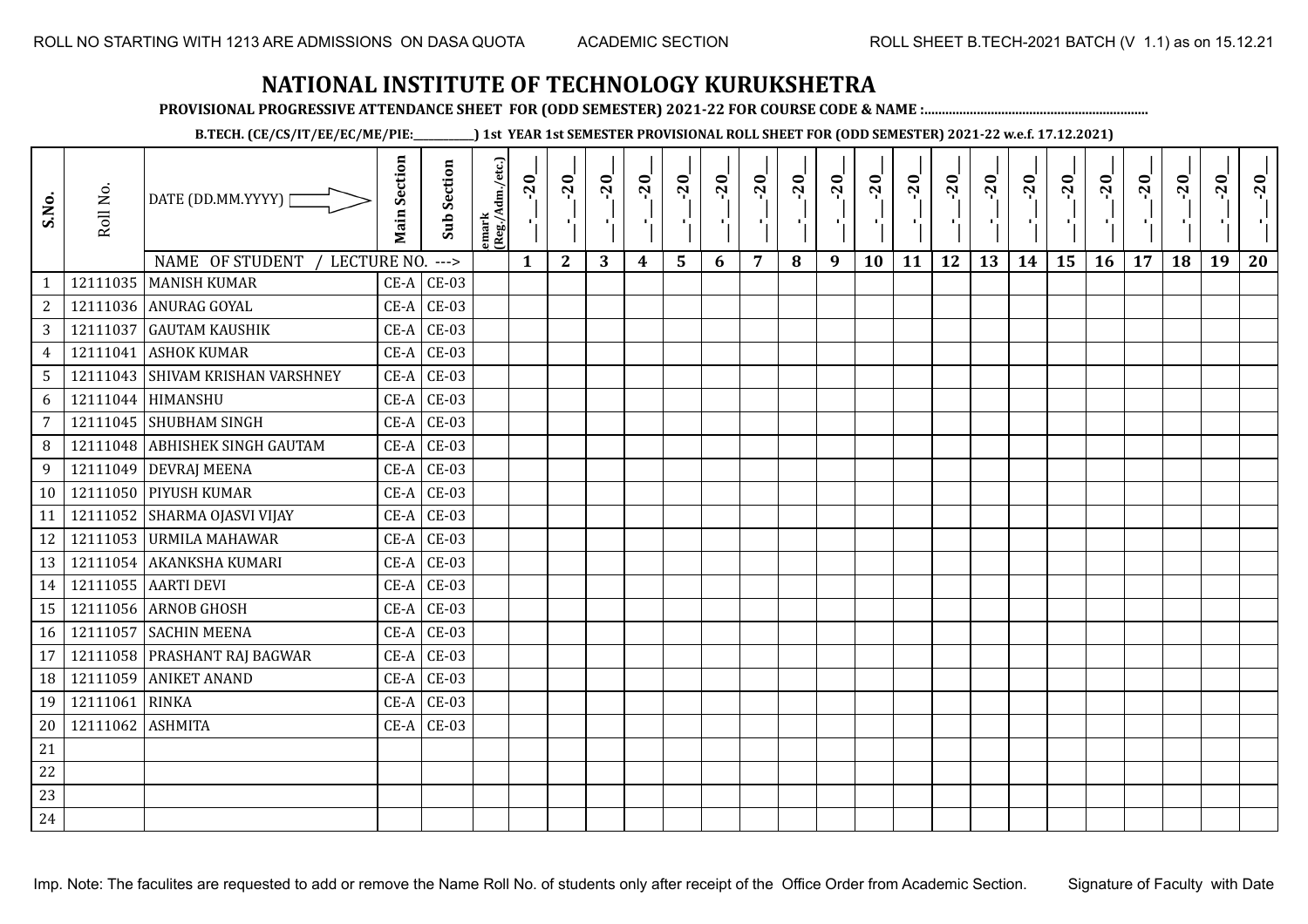**PROVISIONAL PROGRESSIVE ATTENDANCE SHEET FOR (ODD SEMESTER) 2021-22 FOR COURSE CODE & NAME :................................................................**

**B.TECH. (CE/CS/IT/EE/EC/ME/PIE:\_\_\_\_\_\_\_\_\_\_\_\_) 1st YEAR 1st SEMESTER PROVISIONAL ROLL SHEET FOR (ODD SEMESTER) 2021-22 w.e.f. 17.12.2021)**

| S.No.          | Roll No. | DATE (DD.MM.YYYY) [<br>NAME OF STUDENT<br>LECTURE NO. | <b>Main Section</b> | <b>Sub Section</b><br>$--->$ | emark<br> (Reg./Adm./etc.) | $-20$<br>精。<br>$\mathbf{1}$ | $-20$<br>×.<br>$\mathbf{2}$ | $-20$<br>-91<br>3 | $-20$<br>π÷<br>$\boldsymbol{4}$ | $-20$<br>۱,<br>5 | $-20$<br>п.<br>6 | $-20$<br>п,<br>$\overline{7}$ | $-20$<br>8 | $-20$<br>лj<br>9 | $-20$<br>÷,<br>10 | $-20$<br>т.<br>11 | $-20$<br>ΠŮ<br>12 | $-20$<br>로<br>13 | $-20$<br>шj<br>14 | $-20$<br>국<br>15 | $-20$<br>л÷.<br>16 | $-20$<br>17 | $-20$<br>18 | $-20$<br>×.<br>19 | $-20$<br>20 |
|----------------|----------|-------------------------------------------------------|---------------------|------------------------------|----------------------------|-----------------------------|-----------------------------|-------------------|---------------------------------|------------------|------------------|-------------------------------|------------|------------------|-------------------|-------------------|-------------------|------------------|-------------------|------------------|--------------------|-------------|-------------|-------------------|-------------|
| $\mathbf{1}$   |          | 12111035   MANISH KUMAR                               |                     | $CE-A$ $CE-03$               |                            |                             |                             |                   |                                 |                  |                  |                               |            |                  |                   |                   |                   |                  |                   |                  |                    |             |             |                   |             |
| 2              |          | 12111036 ANURAG GOYAL                                 | $CE-A$              | <b>CE-03</b>                 |                            |                             |                             |                   |                                 |                  |                  |                               |            |                  |                   |                   |                   |                  |                   |                  |                    |             |             |                   |             |
| 3              | 12111037 | <b>GAUTAM KAUSHIK</b>                                 | $CE-A$              | <b>CE-03</b>                 |                            |                             |                             |                   |                                 |                  |                  |                               |            |                  |                   |                   |                   |                  |                   |                  |                    |             |             |                   |             |
| $\overline{4}$ | 12111041 | <b>ASHOK KUMAR</b>                                    | $CE-A$              | $CE-03$                      |                            |                             |                             |                   |                                 |                  |                  |                               |            |                  |                   |                   |                   |                  |                   |                  |                    |             |             |                   |             |
| 5              |          | 12111043 SHIVAM KRISHAN VARSHNEY                      | $CE-A$              | $CE-03$                      |                            |                             |                             |                   |                                 |                  |                  |                               |            |                  |                   |                   |                   |                  |                   |                  |                    |             |             |                   |             |
| 6              |          | 12111044 HIMANSHU                                     | $CE-A$              | <b>CE-03</b>                 |                            |                             |                             |                   |                                 |                  |                  |                               |            |                  |                   |                   |                   |                  |                   |                  |                    |             |             |                   |             |
| 7              |          | 12111045 SHUBHAM SINGH                                | $CE-A$              | $CE-03$                      |                            |                             |                             |                   |                                 |                  |                  |                               |            |                  |                   |                   |                   |                  |                   |                  |                    |             |             |                   |             |
| 8              |          | 12111048 ABHISHEK SINGH GAUTAM                        | $CE-A$              | $CE-03$                      |                            |                             |                             |                   |                                 |                  |                  |                               |            |                  |                   |                   |                   |                  |                   |                  |                    |             |             |                   |             |
| 9              |          | 12111049 DEVRAJ MEENA                                 |                     | $CE-A$ $CE-03$               |                            |                             |                             |                   |                                 |                  |                  |                               |            |                  |                   |                   |                   |                  |                   |                  |                    |             |             |                   |             |
| 10             |          | 12111050 PIYUSH KUMAR                                 | $CE-A$              | $CE-03$                      |                            |                             |                             |                   |                                 |                  |                  |                               |            |                  |                   |                   |                   |                  |                   |                  |                    |             |             |                   |             |
| 11             |          | 12111052 SHARMA OJASVI VIJAY                          | $CE-A$              | <b>CE-03</b>                 |                            |                             |                             |                   |                                 |                  |                  |                               |            |                  |                   |                   |                   |                  |                   |                  |                    |             |             |                   |             |
| 12             |          | 12111053 URMILA MAHAWAR                               | $CE-A$              | <b>CE-03</b>                 |                            |                             |                             |                   |                                 |                  |                  |                               |            |                  |                   |                   |                   |                  |                   |                  |                    |             |             |                   |             |
| 13             |          | 12111054 AKANKSHA KUMARI                              | $CE-A$              | $CE-03$                      |                            |                             |                             |                   |                                 |                  |                  |                               |            |                  |                   |                   |                   |                  |                   |                  |                    |             |             |                   |             |
| 14             |          | 12111055 AARTI DEVI                                   | $CE-A$              | $CE-03$                      |                            |                             |                             |                   |                                 |                  |                  |                               |            |                  |                   |                   |                   |                  |                   |                  |                    |             |             |                   |             |
| 15             |          | 12111056 ARNOB GHOSH                                  | $CE-A$              | $CE-03$                      |                            |                             |                             |                   |                                 |                  |                  |                               |            |                  |                   |                   |                   |                  |                   |                  |                    |             |             |                   |             |
| 16             | 12111057 | <b>SACHIN MEENA</b>                                   | $CE-A$              | <b>CE-03</b>                 |                            |                             |                             |                   |                                 |                  |                  |                               |            |                  |                   |                   |                   |                  |                   |                  |                    |             |             |                   |             |
| 17             |          | 12111058 PRASHANT RAJ BAGWAR                          | $CE-A$              | $CE-03$                      |                            |                             |                             |                   |                                 |                  |                  |                               |            |                  |                   |                   |                   |                  |                   |                  |                    |             |             |                   |             |
| 18             | 12111059 | <b>ANIKET ANAND</b>                                   | $CE-A$              | $CE-03$                      |                            |                             |                             |                   |                                 |                  |                  |                               |            |                  |                   |                   |                   |                  |                   |                  |                    |             |             |                   |             |
| 19             | 12111061 | <b>RINKA</b>                                          |                     | $CE-A$ $CE-03$               |                            |                             |                             |                   |                                 |                  |                  |                               |            |                  |                   |                   |                   |                  |                   |                  |                    |             |             |                   |             |
| 20             | 12111062 | <b>ASHMITA</b>                                        |                     | $CE-A$ $CE-03$               |                            |                             |                             |                   |                                 |                  |                  |                               |            |                  |                   |                   |                   |                  |                   |                  |                    |             |             |                   |             |
| 21             |          |                                                       |                     |                              |                            |                             |                             |                   |                                 |                  |                  |                               |            |                  |                   |                   |                   |                  |                   |                  |                    |             |             |                   |             |
| 22             |          |                                                       |                     |                              |                            |                             |                             |                   |                                 |                  |                  |                               |            |                  |                   |                   |                   |                  |                   |                  |                    |             |             |                   |             |
| 23             |          |                                                       |                     |                              |                            |                             |                             |                   |                                 |                  |                  |                               |            |                  |                   |                   |                   |                  |                   |                  |                    |             |             |                   |             |
| 24             |          |                                                       |                     |                              |                            |                             |                             |                   |                                 |                  |                  |                               |            |                  |                   |                   |                   |                  |                   |                  |                    |             |             |                   |             |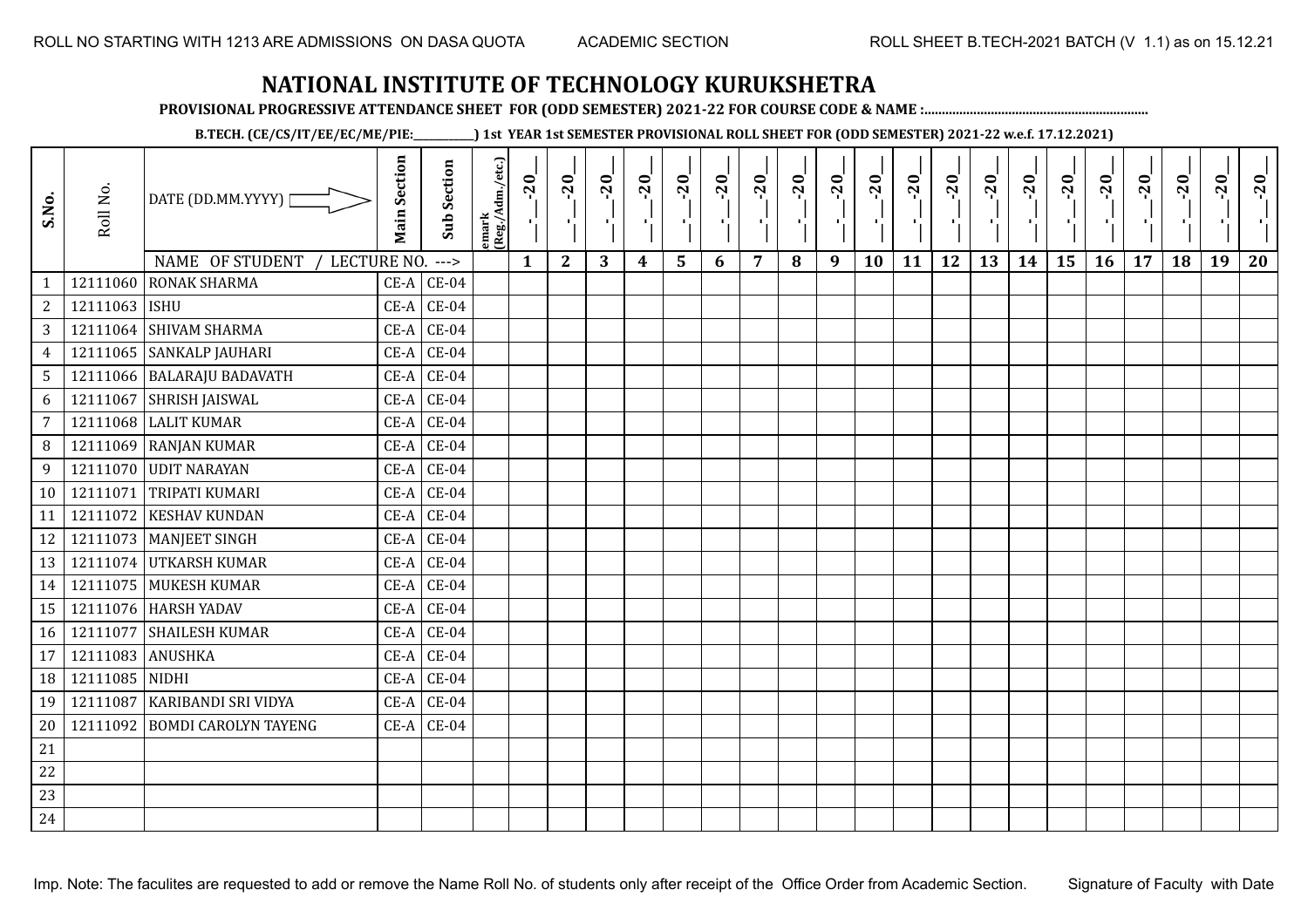**PROVISIONAL PROGRESSIVE ATTENDANCE SHEET FOR (ODD SEMESTER) 2021-22 FOR COURSE CODE & NAME :................................................................**

**B.TECH. (CE/CS/IT/EE/EC/ME/PIE:\_\_\_\_\_\_\_\_\_\_\_\_) 1st YEAR 1st SEMESTER PROVISIONAL ROLL SHEET FOR (ODD SEMESTER) 2021-22 w.e.f. 17.12.2021)**

| S.No.           | Roll No.       | DATE (DD.MM.YYYY)<br>NAME OF STUDENT<br>LECTURE NO. | <b>Main Section</b> | <b>Sub Section</b><br>$--->$ | emark<br> (Reg./Adm./etc.) | $-20$<br>$\mathbf{1}$ | $-20$<br>$\mathbf{2}$ | $-20$<br>3 | $-20$<br>4 | $-20$<br>۱,<br>5 | $-20$<br>6 | $-20$<br>H.<br>7 | $-20$<br>8 | $-20$<br>$\mathcal{F}_{\mathbf{r}}$<br>9 | $-20$<br>10 | $-20$<br>11 | $-20$<br>12 | $-20$<br>13 | $-20$<br>Æ.<br>14 | $-20$<br>×.<br>15 | $-20$<br>16 | $-20$<br>17 | $-20$<br>×í<br>18 | $-20$<br>19 | $-20$<br>20 |
|-----------------|----------------|-----------------------------------------------------|---------------------|------------------------------|----------------------------|-----------------------|-----------------------|------------|------------|------------------|------------|------------------|------------|------------------------------------------|-------------|-------------|-------------|-------------|-------------------|-------------------|-------------|-------------|-------------------|-------------|-------------|
| $\mathbf{1}$    | 12111060       | <b>RONAK SHARMA</b>                                 | $CE-A$              | $CE-04$                      |                            |                       |                       |            |            |                  |            |                  |            |                                          |             |             |             |             |                   |                   |             |             |                   |             |             |
| $\mathbf{2}$    | 12111063 ISHU  |                                                     | $CE-A$              | $CE-04$                      |                            |                       |                       |            |            |                  |            |                  |            |                                          |             |             |             |             |                   |                   |             |             |                   |             |             |
| $\overline{3}$  |                | 12111064 SHIVAM SHARMA                              | $CE-A$              | $CE-04$                      |                            |                       |                       |            |            |                  |            |                  |            |                                          |             |             |             |             |                   |                   |             |             |                   |             |             |
| $\overline{4}$  |                | 12111065 SANKALP JAUHARI                            | CE-A                | $CE-04$                      |                            |                       |                       |            |            |                  |            |                  |            |                                          |             |             |             |             |                   |                   |             |             |                   |             |             |
| $5\overline{)}$ |                | 12111066 BALARAJU BADAVATH                          | $CE-A$              | $CE-04$                      |                            |                       |                       |            |            |                  |            |                  |            |                                          |             |             |             |             |                   |                   |             |             |                   |             |             |
| 6               | 12111067       | <b>SHRISH JAISWAL</b>                               | CE-A                | $CE-04$                      |                            |                       |                       |            |            |                  |            |                  |            |                                          |             |             |             |             |                   |                   |             |             |                   |             |             |
| $\overline{7}$  | 12111068       | <b>LALIT KUMAR</b>                                  | $CE-A$              | $CE-04$                      |                            |                       |                       |            |            |                  |            |                  |            |                                          |             |             |             |             |                   |                   |             |             |                   |             |             |
| 8               |                | 12111069 RANJAN KUMAR                               | CE-A                | $CE-04$                      |                            |                       |                       |            |            |                  |            |                  |            |                                          |             |             |             |             |                   |                   |             |             |                   |             |             |
| 9               |                | 12111070 UDIT NARAYAN                               | $CE-A$              | $CE-04$                      |                            |                       |                       |            |            |                  |            |                  |            |                                          |             |             |             |             |                   |                   |             |             |                   |             |             |
| 10              | 12111071       | <b>TRIPATI KUMARI</b>                               | $CE-A$              | $CE-04$                      |                            |                       |                       |            |            |                  |            |                  |            |                                          |             |             |             |             |                   |                   |             |             |                   |             |             |
| 11              | 12111072       | <b>KESHAV KUNDAN</b>                                | $CE-A$              | $CE-04$                      |                            |                       |                       |            |            |                  |            |                  |            |                                          |             |             |             |             |                   |                   |             |             |                   |             |             |
| 12              |                | 12111073 MANJEET SINGH                              | $CE-A$              | $CE-04$                      |                            |                       |                       |            |            |                  |            |                  |            |                                          |             |             |             |             |                   |                   |             |             |                   |             |             |
| 13              |                | 12111074 UTKARSH KUMAR                              | $CE-A$              | $CE-04$                      |                            |                       |                       |            |            |                  |            |                  |            |                                          |             |             |             |             |                   |                   |             |             |                   |             |             |
| 14              |                | 12111075 MUKESH KUMAR                               | $CE-A$              | $CE-04$                      |                            |                       |                       |            |            |                  |            |                  |            |                                          |             |             |             |             |                   |                   |             |             |                   |             |             |
| 15              |                | 12111076 HARSH YADAV                                | $CE-A$              | $CE-04$                      |                            |                       |                       |            |            |                  |            |                  |            |                                          |             |             |             |             |                   |                   |             |             |                   |             |             |
| 16              | 12111077       | <b>SHAILESH KUMAR</b>                               | $CE-A$              | $CE-04$                      |                            |                       |                       |            |            |                  |            |                  |            |                                          |             |             |             |             |                   |                   |             |             |                   |             |             |
| 17              | 12111083       | <b>ANUSHKA</b>                                      | CE-A                | $CE-04$                      |                            |                       |                       |            |            |                  |            |                  |            |                                          |             |             |             |             |                   |                   |             |             |                   |             |             |
| 18              | 12111085 NIDHI |                                                     | $CE-A$              | $CE-04$                      |                            |                       |                       |            |            |                  |            |                  |            |                                          |             |             |             |             |                   |                   |             |             |                   |             |             |
| 19              | 12111087       | <b>KARIBANDI SRI VIDYA</b>                          | $CE-A$              | $CE-04$                      |                            |                       |                       |            |            |                  |            |                  |            |                                          |             |             |             |             |                   |                   |             |             |                   |             |             |
| 20              | 12111092       | <b>BOMDI CAROLYN TAYENG</b>                         |                     | $CE-A$ $CE-04$               |                            |                       |                       |            |            |                  |            |                  |            |                                          |             |             |             |             |                   |                   |             |             |                   |             |             |
| 21              |                |                                                     |                     |                              |                            |                       |                       |            |            |                  |            |                  |            |                                          |             |             |             |             |                   |                   |             |             |                   |             |             |
| 22              |                |                                                     |                     |                              |                            |                       |                       |            |            |                  |            |                  |            |                                          |             |             |             |             |                   |                   |             |             |                   |             |             |
| 23              |                |                                                     |                     |                              |                            |                       |                       |            |            |                  |            |                  |            |                                          |             |             |             |             |                   |                   |             |             |                   |             |             |
| 24              |                |                                                     |                     |                              |                            |                       |                       |            |            |                  |            |                  |            |                                          |             |             |             |             |                   |                   |             |             |                   |             |             |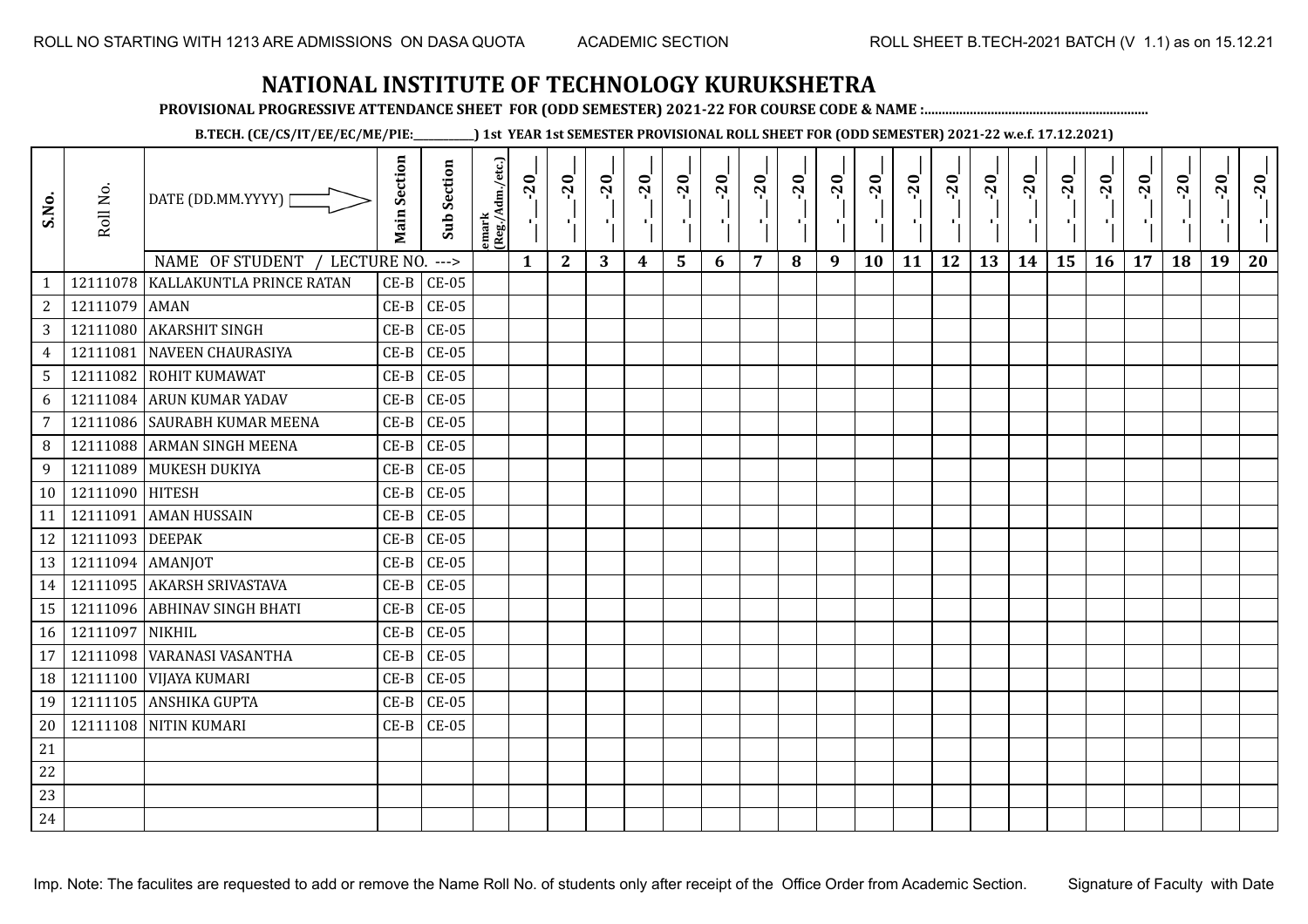**PROVISIONAL PROGRESSIVE ATTENDANCE SHEET FOR (ODD SEMESTER) 2021-22 FOR COURSE CODE & NAME :................................................................**

**B.TECH. (CE/CS/IT/EE/EC/ME/PIE:\_\_\_\_\_\_\_\_\_\_\_\_) 1st YEAR 1st SEMESTER PROVISIONAL ROLL SHEET FOR (ODD SEMESTER) 2021-22 w.e.f. 17.12.2021)**

| S.No.           | Roll No.         | DATE (DD.MM.YYYY) [                                                 | <b>Main Section</b> | <b>Sub Section</b>       | emark<br> (Reg./Adm./etc.) | $-20$<br>로   | $-20$<br>Δ.  | $-20$<br>π÷ | $-20$<br>лj      | $-20$<br>۱, | $-20$<br>-9 | $-20$<br>$\blacksquare$ | $-20$ | $-20$<br>л. | $-20$<br>٠ | $-20$<br>п, | $-20$<br>τj | $-20$<br>로 | $-20$<br>$\blacksquare$ | $-20$<br>٠, | $-20$<br>$\mathcal{F}_{\mathbf{L}}$ | $-20$ | $-20$ | $-20$<br>×. | $-20$ |
|-----------------|------------------|---------------------------------------------------------------------|---------------------|--------------------------|----------------------------|--------------|--------------|-------------|------------------|-------------|-------------|-------------------------|-------|-------------|------------|-------------|-------------|------------|-------------------------|-------------|-------------------------------------|-------|-------|-------------|-------|
|                 | 12111078         | NAME OF STUDENT<br>/ LECTURE NO.<br><b>KALLAKUNTLA PRINCE RATAN</b> | $CE-B$              | $\rightarrow$<br>$CE-05$ |                            | $\mathbf{1}$ | $\mathbf{2}$ | 3           | $\boldsymbol{4}$ | 5           | 6           | 7                       | 8     | 9           | 10         | 11          | 12          | 13         | 14                      | 15          | 16                                  | 17    | 18    | 19          | 20    |
| $\overline{2}$  | 12111079 AMAN    |                                                                     | $CE-B$              | $CE-05$                  |                            |              |              |             |                  |             |             |                         |       |             |            |             |             |            |                         |             |                                     |       |       |             |       |
| $\mathbf{3}$    |                  | 12111080 AKARSHIT SINGH                                             | $CE-B$              | $CE-05$                  |                            |              |              |             |                  |             |             |                         |       |             |            |             |             |            |                         |             |                                     |       |       |             |       |
| $\overline{4}$  |                  | 12111081 NAVEEN CHAURASIYA                                          | $CE-B$              | $CE-05$                  |                            |              |              |             |                  |             |             |                         |       |             |            |             |             |            |                         |             |                                     |       |       |             |       |
| 5               |                  | 12111082 ROHIT KUMAWAT                                              | $CE-B$              | $CE-05$                  |                            |              |              |             |                  |             |             |                         |       |             |            |             |             |            |                         |             |                                     |       |       |             |       |
| 6               |                  | 12111084 ARUN KUMAR YADAV                                           | $CE-B$              | $CE-05$                  |                            |              |              |             |                  |             |             |                         |       |             |            |             |             |            |                         |             |                                     |       |       |             |       |
| $\overline{7}$  |                  | 12111086 SAURABH KUMAR MEENA                                        | $CE-B$              | $CE-05$                  |                            |              |              |             |                  |             |             |                         |       |             |            |             |             |            |                         |             |                                     |       |       |             |       |
| 8               |                  | 12111088 ARMAN SINGH MEENA                                          | $CE-B$              | $CE-05$                  |                            |              |              |             |                  |             |             |                         |       |             |            |             |             |            |                         |             |                                     |       |       |             |       |
| 9               |                  | 12111089 MUKESH DUKIYA                                              | $CE-B$              | $CE-05$                  |                            |              |              |             |                  |             |             |                         |       |             |            |             |             |            |                         |             |                                     |       |       |             |       |
| 10 <sup>1</sup> | 12111090 HITESH  |                                                                     | $CE-B$              | $CE-05$                  |                            |              |              |             |                  |             |             |                         |       |             |            |             |             |            |                         |             |                                     |       |       |             |       |
| 11              | 12111091         | <b>AMAN HUSSAIN</b>                                                 | $CE-B$              | <b>CE-05</b>             |                            |              |              |             |                  |             |             |                         |       |             |            |             |             |            |                         |             |                                     |       |       |             |       |
| 12              | 12111093 DEEPAK  |                                                                     | $CE-B$              | $CE-05$                  |                            |              |              |             |                  |             |             |                         |       |             |            |             |             |            |                         |             |                                     |       |       |             |       |
| 13              | 12111094 AMANJOT |                                                                     | $CE-B$              | $CE-05$                  |                            |              |              |             |                  |             |             |                         |       |             |            |             |             |            |                         |             |                                     |       |       |             |       |
| 14              |                  | 12111095 AKARSH SRIVASTAVA                                          | $CE-B$              | $CE-05$                  |                            |              |              |             |                  |             |             |                         |       |             |            |             |             |            |                         |             |                                     |       |       |             |       |
| 15              |                  | 12111096 ABHINAV SINGH BHATI                                        | $CE-B$              | $CE-05$                  |                            |              |              |             |                  |             |             |                         |       |             |            |             |             |            |                         |             |                                     |       |       |             |       |
| 16              | 12111097 NIKHIL  |                                                                     | $CE-B$              | $CE-05$                  |                            |              |              |             |                  |             |             |                         |       |             |            |             |             |            |                         |             |                                     |       |       |             |       |
| 17              |                  | 12111098 WARANASI VASANTHA                                          | $CE-B$              | $CE-05$                  |                            |              |              |             |                  |             |             |                         |       |             |            |             |             |            |                         |             |                                     |       |       |             |       |
| 18              |                  | 12111100 VIJAYA KUMARI                                              | $CE-B$              | $CE-05$                  |                            |              |              |             |                  |             |             |                         |       |             |            |             |             |            |                         |             |                                     |       |       |             |       |
| 19              |                  | 12111105 ANSHIKA GUPTA                                              | $CE-B$              | $CE-05$                  |                            |              |              |             |                  |             |             |                         |       |             |            |             |             |            |                         |             |                                     |       |       |             |       |
| 20              |                  | 12111108 NITIN KUMARI                                               | $CE-B$              | $CE-05$                  |                            |              |              |             |                  |             |             |                         |       |             |            |             |             |            |                         |             |                                     |       |       |             |       |
| 21              |                  |                                                                     |                     |                          |                            |              |              |             |                  |             |             |                         |       |             |            |             |             |            |                         |             |                                     |       |       |             |       |
| $22\,$          |                  |                                                                     |                     |                          |                            |              |              |             |                  |             |             |                         |       |             |            |             |             |            |                         |             |                                     |       |       |             |       |
| 23              |                  |                                                                     |                     |                          |                            |              |              |             |                  |             |             |                         |       |             |            |             |             |            |                         |             |                                     |       |       |             |       |
| 24              |                  |                                                                     |                     |                          |                            |              |              |             |                  |             |             |                         |       |             |            |             |             |            |                         |             |                                     |       |       |             |       |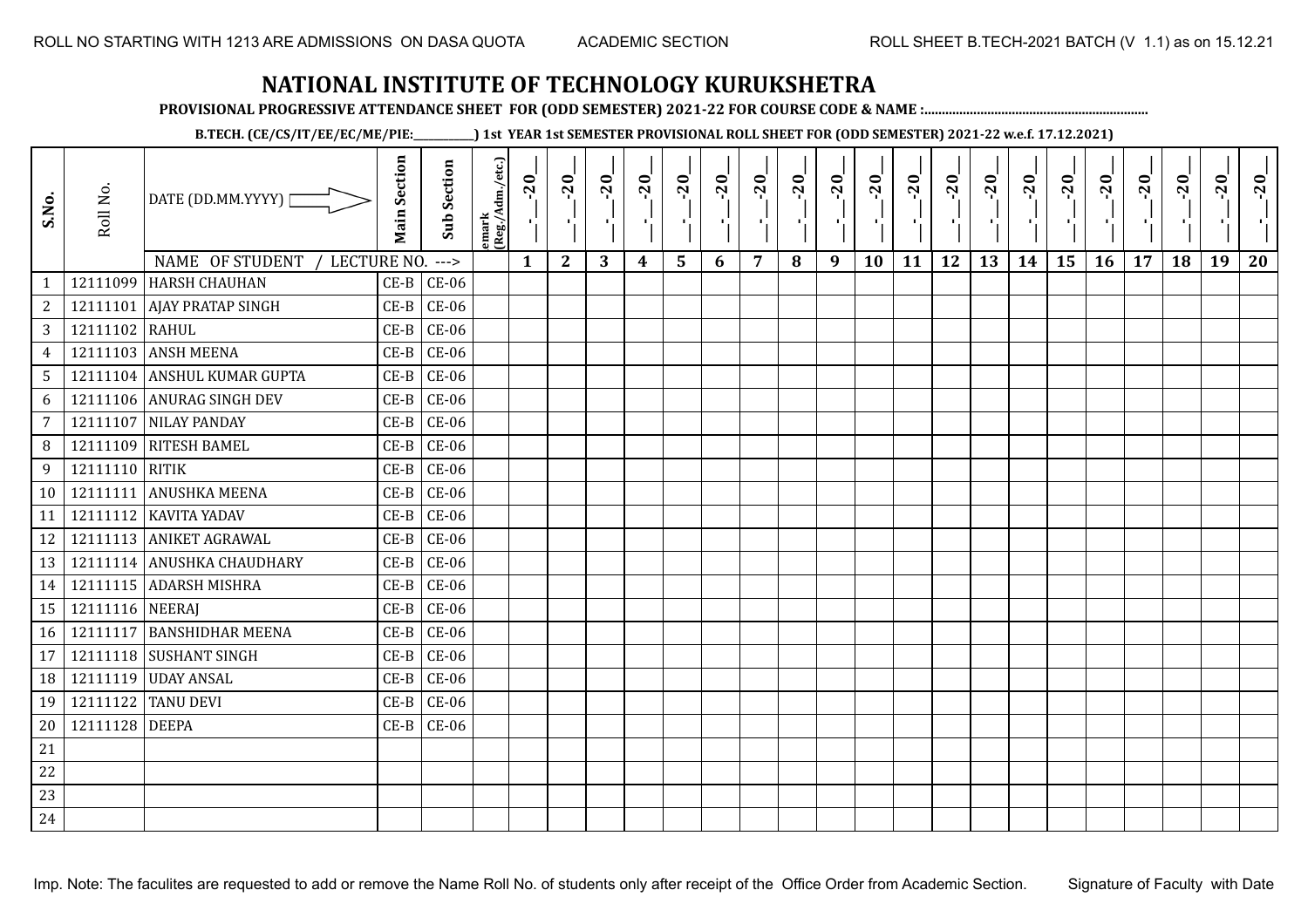**PROVISIONAL PROGRESSIVE ATTENDANCE SHEET FOR (ODD SEMESTER) 2021-22 FOR COURSE CODE & NAME :................................................................**

**B.TECH. (CE/CS/IT/EE/EC/ME/PIE:\_\_\_\_\_\_\_\_\_\_\_\_) 1st YEAR 1st SEMESTER PROVISIONAL ROLL SHEET FOR (ODD SEMESTER) 2021-22 w.e.f. 17.12.2021)**

| S.No.           | Roll No.        | DATE (DD.MM.YYYY)                | <b>Main Section</b> | <b>Sub Section</b> | lemark<br>(Reg./Adm./etc.) | $-20$<br>τĻ. | $-20$<br>-11 | $-20$ | $-20$ | $-20$ | $-20$ | $-20$ | $-20$<br>٠, | $-20$<br>$\mathcal{F}_{\mathbf{p}}$ | $-20$     | $-20$ | $-20$ | $-20$<br>л. | $-20$ | $-20$ | $-20$ | $-20$ | $-20$ | $-20$ | $-20$ |
|-----------------|-----------------|----------------------------------|---------------------|--------------------|----------------------------|--------------|--------------|-------|-------|-------|-------|-------|-------------|-------------------------------------|-----------|-------|-------|-------------|-------|-------|-------|-------|-------|-------|-------|
|                 |                 | NAME OF STUDENT /<br>LECTURE NO. |                     | $--->$             |                            | $\mathbf{1}$ | $\mathbf{2}$ | 3     | 4     | 5     | 6     | 7     | 8           | 9                                   | <b>10</b> | 11    | 12    | 13          | 14    | 15    | 16    | 17    | 18    | 19    | 20    |
| $\mathbf{1}$    |                 | 12111099 HARSH CHAUHAN           | $CE-B$              | $CE-06$            |                            |              |              |       |       |       |       |       |             |                                     |           |       |       |             |       |       |       |       |       |       |       |
| $\sqrt{2}$      |                 | 12111101 AJAY PRATAP SINGH       | $CE-B$              | $CE-06$            |                            |              |              |       |       |       |       |       |             |                                     |           |       |       |             |       |       |       |       |       |       |       |
| 3 <sup>1</sup>  | 12111102 RAHUL  |                                  | $CE-B$              | $CE-06$            |                            |              |              |       |       |       |       |       |             |                                     |           |       |       |             |       |       |       |       |       |       |       |
| $\overline{4}$  |                 | 12111103 ANSH MEENA              | $CE-B$              | $CE-06$            |                            |              |              |       |       |       |       |       |             |                                     |           |       |       |             |       |       |       |       |       |       |       |
| 5 <sub>1</sub>  |                 | 12111104 ANSHUL KUMAR GUPTA      | $CE-B$              | $CE-06$            |                            |              |              |       |       |       |       |       |             |                                     |           |       |       |             |       |       |       |       |       |       |       |
| 6               |                 | 12111106 ANURAG SINGH DEV        | $CE-B$              | $CE-06$            |                            |              |              |       |       |       |       |       |             |                                     |           |       |       |             |       |       |       |       |       |       |       |
| $\overline{7}$  |                 | 12111107 NILAY PANDAY            | $CE-B$              | $CE-06$            |                            |              |              |       |       |       |       |       |             |                                     |           |       |       |             |       |       |       |       |       |       |       |
| 8               |                 | 12111109 RITESH BAMEL            | $CE-B$              | $CE-06$            |                            |              |              |       |       |       |       |       |             |                                     |           |       |       |             |       |       |       |       |       |       |       |
| 9               | 12111110 RITIK  |                                  | $CE-B$              | $CE-06$            |                            |              |              |       |       |       |       |       |             |                                     |           |       |       |             |       |       |       |       |       |       |       |
| 10 <sup>1</sup> |                 | 12111111 ANUSHKA MEENA           | $CE-B$              | $CE-06$            |                            |              |              |       |       |       |       |       |             |                                     |           |       |       |             |       |       |       |       |       |       |       |
| 11              |                 | 12111112 KAVITA YADAV            | $CE-B$              | $CE-06$            |                            |              |              |       |       |       |       |       |             |                                     |           |       |       |             |       |       |       |       |       |       |       |
| 12              |                 | 12111113 ANIKET AGRAWAL          | $CE-B$              | $CE-06$            |                            |              |              |       |       |       |       |       |             |                                     |           |       |       |             |       |       |       |       |       |       |       |
| 13              |                 | 12111114 ANUSHKA CHAUDHARY       | $CE-B$              | $CE-06$            |                            |              |              |       |       |       |       |       |             |                                     |           |       |       |             |       |       |       |       |       |       |       |
| 14              |                 | 12111115 ADARSH MISHRA           | $CE-B$              | $CE-06$            |                            |              |              |       |       |       |       |       |             |                                     |           |       |       |             |       |       |       |       |       |       |       |
| 15              | 12111116 NEERAJ |                                  | $CE-B$              | $CE-06$            |                            |              |              |       |       |       |       |       |             |                                     |           |       |       |             |       |       |       |       |       |       |       |
| 16              |                 | 12111117 BANSHIDHAR MEENA        | $CE-B$              | $CE-06$            |                            |              |              |       |       |       |       |       |             |                                     |           |       |       |             |       |       |       |       |       |       |       |
| 17              |                 | 12111118 SUSHANT SINGH           | $CE-B$              | $CE-06$            |                            |              |              |       |       |       |       |       |             |                                     |           |       |       |             |       |       |       |       |       |       |       |
| 18              |                 | 12111119 UDAY ANSAL              | $CE-B$              | $CE-06$            |                            |              |              |       |       |       |       |       |             |                                     |           |       |       |             |       |       |       |       |       |       |       |
| 19              | 12111122        | <b>TANU DEVI</b>                 | $CE-B$              | $CE-06$            |                            |              |              |       |       |       |       |       |             |                                     |           |       |       |             |       |       |       |       |       |       |       |
| 20              | 12111128 DEEPA  |                                  |                     | $CE-B$ $CE-06$     |                            |              |              |       |       |       |       |       |             |                                     |           |       |       |             |       |       |       |       |       |       |       |
| 21              |                 |                                  |                     |                    |                            |              |              |       |       |       |       |       |             |                                     |           |       |       |             |       |       |       |       |       |       |       |
| 22              |                 |                                  |                     |                    |                            |              |              |       |       |       |       |       |             |                                     |           |       |       |             |       |       |       |       |       |       |       |
| 23              |                 |                                  |                     |                    |                            |              |              |       |       |       |       |       |             |                                     |           |       |       |             |       |       |       |       |       |       |       |
| 24              |                 |                                  |                     |                    |                            |              |              |       |       |       |       |       |             |                                     |           |       |       |             |       |       |       |       |       |       |       |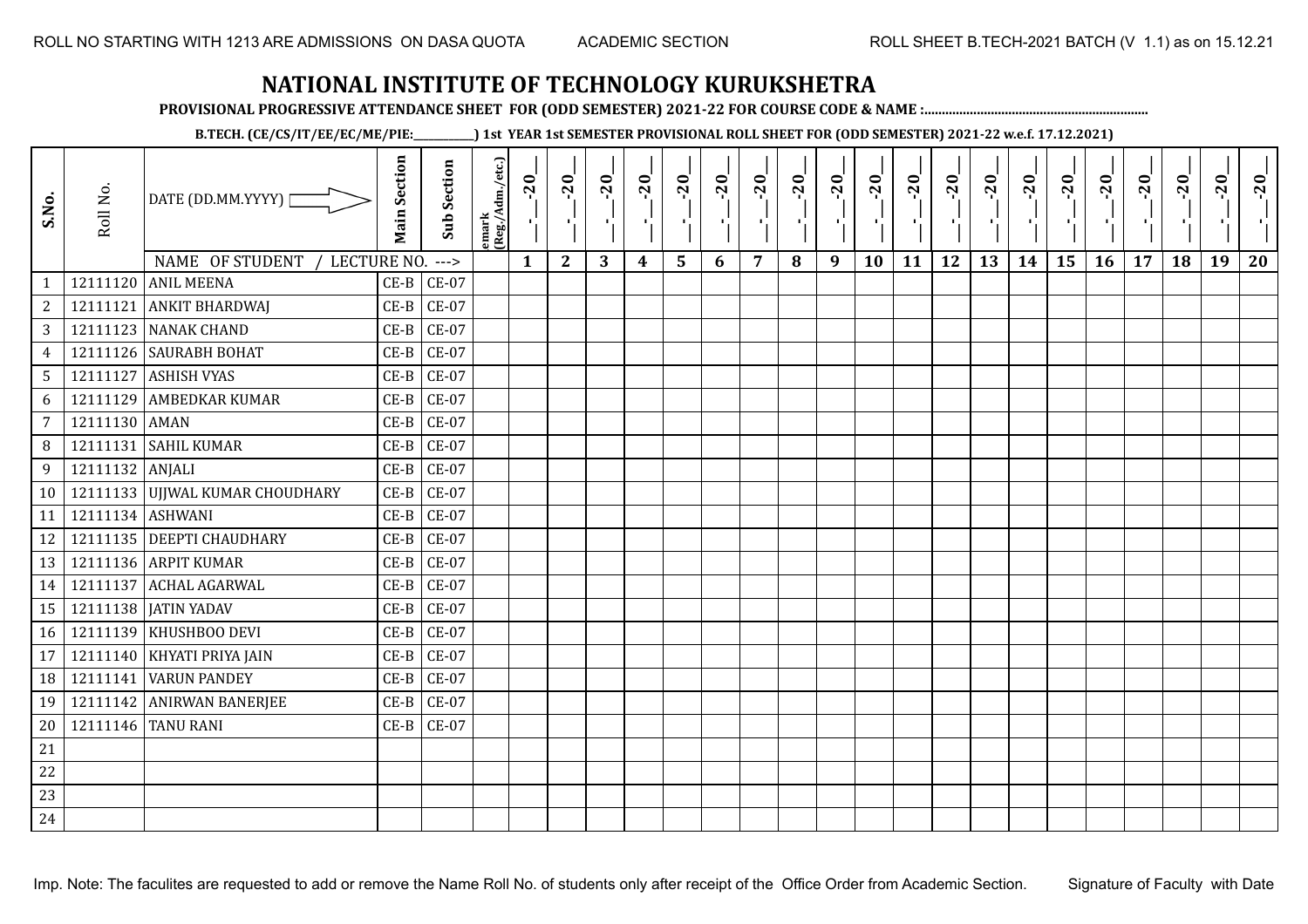**PROVISIONAL PROGRESSIVE ATTENDANCE SHEET FOR (ODD SEMESTER) 2021-22 FOR COURSE CODE & NAME :................................................................**

**B.TECH. (CE/CS/IT/EE/EC/ME/PIE:\_\_\_\_\_\_\_\_\_\_\_\_) 1st YEAR 1st SEMESTER PROVISIONAL ROLL SHEET FOR (ODD SEMESTER) 2021-22 w.e.f. 17.12.2021)**

| S.No.            | Roll No.         | DATE (DD.MM.YYYY) [<br>NAME OF STUDENT<br>LECTURE NO. | <b>Main Section</b> | <b>Sub Section</b><br>$--->$ | emark<br> (Reg./Adm./etc.) | $-20$<br>Η.<br>$\mathbf{1}$ | $-20$<br>х÷<br>$\mathbf{2}$ | $-20$<br>п.,<br>3 | $-20$<br>т.<br>$\boldsymbol{4}$ | $-20$<br>٠,<br>5 | $-20$<br>п.<br>6 | $-20$<br>п,<br>$\overline{7}$ | $-20$<br>8 | $-20$<br>лj<br>9 | $-20$<br>л,<br>10 | $-20$<br>πt<br>11 | $-20$<br>-10<br>12 | $-20$<br>로<br>13 | $-20$<br>H)<br>14 | $-20$<br>÷,<br>15 | $-20$<br>л.,<br>16 | $-20$<br>17 | $-20$<br>18 | $-20$<br>×.<br>19 | $-20$<br>20 |
|------------------|------------------|-------------------------------------------------------|---------------------|------------------------------|----------------------------|-----------------------------|-----------------------------|-------------------|---------------------------------|------------------|------------------|-------------------------------|------------|------------------|-------------------|-------------------|--------------------|------------------|-------------------|-------------------|--------------------|-------------|-------------|-------------------|-------------|
| $\mathbf{1}$     |                  | 12111120 ANIL MEENA                                   | $CE-B$              | <b>CE-07</b>                 |                            |                             |                             |                   |                                 |                  |                  |                               |            |                  |                   |                   |                    |                  |                   |                   |                    |             |             |                   |             |
| $\overline{c}$   | 12111121         | <b>ANKIT BHARDWAJ</b>                                 | $CE-B$              | $CE-07$                      |                            |                             |                             |                   |                                 |                  |                  |                               |            |                  |                   |                   |                    |                  |                   |                   |                    |             |             |                   |             |
| 3                |                  | 12111123 NANAK CHAND                                  | $CE-B$              | $CE-07$                      |                            |                             |                             |                   |                                 |                  |                  |                               |            |                  |                   |                   |                    |                  |                   |                   |                    |             |             |                   |             |
| $\overline{4}$   |                  | 12111126 SAURABH BOHAT                                | $CE-B$              | $CE-07$                      |                            |                             |                             |                   |                                 |                  |                  |                               |            |                  |                   |                   |                    |                  |                   |                   |                    |             |             |                   |             |
| $5\phantom{.0}$  |                  | 12111127 ASHISH VYAS                                  | $CE-B$              | $CE-07$                      |                            |                             |                             |                   |                                 |                  |                  |                               |            |                  |                   |                   |                    |                  |                   |                   |                    |             |             |                   |             |
| 6                | 12111129         | <b>AMBEDKAR KUMAR</b>                                 | $CE-B$              | <b>CE-07</b>                 |                            |                             |                             |                   |                                 |                  |                  |                               |            |                  |                   |                   |                    |                  |                   |                   |                    |             |             |                   |             |
| $\overline{7}$   | 12111130 AMAN    |                                                       | $CE-B$              | $CE-07$                      |                            |                             |                             |                   |                                 |                  |                  |                               |            |                  |                   |                   |                    |                  |                   |                   |                    |             |             |                   |             |
| 8                | 12111131         | <b>SAHIL KUMAR</b>                                    | $CE-B$              | $CE-07$                      |                            |                             |                             |                   |                                 |                  |                  |                               |            |                  |                   |                   |                    |                  |                   |                   |                    |             |             |                   |             |
| $\boldsymbol{9}$ | 12111132 ANJALI  |                                                       | $CE-B$              | $CE-07$                      |                            |                             |                             |                   |                                 |                  |                  |                               |            |                  |                   |                   |                    |                  |                   |                   |                    |             |             |                   |             |
| 10               |                  | 12111133 UJJWAL KUMAR CHOUDHARY                       | $CE-B$              | $CE-07$                      |                            |                             |                             |                   |                                 |                  |                  |                               |            |                  |                   |                   |                    |                  |                   |                   |                    |             |             |                   |             |
| 11               | 12111134 ASHWANI |                                                       | $CE-B$              | $CE-07$                      |                            |                             |                             |                   |                                 |                  |                  |                               |            |                  |                   |                   |                    |                  |                   |                   |                    |             |             |                   |             |
| 12               |                  | 12111135 DEEPTI CHAUDHARY                             | $CE-B$              | $CE-07$                      |                            |                             |                             |                   |                                 |                  |                  |                               |            |                  |                   |                   |                    |                  |                   |                   |                    |             |             |                   |             |
| 13               |                  | 12111136 ARPIT KUMAR                                  | $CE-B$              | $CE-07$                      |                            |                             |                             |                   |                                 |                  |                  |                               |            |                  |                   |                   |                    |                  |                   |                   |                    |             |             |                   |             |
| 14               |                  | 12111137 ACHAL AGARWAL                                | $CE-B$              | $CE-07$                      |                            |                             |                             |                   |                                 |                  |                  |                               |            |                  |                   |                   |                    |                  |                   |                   |                    |             |             |                   |             |
| 15               |                  | 12111138   JATIN YADAV                                | $CE-B$              | $CE-07$                      |                            |                             |                             |                   |                                 |                  |                  |                               |            |                  |                   |                   |                    |                  |                   |                   |                    |             |             |                   |             |
| 16               |                  | 12111139 KHUSHBOO DEVI                                | $CE-B$              | $CE-07$                      |                            |                             |                             |                   |                                 |                  |                  |                               |            |                  |                   |                   |                    |                  |                   |                   |                    |             |             |                   |             |
| 17               |                  | 12111140 KHYATI PRIYA JAIN                            | $CE-B$              | $CE-07$                      |                            |                             |                             |                   |                                 |                  |                  |                               |            |                  |                   |                   |                    |                  |                   |                   |                    |             |             |                   |             |
| 18               | 12111141         | <b>VARUN PANDEY</b>                                   | $CE-B$              | $CE-07$                      |                            |                             |                             |                   |                                 |                  |                  |                               |            |                  |                   |                   |                    |                  |                   |                   |                    |             |             |                   |             |
| 19               |                  | 12111142 ANIRWAN BANERJEE                             | $CE-B$              | $CE-07$                      |                            |                             |                             |                   |                                 |                  |                  |                               |            |                  |                   |                   |                    |                  |                   |                   |                    |             |             |                   |             |
| 20               |                  | 12111146 TANU RANI                                    | $CE-B$              | $CE-07$                      |                            |                             |                             |                   |                                 |                  |                  |                               |            |                  |                   |                   |                    |                  |                   |                   |                    |             |             |                   |             |
| 21               |                  |                                                       |                     |                              |                            |                             |                             |                   |                                 |                  |                  |                               |            |                  |                   |                   |                    |                  |                   |                   |                    |             |             |                   |             |
| 22               |                  |                                                       |                     |                              |                            |                             |                             |                   |                                 |                  |                  |                               |            |                  |                   |                   |                    |                  |                   |                   |                    |             |             |                   |             |
| 23               |                  |                                                       |                     |                              |                            |                             |                             |                   |                                 |                  |                  |                               |            |                  |                   |                   |                    |                  |                   |                   |                    |             |             |                   |             |
| 24               |                  |                                                       |                     |                              |                            |                             |                             |                   |                                 |                  |                  |                               |            |                  |                   |                   |                    |                  |                   |                   |                    |             |             |                   |             |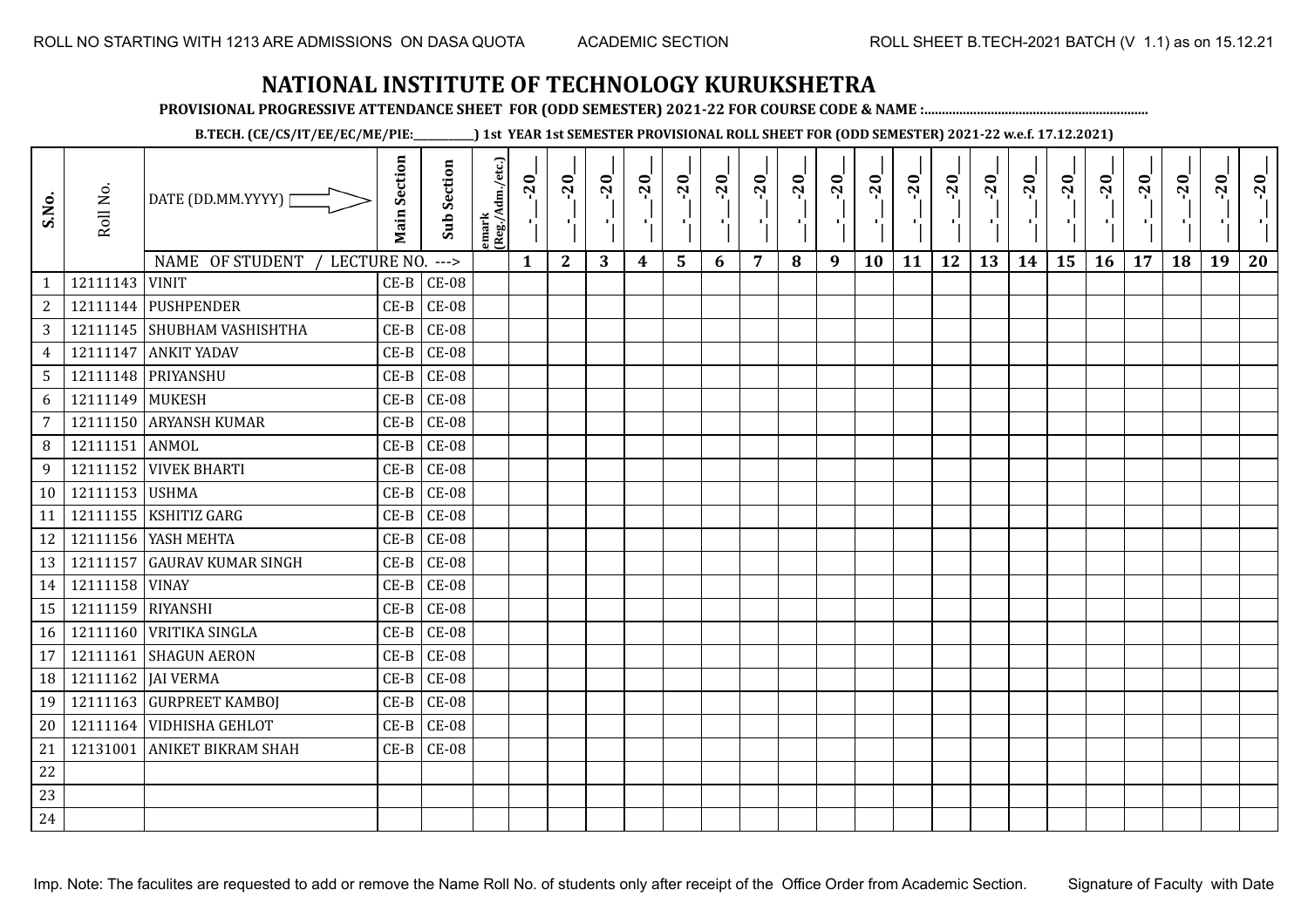**PROVISIONAL PROGRESSIVE ATTENDANCE SHEET FOR (ODD SEMESTER) 2021-22 FOR COURSE CODE & NAME :................................................................**

**B.TECH. (CE/CS/IT/EE/EC/ME/PIE:\_\_\_\_\_\_\_\_\_\_\_\_) 1st YEAR 1st SEMESTER PROVISIONAL ROLL SHEET FOR (ODD SEMESTER) 2021-22 w.e.f. 17.12.2021)**

| S.No.           | Roll No.          | DATE (DD.MM.YYYY)              | <b>Main Section</b> | <b>Sub Section</b> | lemark<br>(Reg./Adm./etc.) | $-20$<br>ч.  | $-20$<br>-90 | $-20$ | $-20$ | $-20$ | $-20$ | $-20$ | $-20$<br>雪 | $-20$<br>$\mathcal{F}_{\mathbf{L}}$ | $-20$ | $-20$ | $-20$ | $-20$<br>л. | $-20$ | $-20$ | $-20$ | $-20$ | $-20$ | $-20$ | $-20$ |
|-----------------|-------------------|--------------------------------|---------------------|--------------------|----------------------------|--------------|--------------|-------|-------|-------|-------|-------|------------|-------------------------------------|-------|-------|-------|-------------|-------|-------|-------|-------|-------|-------|-------|
|                 |                   | NAME OF STUDENT<br>LECTURE NO. |                     | $--->$             |                            | $\mathbf{1}$ | $\mathbf{2}$ | 3     | 4     | 5     | 6     | 7     | 8          | 9                                   | 10    | 11    | 12    | 13          | 14    | 15    | 16    | 17    | 18    | 19    | 20    |
| 1               | 12111143 VINIT    |                                | $CE-B$              | $CE-08$            |                            |              |              |       |       |       |       |       |            |                                     |       |       |       |             |       |       |       |       |       |       |       |
| $\sqrt{2}$      |                   | 12111144 PUSHPENDER            | $CE-B$              | $CE-08$            |                            |              |              |       |       |       |       |       |            |                                     |       |       |       |             |       |       |       |       |       |       |       |
| $\mathbf{3}$    |                   | 12111145 SHUBHAM VASHISHTHA    | $CE-B$              | $CE-08$            |                            |              |              |       |       |       |       |       |            |                                     |       |       |       |             |       |       |       |       |       |       |       |
| $\overline{4}$  | 12111147          | <b>ANKIT YADAV</b>             | $CE-B$              | $CE-08$            |                            |              |              |       |       |       |       |       |            |                                     |       |       |       |             |       |       |       |       |       |       |       |
| 5 <sup>5</sup>  |                   | 12111148 PRIYANSHU             | $CE-B$              | $CE-08$            |                            |              |              |       |       |       |       |       |            |                                     |       |       |       |             |       |       |       |       |       |       |       |
| 6               | 12111149 MUKESH   |                                | $CE-B$              | $CE-08$            |                            |              |              |       |       |       |       |       |            |                                     |       |       |       |             |       |       |       |       |       |       |       |
| $\overline{7}$  |                   | 12111150 ARYANSH KUMAR         | $CE-B$              | $CE-08$            |                            |              |              |       |       |       |       |       |            |                                     |       |       |       |             |       |       |       |       |       |       |       |
| 8               | 12111151 ANMOL    |                                | $CE-B$              | $CE-08$            |                            |              |              |       |       |       |       |       |            |                                     |       |       |       |             |       |       |       |       |       |       |       |
| 9               |                   | 12111152 VIVEK BHARTI          | $CE-B$              | $CE-08$            |                            |              |              |       |       |       |       |       |            |                                     |       |       |       |             |       |       |       |       |       |       |       |
| 10 <sup>1</sup> | 12111153 USHMA    |                                | $CE-B$              | $CE-08$            |                            |              |              |       |       |       |       |       |            |                                     |       |       |       |             |       |       |       |       |       |       |       |
| 11              | 12111155          | <b>KSHITIZ GARG</b>            | $CE-B$              | $CE-08$            |                            |              |              |       |       |       |       |       |            |                                     |       |       |       |             |       |       |       |       |       |       |       |
| 12              |                   | 12111156 YASH MEHTA            | $CE-B$              | $CE-08$            |                            |              |              |       |       |       |       |       |            |                                     |       |       |       |             |       |       |       |       |       |       |       |
| 13              |                   | 12111157 GAURAV KUMAR SINGH    | $CE-B$              | $CE-08$            |                            |              |              |       |       |       |       |       |            |                                     |       |       |       |             |       |       |       |       |       |       |       |
| 14              | 12111158 VINAY    |                                | $CE-B$              | $CE-08$            |                            |              |              |       |       |       |       |       |            |                                     |       |       |       |             |       |       |       |       |       |       |       |
| 15              | 12111159 RIYANSHI |                                | $CE-B$              | $CE-08$            |                            |              |              |       |       |       |       |       |            |                                     |       |       |       |             |       |       |       |       |       |       |       |
| 16              |                   | 12111160 VRITIKA SINGLA        | $CE-B$              | $CE-08$            |                            |              |              |       |       |       |       |       |            |                                     |       |       |       |             |       |       |       |       |       |       |       |
| 17              |                   | 12111161 SHAGUN AERON          | $CE-B$              | $CE-08$            |                            |              |              |       |       |       |       |       |            |                                     |       |       |       |             |       |       |       |       |       |       |       |
| 18              |                   | 12111162   JAI VERMA           | $CE-B$              | $CE-08$            |                            |              |              |       |       |       |       |       |            |                                     |       |       |       |             |       |       |       |       |       |       |       |
| 19              |                   | 12111163 GURPREET KAMBOJ       | $CE-B$              | $CE-08$            |                            |              |              |       |       |       |       |       |            |                                     |       |       |       |             |       |       |       |       |       |       |       |
| 20              |                   | 12111164 VIDHISHA GEHLOT       | $CE-B$              | $CE-08$            |                            |              |              |       |       |       |       |       |            |                                     |       |       |       |             |       |       |       |       |       |       |       |
| 21              |                   | 12131001 ANIKET BIKRAM SHAH    | $CE-B$              | <b>CE-08</b>       |                            |              |              |       |       |       |       |       |            |                                     |       |       |       |             |       |       |       |       |       |       |       |
| $22\,$          |                   |                                |                     |                    |                            |              |              |       |       |       |       |       |            |                                     |       |       |       |             |       |       |       |       |       |       |       |
| 23              |                   |                                |                     |                    |                            |              |              |       |       |       |       |       |            |                                     |       |       |       |             |       |       |       |       |       |       |       |
| 24              |                   |                                |                     |                    |                            |              |              |       |       |       |       |       |            |                                     |       |       |       |             |       |       |       |       |       |       |       |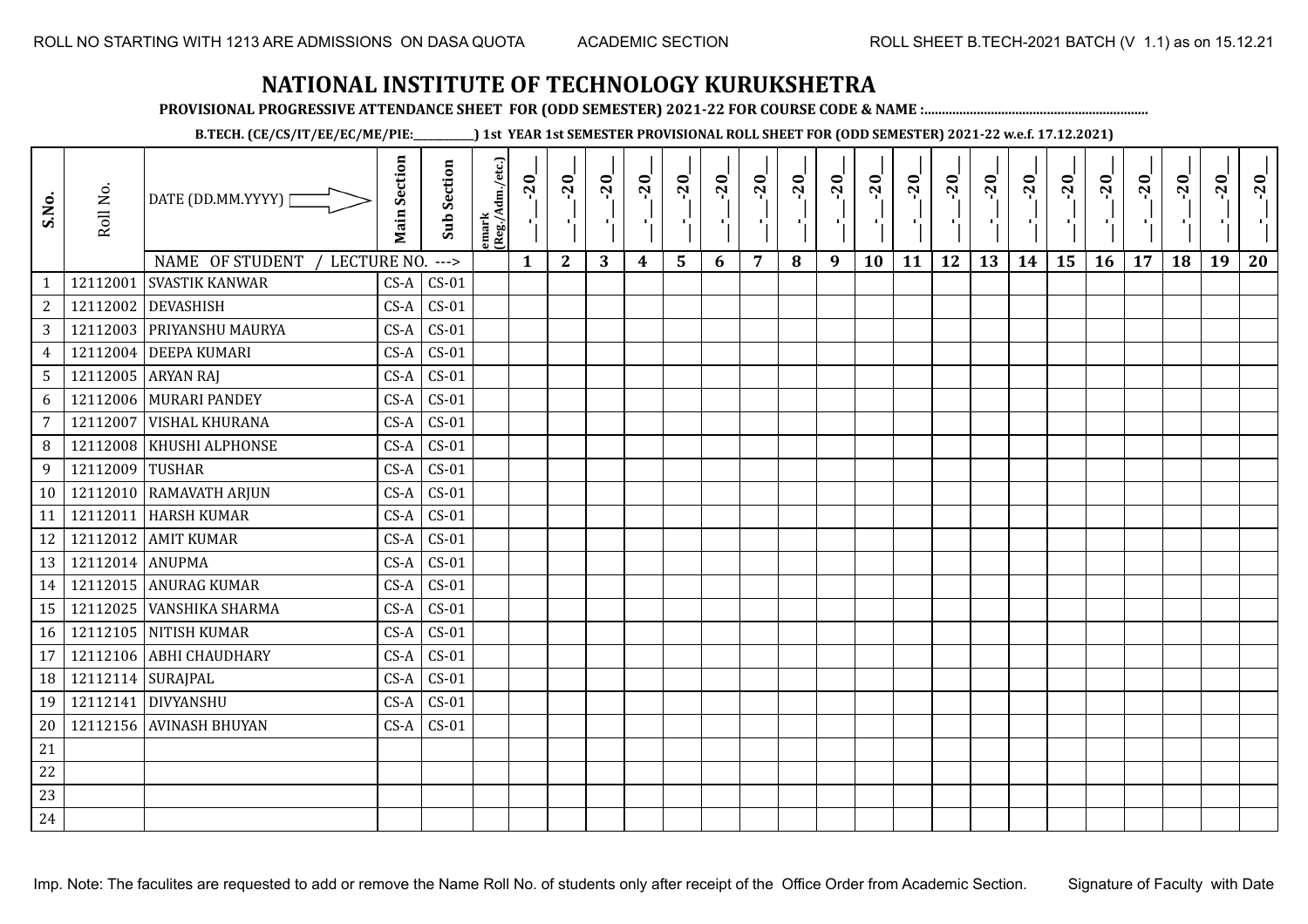**PROVISIONAL PROGRESSIVE ATTENDANCE SHEET FOR (ODD SEMESTER) 2021-22 FOR COURSE CODE & NAME :................................................................**

**B.TECH. (CE/CS/IT/EE/EC/ME/PIE:\_\_\_\_\_\_\_\_\_\_\_\_) 1st YEAR 1st SEMESTER PROVISIONAL ROLL SHEET FOR (ODD SEMESTER) 2021-22 w.e.f. 17.12.2021)**

| S.No.                      | Roll No.          | DATE (DD.MM.YYYY) [                                       | <b>Main Section</b> | <b>Sub Section</b> | emark<br> (Reg./Adm./etc.) | $-20$<br>$\frac{1}{1}$ | $-20$<br>ΠÈ.     | $-20$<br>пD. | $-20$<br>лj      | $-20$<br>۱, | $-20$<br>л., | $-20$<br>-10 | $-20$ | $-20$<br>π÷ | $-20$<br>л, | $-20$<br>п, | $-20$<br>п, | $-20$<br>로 | $-20$<br>$\blacksquare$ | $-20$<br>٠¦ | $-20$<br>л., | $-20$ | $-20$ | $-20$<br>×. | $-20$ |
|----------------------------|-------------------|-----------------------------------------------------------|---------------------|--------------------|----------------------------|------------------------|------------------|--------------|------------------|-------------|--------------|--------------|-------|-------------|-------------|-------------|-------------|------------|-------------------------|-------------|--------------|-------|-------|-------------|-------|
|                            |                   | NAME OF STUDENT<br>LECTURE NO.<br>12112001 SVASTIK KANWAR | $CS-A$              | $--->$<br>$CS-01$  |                            | $\mathbf{1}$           | $\boldsymbol{2}$ | 3            | $\boldsymbol{4}$ | 5           | 6            | 7            | 8     | 9           | 10          | 11          | 12          | 13         | 14                      | 15          | 16           | 17    | 18    | 19          | 20    |
| $\mathbf{1}$<br>$\sqrt{2}$ |                   | 12112002 DEVASHISH                                        | $CS-A$              | $CS-01$            |                            |                        |                  |              |                  |             |              |              |       |             |             |             |             |            |                         |             |              |       |       |             |       |
| $\overline{3}$             |                   | 12112003 PRIYANSHU MAURYA                                 | $CS-A$              | $CS-01$            |                            |                        |                  |              |                  |             |              |              |       |             |             |             |             |            |                         |             |              |       |       |             |       |
| $\overline{4}$             |                   | 12112004 DEEPA KUMARI                                     | $CS-A$              | $CS-01$            |                            |                        |                  |              |                  |             |              |              |       |             |             |             |             |            |                         |             |              |       |       |             |       |
| 5 <sub>1</sub>             |                   | 12112005 ARYAN RAJ                                        | $CS-A$              | $CS-01$            |                            |                        |                  |              |                  |             |              |              |       |             |             |             |             |            |                         |             |              |       |       |             |       |
| 6                          |                   | 12112006 MURARI PANDEY                                    | $CS-A$              | $CS-01$            |                            |                        |                  |              |                  |             |              |              |       |             |             |             |             |            |                         |             |              |       |       |             |       |
| $\overline{7}$             | 12112007          | <b>VISHAL KHURANA</b>                                     | $CS-A$              | $CS-01$            |                            |                        |                  |              |                  |             |              |              |       |             |             |             |             |            |                         |             |              |       |       |             |       |
| 8                          |                   | 12112008 KHUSHI ALPHONSE                                  | $CS-A$              | $CS-01$            |                            |                        |                  |              |                  |             |              |              |       |             |             |             |             |            |                         |             |              |       |       |             |       |
| 9                          | 12112009 TUSHAR   |                                                           | $CS-A$              | $\textsf{CS-01}$   |                            |                        |                  |              |                  |             |              |              |       |             |             |             |             |            |                         |             |              |       |       |             |       |
| 10 <sup>1</sup>            |                   | 12112010 RAMAVATH ARJUN                                   | $CS-A$              | $\csc 01$          |                            |                        |                  |              |                  |             |              |              |       |             |             |             |             |            |                         |             |              |       |       |             |       |
| 11                         |                   | 12112011 HARSH KUMAR                                      | $CS-A$              | $CS-01$            |                            |                        |                  |              |                  |             |              |              |       |             |             |             |             |            |                         |             |              |       |       |             |       |
| 12                         |                   | 12112012 AMIT KUMAR                                       | $CS-A$              | $CS-01$            |                            |                        |                  |              |                  |             |              |              |       |             |             |             |             |            |                         |             |              |       |       |             |       |
| 13                         | 12112014 ANUPMA   |                                                           | $CS-A$              | $CS-01$            |                            |                        |                  |              |                  |             |              |              |       |             |             |             |             |            |                         |             |              |       |       |             |       |
| 14                         |                   | 12112015 ANURAG KUMAR                                     | $CS-A$              | $CS-01$            |                            |                        |                  |              |                  |             |              |              |       |             |             |             |             |            |                         |             |              |       |       |             |       |
| 15                         |                   | 12112025 VANSHIKA SHARMA                                  | $CS-A$              | $CS-01$            |                            |                        |                  |              |                  |             |              |              |       |             |             |             |             |            |                         |             |              |       |       |             |       |
| 16                         |                   | 12112105 NITISH KUMAR                                     | $CS-A$              | $CS-01$            |                            |                        |                  |              |                  |             |              |              |       |             |             |             |             |            |                         |             |              |       |       |             |       |
| 17                         |                   | 12112106 ABHI CHAUDHARY                                   | $CS-A$              | $CS-01$            |                            |                        |                  |              |                  |             |              |              |       |             |             |             |             |            |                         |             |              |       |       |             |       |
| 18                         | 12112114 SURAJPAL |                                                           | $CS-A$              | $CS-01$            |                            |                        |                  |              |                  |             |              |              |       |             |             |             |             |            |                         |             |              |       |       |             |       |
| 19                         |                   | 12112141 DIVYANSHU                                        | $CS-A$              | $CS-01$            |                            |                        |                  |              |                  |             |              |              |       |             |             |             |             |            |                         |             |              |       |       |             |       |
| 20                         |                   | 12112156 AVINASH BHUYAN                                   |                     | $CS-A$ $CS-01$     |                            |                        |                  |              |                  |             |              |              |       |             |             |             |             |            |                         |             |              |       |       |             |       |
| $21\,$                     |                   |                                                           |                     |                    |                            |                        |                  |              |                  |             |              |              |       |             |             |             |             |            |                         |             |              |       |       |             |       |
| 22                         |                   |                                                           |                     |                    |                            |                        |                  |              |                  |             |              |              |       |             |             |             |             |            |                         |             |              |       |       |             |       |
| 23                         |                   |                                                           |                     |                    |                            |                        |                  |              |                  |             |              |              |       |             |             |             |             |            |                         |             |              |       |       |             |       |
| 24                         |                   |                                                           |                     |                    |                            |                        |                  |              |                  |             |              |              |       |             |             |             |             |            |                         |             |              |       |       |             |       |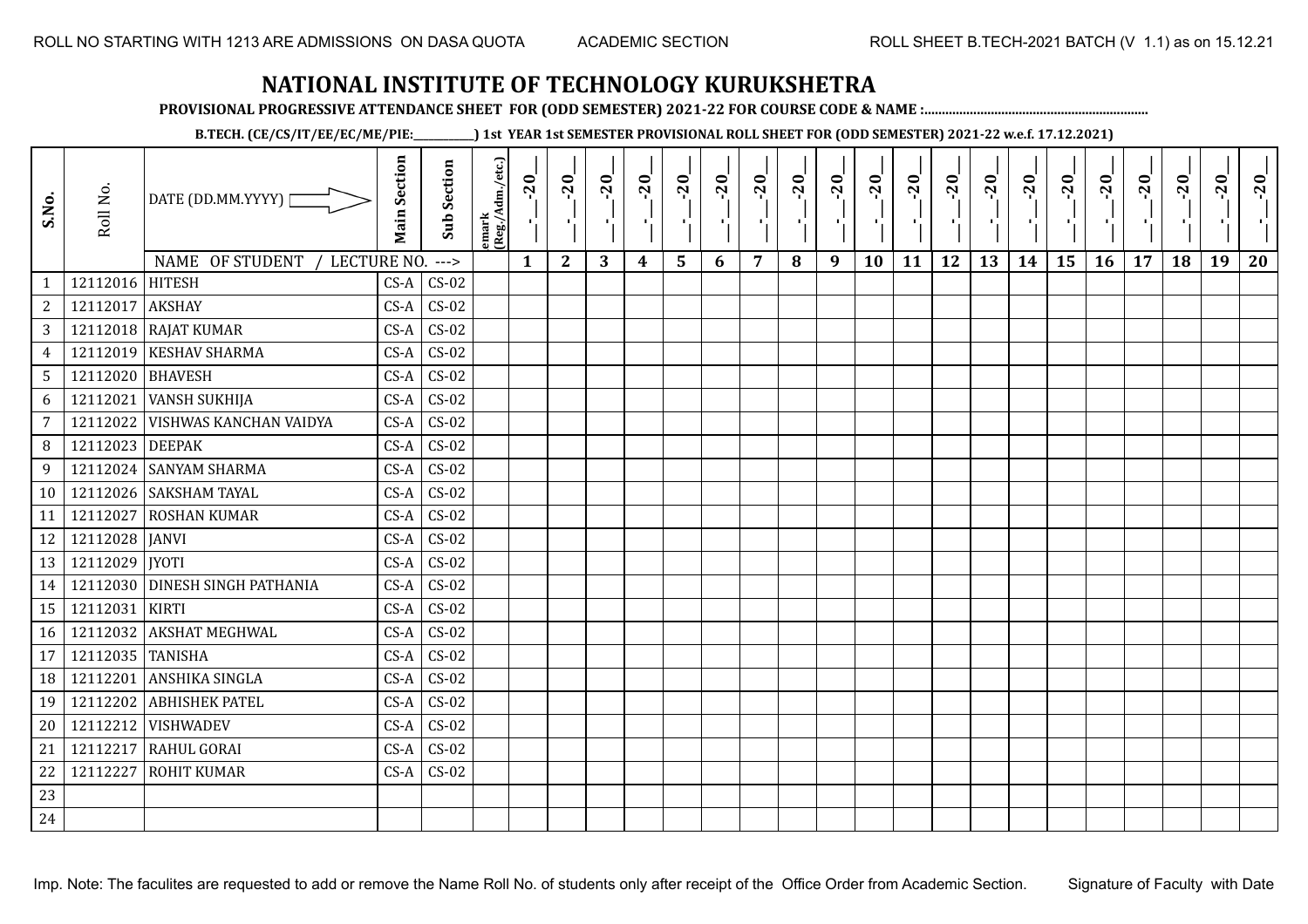**PROVISIONAL PROGRESSIVE ATTENDANCE SHEET FOR (ODD SEMESTER) 2021-22 FOR COURSE CODE & NAME :................................................................**

**B.TECH. (CE/CS/IT/EE/EC/ME/PIE:\_\_\_\_\_\_\_\_\_\_\_\_) 1st YEAR 1st SEMESTER PROVISIONAL ROLL SHEET FOR (ODD SEMESTER) 2021-22 w.e.f. 17.12.2021)**

| S.No.          | Roll No.         | DATE (DD.MM.YYYY)<br>NAME OF STUDENT<br>LECTURE NO. | <b>Main Section</b> | <b>Sub Section</b><br>$--->$ | emark<br>(Reg./Adm./etc.) | $-20$<br>$\mathbf{1}$ | $-20$<br>π÷<br>$\mathbf{2}$ | $-20$<br>л÷.<br>3 | $-20$<br>π÷<br>$\boldsymbol{4}$ | $-20$<br>- 1<br>5 | $-20$<br>6 | $-20$<br>$\overline{7}$ | $-20$<br>8 | $-20$<br>π÷<br>9 | $-20$<br>л,<br>10 | $-20$<br>τj<br>11 | $-20$<br>π÷<br>12 | $-20$<br>Æ,<br>13 | $-20$<br>$\blacksquare$<br>14 | $-20$<br>ار<br>ا<br>15 | $-20$<br>л÷,<br>16 | $-20$<br>17 | $-20$<br>18 | $-20$<br>×.<br>19 | $-20$<br>20 |
|----------------|------------------|-----------------------------------------------------|---------------------|------------------------------|---------------------------|-----------------------|-----------------------------|-------------------|---------------------------------|-------------------|------------|-------------------------|------------|------------------|-------------------|-------------------|-------------------|-------------------|-------------------------------|------------------------|--------------------|-------------|-------------|-------------------|-------------|
| $\mathbf{1}$   | 12112016 HITESH  |                                                     | $CS-A$              | $CS-02$                      |                           |                       |                             |                   |                                 |                   |            |                         |            |                  |                   |                   |                   |                   |                               |                        |                    |             |             |                   |             |
| $\overline{c}$ | 12112017         | <b>AKSHAY</b>                                       | $CS-A$              | $CS-02$                      |                           |                       |                             |                   |                                 |                   |            |                         |            |                  |                   |                   |                   |                   |                               |                        |                    |             |             |                   |             |
| 3              |                  | 12112018 RAJAT KUMAR                                | $CS-A$              | $CS-02$                      |                           |                       |                             |                   |                                 |                   |            |                         |            |                  |                   |                   |                   |                   |                               |                        |                    |             |             |                   |             |
| $\overline{4}$ | 12112019         | <b>KESHAV SHARMA</b>                                | $CS-A$              | $CS-02$                      |                           |                       |                             |                   |                                 |                   |            |                         |            |                  |                   |                   |                   |                   |                               |                        |                    |             |             |                   |             |
| 5              | 12112020 BHAVESH |                                                     | $CS-A$              | $CS-02$                      |                           |                       |                             |                   |                                 |                   |            |                         |            |                  |                   |                   |                   |                   |                               |                        |                    |             |             |                   |             |
| 6              | 12112021         | <b>VANSH SUKHIJA</b>                                | $CS-A$              | $CS-02$                      |                           |                       |                             |                   |                                 |                   |            |                         |            |                  |                   |                   |                   |                   |                               |                        |                    |             |             |                   |             |
| $\overline{7}$ | 12112022         | VISHWAS KANCHAN VAIDYA                              | $CS-A$              | $CS-02$                      |                           |                       |                             |                   |                                 |                   |            |                         |            |                  |                   |                   |                   |                   |                               |                        |                    |             |             |                   |             |
| 8              | 12112023         | <b>DEEPAK</b>                                       | $CS-A$              | $CS-02$                      |                           |                       |                             |                   |                                 |                   |            |                         |            |                  |                   |                   |                   |                   |                               |                        |                    |             |             |                   |             |
| 9              | 12112024         | <b>SANYAM SHARMA</b>                                | $CS-A$              | $CS-02$                      |                           |                       |                             |                   |                                 |                   |            |                         |            |                  |                   |                   |                   |                   |                               |                        |                    |             |             |                   |             |
| 10             |                  | 12112026 SAKSHAM TAYAL                              | $CS-A$              | $CS-02$                      |                           |                       |                             |                   |                                 |                   |            |                         |            |                  |                   |                   |                   |                   |                               |                        |                    |             |             |                   |             |
| 11             | 12112027         | <b>ROSHAN KUMAR</b>                                 | $CS-A$              | $CS-02$                      |                           |                       |                             |                   |                                 |                   |            |                         |            |                  |                   |                   |                   |                   |                               |                        |                    |             |             |                   |             |
| 12             | 12112028 JANVI   |                                                     | $CS-A$              | $CS-02$                      |                           |                       |                             |                   |                                 |                   |            |                         |            |                  |                   |                   |                   |                   |                               |                        |                    |             |             |                   |             |
| 13             | 12112029   JYOTI |                                                     | $CS-A$              | $CS-02$                      |                           |                       |                             |                   |                                 |                   |            |                         |            |                  |                   |                   |                   |                   |                               |                        |                    |             |             |                   |             |
| 14             |                  | 12112030 DINESH SINGH PATHANIA                      | $CS-A$              | $CS-02$                      |                           |                       |                             |                   |                                 |                   |            |                         |            |                  |                   |                   |                   |                   |                               |                        |                    |             |             |                   |             |
| 15             | 12112031         | <b>KIRTI</b>                                        | $CS-A$              | $CS-02$                      |                           |                       |                             |                   |                                 |                   |            |                         |            |                  |                   |                   |                   |                   |                               |                        |                    |             |             |                   |             |
| 16             | 12112032         | <b>AKSHAT MEGHWAL</b>                               | $CS-A$              | $CS-02$                      |                           |                       |                             |                   |                                 |                   |            |                         |            |                  |                   |                   |                   |                   |                               |                        |                    |             |             |                   |             |
| 17             | 12112035 TANISHA |                                                     | $CS-A$              | $CS-02$                      |                           |                       |                             |                   |                                 |                   |            |                         |            |                  |                   |                   |                   |                   |                               |                        |                    |             |             |                   |             |
| 18             | 12112201         | ANSHIKA SINGLA                                      | $CS-A$              | $CS-02$                      |                           |                       |                             |                   |                                 |                   |            |                         |            |                  |                   |                   |                   |                   |                               |                        |                    |             |             |                   |             |
| 19             | 12112202         | <b>ABHISHEK PATEL</b>                               | $CS-A$              | $CS-02$                      |                           |                       |                             |                   |                                 |                   |            |                         |            |                  |                   |                   |                   |                   |                               |                        |                    |             |             |                   |             |
| 20             | 12112212         | <b>VISHWADEV</b>                                    | $CS-A$              | $CS-02$                      |                           |                       |                             |                   |                                 |                   |            |                         |            |                  |                   |                   |                   |                   |                               |                        |                    |             |             |                   |             |
| 21             | 12112217         | <b>RAHUL GORAI</b>                                  | $CS-A$              | $CS-02$                      |                           |                       |                             |                   |                                 |                   |            |                         |            |                  |                   |                   |                   |                   |                               |                        |                    |             |             |                   |             |
| 22             | 12112227         | <b>ROHIT KUMAR</b>                                  | $CS-A$              | $CS-02$                      |                           |                       |                             |                   |                                 |                   |            |                         |            |                  |                   |                   |                   |                   |                               |                        |                    |             |             |                   |             |
| 23             |                  |                                                     |                     |                              |                           |                       |                             |                   |                                 |                   |            |                         |            |                  |                   |                   |                   |                   |                               |                        |                    |             |             |                   |             |
| 24             |                  |                                                     |                     |                              |                           |                       |                             |                   |                                 |                   |            |                         |            |                  |                   |                   |                   |                   |                               |                        |                    |             |             |                   |             |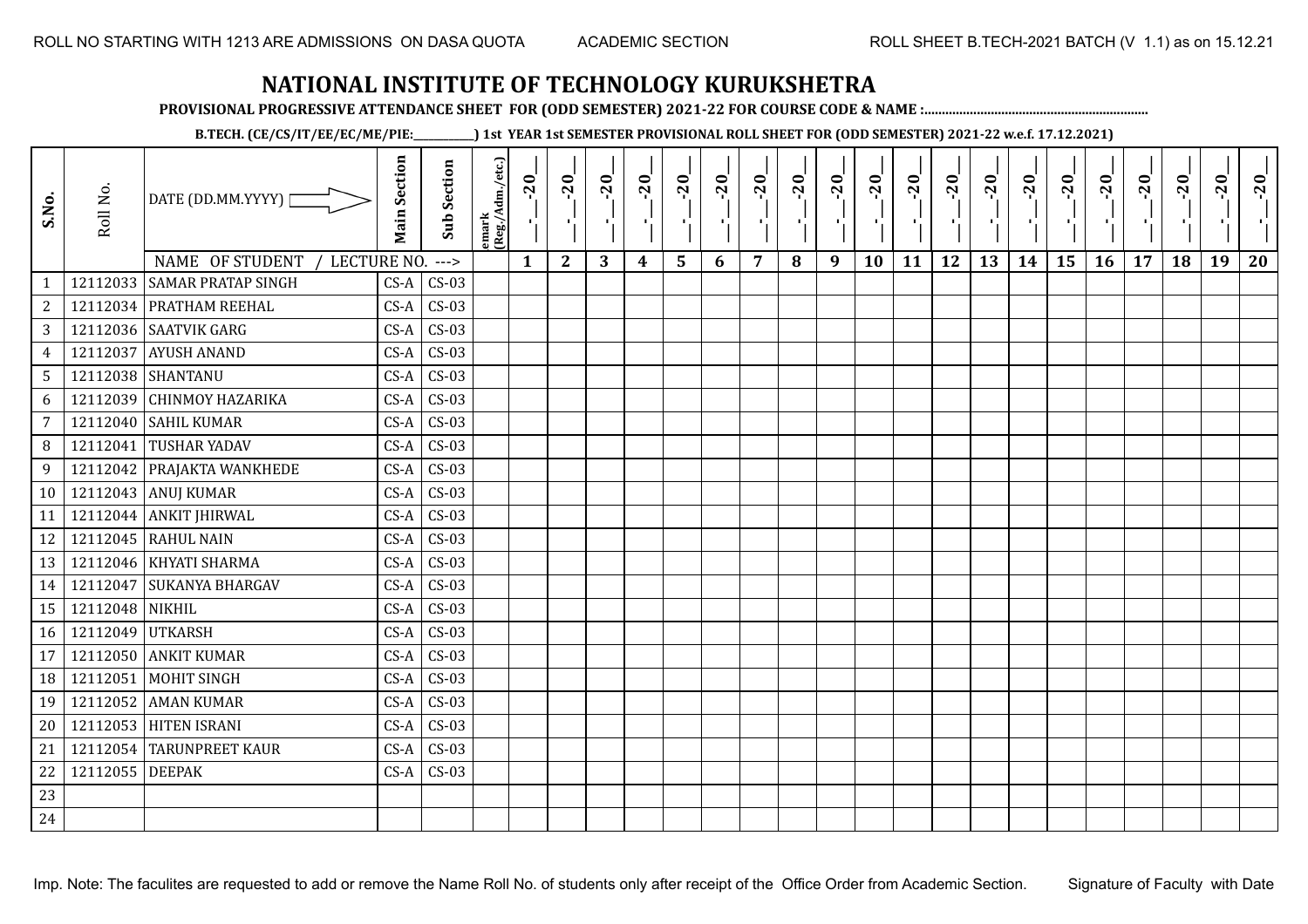**PROVISIONAL PROGRESSIVE ATTENDANCE SHEET FOR (ODD SEMESTER) 2021-22 FOR COURSE CODE & NAME :................................................................**

**B.TECH. (CE/CS/IT/EE/EC/ME/PIE:\_\_\_\_\_\_\_\_\_\_\_\_) 1st YEAR 1st SEMESTER PROVISIONAL ROLL SHEET FOR (ODD SEMESTER) 2021-22 w.e.f. 17.12.2021)**

| S.No.           | Roll No.         | DATE (DD.MM.YYYY)  <br>NAME OF STUDENT<br>LECTURE NO. | <b>Main Section</b> | <b>Sub Section</b> | emark<br> (Reg./Adm./etc.) | $-20$        | $-20$<br>π÷  | $-20$<br>л÷. | $-20$<br>π÷ | $-20$<br>лj | $-20$<br>×, | $-20$          | $-20$ | $-20$<br>пļ | $-20$<br>л, | $-20$<br>πt | $-20$<br>шĵ<br>12 | $-20$<br>로 | $-20$<br>$\blacksquare$ | $-20$<br>ا .<br>ا<br>15 | $-20$<br>-96 | $-20$ | $-20$<br>18 | $-20$<br>×.<br>19 | $-20$ |
|-----------------|------------------|-------------------------------------------------------|---------------------|--------------------|----------------------------|--------------|--------------|--------------|-------------|-------------|-------------|----------------|-------|-------------|-------------|-------------|-------------------|------------|-------------------------|-------------------------|--------------|-------|-------------|-------------------|-------|
| $\mathbf{1}$    |                  | 12112033 SAMAR PRATAP SINGH                           | $CS-A$              | $--->$<br>$CS-03$  |                            | $\mathbf{1}$ | $\mathbf{2}$ | 3            | 4           | 5           | 6           | $\overline{7}$ | 8     | 9           | 10          | 11          |                   | 13         | 14                      |                         | 16           | 17    |             |                   | 20    |
| $\mathbf{2}$    |                  | 12112034 PRATHAM REEHAL                               | $CS-A$              | $CS-03$            |                            |              |              |              |             |             |             |                |       |             |             |             |                   |            |                         |                         |              |       |             |                   |       |
| 3               |                  | 12112036 SAATVIK GARG                                 | $CS-A$              | $CS-03$            |                            |              |              |              |             |             |             |                |       |             |             |             |                   |            |                         |                         |              |       |             |                   |       |
| $\overline{4}$  | 12112037         | <b>AYUSH ANAND</b>                                    | $CS-A$              | $CS-03$            |                            |              |              |              |             |             |             |                |       |             |             |             |                   |            |                         |                         |              |       |             |                   |       |
| $5\overline{)}$ |                  | 12112038 SHANTANU                                     | $CS-A$              | $CS-03$            |                            |              |              |              |             |             |             |                |       |             |             |             |                   |            |                         |                         |              |       |             |                   |       |
| 6               |                  | 12112039 CHINMOY HAZARIKA                             | $CS-A$              | $CS-03$            |                            |              |              |              |             |             |             |                |       |             |             |             |                   |            |                         |                         |              |       |             |                   |       |
| 7               |                  | 12112040 SAHIL KUMAR                                  | $CS-A$              | $CS-03$            |                            |              |              |              |             |             |             |                |       |             |             |             |                   |            |                         |                         |              |       |             |                   |       |
| 8               | 12112041         | <b>TUSHAR YADAV</b>                                   | $CS-A$              | $CS-03$            |                            |              |              |              |             |             |             |                |       |             |             |             |                   |            |                         |                         |              |       |             |                   |       |
| 9               |                  | 12112042 PRAJAKTA WANKHEDE                            | $CS-A$              | $CS-03$            |                            |              |              |              |             |             |             |                |       |             |             |             |                   |            |                         |                         |              |       |             |                   |       |
| 10              |                  | 12112043 ANUJ KUMAR                                   | $CS-A$              | $CS-03$            |                            |              |              |              |             |             |             |                |       |             |             |             |                   |            |                         |                         |              |       |             |                   |       |
| 11              |                  | 12112044 ANKIT JHIRWAL                                | $CS-A$              | $CS-03$            |                            |              |              |              |             |             |             |                |       |             |             |             |                   |            |                         |                         |              |       |             |                   |       |
| 12              |                  | 12112045 RAHUL NAIN                                   | $CS-A$              | $CS-03$            |                            |              |              |              |             |             |             |                |       |             |             |             |                   |            |                         |                         |              |       |             |                   |       |
| 13              |                  | 12112046   KHYATI SHARMA                              | $CS-A$              | $CS-03$            |                            |              |              |              |             |             |             |                |       |             |             |             |                   |            |                         |                         |              |       |             |                   |       |
| 14              | 12112047         | <b>SUKANYA BHARGAV</b>                                | $CS-A$              | $CS-03$            |                            |              |              |              |             |             |             |                |       |             |             |             |                   |            |                         |                         |              |       |             |                   |       |
| 15              | 12112048 NIKHIL  |                                                       | $CS-A$              | $CS-03$            |                            |              |              |              |             |             |             |                |       |             |             |             |                   |            |                         |                         |              |       |             |                   |       |
| 16              | 12112049 UTKARSH |                                                       | $CS-A$              | $CS-03$            |                            |              |              |              |             |             |             |                |       |             |             |             |                   |            |                         |                         |              |       |             |                   |       |
| 17              | 12112050         | <b>ANKIT KUMAR</b>                                    | $CS-A$              | $CS-03$            |                            |              |              |              |             |             |             |                |       |             |             |             |                   |            |                         |                         |              |       |             |                   |       |
| 18              | 12112051         | <b>MOHIT SINGH</b>                                    | $CS-A$              | $CS-03$            |                            |              |              |              |             |             |             |                |       |             |             |             |                   |            |                         |                         |              |       |             |                   |       |
| 19              | 12112052         | <b>AMAN KUMAR</b>                                     | $CS-A$              | $CS-03$            |                            |              |              |              |             |             |             |                |       |             |             |             |                   |            |                         |                         |              |       |             |                   |       |
| 20              |                  | 12112053 HITEN ISRANI                                 | $CS-A$              | $CS-03$            |                            |              |              |              |             |             |             |                |       |             |             |             |                   |            |                         |                         |              |       |             |                   |       |
| 21              |                  | 12112054 TARUNPREET KAUR                              | $CS-A$              | $CS-03$            |                            |              |              |              |             |             |             |                |       |             |             |             |                   |            |                         |                         |              |       |             |                   |       |
| 22              | 12112055 DEEPAK  |                                                       | $CS-A$              | $CS-03$            |                            |              |              |              |             |             |             |                |       |             |             |             |                   |            |                         |                         |              |       |             |                   |       |
| 23              |                  |                                                       |                     |                    |                            |              |              |              |             |             |             |                |       |             |             |             |                   |            |                         |                         |              |       |             |                   |       |
| 24              |                  |                                                       |                     |                    |                            |              |              |              |             |             |             |                |       |             |             |             |                   |            |                         |                         |              |       |             |                   |       |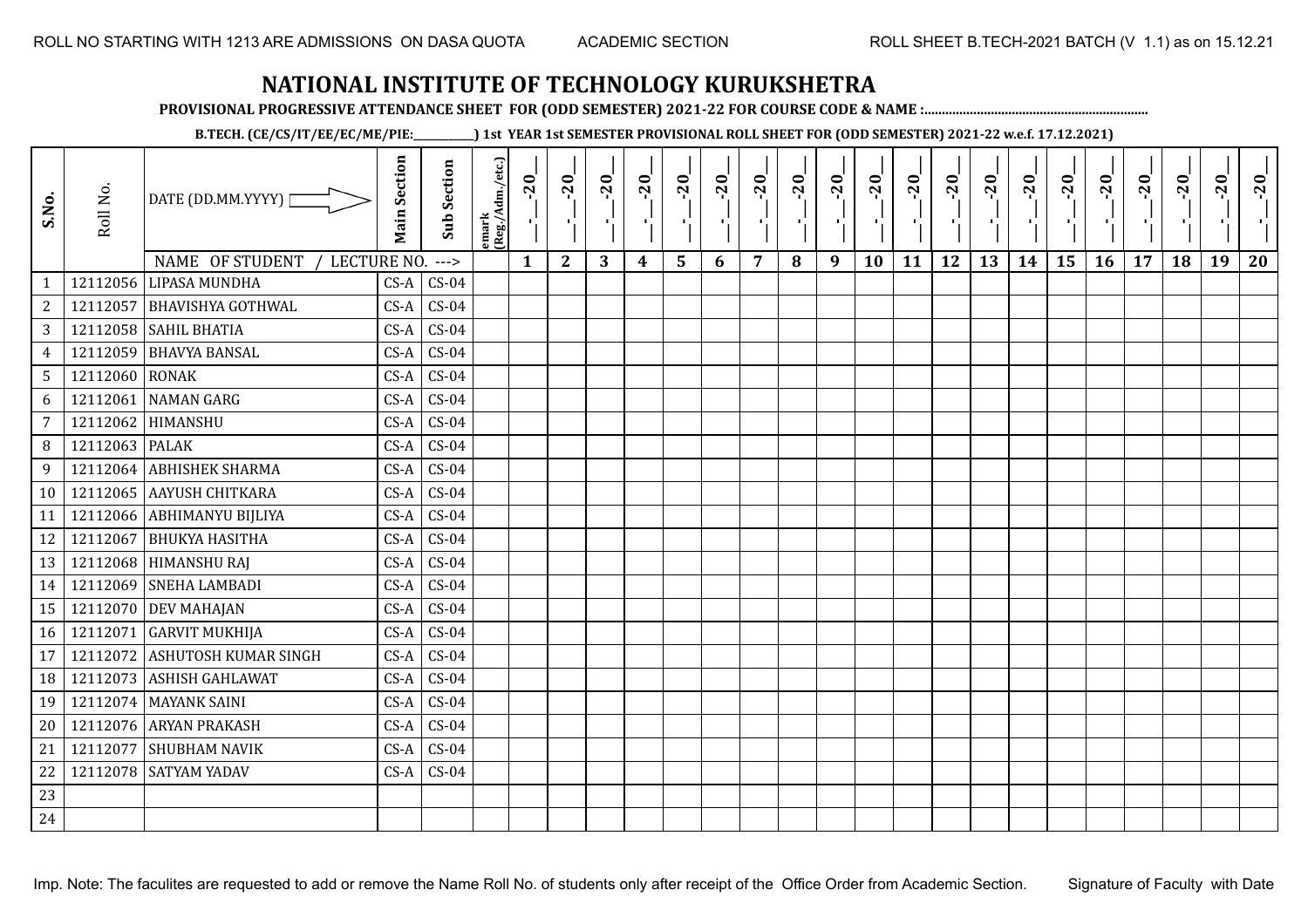**PROVISIONAL PROGRESSIVE ATTENDANCE SHEET FOR (ODD SEMESTER) 2021-22 FOR COURSE CODE & NAME :................................................................**

**B.TECH. (CE/CS/IT/EE/EC/ME/PIE:\_\_\_\_\_\_\_\_\_\_\_\_) 1st YEAR 1st SEMESTER PROVISIONAL ROLL SHEET FOR (ODD SEMESTER) 2021-22 w.e.f. 17.12.2021)**

| S.No.            | Roll No.       | DATE (DD.MM.YYYY) [                                    | <b>Main Section</b> | <b>Sub Section</b> | emark<br> (Reg./Adm./etc.) | $-20$<br>$\mathcal{F}_{\mathbf{L}}$ | $-20$<br>к.  | $-20$ | $-20$ | $-20$ | $-20$<br>$\mathbf{r}$ | $-20$ | $-20$ | $-20$<br>π÷ | $-20$<br>л, | $-20$ | $-20$<br>- 1 | $-20$ | $-20$<br>$\mathbf{r}$ | $-20$<br>۱, | $-20$<br>п÷ | $-20$ | $-20$ | $-20$<br>×. | $-20$ |
|------------------|----------------|--------------------------------------------------------|---------------------|--------------------|----------------------------|-------------------------------------|--------------|-------|-------|-------|-----------------------|-------|-------|-------------|-------------|-------|--------------|-------|-----------------------|-------------|-------------|-------|-------|-------------|-------|
|                  | 12112056       | NAME OF STUDENT<br>LECTURE NO.<br><b>LIPASA MUNDHA</b> |                     | $--->$             |                            | $\mathbf{1}$                        | $\mathbf{2}$ | 3     | 4     | 5     | 6                     | 7     | 8     | 9           | 10          | 11    | 12           | 13    | 14                    | 15          | 16          | 17    | 18    | 19          | 20    |
|                  |                |                                                        | $CS-A$              | $CS-04$            |                            |                                     |              |       |       |       |                       |       |       |             |             |       |              |       |                       |             |             |       |       |             |       |
| $\boldsymbol{2}$ | 12112057       | <b>BHAVISHYA GOTHWAL</b>                               | $CS-A$              | $CS-04$            |                            |                                     |              |       |       |       |                       |       |       |             |             |       |              |       |                       |             |             |       |       |             |       |
| $\mathbf{3}$     |                | 12112058 SAHIL BHATIA                                  | $CS-A$              | $CS-04$            |                            |                                     |              |       |       |       |                       |       |       |             |             |       |              |       |                       |             |             |       |       |             |       |
| $\overline{4}$   | 12112059       | <b>BHAVYA BANSAL</b>                                   | $CS-A$              | $CS-04$            |                            |                                     |              |       |       |       |                       |       |       |             |             |       |              |       |                       |             |             |       |       |             |       |
| $\sqrt{5}$       | 12112060 RONAK |                                                        | $CS-A$              | $CS-04$            |                            |                                     |              |       |       |       |                       |       |       |             |             |       |              |       |                       |             |             |       |       |             |       |
| 6                | 12112061       | <b>NAMAN GARG</b>                                      | $CS-A$              | $CS-04$            |                            |                                     |              |       |       |       |                       |       |       |             |             |       |              |       |                       |             |             |       |       |             |       |
| 7                | 12112062       | HIMANSHU                                               | $CS-A$              | $CS-04$            |                            |                                     |              |       |       |       |                       |       |       |             |             |       |              |       |                       |             |             |       |       |             |       |
| $\, 8$           | 12112063       | <b>PALAK</b>                                           | $CS-A$              | $CS-04$            |                            |                                     |              |       |       |       |                       |       |       |             |             |       |              |       |                       |             |             |       |       |             |       |
| 9                | 12112064       | <b>ABHISHEK SHARMA</b>                                 | $CS-A$              | $CS-04$            |                            |                                     |              |       |       |       |                       |       |       |             |             |       |              |       |                       |             |             |       |       |             |       |
|                  |                | 10   12112065   AAYUSH CHITKARA                        | $CS-A$              | $CS-04$            |                            |                                     |              |       |       |       |                       |       |       |             |             |       |              |       |                       |             |             |       |       |             |       |
| 11               | 12112066       | <b>ABHIMANYU BIJLIYA</b>                               | $CS-A$              | $CS-04$            |                            |                                     |              |       |       |       |                       |       |       |             |             |       |              |       |                       |             |             |       |       |             |       |
| 12               | 12112067       | <b>BHUKYA HASITHA</b>                                  | $CS-A$              | $CS-04$            |                            |                                     |              |       |       |       |                       |       |       |             |             |       |              |       |                       |             |             |       |       |             |       |
| 13               |                | 12112068 HIMANSHU RAJ                                  | $CS-A$              | $CS-04$            |                            |                                     |              |       |       |       |                       |       |       |             |             |       |              |       |                       |             |             |       |       |             |       |
| 14               | 12112069       | <b>SNEHA LAMBADI</b>                                   | $CS-A$              | $CS-04$            |                            |                                     |              |       |       |       |                       |       |       |             |             |       |              |       |                       |             |             |       |       |             |       |
| 15               | 12112070       | <b>DEV MAHAJAN</b>                                     | $CS-A$              | $CS-04$            |                            |                                     |              |       |       |       |                       |       |       |             |             |       |              |       |                       |             |             |       |       |             |       |
| 16               | 12112071       | <b>GARVIT MUKHIJA</b>                                  | $CS-A$              | $CS-04$            |                            |                                     |              |       |       |       |                       |       |       |             |             |       |              |       |                       |             |             |       |       |             |       |
| 17               | 12112072       | ASHUTOSH KUMAR SINGH                                   | $CS-A$              | $CS-04$            |                            |                                     |              |       |       |       |                       |       |       |             |             |       |              |       |                       |             |             |       |       |             |       |
| 18               | 12112073       | <b>ASHISH GAHLAWAT</b>                                 | $CS-A$              | $CS-04$            |                            |                                     |              |       |       |       |                       |       |       |             |             |       |              |       |                       |             |             |       |       |             |       |
| 19               | 12112074       | <b>MAYANK SAINI</b>                                    | $CS-A$              | $CS-04$            |                            |                                     |              |       |       |       |                       |       |       |             |             |       |              |       |                       |             |             |       |       |             |       |
| 20               | 12112076       | <b>ARYAN PRAKASH</b>                                   | $CS-A$              | $CS-04$            |                            |                                     |              |       |       |       |                       |       |       |             |             |       |              |       |                       |             |             |       |       |             |       |
| 21               | 12112077       | <b>SHUBHAM NAVIK</b>                                   | $CS-A$              | $CS-04$            |                            |                                     |              |       |       |       |                       |       |       |             |             |       |              |       |                       |             |             |       |       |             |       |
| 22               | 12112078       | <b>SATYAM YADAV</b>                                    | $CS-A$              | $CS-04$            |                            |                                     |              |       |       |       |                       |       |       |             |             |       |              |       |                       |             |             |       |       |             |       |
| 23               |                |                                                        |                     |                    |                            |                                     |              |       |       |       |                       |       |       |             |             |       |              |       |                       |             |             |       |       |             |       |
| 24               |                |                                                        |                     |                    |                            |                                     |              |       |       |       |                       |       |       |             |             |       |              |       |                       |             |             |       |       |             |       |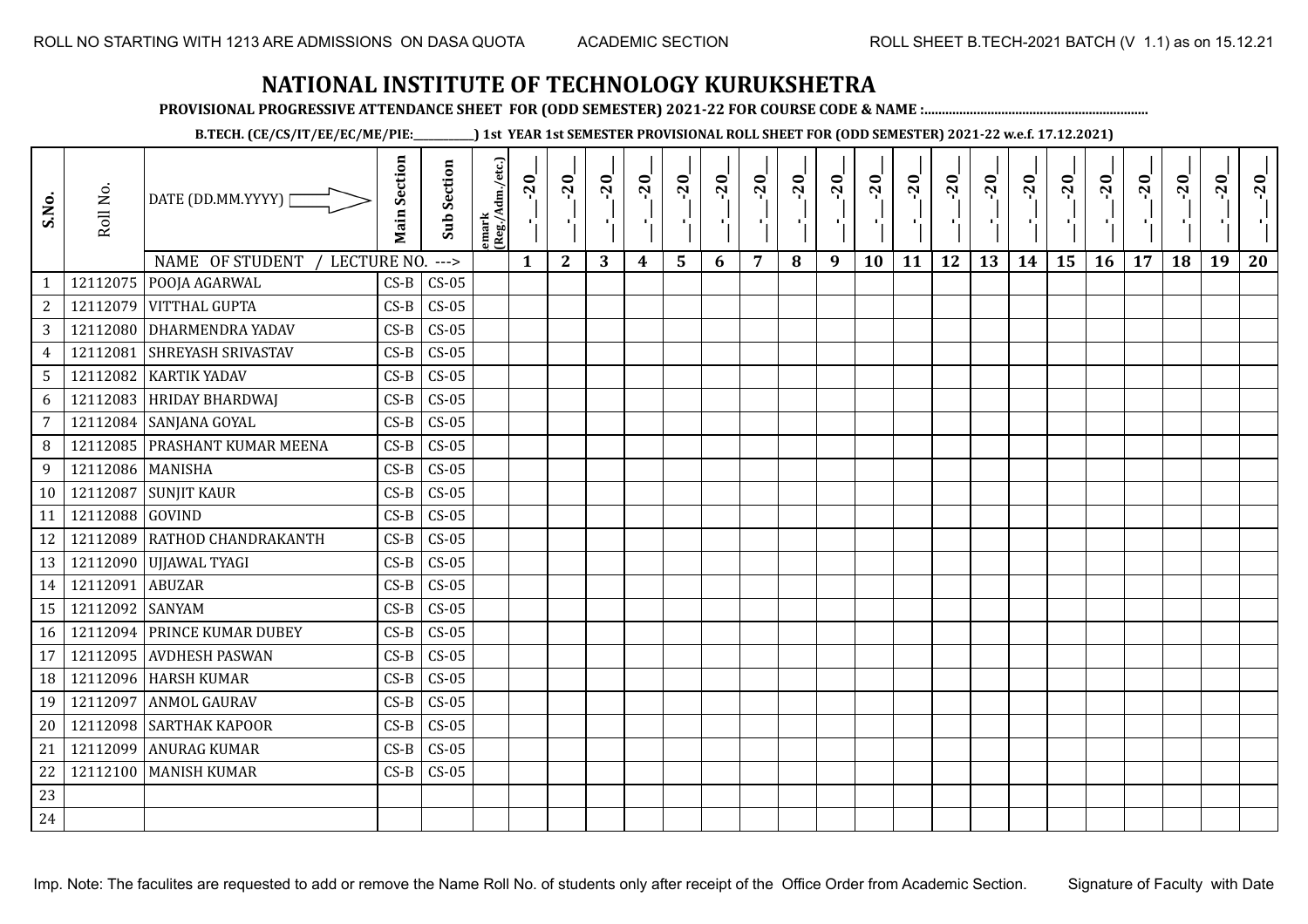**PROVISIONAL PROGRESSIVE ATTENDANCE SHEET FOR (ODD SEMESTER) 2021-22 FOR COURSE CODE & NAME :................................................................**

**B.TECH. (CE/CS/IT/EE/EC/ME/PIE:\_\_\_\_\_\_\_\_\_\_\_\_) 1st YEAR 1st SEMESTER PROVISIONAL ROLL SHEET FOR (ODD SEMESTER) 2021-22 w.e.f. 17.12.2021)**

| S.No.          | Roll No.         | DATE (DD.MM.YYYY)  <br>NAME OF STUDENT<br>LECTURE NO. | <b>Main Section</b> | <b>Sub Section</b><br>$---$ | emark<br>(Reg./Adm./etc.) | $-20$<br>$\mathbf{1}$ | $-20$<br>π÷<br>$\mathbf{2}$ | $-20$<br>3 | $-20$<br>$\boldsymbol{4}$ | $-20$<br>- 1<br>5 | $-20$<br>6 | $-20$<br>$\overline{7}$ | $-20$<br>8 | $-20$<br>π÷<br>9 | $-20$<br>л,<br>10 | $-20$<br>11 | $-20$<br>п.<br>12 | $-20$<br>Æ,<br>13 | $-20$<br>$\blacksquare$<br>14 | $-20$<br>15 | $-20$<br>16 | $-20$<br>17 | $-20$<br>18 | $-20$<br>×.<br>19 | $-20$<br>20 |
|----------------|------------------|-------------------------------------------------------|---------------------|-----------------------------|---------------------------|-----------------------|-----------------------------|------------|---------------------------|-------------------|------------|-------------------------|------------|------------------|-------------------|-------------|-------------------|-------------------|-------------------------------|-------------|-------------|-------------|-------------|-------------------|-------------|
| $\mathbf{1}$   |                  | 12112075   POOJA AGARWAL                              | $CS-B$              | $CS-05$                     |                           |                       |                             |            |                           |                   |            |                         |            |                  |                   |             |                   |                   |                               |             |             |             |             |                   |             |
| $\overline{c}$ |                  | 12112079 VITTHAL GUPTA                                | $CS-B$              | $CS-05$                     |                           |                       |                             |            |                           |                   |            |                         |            |                  |                   |             |                   |                   |                               |             |             |             |             |                   |             |
| $\mathbf{3}$   |                  | 12112080 DHARMENDRA YADAV                             | $CS-B$              | $CS-05$                     |                           |                       |                             |            |                           |                   |            |                         |            |                  |                   |             |                   |                   |                               |             |             |             |             |                   |             |
| $\overline{4}$ | 12112081         | <b>SHREYASH SRIVASTAV</b>                             | $CS-B$              | $CS-05$                     |                           |                       |                             |            |                           |                   |            |                         |            |                  |                   |             |                   |                   |                               |             |             |             |             |                   |             |
| 5              | 12112082         | <b>KARTIK YADAV</b>                                   | $CS-B$              | $CS-05$                     |                           |                       |                             |            |                           |                   |            |                         |            |                  |                   |             |                   |                   |                               |             |             |             |             |                   |             |
| 6              | 12112083         | <b>HRIDAY BHARDWAJ</b>                                | $CS-B$              | $CS-05$                     |                           |                       |                             |            |                           |                   |            |                         |            |                  |                   |             |                   |                   |                               |             |             |             |             |                   |             |
| $\overline{7}$ | 12112084         | SANJANA GOYAL                                         | $CS-B$              | $CS-05$                     |                           |                       |                             |            |                           |                   |            |                         |            |                  |                   |             |                   |                   |                               |             |             |             |             |                   |             |
| 8              |                  | 12112085   PRASHANT KUMAR MEENA                       | $CS-B$              | $CS-05$                     |                           |                       |                             |            |                           |                   |            |                         |            |                  |                   |             |                   |                   |                               |             |             |             |             |                   |             |
| 9              | 12112086 MANISHA |                                                       | $CS-B$              | $CS-05$                     |                           |                       |                             |            |                           |                   |            |                         |            |                  |                   |             |                   |                   |                               |             |             |             |             |                   |             |
| 10             | 12112087         | <b>SUNJIT KAUR</b>                                    | $CS-B$              | $CS-05$                     |                           |                       |                             |            |                           |                   |            |                         |            |                  |                   |             |                   |                   |                               |             |             |             |             |                   |             |
| 11             | 12112088 GOVIND  |                                                       | $CS-B$              | $CS-05$                     |                           |                       |                             |            |                           |                   |            |                         |            |                  |                   |             |                   |                   |                               |             |             |             |             |                   |             |
| 12             |                  | 12112089 RATHOD CHANDRAKANTH                          | $CS-B$              | $CS-05$                     |                           |                       |                             |            |                           |                   |            |                         |            |                  |                   |             |                   |                   |                               |             |             |             |             |                   |             |
| 13             |                  | 12112090 UJJAWAL TYAGI                                | $CS-B$              | $CS-05$                     |                           |                       |                             |            |                           |                   |            |                         |            |                  |                   |             |                   |                   |                               |             |             |             |             |                   |             |
| 14             | 12112091         | <b>ABUZAR</b>                                         | $CS-B$              | $CS-05$                     |                           |                       |                             |            |                           |                   |            |                         |            |                  |                   |             |                   |                   |                               |             |             |             |             |                   |             |
| 15             | 12112092 SANYAM  |                                                       | $CS-B$              | $CS-05$                     |                           |                       |                             |            |                           |                   |            |                         |            |                  |                   |             |                   |                   |                               |             |             |             |             |                   |             |
| 16             |                  | 12112094 PRINCE KUMAR DUBEY                           | $CS-B$              | $CS-05$                     |                           |                       |                             |            |                           |                   |            |                         |            |                  |                   |             |                   |                   |                               |             |             |             |             |                   |             |
| 17             | 12112095         | <b>AVDHESH PASWAN</b>                                 | $CS-B$              | $CS-05$                     |                           |                       |                             |            |                           |                   |            |                         |            |                  |                   |             |                   |                   |                               |             |             |             |             |                   |             |
| 18             |                  | 12112096 HARSH KUMAR                                  | $CS-B$              | $CS-05$                     |                           |                       |                             |            |                           |                   |            |                         |            |                  |                   |             |                   |                   |                               |             |             |             |             |                   |             |
| 19             | 12112097         | <b>ANMOL GAURAV</b>                                   | $CS-B$              | $CS-05$                     |                           |                       |                             |            |                           |                   |            |                         |            |                  |                   |             |                   |                   |                               |             |             |             |             |                   |             |
| 20             |                  | 12112098 SARTHAK KAPOOR                               | $CS-B$              | $CS-05$                     |                           |                       |                             |            |                           |                   |            |                         |            |                  |                   |             |                   |                   |                               |             |             |             |             |                   |             |
| 21             | 12112099         | <b>ANURAG KUMAR</b>                                   | $CS-B$              | $CS-05$                     |                           |                       |                             |            |                           |                   |            |                         |            |                  |                   |             |                   |                   |                               |             |             |             |             |                   |             |
| 22             |                  | 12112100   MANISH KUMAR                               | $CS-B$              | $CS-05$                     |                           |                       |                             |            |                           |                   |            |                         |            |                  |                   |             |                   |                   |                               |             |             |             |             |                   |             |
| 23             |                  |                                                       |                     |                             |                           |                       |                             |            |                           |                   |            |                         |            |                  |                   |             |                   |                   |                               |             |             |             |             |                   |             |
| 24             |                  |                                                       |                     |                             |                           |                       |                             |            |                           |                   |            |                         |            |                  |                   |             |                   |                   |                               |             |             |             |             |                   |             |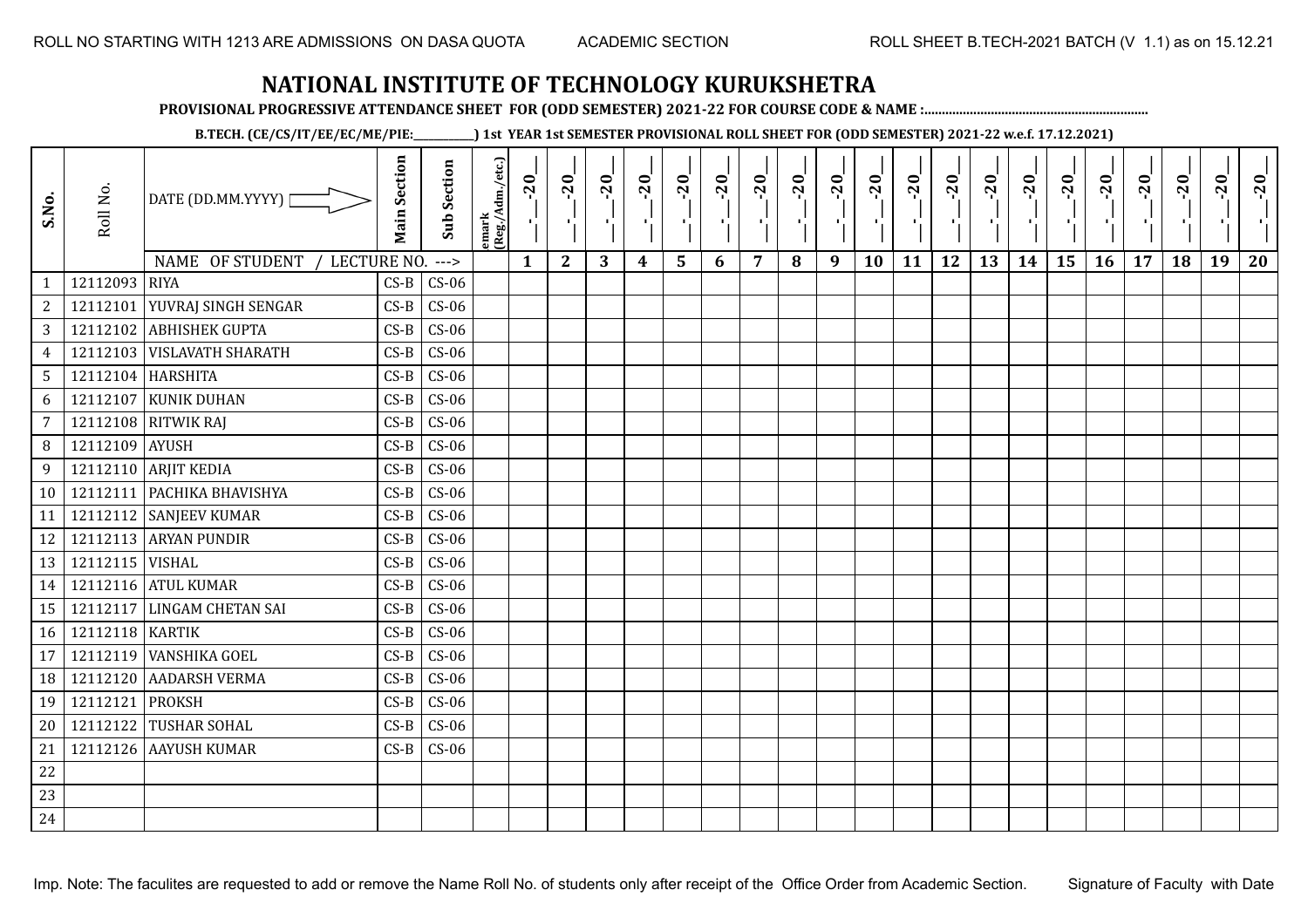**PROVISIONAL PROGRESSIVE ATTENDANCE SHEET FOR (ODD SEMESTER) 2021-22 FOR COURSE CODE & NAME :................................................................**

**B.TECH. (CE/CS/IT/EE/EC/ME/PIE:\_\_\_\_\_\_\_\_\_\_\_\_) 1st YEAR 1st SEMESTER PROVISIONAL ROLL SHEET FOR (ODD SEMESTER) 2021-22 w.e.f. 17.12.2021)**

| S.No.           | Roll No.          | DATE (DD.MM.YYYY) [<br>NAME OF STUDENT /<br>LECTURE NO. | <b>Main Section</b> | Sub Section<br>$--->$ | emark<br>(Reg./Adm./etc.) | $-20$<br>$\mathbf{r}_{\mathrm{L}}$<br>$\mathbf{1}$ | $-20$<br>×.<br>$\mathbf{2}$ | $-20$<br>л.,<br>3 | $-20$<br>- 10<br>$\boldsymbol{4}$ | $-20$<br>٠,<br>5 | $-20$<br>п.<br>6 | $-20$<br>π÷<br>$\overline{7}$ | $-20$<br>8 | $-20$<br>-96<br>9 | $-20$<br>٠,<br>10 | $-20$<br>п÷<br>11 | $-20$<br>-9<br>12 | $-20$<br>$\mathbf{r}_{\perp}^{\mathrm{F}}$<br>13 | $-20$<br>-11<br>14 | $-20$<br>۱,<br>15 | $-20$<br>л÷.<br>16 | $-20$<br>$\blacksquare$<br>17 | $-20$<br>18 | $-20$<br>×.<br>19 | $-20$<br>20 |
|-----------------|-------------------|---------------------------------------------------------|---------------------|-----------------------|---------------------------|----------------------------------------------------|-----------------------------|-------------------|-----------------------------------|------------------|------------------|-------------------------------|------------|-------------------|-------------------|-------------------|-------------------|--------------------------------------------------|--------------------|-------------------|--------------------|-------------------------------|-------------|-------------------|-------------|
| $\mathbf{1}$    | 12112093 RIYA     |                                                         | $CS-B$              | $CS-06$               |                           |                                                    |                             |                   |                                   |                  |                  |                               |            |                   |                   |                   |                   |                                                  |                    |                   |                    |                               |             |                   |             |
| 2               | 12112101          | YUVRAJ SINGH SENGAR                                     | $CS-B$              | $CS-06$               |                           |                                                    |                             |                   |                                   |                  |                  |                               |            |                   |                   |                   |                   |                                                  |                    |                   |                    |                               |             |                   |             |
| 3               |                   | 12112102 ABHISHEK GUPTA                                 | $CS-B$              | $CS-06$               |                           |                                                    |                             |                   |                                   |                  |                  |                               |            |                   |                   |                   |                   |                                                  |                    |                   |                    |                               |             |                   |             |
| $\overline{4}$  |                   | 12112103 VISLAVATH SHARATH                              | $CS-B$              | $CS-06$               |                           |                                                    |                             |                   |                                   |                  |                  |                               |            |                   |                   |                   |                   |                                                  |                    |                   |                    |                               |             |                   |             |
| $5\overline{)}$ | 12112104 HARSHITA |                                                         | $CS-B$              | $CS-06$               |                           |                                                    |                             |                   |                                   |                  |                  |                               |            |                   |                   |                   |                   |                                                  |                    |                   |                    |                               |             |                   |             |
| 6               | 12112107          | <b>KUNIK DUHAN</b>                                      | $CS-B$              | $CS-06$               |                           |                                                    |                             |                   |                                   |                  |                  |                               |            |                   |                   |                   |                   |                                                  |                    |                   |                    |                               |             |                   |             |
| $\overline{7}$  |                   | 12112108 RITWIK RAJ                                     | $CS-B$              | $CS-06$               |                           |                                                    |                             |                   |                                   |                  |                  |                               |            |                   |                   |                   |                   |                                                  |                    |                   |                    |                               |             |                   |             |
| 8               | 12112109          | <b>AYUSH</b>                                            | $CS-B$              | $CS-06$               |                           |                                                    |                             |                   |                                   |                  |                  |                               |            |                   |                   |                   |                   |                                                  |                    |                   |                    |                               |             |                   |             |
| 9               |                   | 12112110 ARJIT KEDIA                                    | $CS-B$              | $CS-06$               |                           |                                                    |                             |                   |                                   |                  |                  |                               |            |                   |                   |                   |                   |                                                  |                    |                   |                    |                               |             |                   |             |
| 10              |                   | 12112111 PACHIKA BHAVISHYA                              | $CS-B$              | $CS-06$               |                           |                                                    |                             |                   |                                   |                  |                  |                               |            |                   |                   |                   |                   |                                                  |                    |                   |                    |                               |             |                   |             |
| 11              |                   | 12112112 SANJEEV KUMAR                                  | $CS-B$              | $CS-06$               |                           |                                                    |                             |                   |                                   |                  |                  |                               |            |                   |                   |                   |                   |                                                  |                    |                   |                    |                               |             |                   |             |
| 12              |                   | 12112113 ARYAN PUNDIR                                   | $CS-B$              | $CS-06$               |                           |                                                    |                             |                   |                                   |                  |                  |                               |            |                   |                   |                   |                   |                                                  |                    |                   |                    |                               |             |                   |             |
| 13              | 12112115 VISHAL   |                                                         | $CS-B$              | $CS-06$               |                           |                                                    |                             |                   |                                   |                  |                  |                               |            |                   |                   |                   |                   |                                                  |                    |                   |                    |                               |             |                   |             |
| 14              |                   | 12112116 ATUL KUMAR                                     | $CS-B$              | $CS-06$               |                           |                                                    |                             |                   |                                   |                  |                  |                               |            |                   |                   |                   |                   |                                                  |                    |                   |                    |                               |             |                   |             |
| 15              |                   | 12112117 LINGAM CHETAN SAI                              | $CS-B$              | $CS-06$               |                           |                                                    |                             |                   |                                   |                  |                  |                               |            |                   |                   |                   |                   |                                                  |                    |                   |                    |                               |             |                   |             |
| 16              | 12112118 KARTIK   |                                                         | $CS-B$              | $CS-06$               |                           |                                                    |                             |                   |                                   |                  |                  |                               |            |                   |                   |                   |                   |                                                  |                    |                   |                    |                               |             |                   |             |
| 17              | 12112119          | <b>VANSHIKA GOEL</b>                                    | $CS-B$              | $CS-06$               |                           |                                                    |                             |                   |                                   |                  |                  |                               |            |                   |                   |                   |                   |                                                  |                    |                   |                    |                               |             |                   |             |
| 18              | 12112120          | <b>AADARSH VERMA</b>                                    | $CS-B$              | $CS-06$               |                           |                                                    |                             |                   |                                   |                  |                  |                               |            |                   |                   |                   |                   |                                                  |                    |                   |                    |                               |             |                   |             |
| 19              | 12112121          | <b>PROKSH</b>                                           | $CS-B$              | $CS-06$               |                           |                                                    |                             |                   |                                   |                  |                  |                               |            |                   |                   |                   |                   |                                                  |                    |                   |                    |                               |             |                   |             |
| 20              |                   | 12112122 TUSHAR SOHAL                                   | $CS-B$              | $CS-06$               |                           |                                                    |                             |                   |                                   |                  |                  |                               |            |                   |                   |                   |                   |                                                  |                    |                   |                    |                               |             |                   |             |
| 21              |                   | 12112126 AAYUSH KUMAR                                   | $CS-B$              | $CS-06$               |                           |                                                    |                             |                   |                                   |                  |                  |                               |            |                   |                   |                   |                   |                                                  |                    |                   |                    |                               |             |                   |             |
| 22              |                   |                                                         |                     |                       |                           |                                                    |                             |                   |                                   |                  |                  |                               |            |                   |                   |                   |                   |                                                  |                    |                   |                    |                               |             |                   |             |
| 23              |                   |                                                         |                     |                       |                           |                                                    |                             |                   |                                   |                  |                  |                               |            |                   |                   |                   |                   |                                                  |                    |                   |                    |                               |             |                   |             |
| 24              |                   |                                                         |                     |                       |                           |                                                    |                             |                   |                                   |                  |                  |                               |            |                   |                   |                   |                   |                                                  |                    |                   |                    |                               |             |                   |             |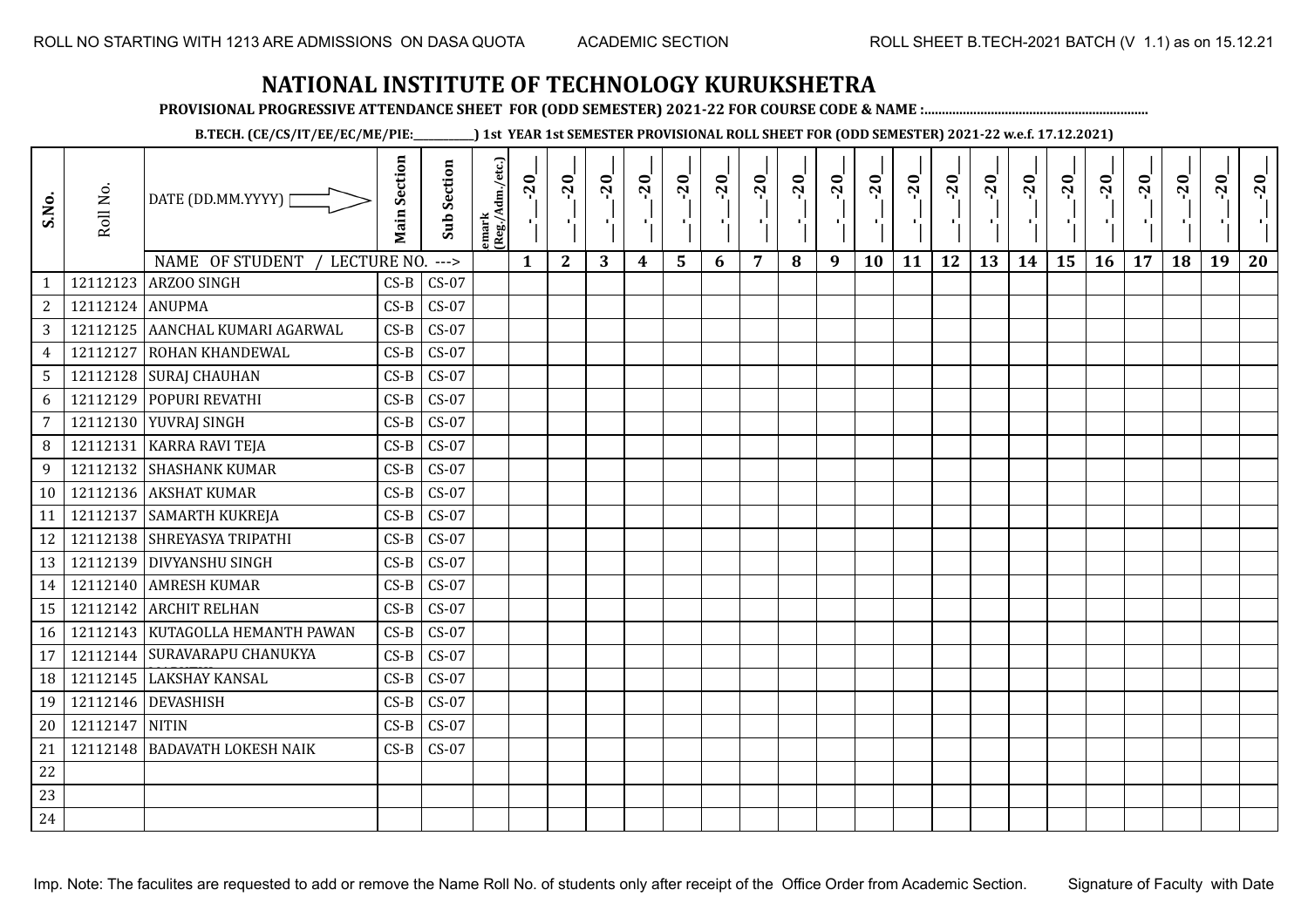**PROVISIONAL PROGRESSIVE ATTENDANCE SHEET FOR (ODD SEMESTER) 2021-22 FOR COURSE CODE & NAME :................................................................**

**B.TECH. (CE/CS/IT/EE/EC/ME/PIE:\_\_\_\_\_\_\_\_\_\_\_\_) 1st YEAR 1st SEMESTER PROVISIONAL ROLL SHEET FOR (ODD SEMESTER) 2021-22 w.e.f. 17.12.2021)**

| S.No.           | Roll No.        | DATE (DD.MM.YYYY)  <br>NAME OF STUDENT<br>LECTURE NO. | <b>Main Section</b> | <b>Sub Section</b><br>$--->$ | emark<br>(Reg./Adm./etc.) | $-20$<br>$\mathbf{1}$ | $-20$<br>π÷<br>$\mathbf{2}$ | $-20$<br>πt<br>3 | $-20$<br>$\boldsymbol{4}$ | $-20$<br>$\blacksquare$<br>5 | $-20$<br>6 | $-20$<br>$\overline{7}$ | $-20$<br>8 | $-20$<br>$\mathbf{L}$<br>9 | $-20$<br>л,<br>10 | $-20$<br>τj<br>11 | $-20$<br>п,<br>12 | $-20$<br>٠.<br>13 | $-20$<br>$\blacksquare$<br>14 | $-20$<br>۱,<br>15 | $-20$<br>16 | $-20$<br>17 | $-20$<br>18 | $-20$<br>к.<br>19 | $-20$<br>20 |
|-----------------|-----------------|-------------------------------------------------------|---------------------|------------------------------|---------------------------|-----------------------|-----------------------------|------------------|---------------------------|------------------------------|------------|-------------------------|------------|----------------------------|-------------------|-------------------|-------------------|-------------------|-------------------------------|-------------------|-------------|-------------|-------------|-------------------|-------------|
| $\mathbf{1}$    | 12112123        | <b>ARZOO SINGH</b>                                    | $CS-B$              | $CS-07$                      |                           |                       |                             |                  |                           |                              |            |                         |            |                            |                   |                   |                   |                   |                               |                   |             |             |             |                   |             |
| $\overline{c}$  | 12112124 ANUPMA |                                                       | $CS-B$              | $CS-07$                      |                           |                       |                             |                  |                           |                              |            |                         |            |                            |                   |                   |                   |                   |                               |                   |             |             |             |                   |             |
| $\mathbf{3}$    |                 | 12112125 AANCHAL KUMARI AGARWAL                       | $CS-B$              | $CS-07$                      |                           |                       |                             |                  |                           |                              |            |                         |            |                            |                   |                   |                   |                   |                               |                   |             |             |             |                   |             |
| $\overline{4}$  | 12112127        | <b>ROHAN KHANDEWAL</b>                                | $CS-B$              | $CS-07$                      |                           |                       |                             |                  |                           |                              |            |                         |            |                            |                   |                   |                   |                   |                               |                   |             |             |             |                   |             |
| $5\phantom{.0}$ |                 | 12112128 SURAJ CHAUHAN                                | $CS-B$              | $CS-07$                      |                           |                       |                             |                  |                           |                              |            |                         |            |                            |                   |                   |                   |                   |                               |                   |             |             |             |                   |             |
| 6               | 12112129        | POPURI REVATHI                                        | $CS-B$              | $CS-07$                      |                           |                       |                             |                  |                           |                              |            |                         |            |                            |                   |                   |                   |                   |                               |                   |             |             |             |                   |             |
| $\overline{7}$  |                 | 12112130 YUVRAJ SINGH                                 | $CS-B$              | $CS-07$                      |                           |                       |                             |                  |                           |                              |            |                         |            |                            |                   |                   |                   |                   |                               |                   |             |             |             |                   |             |
| 8               | 12112131        | <b>KARRA RAVI TEJA</b>                                | $CS-B$              | $CS-07$                      |                           |                       |                             |                  |                           |                              |            |                         |            |                            |                   |                   |                   |                   |                               |                   |             |             |             |                   |             |
| 9               |                 | 12112132 SHASHANK KUMAR                               | $CS-B$              | $CS-07$                      |                           |                       |                             |                  |                           |                              |            |                         |            |                            |                   |                   |                   |                   |                               |                   |             |             |             |                   |             |
| 10              |                 | 12112136 AKSHAT KUMAR                                 | $CS-B$              | $CS-07$                      |                           |                       |                             |                  |                           |                              |            |                         |            |                            |                   |                   |                   |                   |                               |                   |             |             |             |                   |             |
| 11              | 12112137        | <b>SAMARTH KUKREJA</b>                                | $CS-B$              | $CS-07$                      |                           |                       |                             |                  |                           |                              |            |                         |            |                            |                   |                   |                   |                   |                               |                   |             |             |             |                   |             |
| 12              |                 | 12112138 SHREYASYA TRIPATHI                           | $CS-B$              | $CS-07$                      |                           |                       |                             |                  |                           |                              |            |                         |            |                            |                   |                   |                   |                   |                               |                   |             |             |             |                   |             |
| 13              |                 | 12112139 DIVYANSHU SINGH                              | $CS-B$              | $CS-07$                      |                           |                       |                             |                  |                           |                              |            |                         |            |                            |                   |                   |                   |                   |                               |                   |             |             |             |                   |             |
| 14              |                 | 12112140 AMRESH KUMAR                                 | $CS-B$              | $CS-07$                      |                           |                       |                             |                  |                           |                              |            |                         |            |                            |                   |                   |                   |                   |                               |                   |             |             |             |                   |             |
| 15              | 12112142        | <b>ARCHIT RELHAN</b>                                  | $CS-B$              | $CS-07$                      |                           |                       |                             |                  |                           |                              |            |                         |            |                            |                   |                   |                   |                   |                               |                   |             |             |             |                   |             |
| 16              |                 | 12112143   KUTAGOLLA HEMANTH PAWAN                    | $CS-B$              | $CS-07$                      |                           |                       |                             |                  |                           |                              |            |                         |            |                            |                   |                   |                   |                   |                               |                   |             |             |             |                   |             |
| 17              |                 | 12112144 SURAVARAPU CHANUKYA                          | $CS-B$              | $CS-07$                      |                           |                       |                             |                  |                           |                              |            |                         |            |                            |                   |                   |                   |                   |                               |                   |             |             |             |                   |             |
| 18              | 12112145        | <b>LAKSHAY KANSAL</b>                                 | $CS-B$              | $CS-07$                      |                           |                       |                             |                  |                           |                              |            |                         |            |                            |                   |                   |                   |                   |                               |                   |             |             |             |                   |             |
| 19              | 12112146        | <b>DEVASHISH</b>                                      | $CS-B$              | $CS-07$                      |                           |                       |                             |                  |                           |                              |            |                         |            |                            |                   |                   |                   |                   |                               |                   |             |             |             |                   |             |
| 20              | 12112147 NITIN  |                                                       | $CS-B$              | $CS-07$                      |                           |                       |                             |                  |                           |                              |            |                         |            |                            |                   |                   |                   |                   |                               |                   |             |             |             |                   |             |
| 21              | 12112148        | <b>BADAVATH LOKESH NAIK</b>                           | $CS-B$              | $CS-07$                      |                           |                       |                             |                  |                           |                              |            |                         |            |                            |                   |                   |                   |                   |                               |                   |             |             |             |                   |             |
| 22              |                 |                                                       |                     |                              |                           |                       |                             |                  |                           |                              |            |                         |            |                            |                   |                   |                   |                   |                               |                   |             |             |             |                   |             |
| 23              |                 |                                                       |                     |                              |                           |                       |                             |                  |                           |                              |            |                         |            |                            |                   |                   |                   |                   |                               |                   |             |             |             |                   |             |
| 24              |                 |                                                       |                     |                              |                           |                       |                             |                  |                           |                              |            |                         |            |                            |                   |                   |                   |                   |                               |                   |             |             |             |                   |             |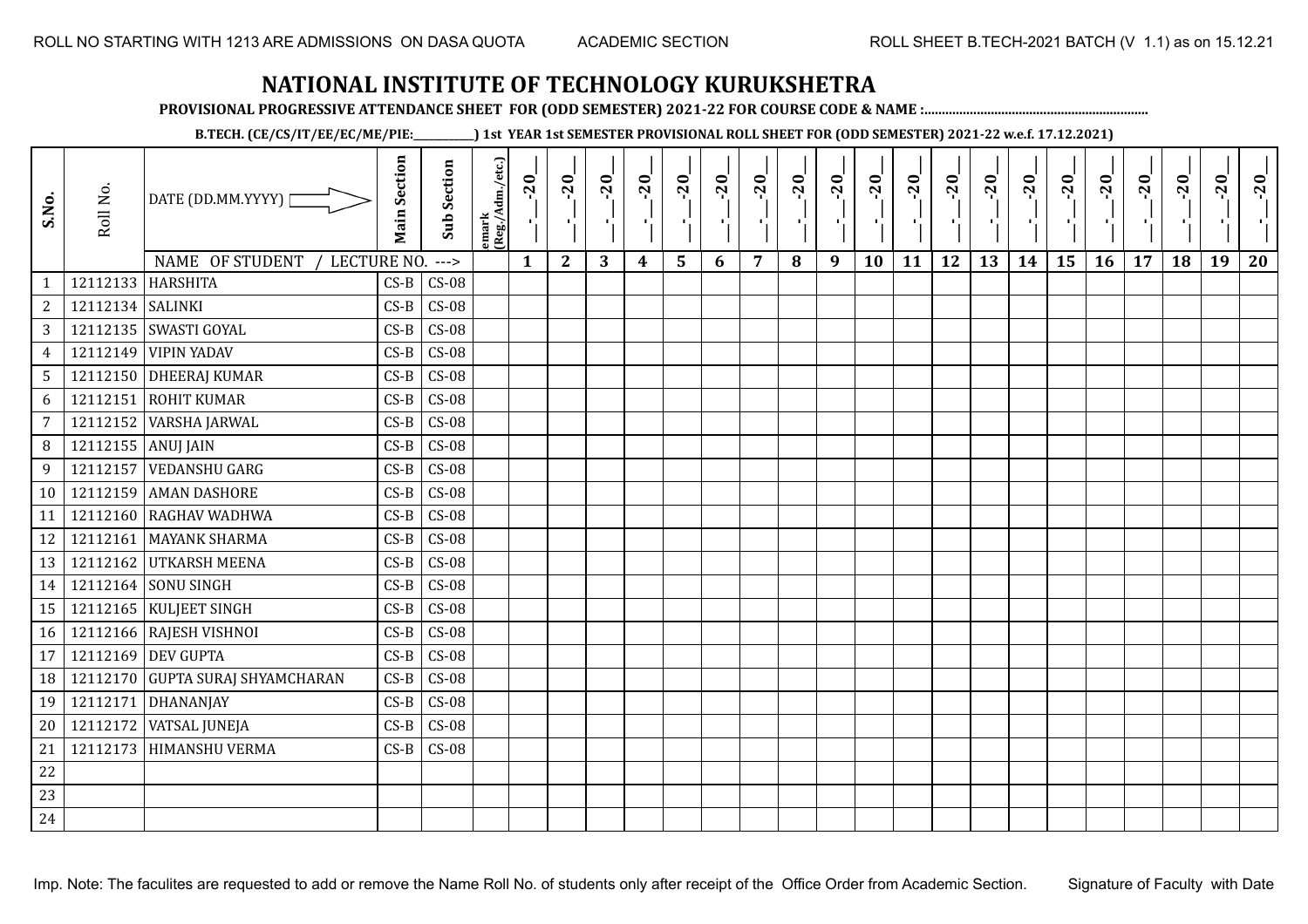**PROVISIONAL PROGRESSIVE ATTENDANCE SHEET FOR (ODD SEMESTER) 2021-22 FOR COURSE CODE & NAME :................................................................**

**B.TECH. (CE/CS/IT/EE/EC/ME/PIE:\_\_\_\_\_\_\_\_\_\_\_\_) 1st YEAR 1st SEMESTER PROVISIONAL ROLL SHEET FOR (ODD SEMESTER) 2021-22 w.e.f. 17.12.2021)**

| S.No.           | Roll No.           | DATE (DD.MM.YYYY)  <br>NAME OF STUDENT | <b>Main Section</b> | <b>Sub Section</b> | emark<br>(Reg./Adm./etc.) | $-20$<br>$\mathbf{1}$ | $-20$        | $-20$<br>л.<br>3 | $-20$            | $-20$<br>л. | $-20$ | $-20$<br>7 | $-20$ | $-20$<br>π÷ | $-20$<br>л, | $-20$ | $-20$<br>πī | $-20$ | $-20$ | $-20$<br>۱, | $-20$ | $-20$ | $-20$<br>18 | $-20$<br>$\mathbf{H}_{\mathbf{A}}$<br>19 | $-20$ |
|-----------------|--------------------|----------------------------------------|---------------------|--------------------|---------------------------|-----------------------|--------------|------------------|------------------|-------------|-------|------------|-------|-------------|-------------|-------|-------------|-------|-------|-------------|-------|-------|-------------|------------------------------------------|-------|
| $\mathbf{1}$    | 12112133           | LECTURE NO.<br><b>HARSHITA</b>         | $CS-B$              | $--->$<br>$CS-08$  |                           |                       | $\mathbf{2}$ |                  | $\boldsymbol{4}$ | 5           | 6     |            | 8     | 9           | 10          | 11    | 12          | 13    | 14    | 15          | 16    | 17    |             |                                          | 20    |
| $\overline{c}$  | 12112134   SALINKI |                                        | $CS-B$              | $CS-08$            |                           |                       |              |                  |                  |             |       |            |       |             |             |       |             |       |       |             |       |       |             |                                          |       |
| 3               |                    | 12112135 SWASTI GOYAL                  | $CS-B$              | $CS-08$            |                           |                       |              |                  |                  |             |       |            |       |             |             |       |             |       |       |             |       |       |             |                                          |       |
| $\overline{4}$  | 12112149           | <b>VIPIN YADAV</b>                     | $CS-B$              | $CS-08$            |                           |                       |              |                  |                  |             |       |            |       |             |             |       |             |       |       |             |       |       |             |                                          |       |
| $5\phantom{.0}$ |                    | 12112150 DHEERAJ KUMAR                 | $CS-B$              | $CS-08$            |                           |                       |              |                  |                  |             |       |            |       |             |             |       |             |       |       |             |       |       |             |                                          |       |
| 6               | 12112151           | <b>ROHIT KUMAR</b>                     | $CS-B$              | $CS-08$            |                           |                       |              |                  |                  |             |       |            |       |             |             |       |             |       |       |             |       |       |             |                                          |       |
| $\overline{7}$  | 12112152           | VARSHA JARWAL                          | $CS-B$              | $CS-08$            |                           |                       |              |                  |                  |             |       |            |       |             |             |       |             |       |       |             |       |       |             |                                          |       |
| 8               | 12112155 ANUJ JAIN |                                        | $CS-B$              | $CS-08$            |                           |                       |              |                  |                  |             |       |            |       |             |             |       |             |       |       |             |       |       |             |                                          |       |
| 9               | 12112157           | <b>VEDANSHU GARG</b>                   | $CS-B$              | $CS-08$            |                           |                       |              |                  |                  |             |       |            |       |             |             |       |             |       |       |             |       |       |             |                                          |       |
| 10              |                    | 12112159 AMAN DASHORE                  | $CS-B$              | $CS-08$            |                           |                       |              |                  |                  |             |       |            |       |             |             |       |             |       |       |             |       |       |             |                                          |       |
| 11              | 12112160           | RAGHAV WADHWA                          | $CS-B$              | $CS-08$            |                           |                       |              |                  |                  |             |       |            |       |             |             |       |             |       |       |             |       |       |             |                                          |       |
| 12              |                    | 12112161 MAYANK SHARMA                 | $CS-B$              | $CS-08$            |                           |                       |              |                  |                  |             |       |            |       |             |             |       |             |       |       |             |       |       |             |                                          |       |
| 13              |                    | 12112162 UTKARSH MEENA                 | $CS-B$              | $CS-08$            |                           |                       |              |                  |                  |             |       |            |       |             |             |       |             |       |       |             |       |       |             |                                          |       |
| 14              |                    | 12112164 SONU SINGH                    | $CS-B$              | $CS-08$            |                           |                       |              |                  |                  |             |       |            |       |             |             |       |             |       |       |             |       |       |             |                                          |       |
| 15              |                    | 12112165   KULJEET SINGH               | $CS-B$              | $CS-08$            |                           |                       |              |                  |                  |             |       |            |       |             |             |       |             |       |       |             |       |       |             |                                          |       |
| 16              |                    | 12112166 RAJESH VISHNOI                | $CS-B$              | $CS-08$            |                           |                       |              |                  |                  |             |       |            |       |             |             |       |             |       |       |             |       |       |             |                                          |       |
| 17              |                    | 12112169 DEV GUPTA                     | $CS-B$              | $CS-08$            |                           |                       |              |                  |                  |             |       |            |       |             |             |       |             |       |       |             |       |       |             |                                          |       |
| 18              |                    | 12112170 GUPTA SURAJ SHYAMCHARAN       | $CS-B$              | $CS-08$            |                           |                       |              |                  |                  |             |       |            |       |             |             |       |             |       |       |             |       |       |             |                                          |       |
| 19              | 12112171           | DHANANJAY                              | $CS-B$              | $CS-08$            |                           |                       |              |                  |                  |             |       |            |       |             |             |       |             |       |       |             |       |       |             |                                          |       |
| 20              | 12112172           | <b>VATSAL JUNEJA</b>                   | $CS-B$              | $CS-08$            |                           |                       |              |                  |                  |             |       |            |       |             |             |       |             |       |       |             |       |       |             |                                          |       |
| 21              | 12112173           | <b>HIMANSHU VERMA</b>                  | $CS-B$              | $CS-08$            |                           |                       |              |                  |                  |             |       |            |       |             |             |       |             |       |       |             |       |       |             |                                          |       |
| 22              |                    |                                        |                     |                    |                           |                       |              |                  |                  |             |       |            |       |             |             |       |             |       |       |             |       |       |             |                                          |       |
| 23              |                    |                                        |                     |                    |                           |                       |              |                  |                  |             |       |            |       |             |             |       |             |       |       |             |       |       |             |                                          |       |
| 24              |                    |                                        |                     |                    |                           |                       |              |                  |                  |             |       |            |       |             |             |       |             |       |       |             |       |       |             |                                          |       |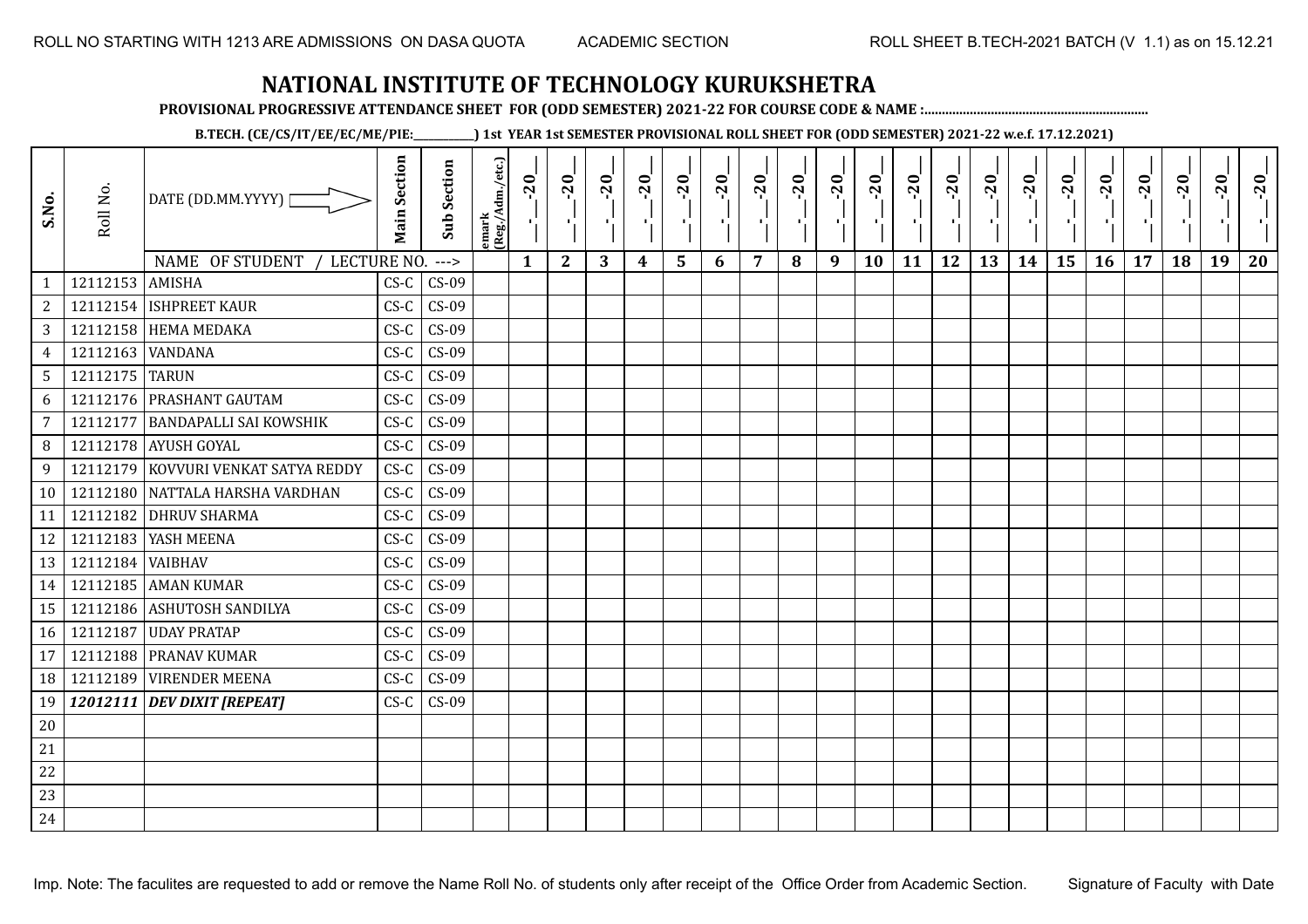**PROVISIONAL PROGRESSIVE ATTENDANCE SHEET FOR (ODD SEMESTER) 2021-22 FOR COURSE CODE & NAME :................................................................**

**B.TECH. (CE/CS/IT/EE/EC/ME/PIE:\_\_\_\_\_\_\_\_\_\_\_\_) 1st YEAR 1st SEMESTER PROVISIONAL ROLL SHEET FOR (ODD SEMESTER) 2021-22 w.e.f. 17.12.2021)**

| S.No.           | Roll No.         | DATE (DD.MM.YYYY)<br>NAME OF STUDENT<br>LECTURE NO. | <b>Main Section</b> | <b>Sub Section</b><br>$--->$ | emark<br> (Reg./Adm./etc.) | $-20$<br>$\mathbf{1}$ | $-20$<br>τj<br>$\mathbf{2}$ | $-20$<br>πt<br>3 | $-20$<br>п, | $-20$<br>$\blacksquare$ | $-20$<br>п. | $-20$<br>$\overline{7}$ | $-20$ | $-20$<br>π÷<br>9 | $-20$<br>л,<br>10 | $-20$<br>τj<br>11 | $-20$<br>- 1<br>12 | $-20$<br>٠.<br>13 | $-20$<br>$\blacksquare$<br>14 | $-20$<br>۱,<br>15 | $-20$<br>- 10<br>16 | $-20$<br>17 | $-20$<br>18 | $-20$<br>×.<br>19 | $-20$<br>20 |
|-----------------|------------------|-----------------------------------------------------|---------------------|------------------------------|----------------------------|-----------------------|-----------------------------|------------------|-------------|-------------------------|-------------|-------------------------|-------|------------------|-------------------|-------------------|--------------------|-------------------|-------------------------------|-------------------|---------------------|-------------|-------------|-------------------|-------------|
| $\mathbf{1}$    | 12112153 AMISHA  |                                                     | $CS-C$              | $CS-09$                      |                            |                       |                             |                  | 4           | 5                       | 6           |                         | 8     |                  |                   |                   |                    |                   |                               |                   |                     |             |             |                   |             |
| $\overline{c}$  |                  | 12112154 ISHPREET KAUR                              | $CS-C$              | $CS-09$                      |                            |                       |                             |                  |             |                         |             |                         |       |                  |                   |                   |                    |                   |                               |                   |                     |             |             |                   |             |
| 3               |                  | 12112158 HEMA MEDAKA                                | $CS-C$              | $CS-09$                      |                            |                       |                             |                  |             |                         |             |                         |       |                  |                   |                   |                    |                   |                               |                   |                     |             |             |                   |             |
| $\overline{4}$  | 12112163         | <b>VANDANA</b>                                      | $CS-C$              | $CS-09$                      |                            |                       |                             |                  |             |                         |             |                         |       |                  |                   |                   |                    |                   |                               |                   |                     |             |             |                   |             |
| $5\overline{)}$ | 12112175 TARUN   |                                                     | $CS-C$              | $CS-09$                      |                            |                       |                             |                  |             |                         |             |                         |       |                  |                   |                   |                    |                   |                               |                   |                     |             |             |                   |             |
| 6               |                  | 12112176 PRASHANT GAUTAM                            | $CS-C$              | $CS-09$                      |                            |                       |                             |                  |             |                         |             |                         |       |                  |                   |                   |                    |                   |                               |                   |                     |             |             |                   |             |
| 7               | 12112177         | <b>BANDAPALLI SAI KOWSHIK</b>                       | $CS-C$              | $CS-09$                      |                            |                       |                             |                  |             |                         |             |                         |       |                  |                   |                   |                    |                   |                               |                   |                     |             |             |                   |             |
| 8               |                  | 12112178 AYUSH GOYAL                                | $CS-C$              | $CS-09$                      |                            |                       |                             |                  |             |                         |             |                         |       |                  |                   |                   |                    |                   |                               |                   |                     |             |             |                   |             |
| 9               | 12112179         | KOVVURI VENKAT SATYA REDDY                          | $CS-C$              | $CS-09$                      |                            |                       |                             |                  |             |                         |             |                         |       |                  |                   |                   |                    |                   |                               |                   |                     |             |             |                   |             |
| 10              |                  | 12112180 NATTALA HARSHA VARDHAN                     | $CS-C$              | $CS-09$                      |                            |                       |                             |                  |             |                         |             |                         |       |                  |                   |                   |                    |                   |                               |                   |                     |             |             |                   |             |
| 11              | 12112182         | <b>DHRUV SHARMA</b>                                 | $CS-C$              | $CS-09$                      |                            |                       |                             |                  |             |                         |             |                         |       |                  |                   |                   |                    |                   |                               |                   |                     |             |             |                   |             |
| 12              |                  | 12112183 YASH MEENA                                 | $CS-C$              | $CS-09$                      |                            |                       |                             |                  |             |                         |             |                         |       |                  |                   |                   |                    |                   |                               |                   |                     |             |             |                   |             |
| 13              | 12112184 VAIBHAV |                                                     | $CS-C$              | $CS-09$                      |                            |                       |                             |                  |             |                         |             |                         |       |                  |                   |                   |                    |                   |                               |                   |                     |             |             |                   |             |
| 14              |                  | 12112185 AMAN KUMAR                                 | $CS-C$              | $CS-09$                      |                            |                       |                             |                  |             |                         |             |                         |       |                  |                   |                   |                    |                   |                               |                   |                     |             |             |                   |             |
| 15              | 12112186         | <b>ASHUTOSH SANDILYA</b>                            | $CS-C$              | $CS-09$                      |                            |                       |                             |                  |             |                         |             |                         |       |                  |                   |                   |                    |                   |                               |                   |                     |             |             |                   |             |
| 16              | 12112187         | <b>UDAY PRATAP</b>                                  | $CS-C$              | $CS-09$                      |                            |                       |                             |                  |             |                         |             |                         |       |                  |                   |                   |                    |                   |                               |                   |                     |             |             |                   |             |
| 17              | 12112188         | PRANAV KUMAR                                        | $CS-C$              | $CS-09$                      |                            |                       |                             |                  |             |                         |             |                         |       |                  |                   |                   |                    |                   |                               |                   |                     |             |             |                   |             |
| 18              | 12112189         | <b>VIRENDER MEENA</b>                               | $CS-C$              | $CS-09$                      |                            |                       |                             |                  |             |                         |             |                         |       |                  |                   |                   |                    |                   |                               |                   |                     |             |             |                   |             |
| 19              |                  | 12012111 DEV DIXIT [REPEAT]                         | $CS-C$              | $CS-09$                      |                            |                       |                             |                  |             |                         |             |                         |       |                  |                   |                   |                    |                   |                               |                   |                     |             |             |                   |             |
| 20              |                  |                                                     |                     |                              |                            |                       |                             |                  |             |                         |             |                         |       |                  |                   |                   |                    |                   |                               |                   |                     |             |             |                   |             |
| 21              |                  |                                                     |                     |                              |                            |                       |                             |                  |             |                         |             |                         |       |                  |                   |                   |                    |                   |                               |                   |                     |             |             |                   |             |
| 22              |                  |                                                     |                     |                              |                            |                       |                             |                  |             |                         |             |                         |       |                  |                   |                   |                    |                   |                               |                   |                     |             |             |                   |             |
| 23              |                  |                                                     |                     |                              |                            |                       |                             |                  |             |                         |             |                         |       |                  |                   |                   |                    |                   |                               |                   |                     |             |             |                   |             |
| 24              |                  |                                                     |                     |                              |                            |                       |                             |                  |             |                         |             |                         |       |                  |                   |                   |                    |                   |                               |                   |                     |             |             |                   |             |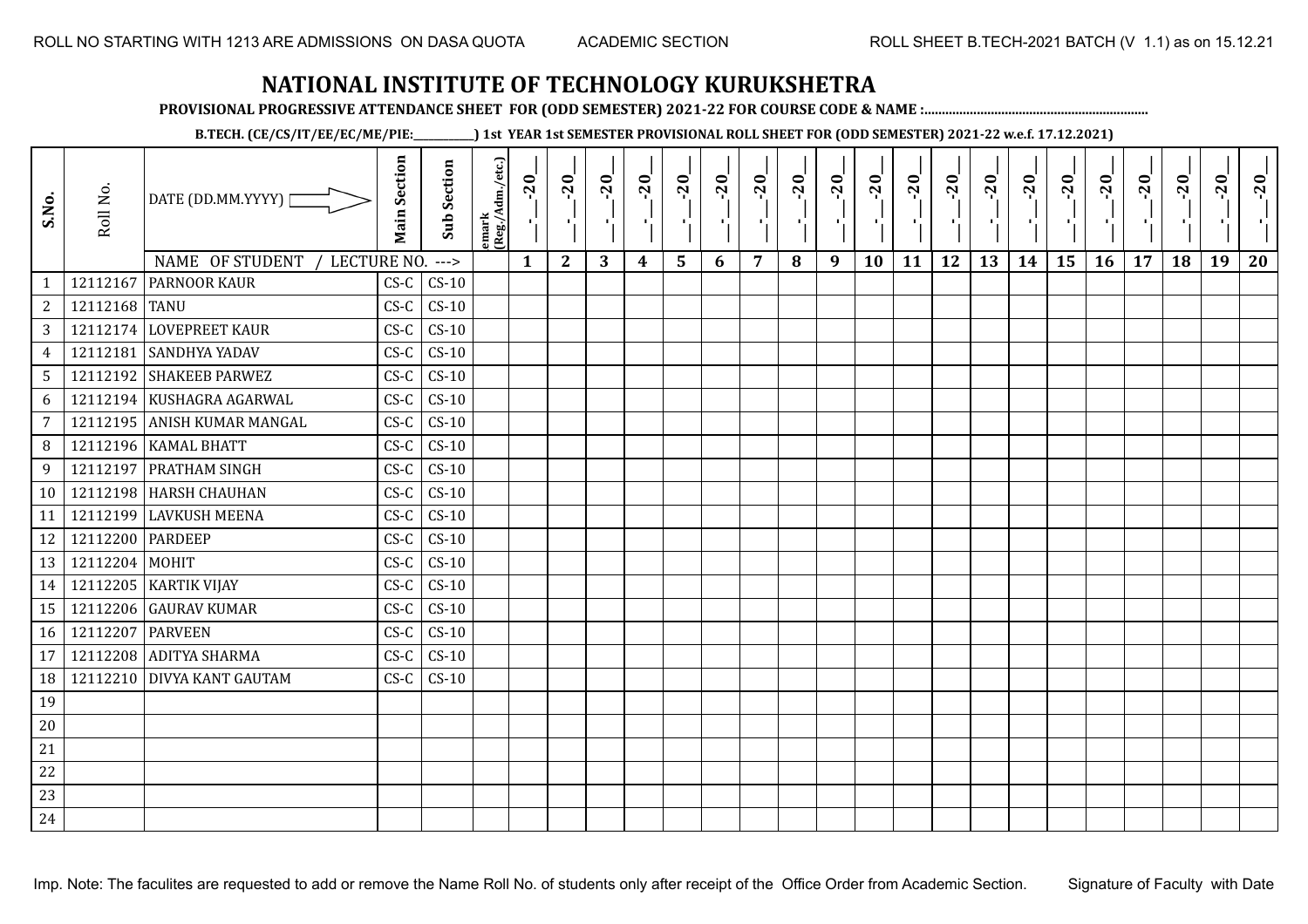**PROVISIONAL PROGRESSIVE ATTENDANCE SHEET FOR (ODD SEMESTER) 2021-22 FOR COURSE CODE & NAME :................................................................**

**B.TECH. (CE/CS/IT/EE/EC/ME/PIE:\_\_\_\_\_\_\_\_\_\_\_\_) 1st YEAR 1st SEMESTER PROVISIONAL ROLL SHEET FOR (ODD SEMESTER) 2021-22 w.e.f. 17.12.2021)**

| S.No.           | Roll No.         | DATE (DD.MM.YYYY) [<br>NAME OF STUDENT<br>/ LECTURE NO. | <b>Main Section</b> | <b>Sub Section</b><br>$--->$ | emark<br>(Reg./Adm./etc.) | $-20$<br>$\mathcal{A}_{\mathbf{L}}$<br>$\mathbf{1}$ | $-20$<br>п.,<br>$\mathbf{2}$ | $-20$<br>л.,<br>3 | $-20$<br>π÷<br>$\boldsymbol{4}$ | $-20$<br>٠,<br>5 | $-20$<br>пJ.<br>6 | $-20$<br>×.<br>7 | $-20$<br>8 | $-20$<br>п.<br>9 | $-20$<br>×,<br>10 | $-20$<br>тļ<br>11 | $-20$<br>- 1<br>12 | $-20$<br>чŀ<br>13 | $-20$<br>$\mathbf{L}$<br>14 | $-20$<br>국<br>15 | $-20$<br>Π.<br>16 | $-20$<br>- 1<br>17 | $-20$<br>18 | $-20$<br>τj.<br>19 | $-20$<br>пŀ<br>20 |
|-----------------|------------------|---------------------------------------------------------|---------------------|------------------------------|---------------------------|-----------------------------------------------------|------------------------------|-------------------|---------------------------------|------------------|-------------------|------------------|------------|------------------|-------------------|-------------------|--------------------|-------------------|-----------------------------|------------------|-------------------|--------------------|-------------|--------------------|-------------------|
| $\mathbf{1}$    | 12112167         | <b>PARNOOR KAUR</b>                                     | $CS-C$              | $CS-10$                      |                           |                                                     |                              |                   |                                 |                  |                   |                  |            |                  |                   |                   |                    |                   |                             |                  |                   |                    |             |                    |                   |
| 2               | 12112168 TANU    |                                                         | $CS-C$              | $CS-10$                      |                           |                                                     |                              |                   |                                 |                  |                   |                  |            |                  |                   |                   |                    |                   |                             |                  |                   |                    |             |                    |                   |
| 3               |                  | 12112174 LOVEPREET KAUR                                 | $CS-C$              | $CS-10$                      |                           |                                                     |                              |                   |                                 |                  |                   |                  |            |                  |                   |                   |                    |                   |                             |                  |                   |                    |             |                    |                   |
| $\overline{4}$  | 12112181         | <b>SANDHYA YADAV</b>                                    | $CS-C$              | $CS-10$                      |                           |                                                     |                              |                   |                                 |                  |                   |                  |            |                  |                   |                   |                    |                   |                             |                  |                   |                    |             |                    |                   |
| $5\overline{)}$ |                  | 12112192 SHAKEEB PARWEZ                                 | $CS-C$              | $CS-10$                      |                           |                                                     |                              |                   |                                 |                  |                   |                  |            |                  |                   |                   |                    |                   |                             |                  |                   |                    |             |                    |                   |
| 6               |                  | 12112194 KUSHAGRA AGARWAL                               | $CS-C$              | $CS-10$                      |                           |                                                     |                              |                   |                                 |                  |                   |                  |            |                  |                   |                   |                    |                   |                             |                  |                   |                    |             |                    |                   |
| $\overline{7}$  |                  | 12112195 ANISH KUMAR MANGAL                             | $CS-C$              | $CS-10$                      |                           |                                                     |                              |                   |                                 |                  |                   |                  |            |                  |                   |                   |                    |                   |                             |                  |                   |                    |             |                    |                   |
| 8               |                  | 12112196 KAMAL BHATT                                    | $CS-C$              | $CS-10$                      |                           |                                                     |                              |                   |                                 |                  |                   |                  |            |                  |                   |                   |                    |                   |                             |                  |                   |                    |             |                    |                   |
| 9               | 12112197         | <b>PRATHAM SINGH</b>                                    | $CS-C$              | $CS-10$                      |                           |                                                     |                              |                   |                                 |                  |                   |                  |            |                  |                   |                   |                    |                   |                             |                  |                   |                    |             |                    |                   |
| 10              |                  | 12112198   HARSH CHAUHAN                                | $CS-C$              | $CS-10$                      |                           |                                                     |                              |                   |                                 |                  |                   |                  |            |                  |                   |                   |                    |                   |                             |                  |                   |                    |             |                    |                   |
| 11              | 12112199         | <b>LAVKUSH MEENA</b>                                    | $CS-C$              | $CS-10$                      |                           |                                                     |                              |                   |                                 |                  |                   |                  |            |                  |                   |                   |                    |                   |                             |                  |                   |                    |             |                    |                   |
| 12              | 12112200 PARDEEP |                                                         | $CS-C$              | $CS-10$                      |                           |                                                     |                              |                   |                                 |                  |                   |                  |            |                  |                   |                   |                    |                   |                             |                  |                   |                    |             |                    |                   |
| 13              | 12112204         | MOHIT                                                   | $CS-C$              | $CS-10$                      |                           |                                                     |                              |                   |                                 |                  |                   |                  |            |                  |                   |                   |                    |                   |                             |                  |                   |                    |             |                    |                   |
| 14              | 12112205         | <b>KARTIK VIJAY</b>                                     | $CS-C$              | $CS-10$                      |                           |                                                     |                              |                   |                                 |                  |                   |                  |            |                  |                   |                   |                    |                   |                             |                  |                   |                    |             |                    |                   |
| 15              | 12112206         | <b>GAURAV KUMAR</b>                                     | $CS-C$              | $CS-10$                      |                           |                                                     |                              |                   |                                 |                  |                   |                  |            |                  |                   |                   |                    |                   |                             |                  |                   |                    |             |                    |                   |
| 16              | 12112207         | <b>PARVEEN</b>                                          | $CS-C$              | $CS-10$                      |                           |                                                     |                              |                   |                                 |                  |                   |                  |            |                  |                   |                   |                    |                   |                             |                  |                   |                    |             |                    |                   |
| 17              |                  | 12112208 ADITYA SHARMA                                  | $CS-C$              | $CS-10$                      |                           |                                                     |                              |                   |                                 |                  |                   |                  |            |                  |                   |                   |                    |                   |                             |                  |                   |                    |             |                    |                   |
| 18              |                  | 12112210 DIVYA KANT GAUTAM                              | $CS-C$              | $CS-10$                      |                           |                                                     |                              |                   |                                 |                  |                   |                  |            |                  |                   |                   |                    |                   |                             |                  |                   |                    |             |                    |                   |
| 19              |                  |                                                         |                     |                              |                           |                                                     |                              |                   |                                 |                  |                   |                  |            |                  |                   |                   |                    |                   |                             |                  |                   |                    |             |                    |                   |
| $20\,$          |                  |                                                         |                     |                              |                           |                                                     |                              |                   |                                 |                  |                   |                  |            |                  |                   |                   |                    |                   |                             |                  |                   |                    |             |                    |                   |
| 21              |                  |                                                         |                     |                              |                           |                                                     |                              |                   |                                 |                  |                   |                  |            |                  |                   |                   |                    |                   |                             |                  |                   |                    |             |                    |                   |
| 22              |                  |                                                         |                     |                              |                           |                                                     |                              |                   |                                 |                  |                   |                  |            |                  |                   |                   |                    |                   |                             |                  |                   |                    |             |                    |                   |
| 23              |                  |                                                         |                     |                              |                           |                                                     |                              |                   |                                 |                  |                   |                  |            |                  |                   |                   |                    |                   |                             |                  |                   |                    |             |                    |                   |
| 24              |                  |                                                         |                     |                              |                           |                                                     |                              |                   |                                 |                  |                   |                  |            |                  |                   |                   |                    |                   |                             |                  |                   |                    |             |                    |                   |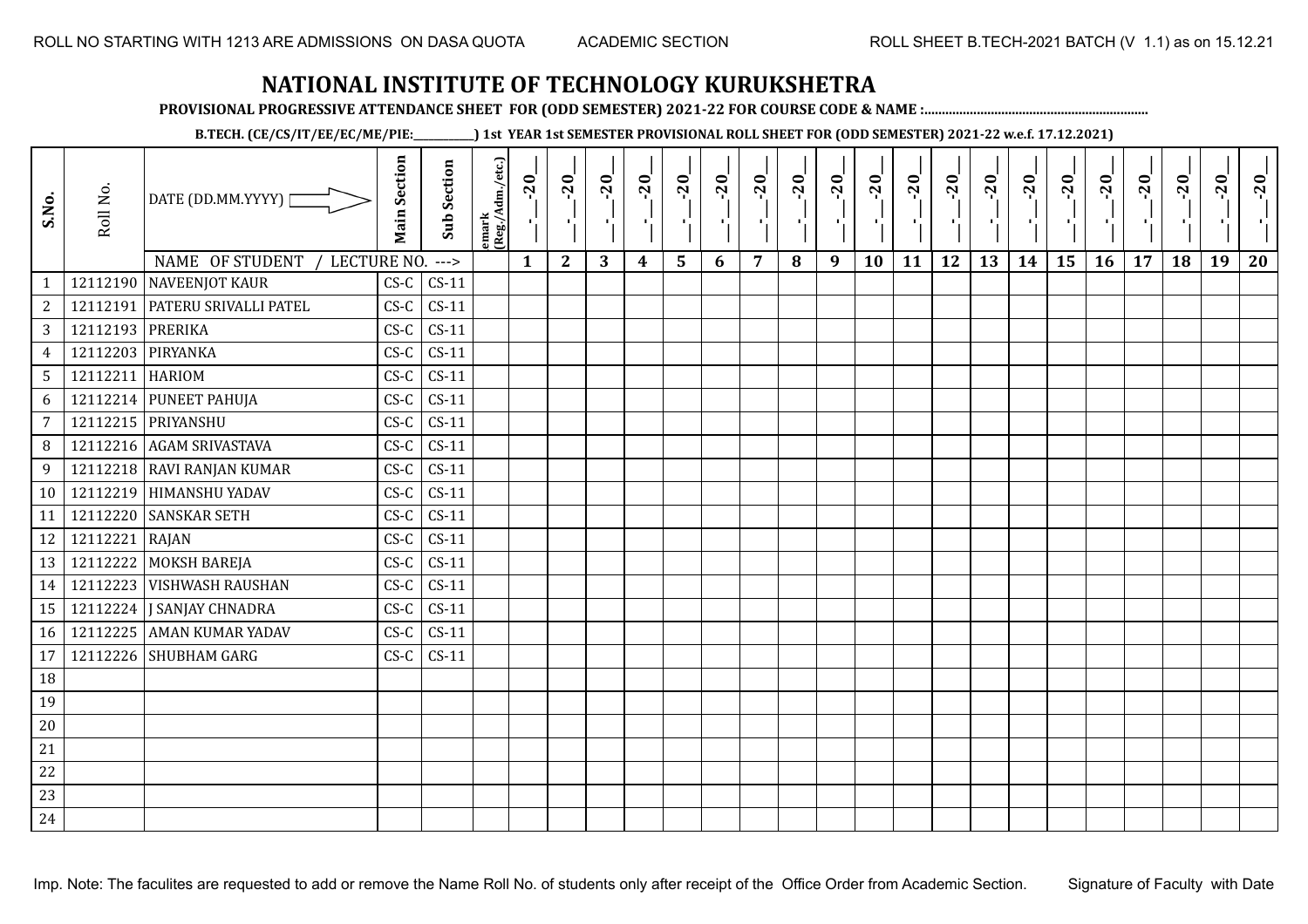**PROVISIONAL PROGRESSIVE ATTENDANCE SHEET FOR (ODD SEMESTER) 2021-22 FOR COURSE CODE & NAME :................................................................**

**B.TECH. (CE/CS/IT/EE/EC/ME/PIE:\_\_\_\_\_\_\_\_\_\_\_\_) 1st YEAR 1st SEMESTER PROVISIONAL ROLL SHEET FOR (ODD SEMESTER) 2021-22 w.e.f. 17.12.2021)**

| S.No.          | Roll No.          | DATE (DD.MM.YYYY) [              | <b>Main Section</b> | <b>Sub Section</b> | emark<br>(Reg./Adm./etc.) | $-20$<br>로   | $-20$<br>τĻ  | $-20$<br>п. | $-20$<br>- 1 J   | $-20$<br>۱,             | $-20$<br>чŀ | $-20$<br>×. | $-20$ | $-20$<br>-90 | $-20$<br>Ŀ, | $-20$<br>тļ | $-20$<br>тļ | $-20$<br>пļ. | $-20$<br>-10 | $-20$<br>٠, | $-20$<br>로 | $-20$<br>$\mathbf{E}$ | $-20$ | $-20$<br>×. | $-20$<br>пŀ |
|----------------|-------------------|----------------------------------|---------------------|--------------------|---------------------------|--------------|--------------|-------------|------------------|-------------------------|-------------|-------------|-------|--------------|-------------|-------------|-------------|--------------|--------------|-------------|------------|-----------------------|-------|-------------|-------------|
|                |                   | NAME OF STUDENT / LECTURE NO.    |                     | $--->$             |                           | $\mathbf{1}$ | $\mathbf{2}$ | 3           | $\boldsymbol{4}$ | $\overline{\mathbf{5}}$ | 6           | 7           | 8     | 9            | 10          | 11          | 12          | 13           | 14           | 15          | 16         | 17                    | 18    | 19          | 20          |
| $\mathbf{1}$   |                   | 12112190 NAVEENJOT KAUR          | $CS-C$              | $CS-11$            |                           |              |              |             |                  |                         |             |             |       |              |             |             |             |              |              |             |            |                       |       |             |             |
| $\mathbf{2}$   |                   | 12112191   PATERU SRIVALLI PATEL | $CS-C$              | $CS-11$            |                           |              |              |             |                  |                         |             |             |       |              |             |             |             |              |              |             |            |                       |       |             |             |
| 3 <sup>7</sup> | 12112193 PRERIKA  |                                  | $CS-C$              | $CS-11$            |                           |              |              |             |                  |                         |             |             |       |              |             |             |             |              |              |             |            |                       |       |             |             |
| $\overline{4}$ | 12112203 PIRYANKA |                                  | $CS-C$              | $CS-11$            |                           |              |              |             |                  |                         |             |             |       |              |             |             |             |              |              |             |            |                       |       |             |             |
| 5 <sup>5</sup> | 12112211 HARIOM   |                                  | $CS-C$              | $CS-11$            |                           |              |              |             |                  |                         |             |             |       |              |             |             |             |              |              |             |            |                       |       |             |             |
| 6              |                   | 12112214 PUNEET PAHUJA           | $CS-C$              | $CS-11$            |                           |              |              |             |                  |                         |             |             |       |              |             |             |             |              |              |             |            |                       |       |             |             |
| $\overline{7}$ |                   | 12112215 PRIYANSHU               | $CS-C$              | $CS-11$            |                           |              |              |             |                  |                         |             |             |       |              |             |             |             |              |              |             |            |                       |       |             |             |
| 8 <sup>°</sup> |                   | 12112216 AGAM SRIVASTAVA         | $CS-C$              | $CS-11$            |                           |              |              |             |                  |                         |             |             |       |              |             |             |             |              |              |             |            |                       |       |             |             |
| 9              |                   | 12112218 RAVI RANJAN KUMAR       | $CS-C$              | $CS-11$            |                           |              |              |             |                  |                         |             |             |       |              |             |             |             |              |              |             |            |                       |       |             |             |
| 10             |                   | 12112219 HIMANSHU YADAV          | $CS-C$              | $CS-11$            |                           |              |              |             |                  |                         |             |             |       |              |             |             |             |              |              |             |            |                       |       |             |             |
| 11             |                   | 12112220 SANSKAR SETH            | $CS-C$              | $CS-11$            |                           |              |              |             |                  |                         |             |             |       |              |             |             |             |              |              |             |            |                       |       |             |             |
| 12             | 12112221 RAJAN    |                                  | $CS-C$              | $CS-11$            |                           |              |              |             |                  |                         |             |             |       |              |             |             |             |              |              |             |            |                       |       |             |             |
| 13             |                   | 12112222 MOKSH BAREJA            | $CS-C$              | $CS-11$            |                           |              |              |             |                  |                         |             |             |       |              |             |             |             |              |              |             |            |                       |       |             |             |
| 14             |                   | 12112223 VISHWASH RAUSHAN        | $CS-C$              | $CS-11$            |                           |              |              |             |                  |                         |             |             |       |              |             |             |             |              |              |             |            |                       |       |             |             |
| 15             |                   | 12112224   J SANJAY CHNADRA      | $CS-C$              | $CS-11$            |                           |              |              |             |                  |                         |             |             |       |              |             |             |             |              |              |             |            |                       |       |             |             |
| 16             |                   | 12112225 AMAN KUMAR YADAV        | $CS-C$              | $CS-11$            |                           |              |              |             |                  |                         |             |             |       |              |             |             |             |              |              |             |            |                       |       |             |             |
| 17             |                   | 12112226 SHUBHAM GARG            | $CS-C$              | $CS-11$            |                           |              |              |             |                  |                         |             |             |       |              |             |             |             |              |              |             |            |                       |       |             |             |
| 18             |                   |                                  |                     |                    |                           |              |              |             |                  |                         |             |             |       |              |             |             |             |              |              |             |            |                       |       |             |             |
| 19             |                   |                                  |                     |                    |                           |              |              |             |                  |                         |             |             |       |              |             |             |             |              |              |             |            |                       |       |             |             |
| $20\,$         |                   |                                  |                     |                    |                           |              |              |             |                  |                         |             |             |       |              |             |             |             |              |              |             |            |                       |       |             |             |
| 21             |                   |                                  |                     |                    |                           |              |              |             |                  |                         |             |             |       |              |             |             |             |              |              |             |            |                       |       |             |             |
| 22             |                   |                                  |                     |                    |                           |              |              |             |                  |                         |             |             |       |              |             |             |             |              |              |             |            |                       |       |             |             |
| 23             |                   |                                  |                     |                    |                           |              |              |             |                  |                         |             |             |       |              |             |             |             |              |              |             |            |                       |       |             |             |
| 24             |                   |                                  |                     |                    |                           |              |              |             |                  |                         |             |             |       |              |             |             |             |              |              |             |            |                       |       |             |             |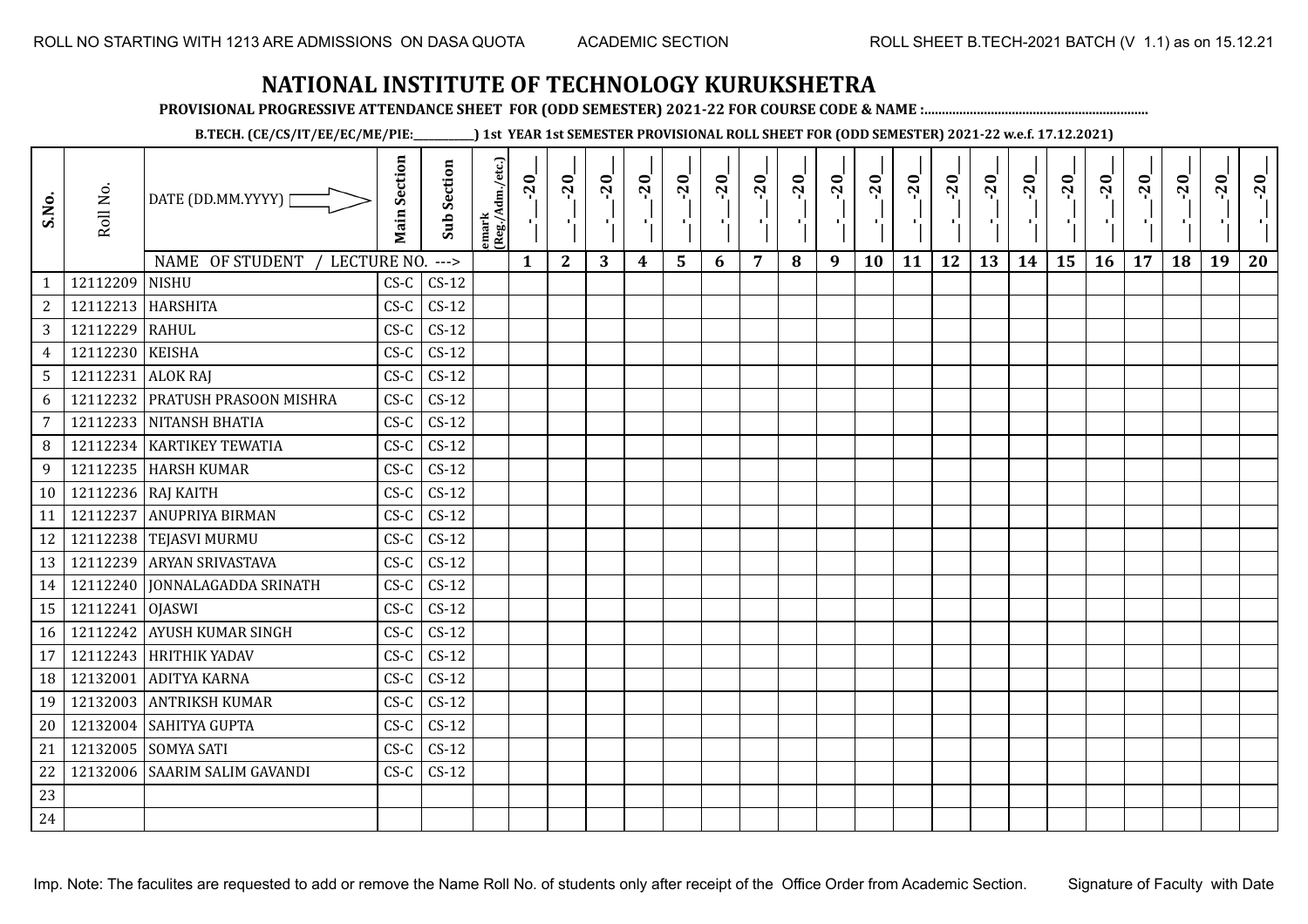**PROVISIONAL PROGRESSIVE ATTENDANCE SHEET FOR (ODD SEMESTER) 2021-22 FOR COURSE CODE & NAME :................................................................**

**B.TECH. (CE/CS/IT/EE/EC/ME/PIE:\_\_\_\_\_\_\_\_\_\_\_\_) 1st YEAR 1st SEMESTER PROVISIONAL ROLL SHEET FOR (ODD SEMESTER) 2021-22 w.e.f. 17.12.2021)**

| S.No.           | Roll No.          | DATE (DD.MM.YYYY)               | <b>Main Section</b> | <b>Sub Section</b> | emark<br>(Reg./Adm./etc.) | $-20$        | $-20$<br>×.  | $-20$ | $-20$            | $-20$<br>л, | $-20$ | $-20$ | $-20$ | $-20$<br>$\blacksquare$ | $-20$<br>٠ | $-20$ | $-20$<br>H. | $-20$ | $-20$ | $-20$ | $-20$ | $-20$ | $-20$ | $-20$<br>$\mathcal{F}_{\mathcal{A}}$ | $-20$ |
|-----------------|-------------------|---------------------------------|---------------------|--------------------|---------------------------|--------------|--------------|-------|------------------|-------------|-------|-------|-------|-------------------------|------------|-------|-------------|-------|-------|-------|-------|-------|-------|--------------------------------------|-------|
|                 |                   | NAME OF STUDENT<br>LECTURE NO.  |                     | --->               |                           | $\mathbf{1}$ | $\mathbf{2}$ | 3     | $\boldsymbol{4}$ | 5           | 6     | 7     | 8     | 9                       | 10         | 11    | 12          | 13    | 14    | 15    | 16    | 17    | 18    | 19                                   | 20    |
| 1               | 12112209          | <b>NISHU</b>                    | $CS-C$              | $CS-12$            |                           |              |              |       |                  |             |       |       |       |                         |            |       |             |       |       |       |       |       |       |                                      |       |
| $\overline{2}$  |                   | 12112213   HARSHITA             | $C S - C$           | $CS-12$            |                           |              |              |       |                  |             |       |       |       |                         |            |       |             |       |       |       |       |       |       |                                      |       |
| $\overline{3}$  | 12112229 RAHUL    |                                 | $CS-C$              | $CS-12$            |                           |              |              |       |                  |             |       |       |       |                         |            |       |             |       |       |       |       |       |       |                                      |       |
| $\overline{4}$  | 12112230 KEISHA   |                                 | $CS-C$              | $CS-12$            |                           |              |              |       |                  |             |       |       |       |                         |            |       |             |       |       |       |       |       |       |                                      |       |
| $5\phantom{.0}$ | 12112231 ALOK RAJ |                                 | $CS-C$              | $CS-12$            |                           |              |              |       |                  |             |       |       |       |                         |            |       |             |       |       |       |       |       |       |                                      |       |
| 6               |                   | 12112232 PRATUSH PRASOON MISHRA | $CS-C$              | $CS-12$            |                           |              |              |       |                  |             |       |       |       |                         |            |       |             |       |       |       |       |       |       |                                      |       |
| $\overline{7}$  |                   | 12112233 NITANSH BHATIA         | $CS-C$              | $CS-12$            |                           |              |              |       |                  |             |       |       |       |                         |            |       |             |       |       |       |       |       |       |                                      |       |
| 8               |                   | 12112234 KARTIKEY TEWATIA       | $CS-C$              | $CS-12$            |                           |              |              |       |                  |             |       |       |       |                         |            |       |             |       |       |       |       |       |       |                                      |       |
| 9               |                   | 12112235 HARSH KUMAR            | $CS-C$              | $CS-12$            |                           |              |              |       |                  |             |       |       |       |                         |            |       |             |       |       |       |       |       |       |                                      |       |
| 10 <sup>1</sup> |                   | 12112236 RAJ KAITH              | $CS-C$              | $CS-12$            |                           |              |              |       |                  |             |       |       |       |                         |            |       |             |       |       |       |       |       |       |                                      |       |
| 11              | 12112237          | <b>ANUPRIYA BIRMAN</b>          | $CS-C$              | $CS-12$            |                           |              |              |       |                  |             |       |       |       |                         |            |       |             |       |       |       |       |       |       |                                      |       |
| 12              |                   | 12112238 TEJASVI MURMU          | $CS-C$              | $CS-12$            |                           |              |              |       |                  |             |       |       |       |                         |            |       |             |       |       |       |       |       |       |                                      |       |
| 13              |                   | 12112239 ARYAN SRIVASTAVA       | $CS-C$              | $CS-12$            |                           |              |              |       |                  |             |       |       |       |                         |            |       |             |       |       |       |       |       |       |                                      |       |
| 14              |                   | 12112240 JONNALAGADDA SRINATH   | $CS-C$              | $CS-12$            |                           |              |              |       |                  |             |       |       |       |                         |            |       |             |       |       |       |       |       |       |                                      |       |
| 15              | 12112241 OJASWI   |                                 | $CS-C$              | $CS-12$            |                           |              |              |       |                  |             |       |       |       |                         |            |       |             |       |       |       |       |       |       |                                      |       |
| 16              |                   | 12112242 AYUSH KUMAR SINGH      | $CS-C$              | $CS-12$            |                           |              |              |       |                  |             |       |       |       |                         |            |       |             |       |       |       |       |       |       |                                      |       |
| 17              |                   | 12112243 HRITHIK YADAV          | $CS-C$              | $CS-12$            |                           |              |              |       |                  |             |       |       |       |                         |            |       |             |       |       |       |       |       |       |                                      |       |
| 18              |                   | 12132001 ADITYA KARNA           | $CS-C$              | $CS-12$            |                           |              |              |       |                  |             |       |       |       |                         |            |       |             |       |       |       |       |       |       |                                      |       |
| 19              |                   | 12132003 ANTRIKSH KUMAR         | $CS-C$              | $CS-12$            |                           |              |              |       |                  |             |       |       |       |                         |            |       |             |       |       |       |       |       |       |                                      |       |
| 20              |                   | 12132004 SAHITYA GUPTA          | $CS-C$              | $CS-12$            |                           |              |              |       |                  |             |       |       |       |                         |            |       |             |       |       |       |       |       |       |                                      |       |
| 21              |                   | 12132005 SOMYA SATI             | $CS-C$              | $CS-12$            |                           |              |              |       |                  |             |       |       |       |                         |            |       |             |       |       |       |       |       |       |                                      |       |
| 22              |                   | 12132006 SAARIM SALIM GAVANDI   | $CS-C$              | $CS-12$            |                           |              |              |       |                  |             |       |       |       |                         |            |       |             |       |       |       |       |       |       |                                      |       |
| 23              |                   |                                 |                     |                    |                           |              |              |       |                  |             |       |       |       |                         |            |       |             |       |       |       |       |       |       |                                      |       |
| 24              |                   |                                 |                     |                    |                           |              |              |       |                  |             |       |       |       |                         |            |       |             |       |       |       |       |       |       |                                      |       |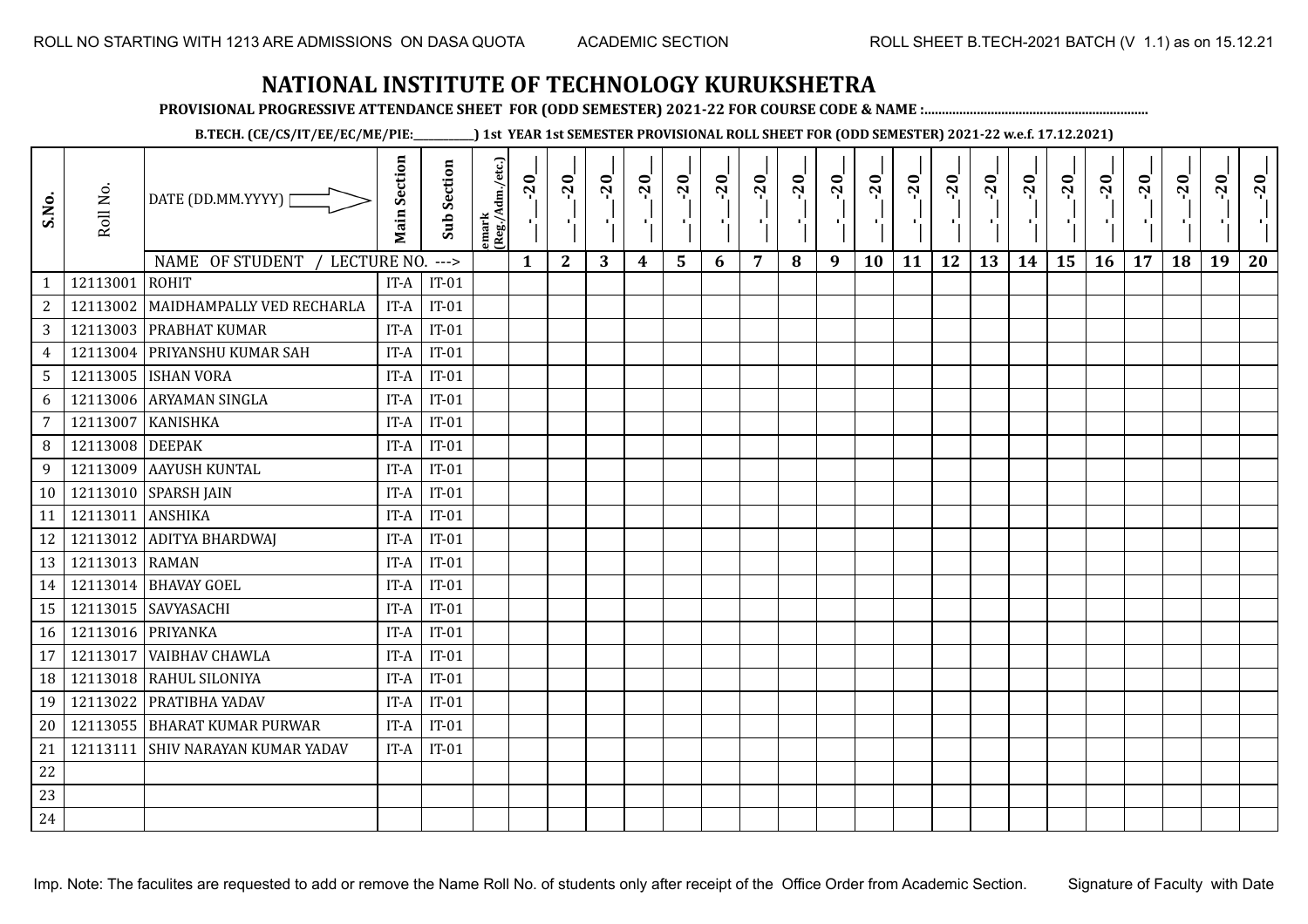**PROVISIONAL PROGRESSIVE ATTENDANCE SHEET FOR (ODD SEMESTER) 2021-22 FOR COURSE CODE & NAME :................................................................**

**B.TECH. (CE/CS/IT/EE/EC/ME/PIE:\_\_\_\_\_\_\_\_\_\_\_\_) 1st YEAR 1st SEMESTER PROVISIONAL ROLL SHEET FOR (ODD SEMESTER) 2021-22 w.e.f. 17.12.2021)**

| S.No.           | Roll No.          | DATE (DD.MM.YYYY) [<br>NAME OF STUDENT<br>LECTURE NO. | <b>Main Section</b> | <b>Sub Section</b><br>$---$ | emark<br>(Reg./Adm./etc.) | 20<br>$\mathcal{F}_{\mathbf{L}}$<br>$\mathbf{1}$ | $-20$<br>л.,<br>$\mathbf{2}$ | $-20$<br>шJ.<br>3 | $-20$<br>π÷<br>$\boldsymbol{4}$ | $-20$<br>л,<br>5 | $-20$<br>п,<br>6 | $-20$<br>л.<br>7 | $-20$<br>8 | $-20$<br>лj<br>9 | $-20$<br>×,<br>10 | $-20$<br>п,<br>11 | $-20$<br>ΠŮ<br>12 | $-20$<br>Æ,<br>13 | $-20$<br>$\blacksquare$<br>14 | $-20$<br>٠,<br>15 | $-20$<br>-96<br>16 | $-20$<br>. L.<br>17 | $-20$<br>18 | $-20$<br>л,<br>19 | $-20$<br>20 |
|-----------------|-------------------|-------------------------------------------------------|---------------------|-----------------------------|---------------------------|--------------------------------------------------|------------------------------|-------------------|---------------------------------|------------------|------------------|------------------|------------|------------------|-------------------|-------------------|-------------------|-------------------|-------------------------------|-------------------|--------------------|---------------------|-------------|-------------------|-------------|
| $\mathbf{1}$    | 12113001          | <b>ROHIT</b>                                          | IT-A                | $IT-01$                     |                           |                                                  |                              |                   |                                 |                  |                  |                  |            |                  |                   |                   |                   |                   |                               |                   |                    |                     |             |                   |             |
| $\sqrt{2}$      | 12113002          | MAIDHAMPALLY VED RECHARLA                             | IT-A                | $IT-01$                     |                           |                                                  |                              |                   |                                 |                  |                  |                  |            |                  |                   |                   |                   |                   |                               |                   |                    |                     |             |                   |             |
| 3               | 12113003          | <b>PRABHAT KUMAR</b>                                  | IT-A                | $IT-01$                     |                           |                                                  |                              |                   |                                 |                  |                  |                  |            |                  |                   |                   |                   |                   |                               |                   |                    |                     |             |                   |             |
| 4               | 12113004          | PRIYANSHU KUMAR SAH                                   | IT-A                | $IT-01$                     |                           |                                                  |                              |                   |                                 |                  |                  |                  |            |                  |                   |                   |                   |                   |                               |                   |                    |                     |             |                   |             |
| $5\phantom{.0}$ | 12113005          | <b>ISHAN VORA</b>                                     | IT-A                | $IT-01$                     |                           |                                                  |                              |                   |                                 |                  |                  |                  |            |                  |                   |                   |                   |                   |                               |                   |                    |                     |             |                   |             |
| 6               | 12113006          | ARYAMAN SINGLA                                        | IT-A                | $IT-01$                     |                           |                                                  |                              |                   |                                 |                  |                  |                  |            |                  |                   |                   |                   |                   |                               |                   |                    |                     |             |                   |             |
| 7               | 12113007          | <b>KANISHKA</b>                                       | IT-A                | $IT-01$                     |                           |                                                  |                              |                   |                                 |                  |                  |                  |            |                  |                   |                   |                   |                   |                               |                   |                    |                     |             |                   |             |
| 8               | 12113008          | <b>DEEPAK</b>                                         | IT-A                | $IT-01$                     |                           |                                                  |                              |                   |                                 |                  |                  |                  |            |                  |                   |                   |                   |                   |                               |                   |                    |                     |             |                   |             |
| 9               | 12113009          | <b>AAYUSH KUNTAL</b>                                  | IT-A                | $IT-01$                     |                           |                                                  |                              |                   |                                 |                  |                  |                  |            |                  |                   |                   |                   |                   |                               |                   |                    |                     |             |                   |             |
| 10              |                   | 12113010 SPARSH JAIN                                  | IT-A                | $IT-01$                     |                           |                                                  |                              |                   |                                 |                  |                  |                  |            |                  |                   |                   |                   |                   |                               |                   |                    |                     |             |                   |             |
| 11              | 12113011          | <b>ANSHIKA</b>                                        | IT-A                | $IT-01$                     |                           |                                                  |                              |                   |                                 |                  |                  |                  |            |                  |                   |                   |                   |                   |                               |                   |                    |                     |             |                   |             |
| 12              |                   | 12113012 ADITYA BHARDWAJ                              | IT-A                | $IT-01$                     |                           |                                                  |                              |                   |                                 |                  |                  |                  |            |                  |                   |                   |                   |                   |                               |                   |                    |                     |             |                   |             |
| 13              | 12113013 RAMAN    |                                                       | IT-A                | $IT-01$                     |                           |                                                  |                              |                   |                                 |                  |                  |                  |            |                  |                   |                   |                   |                   |                               |                   |                    |                     |             |                   |             |
| 14              |                   | 12113014 BHAVAY GOEL                                  | IT-A                | $IT-01$                     |                           |                                                  |                              |                   |                                 |                  |                  |                  |            |                  |                   |                   |                   |                   |                               |                   |                    |                     |             |                   |             |
| 15              |                   | 12113015 SAVYASACHI                                   | IT-A                | $IT-01$                     |                           |                                                  |                              |                   |                                 |                  |                  |                  |            |                  |                   |                   |                   |                   |                               |                   |                    |                     |             |                   |             |
| 16              | 12113016 PRIYANKA |                                                       | IT-A                | $IT-01$                     |                           |                                                  |                              |                   |                                 |                  |                  |                  |            |                  |                   |                   |                   |                   |                               |                   |                    |                     |             |                   |             |
| 17              | 12113017          | <b>VAIBHAV CHAWLA</b>                                 | IT-A                | $IT-01$                     |                           |                                                  |                              |                   |                                 |                  |                  |                  |            |                  |                   |                   |                   |                   |                               |                   |                    |                     |             |                   |             |
| 18              | 12113018          | RAHUL SILONIYA                                        | IT-A                | $IT-01$                     |                           |                                                  |                              |                   |                                 |                  |                  |                  |            |                  |                   |                   |                   |                   |                               |                   |                    |                     |             |                   |             |
| 19              | 12113022          | <b>PRATIBHA YADAV</b>                                 | IT-A                | $IT-01$                     |                           |                                                  |                              |                   |                                 |                  |                  |                  |            |                  |                   |                   |                   |                   |                               |                   |                    |                     |             |                   |             |
| 20              | 12113055          | <b>BHARAT KUMAR PURWAR</b>                            | IT-A                | $IT-01$                     |                           |                                                  |                              |                   |                                 |                  |                  |                  |            |                  |                   |                   |                   |                   |                               |                   |                    |                     |             |                   |             |
| 21              | 12113111          | <b>SHIV NARAYAN KUMAR YADAV</b>                       | IT-A                | $IT-01$                     |                           |                                                  |                              |                   |                                 |                  |                  |                  |            |                  |                   |                   |                   |                   |                               |                   |                    |                     |             |                   |             |
| 22              |                   |                                                       |                     |                             |                           |                                                  |                              |                   |                                 |                  |                  |                  |            |                  |                   |                   |                   |                   |                               |                   |                    |                     |             |                   |             |
| 23              |                   |                                                       |                     |                             |                           |                                                  |                              |                   |                                 |                  |                  |                  |            |                  |                   |                   |                   |                   |                               |                   |                    |                     |             |                   |             |
| 24              |                   |                                                       |                     |                             |                           |                                                  |                              |                   |                                 |                  |                  |                  |            |                  |                   |                   |                   |                   |                               |                   |                    |                     |             |                   |             |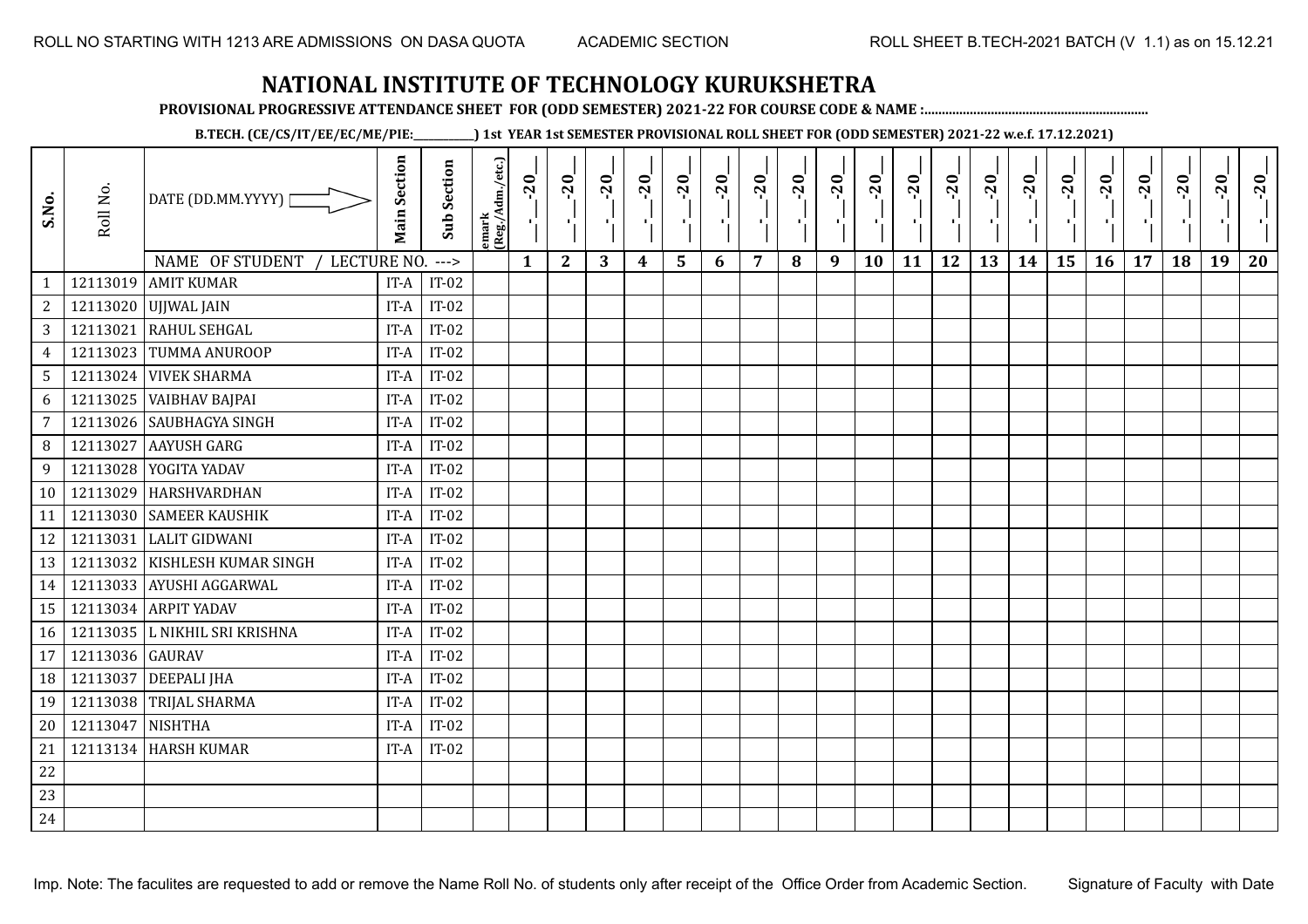**PROVISIONAL PROGRESSIVE ATTENDANCE SHEET FOR (ODD SEMESTER) 2021-22 FOR COURSE CODE & NAME :................................................................**

**B.TECH. (CE/CS/IT/EE/EC/ME/PIE:\_\_\_\_\_\_\_\_\_\_\_\_) 1st YEAR 1st SEMESTER PROVISIONAL ROLL SHEET FOR (ODD SEMESTER) 2021-22 w.e.f. 17.12.2021)**

| S.No.           | Roll No.        | DATE (DD.MM.YYYY)<br>NAME OF STUDENT | <b>Main Section</b> | <b>Sub Section</b> | lemark<br>(Reg./Adm./etc.) | $-20$<br>$\mathbf{1}$ | $-20$        | $-20$ | $-20$            | $-20$<br>÷, | $-20$ | $-20$<br>п, | $-20$ | $-20$<br>$\mathcal{F}_{\mathcal{F}}$ | $-20$ | $-20$<br>л. | $-20$ | $-20$ | $-20$<br>τĻ. | $-20$<br>тJ | $-20$ | $-20$ | $-20$<br>×í | $-20$ | $-20$ |
|-----------------|-----------------|--------------------------------------|---------------------|--------------------|----------------------------|-----------------------|--------------|-------|------------------|-------------|-------|-------------|-------|--------------------------------------|-------|-------------|-------|-------|--------------|-------------|-------|-------|-------------|-------|-------|
| $\mathbf{1}$    | 12113019        | LECTURE NO.<br><b>AMIT KUMAR</b>     | IT-A                | $---$<br>$IT-02$   |                            |                       | $\mathbf{2}$ | 3     | $\boldsymbol{4}$ | 5           | 6     | 7           | 8     | 9                                    | 10    | 11          | 12    | 13    | 14           | 15          | 16    | 17    | 18          | 19    | 20    |
| $\overline{c}$  |                 | 12113020 UJJWAL JAIN                 | IT-A                | $IT-02$            |                            |                       |              |       |                  |             |       |             |       |                                      |       |             |       |       |              |             |       |       |             |       |       |
| 3               | 12113021        | RAHUL SEHGAL                         | IT-A                | $IT-02$            |                            |                       |              |       |                  |             |       |             |       |                                      |       |             |       |       |              |             |       |       |             |       |       |
| $\overline{4}$  | 12113023        | <b>TUMMA ANUROOP</b>                 | IT-A                | $IT-02$            |                            |                       |              |       |                  |             |       |             |       |                                      |       |             |       |       |              |             |       |       |             |       |       |
| $5\phantom{.0}$ |                 | 12113024 VIVEK SHARMA                | IT-A                | $IT-02$            |                            |                       |              |       |                  |             |       |             |       |                                      |       |             |       |       |              |             |       |       |             |       |       |
| 6               |                 | 12113025 VAIBHAV BAJPAI              | IT-A                | $IT-02$            |                            |                       |              |       |                  |             |       |             |       |                                      |       |             |       |       |              |             |       |       |             |       |       |
| $\overline{7}$  |                 | 12113026 SAUBHAGYA SINGH             | IT-A                | $IT-02$            |                            |                       |              |       |                  |             |       |             |       |                                      |       |             |       |       |              |             |       |       |             |       |       |
| 8               | 12113027        | <b>AAYUSH GARG</b>                   | IT-A                | $IT-02$            |                            |                       |              |       |                  |             |       |             |       |                                      |       |             |       |       |              |             |       |       |             |       |       |
| 9               |                 | 12113028 YOGITA YADAV                | IT-A                | $IT-02$            |                            |                       |              |       |                  |             |       |             |       |                                      |       |             |       |       |              |             |       |       |             |       |       |
| 10              | 12113029        | HARSHVARDHAN                         | IT-A                | $IT-02$            |                            |                       |              |       |                  |             |       |             |       |                                      |       |             |       |       |              |             |       |       |             |       |       |
| 11              |                 | 12113030 SAMEER KAUSHIK              | IT-A                | $IT-02$            |                            |                       |              |       |                  |             |       |             |       |                                      |       |             |       |       |              |             |       |       |             |       |       |
| 12              |                 | 12113031 LALIT GIDWANI               | IT-A                | $IT-02$            |                            |                       |              |       |                  |             |       |             |       |                                      |       |             |       |       |              |             |       |       |             |       |       |
| 13              |                 | 12113032 KISHLESH KUMAR SINGH        | IT-A                | $IT-02$            |                            |                       |              |       |                  |             |       |             |       |                                      |       |             |       |       |              |             |       |       |             |       |       |
| 14              |                 | 12113033 AYUSHI AGGARWAL             | IT-A                | $IT-02$            |                            |                       |              |       |                  |             |       |             |       |                                      |       |             |       |       |              |             |       |       |             |       |       |
| 15              | 12113034        | <b>ARPIT YADAV</b>                   | IT-A                | $IT-02$            |                            |                       |              |       |                  |             |       |             |       |                                      |       |             |       |       |              |             |       |       |             |       |       |
| 16              |                 | 12113035 L NIKHIL SRI KRISHNA        | IT-A                | $IT-02$            |                            |                       |              |       |                  |             |       |             |       |                                      |       |             |       |       |              |             |       |       |             |       |       |
| 17              | 12113036 GAURAV |                                      | IT-A                | $IT-02$            |                            |                       |              |       |                  |             |       |             |       |                                      |       |             |       |       |              |             |       |       |             |       |       |
| 18              | 12113037        | <b>DEEPALI JHA</b>                   | IT-A                | $IT-02$            |                            |                       |              |       |                  |             |       |             |       |                                      |       |             |       |       |              |             |       |       |             |       |       |
| 19              |                 | 12113038 TRIJAL SHARMA               | IT-A                | $IT-02$            |                            |                       |              |       |                  |             |       |             |       |                                      |       |             |       |       |              |             |       |       |             |       |       |
| 20              | 12113047        | NISHTHA                              | IT-A                | $IT-02$            |                            |                       |              |       |                  |             |       |             |       |                                      |       |             |       |       |              |             |       |       |             |       |       |
| 21              | 12113134        | <b>HARSH KUMAR</b>                   | IT-A                | $IT-02$            |                            |                       |              |       |                  |             |       |             |       |                                      |       |             |       |       |              |             |       |       |             |       |       |
| 22              |                 |                                      |                     |                    |                            |                       |              |       |                  |             |       |             |       |                                      |       |             |       |       |              |             |       |       |             |       |       |
| 23              |                 |                                      |                     |                    |                            |                       |              |       |                  |             |       |             |       |                                      |       |             |       |       |              |             |       |       |             |       |       |
| 24              |                 |                                      |                     |                    |                            |                       |              |       |                  |             |       |             |       |                                      |       |             |       |       |              |             |       |       |             |       |       |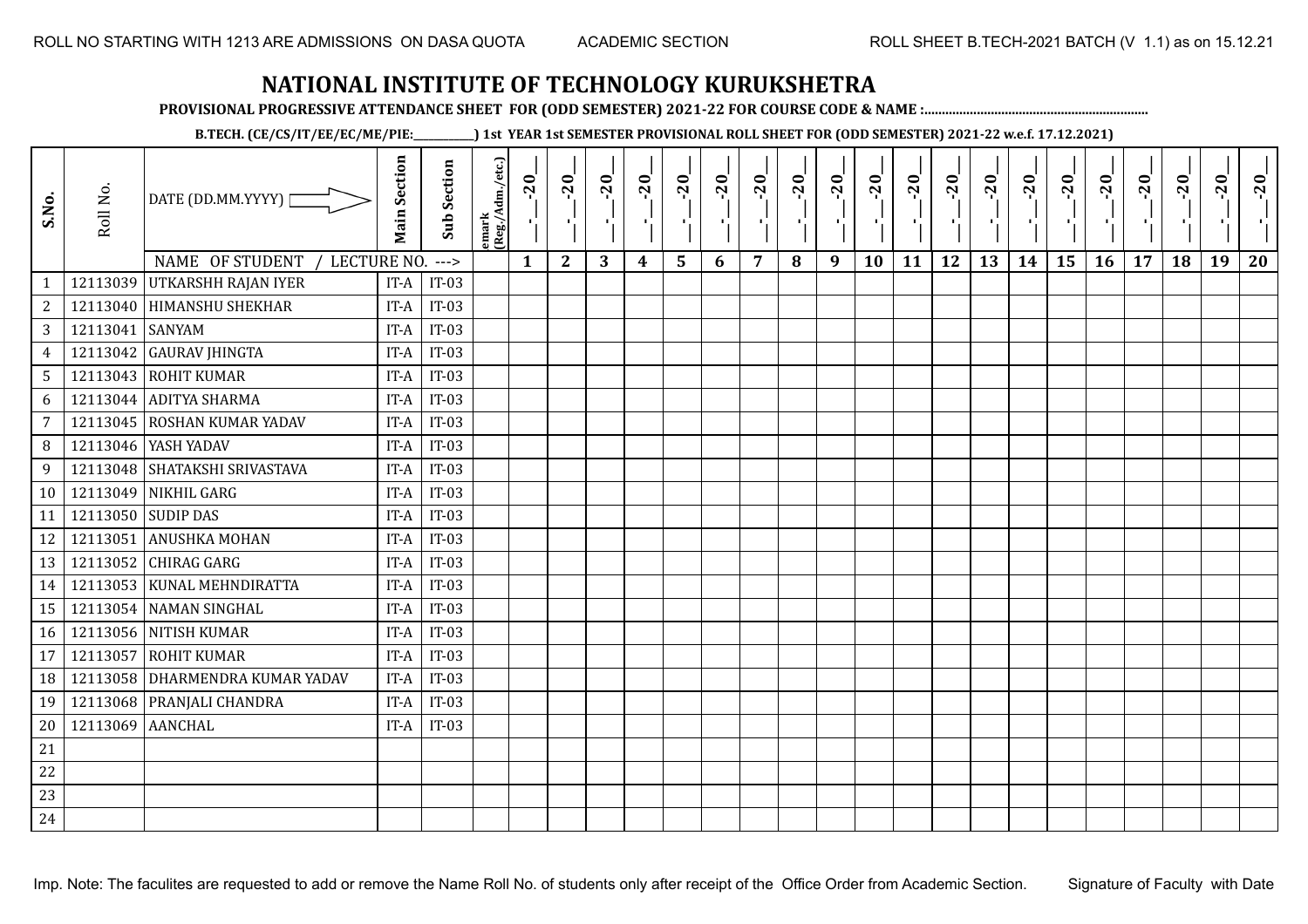**PROVISIONAL PROGRESSIVE ATTENDANCE SHEET FOR (ODD SEMESTER) 2021-22 FOR COURSE CODE & NAME :................................................................**

**B.TECH. (CE/CS/IT/EE/EC/ME/PIE:\_\_\_\_\_\_\_\_\_\_\_\_) 1st YEAR 1st SEMESTER PROVISIONAL ROLL SHEET FOR (ODD SEMESTER) 2021-22 w.e.f. 17.12.2021)**

| S.No.           | Roll No.         | DATE (DD.MM.YYYY)  <br><b>NAME OF STUDENT</b><br>LECTURE NO. | <b>Main Section</b> | <b>Sub Section</b><br>$--->$ | emark<br> (Reg./Adm./etc.) | $-20$<br>$\mathbf{1}$ | $-20$<br>π÷<br>$\mathbf{2}$ | $-20$<br>πt<br>3 | $-20$<br>π÷<br>$\boldsymbol{4}$ | $-20$<br>лj<br>5 | $-20$<br>$\blacksquare$ | $-20$<br>$\overline{7}$ | $-20$ | $-20$<br>$\mathbf{r}$<br>9 | $-20$<br>л,<br>10 | $-20$<br>шj<br>11 | $-20$<br>π÷<br>12 | $-20$<br>Æ,<br>13 | $-20$<br>$\blacksquare$<br>14 | $-20$<br>ا.<br>ا<br>15 | $-20$<br>$\mathcal{F}_{\mathcal{A}}$ .<br>16 | $-20$<br>17 | $-20$<br>18 | $-20$<br>к.<br>19 | $-20$<br>20 |
|-----------------|------------------|--------------------------------------------------------------|---------------------|------------------------------|----------------------------|-----------------------|-----------------------------|------------------|---------------------------------|------------------|-------------------------|-------------------------|-------|----------------------------|-------------------|-------------------|-------------------|-------------------|-------------------------------|------------------------|----------------------------------------------|-------------|-------------|-------------------|-------------|
| $\mathbf{1}$    | 12113039         | <b>UTKARSHH RAJAN IYER</b>                                   | IT-A                | $IT-03$                      |                            |                       |                             |                  |                                 |                  | 6                       |                         | 8     |                            |                   |                   |                   |                   |                               |                        |                                              |             |             |                   |             |
| $\overline{c}$  |                  | 12113040 HIMANSHU SHEKHAR                                    | IT-A                | $IT-03$                      |                            |                       |                             |                  |                                 |                  |                         |                         |       |                            |                   |                   |                   |                   |                               |                        |                                              |             |             |                   |             |
| 3               | 12113041         | <b>SANYAM</b>                                                | IT-A                | $IT-03$                      |                            |                       |                             |                  |                                 |                  |                         |                         |       |                            |                   |                   |                   |                   |                               |                        |                                              |             |             |                   |             |
| $\overline{4}$  | 12113042         | <b>GAURAV JHINGTA</b>                                        | IT-A                | $IT-03$                      |                            |                       |                             |                  |                                 |                  |                         |                         |       |                            |                   |                   |                   |                   |                               |                        |                                              |             |             |                   |             |
| $5\phantom{.0}$ |                  | 12113043 ROHIT KUMAR                                         | IT-A                | $IT-03$                      |                            |                       |                             |                  |                                 |                  |                         |                         |       |                            |                   |                   |                   |                   |                               |                        |                                              |             |             |                   |             |
| 6               |                  | 12113044 ADITYA SHARMA                                       | IT-A                | $IT-03$                      |                            |                       |                             |                  |                                 |                  |                         |                         |       |                            |                   |                   |                   |                   |                               |                        |                                              |             |             |                   |             |
| $\overline{7}$  | 12113045         | <b>ROSHAN KUMAR YADAV</b>                                    | IT-A                | $IT-03$                      |                            |                       |                             |                  |                                 |                  |                         |                         |       |                            |                   |                   |                   |                   |                               |                        |                                              |             |             |                   |             |
| 8               |                  | 12113046 YASH YADAV                                          | IT-A                | $IT-03$                      |                            |                       |                             |                  |                                 |                  |                         |                         |       |                            |                   |                   |                   |                   |                               |                        |                                              |             |             |                   |             |
| 9               |                  | 12113048 SHATAKSHI SRIVASTAVA                                | IT-A                | $IT-03$                      |                            |                       |                             |                  |                                 |                  |                         |                         |       |                            |                   |                   |                   |                   |                               |                        |                                              |             |             |                   |             |
| 10              | 12113049         | NIKHIL GARG                                                  | IT-A                | $IT-03$                      |                            |                       |                             |                  |                                 |                  |                         |                         |       |                            |                   |                   |                   |                   |                               |                        |                                              |             |             |                   |             |
| 11              |                  | 12113050 SUDIP DAS                                           | IT-A                | $IT-03$                      |                            |                       |                             |                  |                                 |                  |                         |                         |       |                            |                   |                   |                   |                   |                               |                        |                                              |             |             |                   |             |
| 12              | 12113051         | <b>ANUSHKA MOHAN</b>                                         | IT-A                | $IT-03$                      |                            |                       |                             |                  |                                 |                  |                         |                         |       |                            |                   |                   |                   |                   |                               |                        |                                              |             |             |                   |             |
| 13              |                  | 12113052 CHIRAG GARG                                         | IT-A                | $IT-03$                      |                            |                       |                             |                  |                                 |                  |                         |                         |       |                            |                   |                   |                   |                   |                               |                        |                                              |             |             |                   |             |
| 14              |                  | 12113053 KUNAL MEHNDIRATTA                                   | IT-A                | $IT-03$                      |                            |                       |                             |                  |                                 |                  |                         |                         |       |                            |                   |                   |                   |                   |                               |                        |                                              |             |             |                   |             |
| 15              |                  | 12113054 NAMAN SINGHAL                                       | IT-A                | $IT-03$                      |                            |                       |                             |                  |                                 |                  |                         |                         |       |                            |                   |                   |                   |                   |                               |                        |                                              |             |             |                   |             |
| 16              |                  | 12113056 NITISH KUMAR                                        | IT-A                | $IT-03$                      |                            |                       |                             |                  |                                 |                  |                         |                         |       |                            |                   |                   |                   |                   |                               |                        |                                              |             |             |                   |             |
| 17              | 12113057         | <b>ROHIT KUMAR</b>                                           | IT-A                | $IT-03$                      |                            |                       |                             |                  |                                 |                  |                         |                         |       |                            |                   |                   |                   |                   |                               |                        |                                              |             |             |                   |             |
| 18              | 12113058         | DHARMENDRA KUMAR YADAV                                       | IT-A                | $IT-03$                      |                            |                       |                             |                  |                                 |                  |                         |                         |       |                            |                   |                   |                   |                   |                               |                        |                                              |             |             |                   |             |
| 19              |                  | 12113068 PRANJALI CHANDRA                                    | IT-A                | $IT-03$                      |                            |                       |                             |                  |                                 |                  |                         |                         |       |                            |                   |                   |                   |                   |                               |                        |                                              |             |             |                   |             |
| 20              | 12113069 AANCHAL |                                                              | IT-A                | $IT-03$                      |                            |                       |                             |                  |                                 |                  |                         |                         |       |                            |                   |                   |                   |                   |                               |                        |                                              |             |             |                   |             |
| 21              |                  |                                                              |                     |                              |                            |                       |                             |                  |                                 |                  |                         |                         |       |                            |                   |                   |                   |                   |                               |                        |                                              |             |             |                   |             |
| 22              |                  |                                                              |                     |                              |                            |                       |                             |                  |                                 |                  |                         |                         |       |                            |                   |                   |                   |                   |                               |                        |                                              |             |             |                   |             |
| 23              |                  |                                                              |                     |                              |                            |                       |                             |                  |                                 |                  |                         |                         |       |                            |                   |                   |                   |                   |                               |                        |                                              |             |             |                   |             |
| 24              |                  |                                                              |                     |                              |                            |                       |                             |                  |                                 |                  |                         |                         |       |                            |                   |                   |                   |                   |                               |                        |                                              |             |             |                   |             |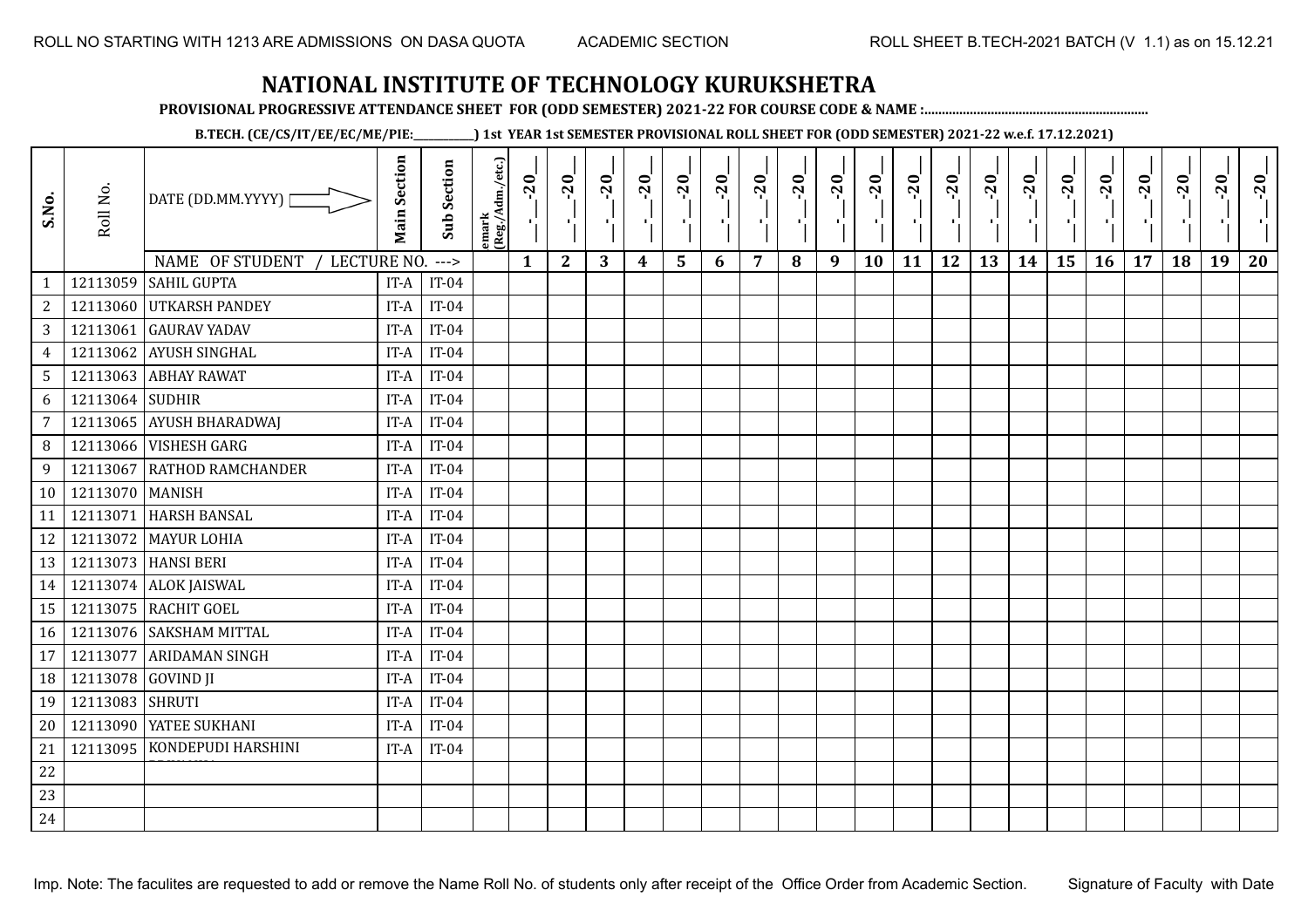**PROVISIONAL PROGRESSIVE ATTENDANCE SHEET FOR (ODD SEMESTER) 2021-22 FOR COURSE CODE & NAME :................................................................**

**B.TECH. (CE/CS/IT/EE/EC/ME/PIE:\_\_\_\_\_\_\_\_\_\_\_\_) 1st YEAR 1st SEMESTER PROVISIONAL ROLL SHEET FOR (ODD SEMESTER) 2021-22 w.e.f. 17.12.2021)**

| S.No.           | Roll No.        | DATE (DD.MM.YYYY) [<br>NAME OF STUDENT<br>LECTURE NO. | <b>Main Section</b> | <b>Sub Section</b><br>$--->$ | emark<br>(Reg./Adm./etc.) | $\overline{20}$<br>Ч.<br>$\mathbf{1}$ | $-20$<br>91.<br>$\mathbf{2}$ | $-20$<br>$\mathcal{F}_{\mathcal{A}}$ .<br>3 | $-20$<br>л.<br>4 | $-20$<br>$5\phantom{1}$ | $-20$<br>в.<br>6 | $-20$<br>$\blacksquare$<br>7 | $-20$<br>πt<br>8 | $-20$<br>п.,<br>9 | $-20$<br>×.<br>10 | $-20$<br>πĻ<br>11 | $-20$<br>ТÌ,<br>12 | $-20$<br>пD.<br>13 | $-20$<br>п÷<br>14 | $-20$<br>٠,<br>15 | $-20$<br>-9<br>16 | $-20$<br>$\mathbf{I}$<br>17 | $-20$<br>18 | $-20$<br>$\blacksquare$<br>19 | $-20$<br>20 |
|-----------------|-----------------|-------------------------------------------------------|---------------------|------------------------------|---------------------------|---------------------------------------|------------------------------|---------------------------------------------|------------------|-------------------------|------------------|------------------------------|------------------|-------------------|-------------------|-------------------|--------------------|--------------------|-------------------|-------------------|-------------------|-----------------------------|-------------|-------------------------------|-------------|
| $\mathbf{1}$    |                 | 12113059 SAHIL GUPTA                                  | IT-A                | $IT-04$                      |                           |                                       |                              |                                             |                  |                         |                  |                              |                  |                   |                   |                   |                    |                    |                   |                   |                   |                             |             |                               |             |
| $\mathbf{2}$    | 12113060        | <b>UTKARSH PANDEY</b>                                 | IT-A                | $IT-04$                      |                           |                                       |                              |                                             |                  |                         |                  |                              |                  |                   |                   |                   |                    |                    |                   |                   |                   |                             |             |                               |             |
| 3               | 12113061        | <b>GAURAV YADAV</b>                                   | IT-A                | $IT-04$                      |                           |                                       |                              |                                             |                  |                         |                  |                              |                  |                   |                   |                   |                    |                    |                   |                   |                   |                             |             |                               |             |
| $\overline{4}$  | 12113062        | <b>AYUSH SINGHAL</b>                                  | IT-A                | $IT-04$                      |                           |                                       |                              |                                             |                  |                         |                  |                              |                  |                   |                   |                   |                    |                    |                   |                   |                   |                             |             |                               |             |
| $5\phantom{.0}$ |                 | 12113063 ABHAY RAWAT                                  | IT-A                | $IT-04$                      |                           |                                       |                              |                                             |                  |                         |                  |                              |                  |                   |                   |                   |                    |                    |                   |                   |                   |                             |             |                               |             |
| 6               | 12113064        | <b>SUDHIR</b>                                         | IT-A                | $IT-04$                      |                           |                                       |                              |                                             |                  |                         |                  |                              |                  |                   |                   |                   |                    |                    |                   |                   |                   |                             |             |                               |             |
| 7               | 12113065        | <b>AYUSH BHARADWAI</b>                                | IT-A                | $IT-04$                      |                           |                                       |                              |                                             |                  |                         |                  |                              |                  |                   |                   |                   |                    |                    |                   |                   |                   |                             |             |                               |             |
| 8               | 12113066        | <b>VISHESH GARG</b>                                   | IT-A                | $IT-04$                      |                           |                                       |                              |                                             |                  |                         |                  |                              |                  |                   |                   |                   |                    |                    |                   |                   |                   |                             |             |                               |             |
| 9               | 12113067        | RATHOD RAMCHANDER                                     | IT-A                | $IT-04$                      |                           |                                       |                              |                                             |                  |                         |                  |                              |                  |                   |                   |                   |                    |                    |                   |                   |                   |                             |             |                               |             |
| 10              | 12113070 MANISH |                                                       | IT-A                | $IT-04$                      |                           |                                       |                              |                                             |                  |                         |                  |                              |                  |                   |                   |                   |                    |                    |                   |                   |                   |                             |             |                               |             |
| 11              | 12113071        | <b>HARSH BANSAL</b>                                   | IT-A                | $IT-04$                      |                           |                                       |                              |                                             |                  |                         |                  |                              |                  |                   |                   |                   |                    |                    |                   |                   |                   |                             |             |                               |             |
| 12              |                 | 12113072 MAYUR LOHIA                                  | IT-A                | $IT-04$                      |                           |                                       |                              |                                             |                  |                         |                  |                              |                  |                   |                   |                   |                    |                    |                   |                   |                   |                             |             |                               |             |
| 13              |                 | 12113073 HANSI BERI                                   | IT-A                | $IT-04$                      |                           |                                       |                              |                                             |                  |                         |                  |                              |                  |                   |                   |                   |                    |                    |                   |                   |                   |                             |             |                               |             |
| 14              |                 | 12113074 ALOK JAISWAL                                 | IT-A                | $IT-04$                      |                           |                                       |                              |                                             |                  |                         |                  |                              |                  |                   |                   |                   |                    |                    |                   |                   |                   |                             |             |                               |             |
| 15              |                 | 12113075 RACHIT GOEL                                  | IT-A                | $IT-04$                      |                           |                                       |                              |                                             |                  |                         |                  |                              |                  |                   |                   |                   |                    |                    |                   |                   |                   |                             |             |                               |             |
| 16              |                 | 12113076 SAKSHAM MITTAL                               | IT-A                | $IT-04$                      |                           |                                       |                              |                                             |                  |                         |                  |                              |                  |                   |                   |                   |                    |                    |                   |                   |                   |                             |             |                               |             |
| 17              | 12113077        | <b>ARIDAMAN SINGH</b>                                 | IT-A                | $IT-04$                      |                           |                                       |                              |                                             |                  |                         |                  |                              |                  |                   |                   |                   |                    |                    |                   |                   |                   |                             |             |                               |             |
| 18              | 12113078        | <b>GOVIND JI</b>                                      | IT-A                | $IT-04$                      |                           |                                       |                              |                                             |                  |                         |                  |                              |                  |                   |                   |                   |                    |                    |                   |                   |                   |                             |             |                               |             |
| 19              | 12113083        | <b>SHRUTI</b>                                         | IT-A                | $IT-04$                      |                           |                                       |                              |                                             |                  |                         |                  |                              |                  |                   |                   |                   |                    |                    |                   |                   |                   |                             |             |                               |             |
| 20              | 12113090        | YATEE SUKHANI                                         | IT-A                | $IT-04$                      |                           |                                       |                              |                                             |                  |                         |                  |                              |                  |                   |                   |                   |                    |                    |                   |                   |                   |                             |             |                               |             |
| 21              | 12113095        | KONDEPUDI HARSHINI                                    | IT-A                | $IT-04$                      |                           |                                       |                              |                                             |                  |                         |                  |                              |                  |                   |                   |                   |                    |                    |                   |                   |                   |                             |             |                               |             |
| 22              |                 |                                                       |                     |                              |                           |                                       |                              |                                             |                  |                         |                  |                              |                  |                   |                   |                   |                    |                    |                   |                   |                   |                             |             |                               |             |
| 23              |                 |                                                       |                     |                              |                           |                                       |                              |                                             |                  |                         |                  |                              |                  |                   |                   |                   |                    |                    |                   |                   |                   |                             |             |                               |             |
| 24              |                 |                                                       |                     |                              |                           |                                       |                              |                                             |                  |                         |                  |                              |                  |                   |                   |                   |                    |                    |                   |                   |                   |                             |             |                               |             |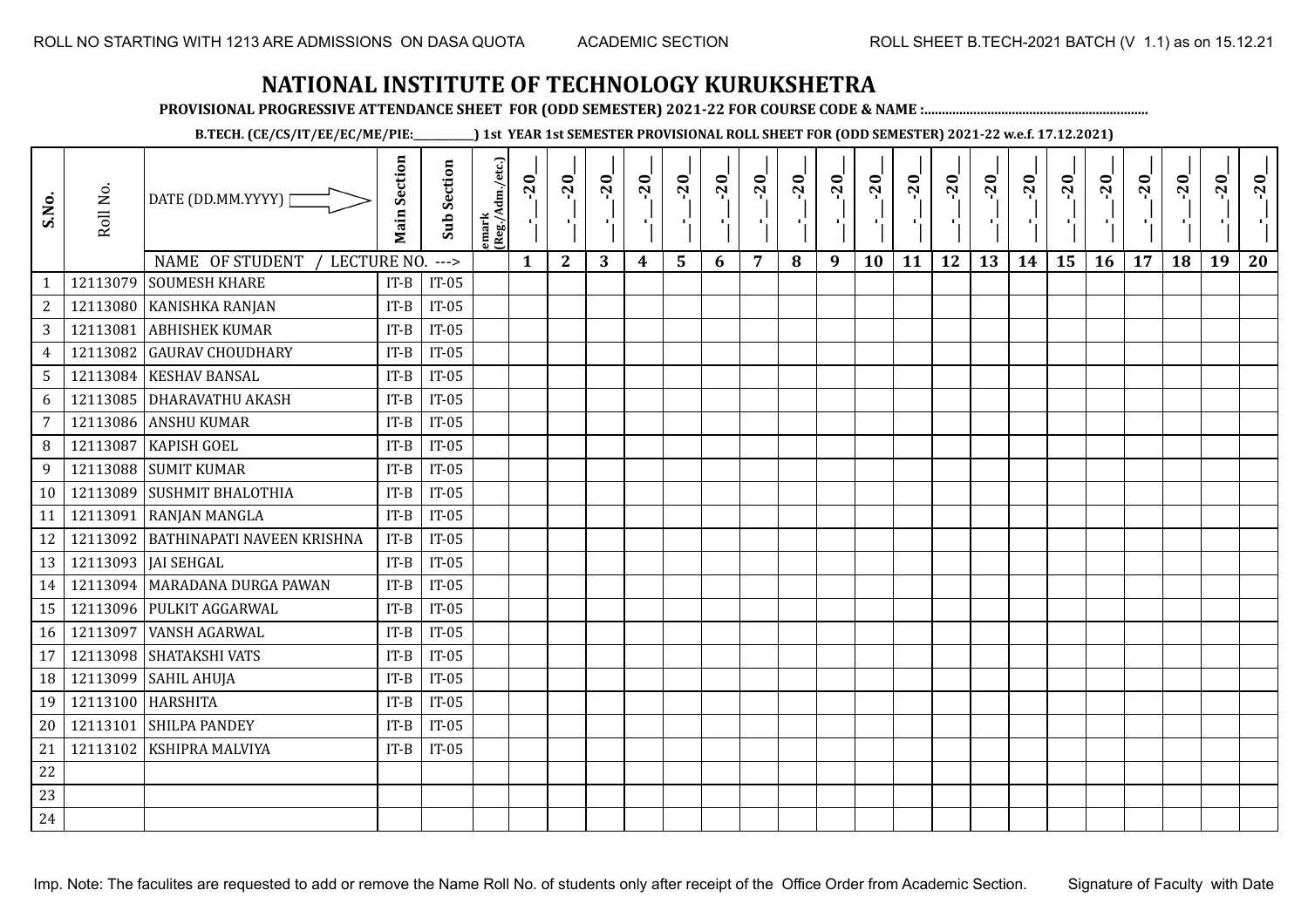**PROVISIONAL PROGRESSIVE ATTENDANCE SHEET FOR (ODD SEMESTER) 2021-22 FOR COURSE CODE & NAME :................................................................**

**B.TECH. (CE/CS/IT/EE/EC/ME/PIE:\_\_\_\_\_\_\_\_\_\_\_\_) 1st YEAR 1st SEMESTER PROVISIONAL ROLL SHEET FOR (ODD SEMESTER) 2021-22 w.e.f. 17.12.2021)**

| S.No.           | Roll No. | DATE (DD.MM.YYYY) [<br>NAME OF STUDENT<br>LECTURE NO. | <b>Main Section</b> | <b>Sub Section</b><br>$---$ | emark<br> (Reg./Adm./etc.) | $\overline{20}$<br>$\mathcal{F}_{\mathbf{L}}$<br>$\mathbf{1}$ | $-20$<br>-9<br>$\mathbf{2}$ | $-20$<br>л.<br>3 | $-20$<br>4 | $-20$<br>$5\phantom{1}$ | $-20$<br>$\mathbf{r}$<br>6 | $-20$<br>7 | $-20$<br>пf,<br>8 | $-20$<br>π÷<br>9 | $-20$<br>$\blacksquare$<br>10 | $-20$<br>$\mathbf{I}$<br>11 | $-20$<br>пf,<br>12 | $-20$<br>шJ.<br>13 | $-20$<br>шj<br>14 | $-20$<br>л,<br>15 | $-20$<br>π÷<br>16 | $-20$<br>$\mathbf{r}$<br>17 | $-20$<br>18 | $-20$<br>19 | $-20$<br>20 |
|-----------------|----------|-------------------------------------------------------|---------------------|-----------------------------|----------------------------|---------------------------------------------------------------|-----------------------------|------------------|------------|-------------------------|----------------------------|------------|-------------------|------------------|-------------------------------|-----------------------------|--------------------|--------------------|-------------------|-------------------|-------------------|-----------------------------|-------------|-------------|-------------|
| $\mathbf{1}$    | 12113079 | <b>SOUMESH KHARE</b>                                  | $IT-B$              | $IT-05$                     |                            |                                                               |                             |                  |            |                         |                            |            |                   |                  |                               |                             |                    |                    |                   |                   |                   |                             |             |             |             |
| $\overline{c}$  | 12113080 | KANISHKA RANJAN                                       | $IT-B$              | $IT-05$                     |                            |                                                               |                             |                  |            |                         |                            |            |                   |                  |                               |                             |                    |                    |                   |                   |                   |                             |             |             |             |
| 3               | 12113081 | <b>ABHISHEK KUMAR</b>                                 | $IT-B$              | $IT-05$                     |                            |                                                               |                             |                  |            |                         |                            |            |                   |                  |                               |                             |                    |                    |                   |                   |                   |                             |             |             |             |
| $\overline{4}$  | 12113082 | <b>GAURAV CHOUDHARY</b>                               | $IT-B$              | $IT-05$                     |                            |                                                               |                             |                  |            |                         |                            |            |                   |                  |                               |                             |                    |                    |                   |                   |                   |                             |             |             |             |
| $5\phantom{.0}$ |          | 12113084 KESHAV BANSAL                                | $IT-B$              | $IT-05$                     |                            |                                                               |                             |                  |            |                         |                            |            |                   |                  |                               |                             |                    |                    |                   |                   |                   |                             |             |             |             |
| 6               | 12113085 | <b>DHARAVATHU AKASH</b>                               | $IT-B$              | $IT-05$                     |                            |                                                               |                             |                  |            |                         |                            |            |                   |                  |                               |                             |                    |                    |                   |                   |                   |                             |             |             |             |
| $\overline{7}$  | 12113086 | <b>ANSHU KUMAR</b>                                    | $IT-B$              | $IT-05$                     |                            |                                                               |                             |                  |            |                         |                            |            |                   |                  |                               |                             |                    |                    |                   |                   |                   |                             |             |             |             |
| 8               | 12113087 | <b>KAPISH GOEL</b>                                    | $IT-B$              | $IT-05$                     |                            |                                                               |                             |                  |            |                         |                            |            |                   |                  |                               |                             |                    |                    |                   |                   |                   |                             |             |             |             |
| 9               | 12113088 | <b>SUMIT KUMAR</b>                                    | $IT-B$              | $IT-05$                     |                            |                                                               |                             |                  |            |                         |                            |            |                   |                  |                               |                             |                    |                    |                   |                   |                   |                             |             |             |             |
| 10 <sup>°</sup> | 12113089 | <b>SUSHMIT BHALOTHIA</b>                              | $IT-B$              | $IT-05$                     |                            |                                                               |                             |                  |            |                         |                            |            |                   |                  |                               |                             |                    |                    |                   |                   |                   |                             |             |             |             |
| 11              | 12113091 | <b>RANJAN MANGLA</b>                                  | $IT-B$              | $IT-05$                     |                            |                                                               |                             |                  |            |                         |                            |            |                   |                  |                               |                             |                    |                    |                   |                   |                   |                             |             |             |             |
| 12              |          | 12113092 BATHINAPATI NAVEEN KRISHNA                   | $IT-B$              | $IT-05$                     |                            |                                                               |                             |                  |            |                         |                            |            |                   |                  |                               |                             |                    |                    |                   |                   |                   |                             |             |             |             |
| 13              |          | 12113093   JAI SEHGAL                                 | $IT-B$              | $IT-05$                     |                            |                                                               |                             |                  |            |                         |                            |            |                   |                  |                               |                             |                    |                    |                   |                   |                   |                             |             |             |             |
| 14              |          | 12113094   MARADANA DURGA PAWAN                       | $IT-B$              | $IT-05$                     |                            |                                                               |                             |                  |            |                         |                            |            |                   |                  |                               |                             |                    |                    |                   |                   |                   |                             |             |             |             |
| 15              | 12113096 | PULKIT AGGARWAL                                       | $IT-B$              | $IT-05$                     |                            |                                                               |                             |                  |            |                         |                            |            |                   |                  |                               |                             |                    |                    |                   |                   |                   |                             |             |             |             |
| 16              | 12113097 | <b>VANSH AGARWAL</b>                                  | $IT-B$              | $IT-05$                     |                            |                                                               |                             |                  |            |                         |                            |            |                   |                  |                               |                             |                    |                    |                   |                   |                   |                             |             |             |             |
| 17              | 12113098 | SHATAKSHI VATS                                        | $IT-B$              | $IT-05$                     |                            |                                                               |                             |                  |            |                         |                            |            |                   |                  |                               |                             |                    |                    |                   |                   |                   |                             |             |             |             |
| 18              | 12113099 | <b>SAHIL AHUJA</b>                                    | $IT-B$              | $IT-05$                     |                            |                                                               |                             |                  |            |                         |                            |            |                   |                  |                               |                             |                    |                    |                   |                   |                   |                             |             |             |             |
| 19              | 12113100 | <b>HARSHITA</b>                                       | $IT-B$              | $IT-05$                     |                            |                                                               |                             |                  |            |                         |                            |            |                   |                  |                               |                             |                    |                    |                   |                   |                   |                             |             |             |             |
| 20              | 12113101 | <b>SHILPA PANDEY</b>                                  | $IT-B$              | $IT-05$                     |                            |                                                               |                             |                  |            |                         |                            |            |                   |                  |                               |                             |                    |                    |                   |                   |                   |                             |             |             |             |
| 21              | 12113102 | KSHIPRA MALVIYA                                       | $IT-B$              | $IT-05$                     |                            |                                                               |                             |                  |            |                         |                            |            |                   |                  |                               |                             |                    |                    |                   |                   |                   |                             |             |             |             |
| 22              |          |                                                       |                     |                             |                            |                                                               |                             |                  |            |                         |                            |            |                   |                  |                               |                             |                    |                    |                   |                   |                   |                             |             |             |             |
| 23              |          |                                                       |                     |                             |                            |                                                               |                             |                  |            |                         |                            |            |                   |                  |                               |                             |                    |                    |                   |                   |                   |                             |             |             |             |
| 24              |          |                                                       |                     |                             |                            |                                                               |                             |                  |            |                         |                            |            |                   |                  |                               |                             |                    |                    |                   |                   |                   |                             |             |             |             |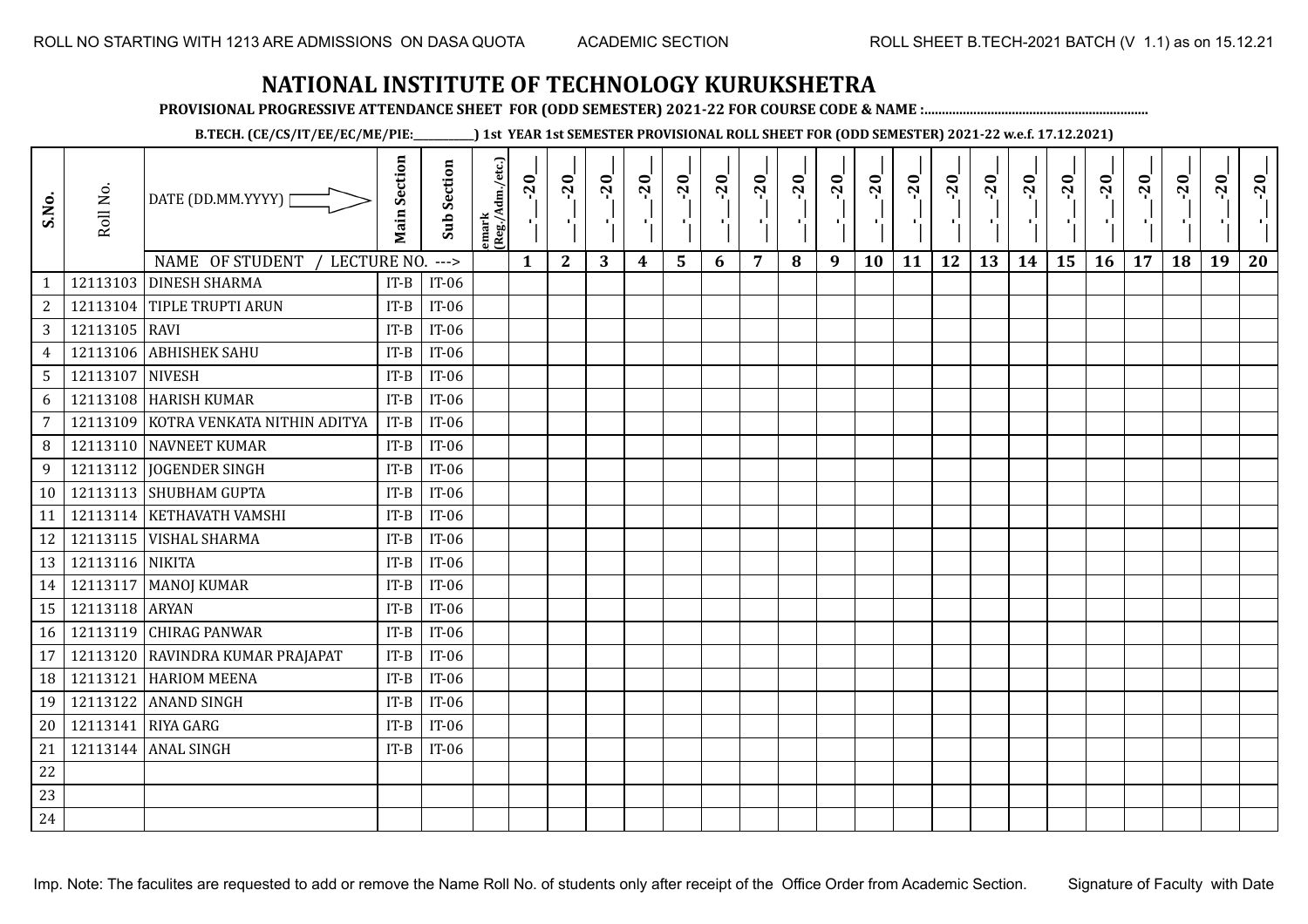**PROVISIONAL PROGRESSIVE ATTENDANCE SHEET FOR (ODD SEMESTER) 2021-22 FOR COURSE CODE & NAME :................................................................**

**B.TECH. (CE/CS/IT/EE/EC/ME/PIE:\_\_\_\_\_\_\_\_\_\_\_\_) 1st YEAR 1st SEMESTER PROVISIONAL ROLL SHEET FOR (ODD SEMESTER) 2021-22 w.e.f. 17.12.2021)**

| S.No.           | Roll No.        | DATE (DD.MM.YYYY) [<br>NAME OF STUDENT<br>LECTURE NO. | <b>Main Section</b> | <b>Sub Section</b><br>$\rightarrow$ | lemark<br>(Reg./Adm./etc.) | $-20$<br>로<br>$\mathbf{1}$ | $-20$<br>л.<br>$\mathbf{2}$ | $-20$<br>3 | $-20$<br>$\blacksquare$<br>4 | $-20$<br>ا.<br>ا<br>5 | $-20$<br>- 10<br>6 | $-20$<br>п,<br>7 | $-20$<br>٠,<br>8 | $-20$<br>$\mathcal{F}_{\mathbf{L}}$<br>9 | $-20$<br>п,<br>10 | $-20$<br>чļ.<br>11 | $-20$<br>л÷,<br>12 | $-20$<br>×.<br>13 | $-20$<br>Æ.<br>14 | $-20$<br>$\mathcal{A}_{\mathbf{r}}^{\star}$<br>15 | $-20$<br>π÷<br>16 | $-20$<br>$\mathbf{r}$<br>17 | $-20$<br>P,<br>18 | $-20$<br>$\mathbf{I}$<br>19 | $-20$<br>20 |
|-----------------|-----------------|-------------------------------------------------------|---------------------|-------------------------------------|----------------------------|----------------------------|-----------------------------|------------|------------------------------|-----------------------|--------------------|------------------|------------------|------------------------------------------|-------------------|--------------------|--------------------|-------------------|-------------------|---------------------------------------------------|-------------------|-----------------------------|-------------------|-----------------------------|-------------|
| $\mathbf{1}$    |                 | 12113103 DINESH SHARMA                                | $IT-B$              | $IT-06$                             |                            |                            |                             |            |                              |                       |                    |                  |                  |                                          |                   |                    |                    |                   |                   |                                                   |                   |                             |                   |                             |             |
| 2               |                 | 12113104 TIPLE TRUPTI ARUN                            | $IT-B$              | IT-06                               |                            |                            |                             |            |                              |                       |                    |                  |                  |                                          |                   |                    |                    |                   |                   |                                                   |                   |                             |                   |                             |             |
| $\mathbf{3}$    | 12113105 RAVI   |                                                       | $IT-B$              | $IT-06$                             |                            |                            |                             |            |                              |                       |                    |                  |                  |                                          |                   |                    |                    |                   |                   |                                                   |                   |                             |                   |                             |             |
| $\overline{4}$  |                 | 12113106 ABHISHEK SAHU                                | $IT-B$              | IT-06                               |                            |                            |                             |            |                              |                       |                    |                  |                  |                                          |                   |                    |                    |                   |                   |                                                   |                   |                             |                   |                             |             |
| $5\overline{)}$ | 12113107 NIVESH |                                                       | $IT-B$              | $IT-06$                             |                            |                            |                             |            |                              |                       |                    |                  |                  |                                          |                   |                    |                    |                   |                   |                                                   |                   |                             |                   |                             |             |
| 6               |                 | 12113108 HARISH KUMAR                                 | $IT-B$              | $IT-06$                             |                            |                            |                             |            |                              |                       |                    |                  |                  |                                          |                   |                    |                    |                   |                   |                                                   |                   |                             |                   |                             |             |
| $\overline{7}$  | 12113109        | KOTRA VENKATA NITHIN ADITYA                           | $IT-B$              | $IT-06$                             |                            |                            |                             |            |                              |                       |                    |                  |                  |                                          |                   |                    |                    |                   |                   |                                                   |                   |                             |                   |                             |             |
| 8               |                 | 12113110 NAVNEET KUMAR                                | $IT-B$              | $IT-06$                             |                            |                            |                             |            |                              |                       |                    |                  |                  |                                          |                   |                    |                    |                   |                   |                                                   |                   |                             |                   |                             |             |
| 9               |                 | 12113112 JOGENDER SINGH                               | $IT-B$              | $IT-06$                             |                            |                            |                             |            |                              |                       |                    |                  |                  |                                          |                   |                    |                    |                   |                   |                                                   |                   |                             |                   |                             |             |
| 10              |                 | 12113113 SHUBHAM GUPTA                                | $IT-B$              | IT-06                               |                            |                            |                             |            |                              |                       |                    |                  |                  |                                          |                   |                    |                    |                   |                   |                                                   |                   |                             |                   |                             |             |
| 11              |                 | 12113114 KETHAVATH VAMSHI                             | $IT-B$              | $IT-06$                             |                            |                            |                             |            |                              |                       |                    |                  |                  |                                          |                   |                    |                    |                   |                   |                                                   |                   |                             |                   |                             |             |
| 12              |                 | 12113115   VISHAL SHARMA                              | $IT-B$              | $IT-06$                             |                            |                            |                             |            |                              |                       |                    |                  |                  |                                          |                   |                    |                    |                   |                   |                                                   |                   |                             |                   |                             |             |
| 13              | 12113116 NIKITA |                                                       | $IT-B$              | $IT-06$                             |                            |                            |                             |            |                              |                       |                    |                  |                  |                                          |                   |                    |                    |                   |                   |                                                   |                   |                             |                   |                             |             |
| 14              |                 | 12113117   MANOJ KUMAR                                | $IT-B$              | $IT-06$                             |                            |                            |                             |            |                              |                       |                    |                  |                  |                                          |                   |                    |                    |                   |                   |                                                   |                   |                             |                   |                             |             |
| 15              | 12113118 ARYAN  |                                                       | $IT-B$              | $IT-06$                             |                            |                            |                             |            |                              |                       |                    |                  |                  |                                          |                   |                    |                    |                   |                   |                                                   |                   |                             |                   |                             |             |
| 16              |                 | 12113119 CHIRAG PANWAR                                | $IT-B$              | IT-06                               |                            |                            |                             |            |                              |                       |                    |                  |                  |                                          |                   |                    |                    |                   |                   |                                                   |                   |                             |                   |                             |             |
| 17              | 12113120        | <b>RAVINDRA KUMAR PRAJAPAT</b>                        | $IT-B$              | IT-06                               |                            |                            |                             |            |                              |                       |                    |                  |                  |                                          |                   |                    |                    |                   |                   |                                                   |                   |                             |                   |                             |             |
| 18              | 12113121        | <b>HARIOM MEENA</b>                                   | $IT-B$              | $IT-06$                             |                            |                            |                             |            |                              |                       |                    |                  |                  |                                          |                   |                    |                    |                   |                   |                                                   |                   |                             |                   |                             |             |
| 19              | 12113122        | <b>ANAND SINGH</b>                                    | $IT-B$              | $IT-06$                             |                            |                            |                             |            |                              |                       |                    |                  |                  |                                          |                   |                    |                    |                   |                   |                                                   |                   |                             |                   |                             |             |
| 20              | 12113141        | <b>RIYA GARG</b>                                      | $IT-B$              | $IT-06$                             |                            |                            |                             |            |                              |                       |                    |                  |                  |                                          |                   |                    |                    |                   |                   |                                                   |                   |                             |                   |                             |             |
| 21              |                 | 12113144 ANAL SINGH                                   | $IT-B$              | $IT-06$                             |                            |                            |                             |            |                              |                       |                    |                  |                  |                                          |                   |                    |                    |                   |                   |                                                   |                   |                             |                   |                             |             |
| 22              |                 |                                                       |                     |                                     |                            |                            |                             |            |                              |                       |                    |                  |                  |                                          |                   |                    |                    |                   |                   |                                                   |                   |                             |                   |                             |             |
| 23              |                 |                                                       |                     |                                     |                            |                            |                             |            |                              |                       |                    |                  |                  |                                          |                   |                    |                    |                   |                   |                                                   |                   |                             |                   |                             |             |
| 24              |                 |                                                       |                     |                                     |                            |                            |                             |            |                              |                       |                    |                  |                  |                                          |                   |                    |                    |                   |                   |                                                   |                   |                             |                   |                             |             |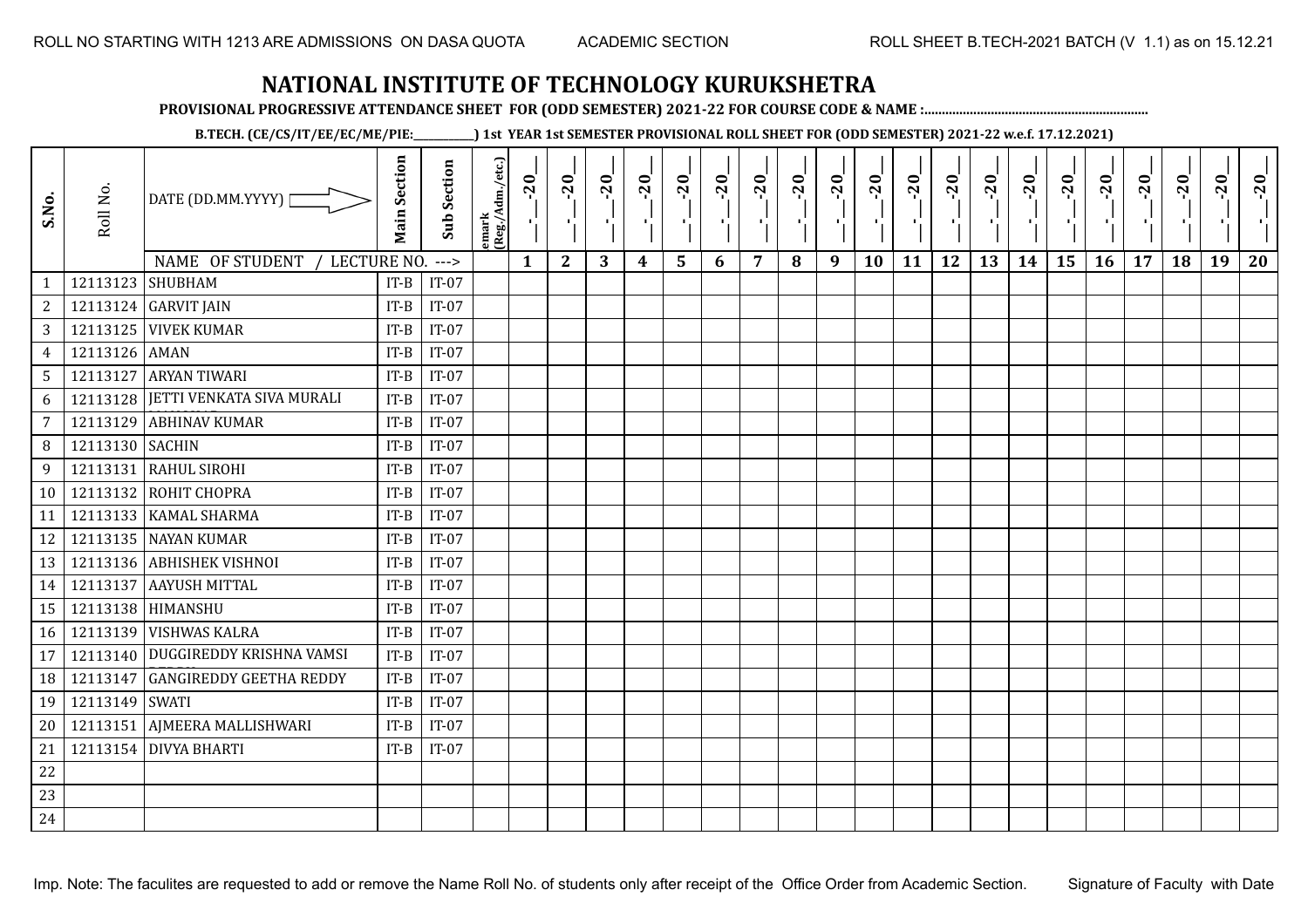**PROVISIONAL PROGRESSIVE ATTENDANCE SHEET FOR (ODD SEMESTER) 2021-22 FOR COURSE CODE & NAME :................................................................**

**B.TECH. (CE/CS/IT/EE/EC/ME/PIE:\_\_\_\_\_\_\_\_\_\_\_\_) 1st YEAR 1st SEMESTER PROVISIONAL ROLL SHEET FOR (ODD SEMESTER) 2021-22 w.e.f. 17.12.2021)**

| S.No.                          | Roll No.         | DATE (DD.MM.YYYY)                  | <b>Main Section</b> | <b>Sub Section</b> | emark<br>(Reg./Adm./etc.) | $-20$        | $-20$<br>π÷  | $-20$<br>л÷. | $-20$<br>π÷      | $-20$<br>лj | $-20$ | $-20$ | $-20$ | $-20$<br>$\mathbf{r}$ | $-20$<br>л, | $-20$<br>шj | $-20$<br>π÷ | $-20$<br>Æ, | $-20$<br>$\blacksquare$ | $-20$<br>ا .<br>ا | $-20$<br>-96 | $-20$ | $-20$ | $-20$<br>×. | $-20$ |
|--------------------------------|------------------|------------------------------------|---------------------|--------------------|---------------------------|--------------|--------------|--------------|------------------|-------------|-------|-------|-------|-----------------------|-------------|-------------|-------------|-------------|-------------------------|-------------------|--------------|-------|-------|-------------|-------|
|                                | 12113123 SHUBHAM | NAME OF STUDENT<br>LECTURE NO.     | $IT-B$              | $--->$<br>$IT-07$  |                           | $\mathbf{1}$ | $\mathbf{2}$ | 3            | $\boldsymbol{4}$ | 5           | 6     | 7     | 8     | 9                     | 10          | 11          | 12          | 13          | 14                      | 15                | 16           | 17    | 18    | 19          | 20    |
| $\mathbf{1}$<br>$\overline{c}$ |                  | 12113124 GARVIT JAIN               | $IT-B$              | $IT-07$            |                           |              |              |              |                  |             |       |       |       |                       |             |             |             |             |                         |                   |              |       |       |             |       |
| 3                              |                  | <b>12113125 VIVEK KUMAR</b>        | $IT-B$              | $IT-07$            |                           |              |              |              |                  |             |       |       |       |                       |             |             |             |             |                         |                   |              |       |       |             |       |
| $\overline{4}$                 | 12113126 AMAN    |                                    | $IT-B$              | $IT-07$            |                           |              |              |              |                  |             |       |       |       |                       |             |             |             |             |                         |                   |              |       |       |             |       |
| 5                              |                  | 12113127 ARYAN TIWARI              | $IT-B$              | $IT-07$            |                           |              |              |              |                  |             |       |       |       |                       |             |             |             |             |                         |                   |              |       |       |             |       |
| 6                              |                  | 12113128 JETTI VENKATA SIVA MURALI | $IT-B$              | $IT-07$            |                           |              |              |              |                  |             |       |       |       |                       |             |             |             |             |                         |                   |              |       |       |             |       |
| $\overline{7}$                 | 12113129         | <b>ABHINAV KUMAR</b>               | IT-B                | $IT-07$            |                           |              |              |              |                  |             |       |       |       |                       |             |             |             |             |                         |                   |              |       |       |             |       |
| 8                              | 12113130 SACHIN  |                                    | $IT-B$              | $IT-07$            |                           |              |              |              |                  |             |       |       |       |                       |             |             |             |             |                         |                   |              |       |       |             |       |
| 9                              | 12113131         | <b>RAHUL SIROHI</b>                | $IT-B$              | $IT-07$            |                           |              |              |              |                  |             |       |       |       |                       |             |             |             |             |                         |                   |              |       |       |             |       |
|                                |                  | 12113132 ROHIT CHOPRA              | $IT-B$              | $IT-07$            |                           |              |              |              |                  |             |       |       |       |                       |             |             |             |             |                         |                   |              |       |       |             |       |
| 10                             |                  |                                    |                     |                    |                           |              |              |              |                  |             |       |       |       |                       |             |             |             |             |                         |                   |              |       |       |             |       |
| 11                             |                  | 12113133   KAMAL SHARMA            | $IT-B$              | $IT-07$            |                           |              |              |              |                  |             |       |       |       |                       |             |             |             |             |                         |                   |              |       |       |             |       |
| 12                             |                  | 12113135 NAYAN KUMAR               | $IT-B$              | $IT-07$            |                           |              |              |              |                  |             |       |       |       |                       |             |             |             |             |                         |                   |              |       |       |             |       |
| 13                             |                  | 12113136 ABHISHEK VISHNOI          | $IT-B$              | $IT-07$            |                           |              |              |              |                  |             |       |       |       |                       |             |             |             |             |                         |                   |              |       |       |             |       |
| 14                             |                  | 12113137 AAYUSH MITTAL             | $IT-B$              | $IT-07$            |                           |              |              |              |                  |             |       |       |       |                       |             |             |             |             |                         |                   |              |       |       |             |       |
| 15                             |                  | 12113138 HIMANSHU                  | $IT-B$              | $IT-07$            |                           |              |              |              |                  |             |       |       |       |                       |             |             |             |             |                         |                   |              |       |       |             |       |
| 16                             |                  | 12113139 VISHWAS KALRA             | $IT-B$              | $IT-07$            |                           |              |              |              |                  |             |       |       |       |                       |             |             |             |             |                         |                   |              |       |       |             |       |
| 17                             |                  | 12113140 DUGGIREDDY KRISHNA VAMSI  | $IT-B$              | $IT-07$            |                           |              |              |              |                  |             |       |       |       |                       |             |             |             |             |                         |                   |              |       |       |             |       |
| 18                             | 12113147         | <b>GANGIREDDY GEETHA REDDY</b>     | $IT-B$              | $IT-07$            |                           |              |              |              |                  |             |       |       |       |                       |             |             |             |             |                         |                   |              |       |       |             |       |
| 19                             | 12113149 SWATI   |                                    | $IT-B$              | $IT-07$            |                           |              |              |              |                  |             |       |       |       |                       |             |             |             |             |                         |                   |              |       |       |             |       |
| 20                             | 12113151         | AJMEERA MALLISHWARI                | $IT-B$              | $IT-07$            |                           |              |              |              |                  |             |       |       |       |                       |             |             |             |             |                         |                   |              |       |       |             |       |
| 21                             |                  | 12113154 DIVYA BHARTI              | $IT-B$              | $IT-07$            |                           |              |              |              |                  |             |       |       |       |                       |             |             |             |             |                         |                   |              |       |       |             |       |
| 22                             |                  |                                    |                     |                    |                           |              |              |              |                  |             |       |       |       |                       |             |             |             |             |                         |                   |              |       |       |             |       |
| 23                             |                  |                                    |                     |                    |                           |              |              |              |                  |             |       |       |       |                       |             |             |             |             |                         |                   |              |       |       |             |       |
| 24                             |                  |                                    |                     |                    |                           |              |              |              |                  |             |       |       |       |                       |             |             |             |             |                         |                   |              |       |       |             |       |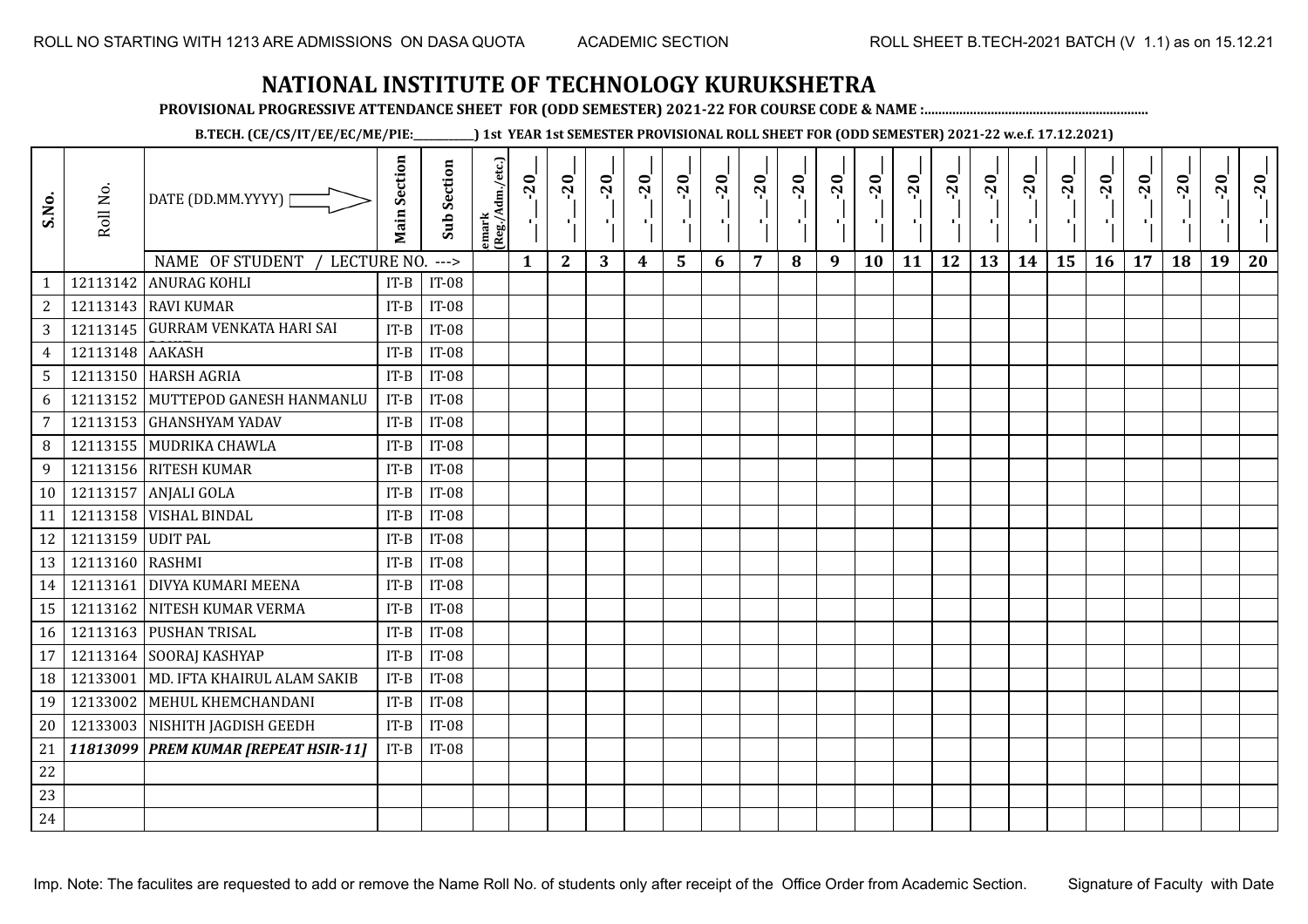**PROVISIONAL PROGRESSIVE ATTENDANCE SHEET FOR (ODD SEMESTER) 2021-22 FOR COURSE CODE & NAME :................................................................**

**B.TECH. (CE/CS/IT/EE/EC/ME/PIE:\_\_\_\_\_\_\_\_\_\_\_\_) 1st YEAR 1st SEMESTER PROVISIONAL ROLL SHEET FOR (ODD SEMESTER) 2021-22 w.e.f. 17.12.2021)**

| S.No.           | Roll No.          | DATE (DD.MM.YYYY)<br>NAME OF STUDENT<br>LECTURE NO. | <b>Main Section</b> | <b>Sub Section</b><br>$--->$ | emark<br>(Reg./Adm./etc.) | $-20$<br>$\mathbf{1}$ | $-20$<br>$\mathbf{L}$<br>$\mathbf{2}$ | $-20$<br>3 | $-20$<br>$\boldsymbol{4}$ | $-20$<br>۱,<br>5 | $-20$<br>$\mathbf{r}$<br>6 | $-20$<br>7 | $-20$<br>8 | $-20$<br>-97<br>9 | $-20$<br>×,<br>10 | $-20$<br>11 | $-20$<br>пJ.<br>12 | $-20$<br>×,<br>13 | $-20$<br>14 | $-20$<br>шj<br>15 | $-20$<br>16 | $-20$<br>17 | $-20$<br>18 | $-20$<br>19 | $-20$<br>20 |
|-----------------|-------------------|-----------------------------------------------------|---------------------|------------------------------|---------------------------|-----------------------|---------------------------------------|------------|---------------------------|------------------|----------------------------|------------|------------|-------------------|-------------------|-------------|--------------------|-------------------|-------------|-------------------|-------------|-------------|-------------|-------------|-------------|
| $\mathbf{1}$    | 12113142          | <b>ANURAG KOHLI</b>                                 | $IT-B$              | <b>IT-08</b>                 |                           |                       |                                       |            |                           |                  |                            |            |            |                   |                   |             |                    |                   |             |                   |             |             |             |             |             |
| $\overline{c}$  |                   | 12113143 RAVI KUMAR                                 | $IT-B$              | <b>IT-08</b>                 |                           |                       |                                       |            |                           |                  |                            |            |            |                   |                   |             |                    |                   |             |                   |             |             |             |             |             |
| 3               |                   | 12113145 GURRAM VENKATA HARI SAI                    | $IT-B$              | <b>IT-08</b>                 |                           |                       |                                       |            |                           |                  |                            |            |            |                   |                   |             |                    |                   |             |                   |             |             |             |             |             |
| $\overline{4}$  | 12113148 AAKASH   |                                                     | $IT-B$              | <b>IT-08</b>                 |                           |                       |                                       |            |                           |                  |                            |            |            |                   |                   |             |                    |                   |             |                   |             |             |             |             |             |
| $5\overline{)}$ |                   | 12113150 HARSH AGRIA                                | $IT-B$              | <b>IT-08</b>                 |                           |                       |                                       |            |                           |                  |                            |            |            |                   |                   |             |                    |                   |             |                   |             |             |             |             |             |
| 6               |                   | 12113152 MUTTEPOD GANESH HANMANLU                   | $IT-B$              | <b>IT-08</b>                 |                           |                       |                                       |            |                           |                  |                            |            |            |                   |                   |             |                    |                   |             |                   |             |             |             |             |             |
| 7               |                   | 12113153 GHANSHYAM YADAV                            | $IT-B$              | <b>IT-08</b>                 |                           |                       |                                       |            |                           |                  |                            |            |            |                   |                   |             |                    |                   |             |                   |             |             |             |             |             |
| 8               |                   | 12113155 MUDRIKA CHAWLA                             | $IT-B$              | <b>IT-08</b>                 |                           |                       |                                       |            |                           |                  |                            |            |            |                   |                   |             |                    |                   |             |                   |             |             |             |             |             |
| 9               |                   | 12113156 RITESH KUMAR                               | $IT-B$              | <b>IT-08</b>                 |                           |                       |                                       |            |                           |                  |                            |            |            |                   |                   |             |                    |                   |             |                   |             |             |             |             |             |
| 10 <sup>1</sup> | 12113157          | ANJALI GOLA                                         | $IT-B$              | <b>IT-08</b>                 |                           |                       |                                       |            |                           |                  |                            |            |            |                   |                   |             |                    |                   |             |                   |             |             |             |             |             |
| 11              |                   | 12113158 VISHAL BINDAL                              | $IT-B$              | <b>IT-08</b>                 |                           |                       |                                       |            |                           |                  |                            |            |            |                   |                   |             |                    |                   |             |                   |             |             |             |             |             |
| 12              | 12113159 UDIT PAL |                                                     | $IT-B$              | <b>IT-08</b>                 |                           |                       |                                       |            |                           |                  |                            |            |            |                   |                   |             |                    |                   |             |                   |             |             |             |             |             |
| 13              | 12113160 RASHMI   |                                                     | $IT-B$              | <b>IT-08</b>                 |                           |                       |                                       |            |                           |                  |                            |            |            |                   |                   |             |                    |                   |             |                   |             |             |             |             |             |
| 14              | 12113161          | <b>DIVYA KUMARI MEENA</b>                           | $IT-B$              | <b>IT-08</b>                 |                           |                       |                                       |            |                           |                  |                            |            |            |                   |                   |             |                    |                   |             |                   |             |             |             |             |             |
| 15              |                   | 12113162 NITESH KUMAR VERMA                         | $IT-B$              | <b>IT-08</b>                 |                           |                       |                                       |            |                           |                  |                            |            |            |                   |                   |             |                    |                   |             |                   |             |             |             |             |             |
| 16              |                   | 12113163 PUSHAN TRISAL                              | $IT-B$              | <b>IT-08</b>                 |                           |                       |                                       |            |                           |                  |                            |            |            |                   |                   |             |                    |                   |             |                   |             |             |             |             |             |
| 17              |                   | 12113164 SOORAJ KASHYAP                             | $IT-B$              | <b>IT-08</b>                 |                           |                       |                                       |            |                           |                  |                            |            |            |                   |                   |             |                    |                   |             |                   |             |             |             |             |             |
| 18              | 12133001          | MD. IFTA KHAIRUL ALAM SAKIB                         | $IT-B$              | <b>IT-08</b>                 |                           |                       |                                       |            |                           |                  |                            |            |            |                   |                   |             |                    |                   |             |                   |             |             |             |             |             |
| 19              |                   | 12133002 MEHUL KHEMCHANDANI                         | $IT-B$              | <b>IT-08</b>                 |                           |                       |                                       |            |                           |                  |                            |            |            |                   |                   |             |                    |                   |             |                   |             |             |             |             |             |
| 20              |                   | 12133003 NISHITH JAGDISH GEEDH                      | $IT-B$              | <b>IT-08</b>                 |                           |                       |                                       |            |                           |                  |                            |            |            |                   |                   |             |                    |                   |             |                   |             |             |             |             |             |
|                 |                   | 21   11813099   PREM KUMAR [REPEAT HSIR-11]         | $IT-B$              | <b>IT-08</b>                 |                           |                       |                                       |            |                           |                  |                            |            |            |                   |                   |             |                    |                   |             |                   |             |             |             |             |             |
| 22              |                   |                                                     |                     |                              |                           |                       |                                       |            |                           |                  |                            |            |            |                   |                   |             |                    |                   |             |                   |             |             |             |             |             |
| 23              |                   |                                                     |                     |                              |                           |                       |                                       |            |                           |                  |                            |            |            |                   |                   |             |                    |                   |             |                   |             |             |             |             |             |
| 24              |                   |                                                     |                     |                              |                           |                       |                                       |            |                           |                  |                            |            |            |                   |                   |             |                    |                   |             |                   |             |             |             |             |             |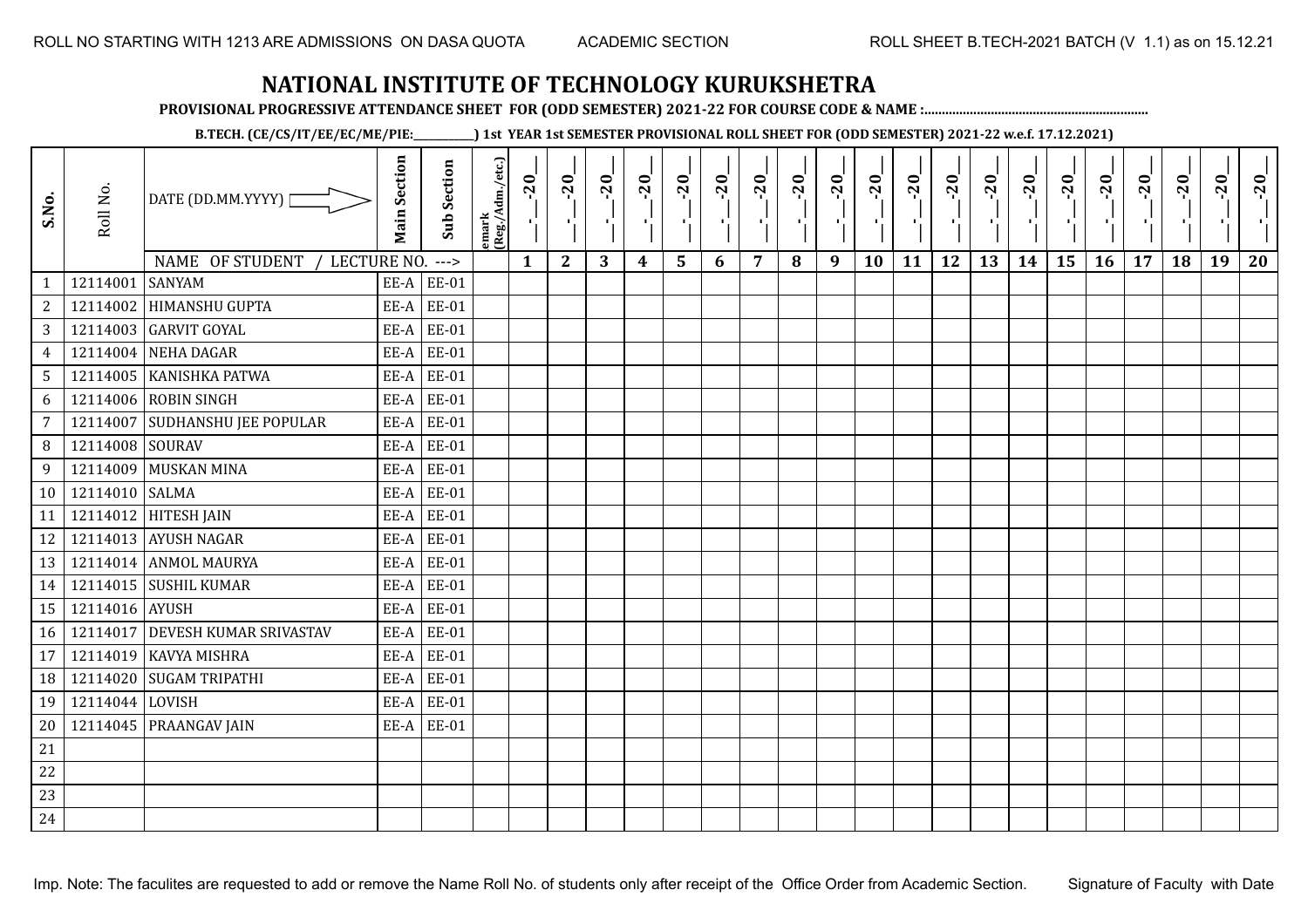**PROVISIONAL PROGRESSIVE ATTENDANCE SHEET FOR (ODD SEMESTER) 2021-22 FOR COURSE CODE & NAME :................................................................**

**B.TECH. (CE/CS/IT/EE/EC/ME/PIE:\_\_\_\_\_\_\_\_\_\_\_\_) 1st YEAR 1st SEMESTER PROVISIONAL ROLL SHEET FOR (ODD SEMESTER) 2021-22 w.e.f. 17.12.2021)**

| S.No.           | Roll No.        | DATE (DD.MM.YYYY)<br>NAME OF STUDENT<br>LECTURE NO. | <b>Main Section</b> | <b>Sub Section</b><br>$--->$ | emark<br> (Reg./Adm./etc.) | $-20$<br>$\mathbf{1}$ | $-20$<br>π÷<br>$\mathbf{2}$ | $-20$<br>л÷.<br>3 | $-20$<br>π÷<br>$\boldsymbol{4}$ | $-20$<br>лj<br>5 | $-20$<br>$\blacksquare$<br>6 | $-20$<br>7 | $-20$<br>8 | $-20$<br>$\mathbf{r}$<br>9 | $-20$<br>л,<br>10 | $-20$<br>шj<br>11 | $-20$<br>π÷<br>12 | $-20$<br>Æ,<br>13 | $-20$<br>$\blacksquare$<br>14 | $-20$<br>۱,<br>15 | $-20$<br>$\mathcal{F}_{\mathcal{A}}$ .<br>16 | $-20$<br>17 | $-20$<br>18 | $-20$<br>×.<br>19 | $-20$<br>20 |
|-----------------|-----------------|-----------------------------------------------------|---------------------|------------------------------|----------------------------|-----------------------|-----------------------------|-------------------|---------------------------------|------------------|------------------------------|------------|------------|----------------------------|-------------------|-------------------|-------------------|-------------------|-------------------------------|-------------------|----------------------------------------------|-------------|-------------|-------------------|-------------|
| $\mathbf{1}$    | 12114001        | <b>SANYAM</b>                                       | EE-A                | <b>EE-01</b>                 |                            |                       |                             |                   |                                 |                  |                              |            |            |                            |                   |                   |                   |                   |                               |                   |                                              |             |             |                   |             |
| $\overline{c}$  | 12114002        | <b>HIMANSHU GUPTA</b>                               | EE-A                | <b>EE-01</b>                 |                            |                       |                             |                   |                                 |                  |                              |            |            |                            |                   |                   |                   |                   |                               |                   |                                              |             |             |                   |             |
| 3               |                 | 12114003 GARVIT GOYAL                               | EE-A                | <b>EE-01</b>                 |                            |                       |                             |                   |                                 |                  |                              |            |            |                            |                   |                   |                   |                   |                               |                   |                                              |             |             |                   |             |
| $\overline{4}$  | 12114004        | NEHA DAGAR                                          | EE-A                | <b>EE-01</b>                 |                            |                       |                             |                   |                                 |                  |                              |            |            |                            |                   |                   |                   |                   |                               |                   |                                              |             |             |                   |             |
| $5\phantom{.0}$ |                 | 12114005 KANISHKA PATWA                             | EE-A                | <b>EE-01</b>                 |                            |                       |                             |                   |                                 |                  |                              |            |            |                            |                   |                   |                   |                   |                               |                   |                                              |             |             |                   |             |
| 6               | 12114006        | <b>ROBIN SINGH</b>                                  | EE-A                | <b>EE-01</b>                 |                            |                       |                             |                   |                                 |                  |                              |            |            |                            |                   |                   |                   |                   |                               |                   |                                              |             |             |                   |             |
| 7               | 12114007        | <b>SUDHANSHU JEE POPULAR</b>                        | EE-A                | <b>EE-01</b>                 |                            |                       |                             |                   |                                 |                  |                              |            |            |                            |                   |                   |                   |                   |                               |                   |                                              |             |             |                   |             |
| 8               | 12114008 SOURAV |                                                     | EE-A                | <b>EE-01</b>                 |                            |                       |                             |                   |                                 |                  |                              |            |            |                            |                   |                   |                   |                   |                               |                   |                                              |             |             |                   |             |
| 9               | 12114009        | <b>MUSKAN MINA</b>                                  | EE-A                | <b>EE-01</b>                 |                            |                       |                             |                   |                                 |                  |                              |            |            |                            |                   |                   |                   |                   |                               |                   |                                              |             |             |                   |             |
| 10              | 12114010 SALMA  |                                                     | EE-A                | <b>EE-01</b>                 |                            |                       |                             |                   |                                 |                  |                              |            |            |                            |                   |                   |                   |                   |                               |                   |                                              |             |             |                   |             |
| 11              |                 | 12114012 HITESH JAIN                                | EE-A                | <b>EE-01</b>                 |                            |                       |                             |                   |                                 |                  |                              |            |            |                            |                   |                   |                   |                   |                               |                   |                                              |             |             |                   |             |
| 12              |                 | 12114013 AYUSH NAGAR                                | EE-A                | <b>EE-01</b>                 |                            |                       |                             |                   |                                 |                  |                              |            |            |                            |                   |                   |                   |                   |                               |                   |                                              |             |             |                   |             |
| 13              |                 | 12114014 ANMOL MAURYA                               | EE-A                | <b>EE-01</b>                 |                            |                       |                             |                   |                                 |                  |                              |            |            |                            |                   |                   |                   |                   |                               |                   |                                              |             |             |                   |             |
| 14              |                 | 12114015 SUSHIL KUMAR                               | EE-A                | <b>EE-01</b>                 |                            |                       |                             |                   |                                 |                  |                              |            |            |                            |                   |                   |                   |                   |                               |                   |                                              |             |             |                   |             |
| 15              | 12114016 AYUSH  |                                                     | EE-A                | <b>EE-01</b>                 |                            |                       |                             |                   |                                 |                  |                              |            |            |                            |                   |                   |                   |                   |                               |                   |                                              |             |             |                   |             |
| 16              |                 | 12114017 DEVESH KUMAR SRIVASTAV                     | EE-A                | <b>EE-01</b>                 |                            |                       |                             |                   |                                 |                  |                              |            |            |                            |                   |                   |                   |                   |                               |                   |                                              |             |             |                   |             |
| 17              | 12114019        | <b>KAVYA MISHRA</b>                                 | EE-A                | <b>EE-01</b>                 |                            |                       |                             |                   |                                 |                  |                              |            |            |                            |                   |                   |                   |                   |                               |                   |                                              |             |             |                   |             |
| 18              | 12114020        | <b>SUGAM TRIPATHI</b>                               | EE-A                | <b>EE-01</b>                 |                            |                       |                             |                   |                                 |                  |                              |            |            |                            |                   |                   |                   |                   |                               |                   |                                              |             |             |                   |             |
| 19              | 12114044 LOVISH |                                                     | EE-A                | <b>EE-01</b>                 |                            |                       |                             |                   |                                 |                  |                              |            |            |                            |                   |                   |                   |                   |                               |                   |                                              |             |             |                   |             |
| 20              |                 | 12114045 PRAANGAV JAIN                              | EE-A                | <b>EE-01</b>                 |                            |                       |                             |                   |                                 |                  |                              |            |            |                            |                   |                   |                   |                   |                               |                   |                                              |             |             |                   |             |
| 21              |                 |                                                     |                     |                              |                            |                       |                             |                   |                                 |                  |                              |            |            |                            |                   |                   |                   |                   |                               |                   |                                              |             |             |                   |             |
| 22              |                 |                                                     |                     |                              |                            |                       |                             |                   |                                 |                  |                              |            |            |                            |                   |                   |                   |                   |                               |                   |                                              |             |             |                   |             |
| 23              |                 |                                                     |                     |                              |                            |                       |                             |                   |                                 |                  |                              |            |            |                            |                   |                   |                   |                   |                               |                   |                                              |             |             |                   |             |
| 24              |                 |                                                     |                     |                              |                            |                       |                             |                   |                                 |                  |                              |            |            |                            |                   |                   |                   |                   |                               |                   |                                              |             |             |                   |             |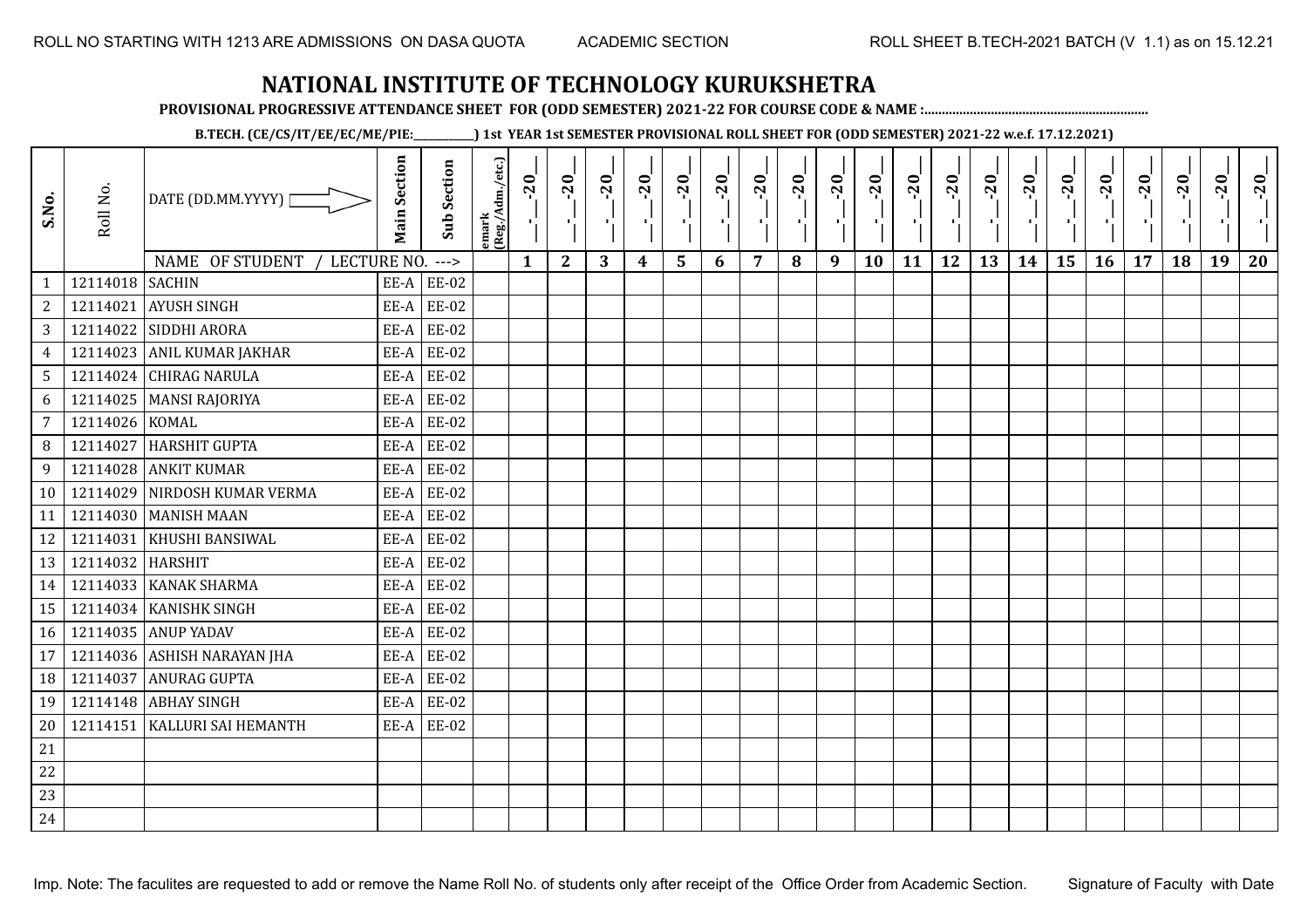**PROVISIONAL PROGRESSIVE ATTENDANCE SHEET FOR (ODD SEMESTER) 2021-22 FOR COURSE CODE & NAME :................................................................**

**B.TECH. (CE/CS/IT/EE/EC/ME/PIE:\_\_\_\_\_\_\_\_\_\_\_\_) 1st YEAR 1st SEMESTER PROVISIONAL ROLL SHEET FOR (ODD SEMESTER) 2021-22 w.e.f. 17.12.2021)**

| S.No.          | Roll No.         | DATE (DD.MM.YYYY) [<br>NAME OF STUDENT<br>LECTURE NO. | <b>Main Section</b> | <b>Sub Section</b><br>$--->$ | emark<br> (Reg./Adm./etc.) | $-20$<br>УÈ.<br>$\mathbf{1}$ | $-20$<br>×.<br>$\mathbf{2}$ | $-20$<br>п.,<br>3 | $-20$<br>тj<br>$\boldsymbol{4}$ | $-20$<br>۱,<br>5 | $-20$<br>п.<br>6 | $-20$<br>п,<br>$\overline{7}$ | $-20$<br>8 | $-20$<br>лj<br>9 | $-20$<br>÷,<br>10 | $-20$<br>п÷<br>11 | $-20$<br>-10<br>12 | $-20$<br>로<br>13 | $-20$<br>шj<br>14 | $-20$<br>÷,<br>15 | $-20$<br>л.,<br>16 | $-20$<br>17 | $-20$<br>18 | $-20$<br>×.<br>19 | $-20$<br>20 |
|----------------|------------------|-------------------------------------------------------|---------------------|------------------------------|----------------------------|------------------------------|-----------------------------|-------------------|---------------------------------|------------------|------------------|-------------------------------|------------|------------------|-------------------|-------------------|--------------------|------------------|-------------------|-------------------|--------------------|-------------|-------------|-------------------|-------------|
| $\mathbf{1}$   | 12114018 SACHIN  |                                                       |                     | $EE-A$ $EE-02$               |                            |                              |                             |                   |                                 |                  |                  |                               |            |                  |                   |                   |                    |                  |                   |                   |                    |             |             |                   |             |
| 2              | 12114021         | <b>AYUSH SINGH</b>                                    | EE-A                | <b>EE-02</b>                 |                            |                              |                             |                   |                                 |                  |                  |                               |            |                  |                   |                   |                    |                  |                   |                   |                    |             |             |                   |             |
| $\mathbf{3}$   |                  | 12114022 SIDDHI ARORA                                 | EE-A                | <b>EE-02</b>                 |                            |                              |                             |                   |                                 |                  |                  |                               |            |                  |                   |                   |                    |                  |                   |                   |                    |             |             |                   |             |
| $\overline{4}$ | 12114023         | <b>ANIL KUMAR JAKHAR</b>                              | EE-A                | <b>EE-02</b>                 |                            |                              |                             |                   |                                 |                  |                  |                               |            |                  |                   |                   |                    |                  |                   |                   |                    |             |             |                   |             |
| 5              |                  | 12114024 CHIRAG NARULA                                | EE-A                | <b>EE-02</b>                 |                            |                              |                             |                   |                                 |                  |                  |                               |            |                  |                   |                   |                    |                  |                   |                   |                    |             |             |                   |             |
| 6              |                  | 12114025   MANSI RAJORIYA                             | EE-A                | EE-02                        |                            |                              |                             |                   |                                 |                  |                  |                               |            |                  |                   |                   |                    |                  |                   |                   |                    |             |             |                   |             |
| $\overline{7}$ | 12114026 KOMAL   |                                                       | EE-A                | <b>EE-02</b>                 |                            |                              |                             |                   |                                 |                  |                  |                               |            |                  |                   |                   |                    |                  |                   |                   |                    |             |             |                   |             |
| 8              | 12114027         | <b>HARSHIT GUPTA</b>                                  | EE-A                | <b>EE-02</b>                 |                            |                              |                             |                   |                                 |                  |                  |                               |            |                  |                   |                   |                    |                  |                   |                   |                    |             |             |                   |             |
| 9              |                  | 12114028 ANKIT KUMAR                                  | EE-A                | <b>EE-02</b>                 |                            |                              |                             |                   |                                 |                  |                  |                               |            |                  |                   |                   |                    |                  |                   |                   |                    |             |             |                   |             |
| 10             |                  | 12114029 NIRDOSH KUMAR VERMA                          | EE-A                | <b>EE-02</b>                 |                            |                              |                             |                   |                                 |                  |                  |                               |            |                  |                   |                   |                    |                  |                   |                   |                    |             |             |                   |             |
| 11             |                  | 12114030 MANISH MAAN                                  | EE-A                | <b>EE-02</b>                 |                            |                              |                             |                   |                                 |                  |                  |                               |            |                  |                   |                   |                    |                  |                   |                   |                    |             |             |                   |             |
| 12             |                  | 12114031   KHUSHI BANSIWAL                            | EE-A                | <b>EE-02</b>                 |                            |                              |                             |                   |                                 |                  |                  |                               |            |                  |                   |                   |                    |                  |                   |                   |                    |             |             |                   |             |
| 13             | 12114032 HARSHIT |                                                       | EE-A                | EE-02                        |                            |                              |                             |                   |                                 |                  |                  |                               |            |                  |                   |                   |                    |                  |                   |                   |                    |             |             |                   |             |
| 14             |                  | 12114033 KANAK SHARMA                                 | EE-A                | <b>EE-02</b>                 |                            |                              |                             |                   |                                 |                  |                  |                               |            |                  |                   |                   |                    |                  |                   |                   |                    |             |             |                   |             |
| 15             |                  | 12114034 KANISHK SINGH                                | EE-A                | <b>EE-02</b>                 |                            |                              |                             |                   |                                 |                  |                  |                               |            |                  |                   |                   |                    |                  |                   |                   |                    |             |             |                   |             |
| 16             |                  | 12114035 ANUP YADAV                                   | EE-A                | <b>EE-02</b>                 |                            |                              |                             |                   |                                 |                  |                  |                               |            |                  |                   |                   |                    |                  |                   |                   |                    |             |             |                   |             |
| 17             |                  | 12114036 ASHISH NARAYAN JHA                           | EE-A                | EE-02                        |                            |                              |                             |                   |                                 |                  |                  |                               |            |                  |                   |                   |                    |                  |                   |                   |                    |             |             |                   |             |
| 18             | 12114037         | <b>ANURAG GUPTA</b>                                   | EE-A                | <b>EE-02</b>                 |                            |                              |                             |                   |                                 |                  |                  |                               |            |                  |                   |                   |                    |                  |                   |                   |                    |             |             |                   |             |
| 19             |                  | 12114148 ABHAY SINGH                                  | EE-A                | <b>EE-02</b>                 |                            |                              |                             |                   |                                 |                  |                  |                               |            |                  |                   |                   |                    |                  |                   |                   |                    |             |             |                   |             |
| 20             |                  | 12114151   KALLURI SAI HEMANTH                        |                     | $EE-A$ $EE-02$               |                            |                              |                             |                   |                                 |                  |                  |                               |            |                  |                   |                   |                    |                  |                   |                   |                    |             |             |                   |             |
| 21             |                  |                                                       |                     |                              |                            |                              |                             |                   |                                 |                  |                  |                               |            |                  |                   |                   |                    |                  |                   |                   |                    |             |             |                   |             |
| 22             |                  |                                                       |                     |                              |                            |                              |                             |                   |                                 |                  |                  |                               |            |                  |                   |                   |                    |                  |                   |                   |                    |             |             |                   |             |
| 23             |                  |                                                       |                     |                              |                            |                              |                             |                   |                                 |                  |                  |                               |            |                  |                   |                   |                    |                  |                   |                   |                    |             |             |                   |             |
| 24             |                  |                                                       |                     |                              |                            |                              |                             |                   |                                 |                  |                  |                               |            |                  |                   |                   |                    |                  |                   |                   |                    |             |             |                   |             |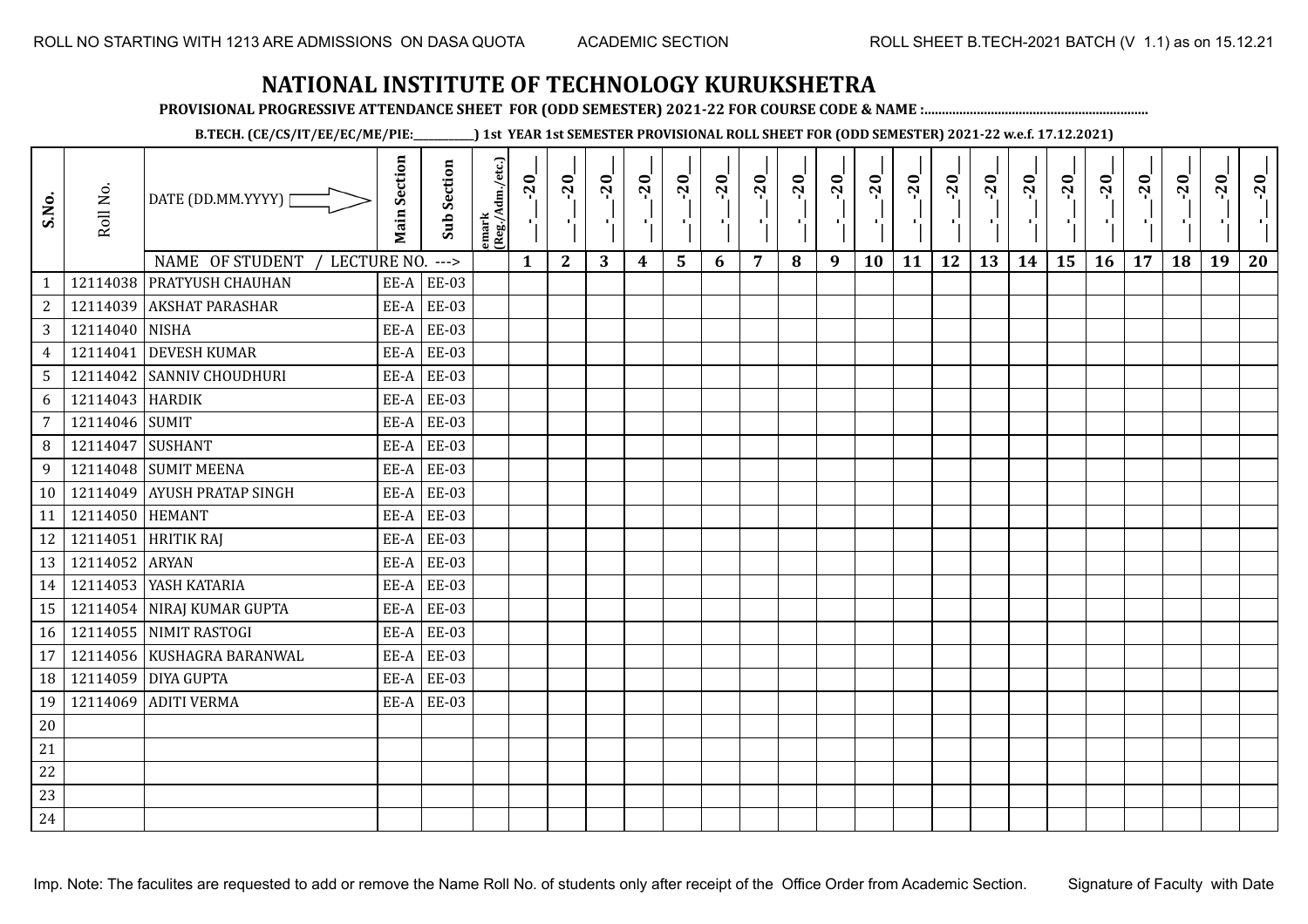**PROVISIONAL PROGRESSIVE ATTENDANCE SHEET FOR (ODD SEMESTER) 2021-22 FOR COURSE CODE & NAME :................................................................**

**B.TECH. (CE/CS/IT/EE/EC/ME/PIE:\_\_\_\_\_\_\_\_\_\_\_\_) 1st YEAR 1st SEMESTER PROVISIONAL ROLL SHEET FOR (ODD SEMESTER) 2021-22 w.e.f. 17.12.2021)**

| S.No.           | Roll No.        | DATE (DD.MM.YYYY)                   | <b>Main Section</b> | <b>Sub Section</b> | emark<br> (Reg./Adm./etc.) | $-20$        | $-20$<br>ч.  | $-20$<br>л. | $-20$ | $-20$<br>×.     | $-20$ | $-20$          | $-20$ | $-20$<br>п. | $-20$<br>л, | $-20$ | $-20$<br>πī | $-20$ | $-20$ | $-20$ | $-20$ | $-20$ | $-20$ | $-20$<br>$\mathcal{F}_{\mathcal{A}}$ | $-20$ |
|-----------------|-----------------|-------------------------------------|---------------------|--------------------|----------------------------|--------------|--------------|-------------|-------|-----------------|-------|----------------|-------|-------------|-------------|-------|-------------|-------|-------|-------|-------|-------|-------|--------------------------------------|-------|
|                 |                 | NAME OF STUDENT<br>LECTURE NO. ---> |                     |                    |                            | $\mathbf{1}$ | $\mathbf{2}$ | 3           | 4     | $5\phantom{.0}$ | 6     | $\overline{7}$ | 8     | 9           | 10          | 11    | 12          | 13    | 14    | 15    | 16    | 17    | 18    | 19                                   | 20    |
| 1               |                 | 12114038 PRATYUSH CHAUHAN           | EE-A                | <b>EE-03</b>       |                            |              |              |             |       |                 |       |                |       |             |             |       |             |       |       |       |       |       |       |                                      |       |
| $\overline{c}$  |                 | 12114039 AKSHAT PARASHAR            | EE-A                | <b>EE-03</b>       |                            |              |              |             |       |                 |       |                |       |             |             |       |             |       |       |       |       |       |       |                                      |       |
| 3               | 12114040 NISHA  |                                     | EE-A                | <b>EE-03</b>       |                            |              |              |             |       |                 |       |                |       |             |             |       |             |       |       |       |       |       |       |                                      |       |
| $\overline{4}$  | 12114041        | <b>DEVESH KUMAR</b>                 | EE-A                | EE-03              |                            |              |              |             |       |                 |       |                |       |             |             |       |             |       |       |       |       |       |       |                                      |       |
| $5\overline{)}$ |                 | 12114042 SANNIV CHOUDHURI           | EE-A                | <b>EE-03</b>       |                            |              |              |             |       |                 |       |                |       |             |             |       |             |       |       |       |       |       |       |                                      |       |
| 6               | 12114043 HARDIK |                                     | EE-A                | EE-03              |                            |              |              |             |       |                 |       |                |       |             |             |       |             |       |       |       |       |       |       |                                      |       |
| $\overline{7}$  | 12114046 SUMIT  |                                     | EE-A                | <b>EE-03</b>       |                            |              |              |             |       |                 |       |                |       |             |             |       |             |       |       |       |       |       |       |                                      |       |
| 8               | 12114047        | <b>SUSHANT</b>                      | EE-A                | <b>EE-03</b>       |                            |              |              |             |       |                 |       |                |       |             |             |       |             |       |       |       |       |       |       |                                      |       |
| 9               |                 | 12114048 SUMIT MEENA                | EE-A                | <b>EE-03</b>       |                            |              |              |             |       |                 |       |                |       |             |             |       |             |       |       |       |       |       |       |                                      |       |
| 10              |                 | 12114049 AYUSH PRATAP SINGH         | EE-A                | <b>EE-03</b>       |                            |              |              |             |       |                 |       |                |       |             |             |       |             |       |       |       |       |       |       |                                      |       |
| 11              | 12114050 HEMANT |                                     | EE-A                | <b>EE-03</b>       |                            |              |              |             |       |                 |       |                |       |             |             |       |             |       |       |       |       |       |       |                                      |       |
| 12              |                 | 12114051 HRITIK RAJ                 | EE-A                | <b>EE-03</b>       |                            |              |              |             |       |                 |       |                |       |             |             |       |             |       |       |       |       |       |       |                                      |       |
| 13              | 12114052 ARYAN  |                                     | EE-A                | <b>EE-03</b>       |                            |              |              |             |       |                 |       |                |       |             |             |       |             |       |       |       |       |       |       |                                      |       |
| 14              |                 | 12114053 YASH KATARIA               | EE-A                | <b>EE-03</b>       |                            |              |              |             |       |                 |       |                |       |             |             |       |             |       |       |       |       |       |       |                                      |       |
| 15              |                 | 12114054 NIRAJ KUMAR GUPTA          | EE-A                | <b>EE-03</b>       |                            |              |              |             |       |                 |       |                |       |             |             |       |             |       |       |       |       |       |       |                                      |       |
| 16              |                 | 12114055 NIMIT RASTOGI              | EE-A                | <b>EE-03</b>       |                            |              |              |             |       |                 |       |                |       |             |             |       |             |       |       |       |       |       |       |                                      |       |
| 17              |                 | 12114056 KUSHAGRA BARANWAL          | EE-A                | <b>EE-03</b>       |                            |              |              |             |       |                 |       |                |       |             |             |       |             |       |       |       |       |       |       |                                      |       |
| 18              |                 | 12114059 DIYA GUPTA                 | EE-A                | <b>EE-03</b>       |                            |              |              |             |       |                 |       |                |       |             |             |       |             |       |       |       |       |       |       |                                      |       |
| 19              |                 | 12114069 ADITI VERMA                | EE-A                | <b>EE-03</b>       |                            |              |              |             |       |                 |       |                |       |             |             |       |             |       |       |       |       |       |       |                                      |       |
| 20              |                 |                                     |                     |                    |                            |              |              |             |       |                 |       |                |       |             |             |       |             |       |       |       |       |       |       |                                      |       |
| 21              |                 |                                     |                     |                    |                            |              |              |             |       |                 |       |                |       |             |             |       |             |       |       |       |       |       |       |                                      |       |
| 22              |                 |                                     |                     |                    |                            |              |              |             |       |                 |       |                |       |             |             |       |             |       |       |       |       |       |       |                                      |       |
| 23              |                 |                                     |                     |                    |                            |              |              |             |       |                 |       |                |       |             |             |       |             |       |       |       |       |       |       |                                      |       |
| 24              |                 |                                     |                     |                    |                            |              |              |             |       |                 |       |                |       |             |             |       |             |       |       |       |       |       |       |                                      |       |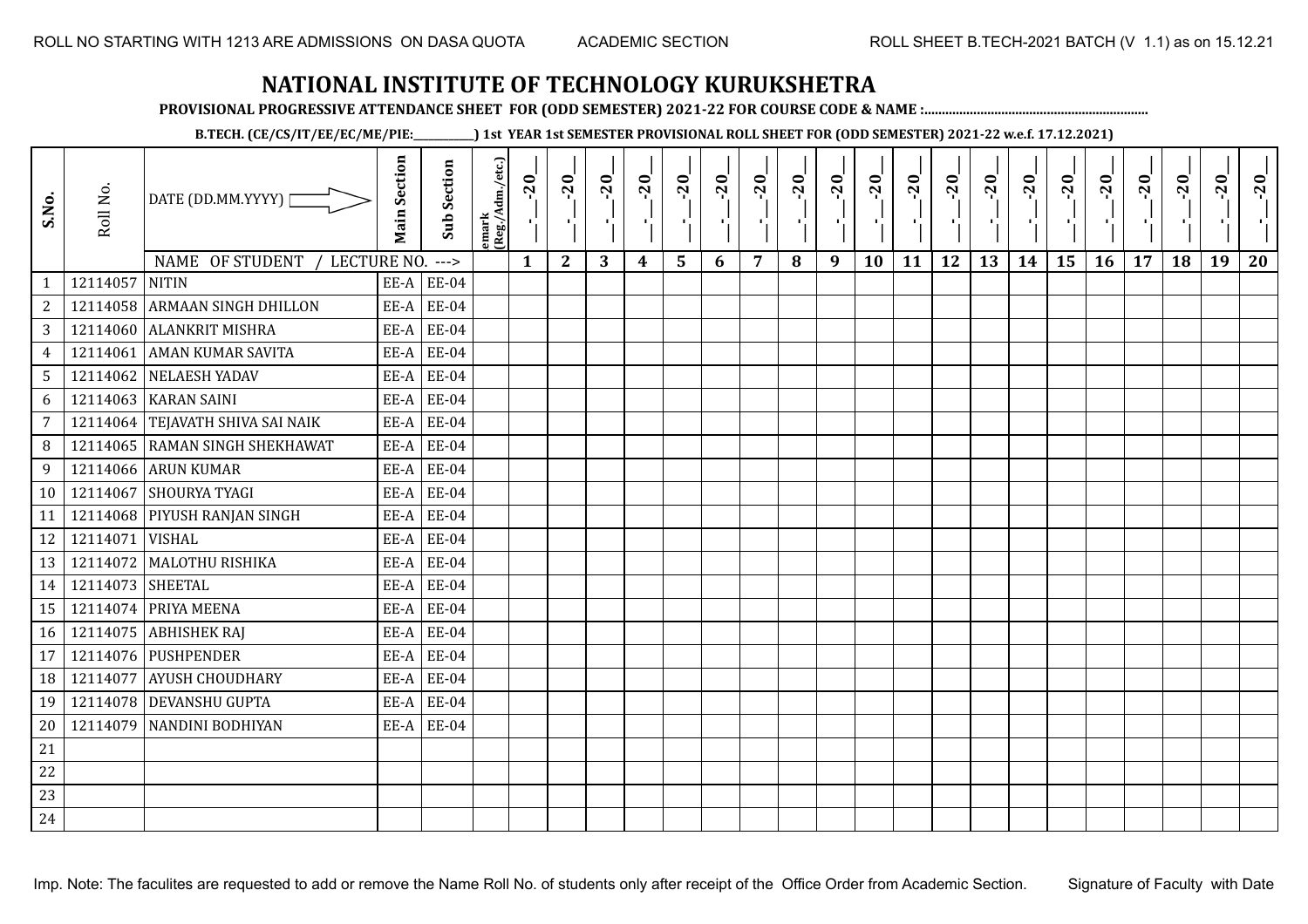**PROVISIONAL PROGRESSIVE ATTENDANCE SHEET FOR (ODD SEMESTER) 2021-22 FOR COURSE CODE & NAME :................................................................**

**B.TECH. (CE/CS/IT/EE/EC/ME/PIE:\_\_\_\_\_\_\_\_\_\_\_\_) 1st YEAR 1st SEMESTER PROVISIONAL ROLL SHEET FOR (ODD SEMESTER) 2021-22 w.e.f. 17.12.2021)**

| S.No.           | Roll No.         | DATE (DD.MM.YYYY)<br>NAME OF STUDENT<br>LECTURE NO. | <b>Main Section</b> | <b>Sub Section</b><br>$---$ | emark<br> (Reg./Adm./etc.) | $-20$<br>$\mathbf{1}$ | $-20$<br>π÷<br>$\mathbf{2}$ | $-20$<br>л÷.<br>3 | $-20$<br>π÷<br>4 | $-20$<br>- 1<br>5 | $-20$<br>$\blacksquare$<br>6 | $-20$<br>$\overline{7}$ | $-20$<br>8 | $-20$<br>пļ<br>9 | $-20$<br>л,<br>10 | $-20$<br>шj<br>11 | $-20$<br>π÷<br>12 | $-20$<br>로<br>13 | $-20$<br>$\blacksquare$<br>14 | $-20$<br>۱,<br>15 | $-20$<br>-96<br>16 | $-20$<br>17 | $-20$<br>18 | $-20$<br>×.<br>19 | $-20$<br>20 |
|-----------------|------------------|-----------------------------------------------------|---------------------|-----------------------------|----------------------------|-----------------------|-----------------------------|-------------------|------------------|-------------------|------------------------------|-------------------------|------------|------------------|-------------------|-------------------|-------------------|------------------|-------------------------------|-------------------|--------------------|-------------|-------------|-------------------|-------------|
| $\mathbf{1}$    | 12114057         | <b>NITIN</b>                                        | EE-A                | <b>EE-04</b>                |                            |                       |                             |                   |                  |                   |                              |                         |            |                  |                   |                   |                   |                  |                               |                   |                    |             |             |                   |             |
| $\overline{c}$  |                  | 12114058 ARMAAN SINGH DHILLON                       | EE-A                | <b>EE-04</b>                |                            |                       |                             |                   |                  |                   |                              |                         |            |                  |                   |                   |                   |                  |                               |                   |                    |             |             |                   |             |
| 3               |                  | 12114060 ALANKRIT MISHRA                            | EE-A                | <b>EE-04</b>                |                            |                       |                             |                   |                  |                   |                              |                         |            |                  |                   |                   |                   |                  |                               |                   |                    |             |             |                   |             |
| $\overline{4}$  | 12114061         | <b>AMAN KUMAR SAVITA</b>                            | EE-A                | <b>EE-04</b>                |                            |                       |                             |                   |                  |                   |                              |                         |            |                  |                   |                   |                   |                  |                               |                   |                    |             |             |                   |             |
| $5\phantom{.0}$ |                  | 12114062 NELAESH YADAV                              | EE-A                | <b>EE-04</b>                |                            |                       |                             |                   |                  |                   |                              |                         |            |                  |                   |                   |                   |                  |                               |                   |                    |             |             |                   |             |
| 6               | 12114063         | <b>KARAN SAINI</b>                                  | EE-A                | <b>EE-04</b>                |                            |                       |                             |                   |                  |                   |                              |                         |            |                  |                   |                   |                   |                  |                               |                   |                    |             |             |                   |             |
| 7               |                  | 12114064 TEJAVATH SHIVA SAI NAIK                    | EE-A                | <b>EE-04</b>                |                            |                       |                             |                   |                  |                   |                              |                         |            |                  |                   |                   |                   |                  |                               |                   |                    |             |             |                   |             |
| 8               |                  | 12114065 RAMAN SINGH SHEKHAWAT                      | EE-A                | <b>EE-04</b>                |                            |                       |                             |                   |                  |                   |                              |                         |            |                  |                   |                   |                   |                  |                               |                   |                    |             |             |                   |             |
| 9               |                  | 12114066 ARUN KUMAR                                 | EE-A                | <b>EE-04</b>                |                            |                       |                             |                   |                  |                   |                              |                         |            |                  |                   |                   |                   |                  |                               |                   |                    |             |             |                   |             |
| 10              | 12114067         | <b>SHOURYA TYAGI</b>                                | EE-A                | <b>EE-04</b>                |                            |                       |                             |                   |                  |                   |                              |                         |            |                  |                   |                   |                   |                  |                               |                   |                    |             |             |                   |             |
| 11              |                  | 12114068 PIYUSH RANJAN SINGH                        | EE-A                | <b>EE-04</b>                |                            |                       |                             |                   |                  |                   |                              |                         |            |                  |                   |                   |                   |                  |                               |                   |                    |             |             |                   |             |
| 12              | 12114071 VISHAL  |                                                     | EE-A                | <b>EE-04</b>                |                            |                       |                             |                   |                  |                   |                              |                         |            |                  |                   |                   |                   |                  |                               |                   |                    |             |             |                   |             |
| 13              |                  | 12114072 MALOTHU RISHIKA                            | EE-A                | <b>EE-04</b>                |                            |                       |                             |                   |                  |                   |                              |                         |            |                  |                   |                   |                   |                  |                               |                   |                    |             |             |                   |             |
| 14              | 12114073 SHEETAL |                                                     | EE-A                | <b>EE-04</b>                |                            |                       |                             |                   |                  |                   |                              |                         |            |                  |                   |                   |                   |                  |                               |                   |                    |             |             |                   |             |
| 15              | 12114074         | <b>PRIYA MEENA</b>                                  | EE-A                | <b>EE-04</b>                |                            |                       |                             |                   |                  |                   |                              |                         |            |                  |                   |                   |                   |                  |                               |                   |                    |             |             |                   |             |
| 16              |                  | 12114075 ABHISHEK RAJ                               | EE-A                | <b>EE-04</b>                |                            |                       |                             |                   |                  |                   |                              |                         |            |                  |                   |                   |                   |                  |                               |                   |                    |             |             |                   |             |
| 17              |                  | 12114076 PUSHPENDER                                 | EE-A                | EE-04                       |                            |                       |                             |                   |                  |                   |                              |                         |            |                  |                   |                   |                   |                  |                               |                   |                    |             |             |                   |             |
| 18              | 12114077         | <b>AYUSH CHOUDHARY</b>                              | EE-A                | <b>EE-04</b>                |                            |                       |                             |                   |                  |                   |                              |                         |            |                  |                   |                   |                   |                  |                               |                   |                    |             |             |                   |             |
| 19              |                  | 12114078 DEVANSHU GUPTA                             | EE-A                | <b>EE-04</b>                |                            |                       |                             |                   |                  |                   |                              |                         |            |                  |                   |                   |                   |                  |                               |                   |                    |             |             |                   |             |
| 20              |                  | 12114079 NANDINI BODHIYAN                           |                     | $EE-A$ $EE-04$              |                            |                       |                             |                   |                  |                   |                              |                         |            |                  |                   |                   |                   |                  |                               |                   |                    |             |             |                   |             |
| 21              |                  |                                                     |                     |                             |                            |                       |                             |                   |                  |                   |                              |                         |            |                  |                   |                   |                   |                  |                               |                   |                    |             |             |                   |             |
| 22              |                  |                                                     |                     |                             |                            |                       |                             |                   |                  |                   |                              |                         |            |                  |                   |                   |                   |                  |                               |                   |                    |             |             |                   |             |
| 23              |                  |                                                     |                     |                             |                            |                       |                             |                   |                  |                   |                              |                         |            |                  |                   |                   |                   |                  |                               |                   |                    |             |             |                   |             |
| 24              |                  |                                                     |                     |                             |                            |                       |                             |                   |                  |                   |                              |                         |            |                  |                   |                   |                   |                  |                               |                   |                    |             |             |                   |             |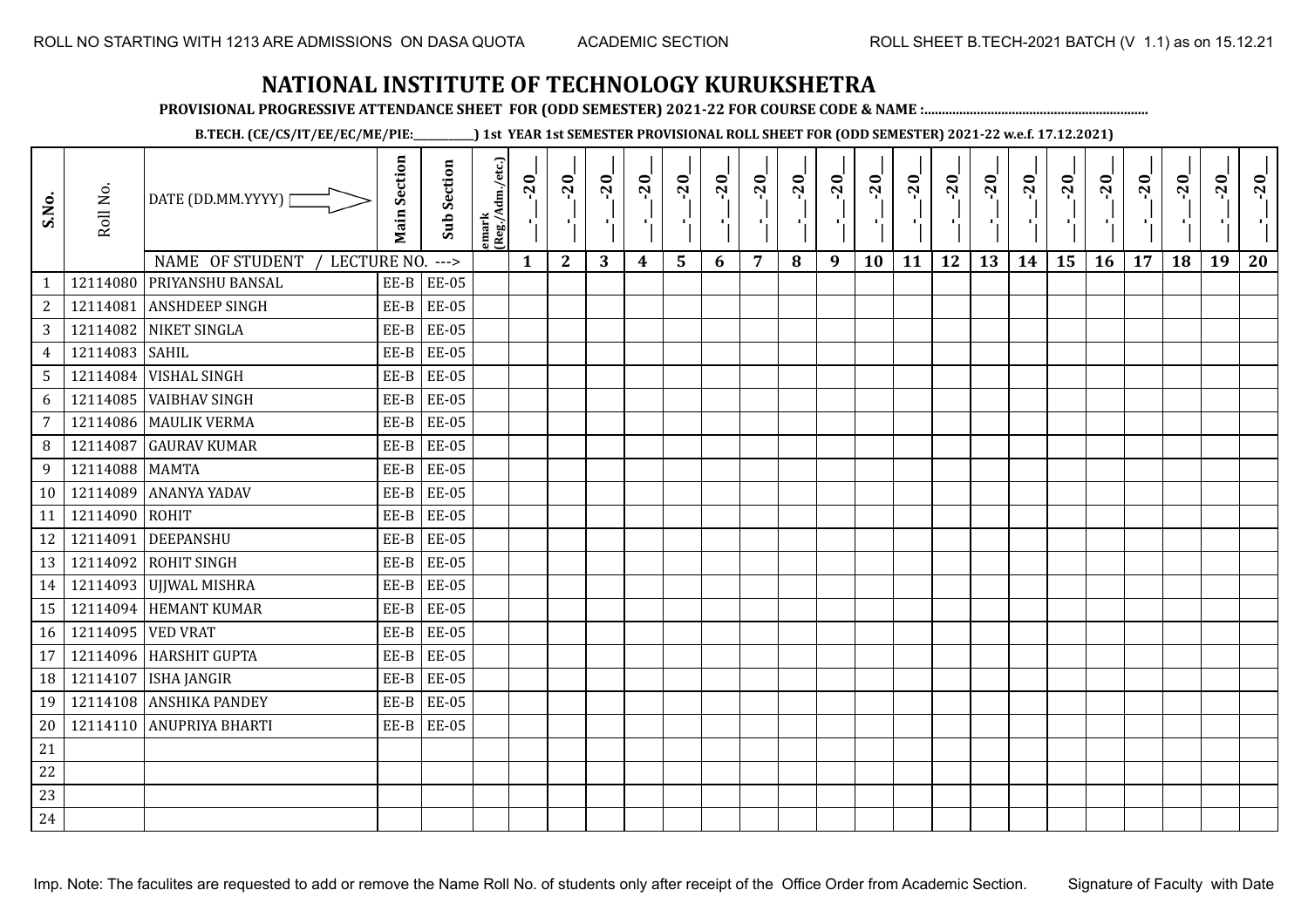**PROVISIONAL PROGRESSIVE ATTENDANCE SHEET FOR (ODD SEMESTER) 2021-22 FOR COURSE CODE & NAME :................................................................**

**B.TECH. (CE/CS/IT/EE/EC/ME/PIE:\_\_\_\_\_\_\_\_\_\_\_\_) 1st YEAR 1st SEMESTER PROVISIONAL ROLL SHEET FOR (ODD SEMESTER) 2021-22 w.e.f. 17.12.2021)**

| S.No.           | Roll No.          | DATE (DD.MM.YYYY)                                           | <b>Main Section</b> | <b>Sub Section</b>    | emark<br> (Reg./Adm./etc.) | $-20$        | $-20$<br>π÷  | $-20$<br>л÷. | $-20$<br>π÷ | $-20$<br>- 1 | $-20$<br>×, | $-20$          | $-20$ | $-20$<br>π÷ | $-20$<br>л, | $-20$<br>шj | $-20$<br>шĵ | $-20$<br>Æ, | $-20$<br>$\blacksquare$ | $-20$<br>۱, | $-20$<br>-96 | $-20$ | $-20$ | $-20$<br>×. | $-20$ |
|-----------------|-------------------|-------------------------------------------------------------|---------------------|-----------------------|----------------------------|--------------|--------------|--------------|-------------|--------------|-------------|----------------|-------|-------------|-------------|-------------|-------------|-------------|-------------------------|-------------|--------------|-------|-------|-------------|-------|
| $\mathbf{1}$    |                   | NAME OF STUDENT<br>LECTURE NO.<br>12114080 PRIYANSHU BANSAL | $EE-B$              | $---$<br><b>EE-05</b> |                            | $\mathbf{1}$ | $\mathbf{2}$ | 3            | 4           | 5            | 6           | $\overline{7}$ | 8     | 9           | 10          | 11          | 12          | 13          | 14                      | 15          | 16           | 17    | 18    | 19          | 20    |
| $\overline{c}$  | 12114081          | <b>ANSHDEEP SINGH</b>                                       | EE-B                | <b>EE-05</b>          |                            |              |              |              |             |              |             |                |       |             |             |             |             |             |                         |             |              |       |       |             |       |
| 3               |                   | 12114082 NIKET SINGLA                                       | EE-B                | <b>EE-05</b>          |                            |              |              |              |             |              |             |                |       |             |             |             |             |             |                         |             |              |       |       |             |       |
| $\overline{4}$  | 12114083 SAHIL    |                                                             | $EE-B$              | <b>EE-05</b>          |                            |              |              |              |             |              |             |                |       |             |             |             |             |             |                         |             |              |       |       |             |       |
| $5\overline{)}$ |                   | 12114084 VISHAL SINGH                                       | $EE-B$              | <b>EE-05</b>          |                            |              |              |              |             |              |             |                |       |             |             |             |             |             |                         |             |              |       |       |             |       |
| 6               | 12114085          | <b>VAIBHAV SINGH</b>                                        | EE-B                | <b>EE-05</b>          |                            |              |              |              |             |              |             |                |       |             |             |             |             |             |                         |             |              |       |       |             |       |
| 7               |                   | 12114086 MAULIK VERMA                                       | $EE-B$              | <b>EE-05</b>          |                            |              |              |              |             |              |             |                |       |             |             |             |             |             |                         |             |              |       |       |             |       |
| 8               | 12114087          | <b>GAURAV KUMAR</b>                                         | $EE-B$              | <b>EE-05</b>          |                            |              |              |              |             |              |             |                |       |             |             |             |             |             |                         |             |              |       |       |             |       |
| 9               | 12114088 MAMTA    |                                                             | EE-B                | <b>EE-05</b>          |                            |              |              |              |             |              |             |                |       |             |             |             |             |             |                         |             |              |       |       |             |       |
| 10              | 12114089          | <b>ANANYA YADAV</b>                                         | EE-B                | <b>EE-05</b>          |                            |              |              |              |             |              |             |                |       |             |             |             |             |             |                         |             |              |       |       |             |       |
| 11              | 12114090 ROHIT    |                                                             | EE-B                | <b>EE-05</b>          |                            |              |              |              |             |              |             |                |       |             |             |             |             |             |                         |             |              |       |       |             |       |
| 12              | 12114091          | DEEPANSHU                                                   | EE-B                | <b>EE-05</b>          |                            |              |              |              |             |              |             |                |       |             |             |             |             |             |                         |             |              |       |       |             |       |
| 13              |                   | 12114092 ROHIT SINGH                                        | $EE-B$              | <b>EE-05</b>          |                            |              |              |              |             |              |             |                |       |             |             |             |             |             |                         |             |              |       |       |             |       |
| 14              |                   | 12114093 UJJWAL MISHRA                                      | EE-B                | <b>EE-05</b>          |                            |              |              |              |             |              |             |                |       |             |             |             |             |             |                         |             |              |       |       |             |       |
| 15              |                   | 12114094 HEMANT KUMAR                                       | EE-B                | <b>EE-05</b>          |                            |              |              |              |             |              |             |                |       |             |             |             |             |             |                         |             |              |       |       |             |       |
| 16              | 12114095 VED VRAT |                                                             | $EE-B$              | <b>EE-05</b>          |                            |              |              |              |             |              |             |                |       |             |             |             |             |             |                         |             |              |       |       |             |       |
| 17              |                   | 12114096 HARSHIT GUPTA                                      | $EE-B$              | <b>EE-05</b>          |                            |              |              |              |             |              |             |                |       |             |             |             |             |             |                         |             |              |       |       |             |       |
| 18              | 12114107          | <b>ISHA JANGIR</b>                                          | $EE-B$              | <b>EE-05</b>          |                            |              |              |              |             |              |             |                |       |             |             |             |             |             |                         |             |              |       |       |             |       |
| 19              |                   | 12114108 ANSHIKA PANDEY                                     | EE-B                | <b>EE-05</b>          |                            |              |              |              |             |              |             |                |       |             |             |             |             |             |                         |             |              |       |       |             |       |
| 20              |                   | 12114110 ANUPRIYA BHARTI                                    | EE-B                | <b>EE-05</b>          |                            |              |              |              |             |              |             |                |       |             |             |             |             |             |                         |             |              |       |       |             |       |
| 21              |                   |                                                             |                     |                       |                            |              |              |              |             |              |             |                |       |             |             |             |             |             |                         |             |              |       |       |             |       |
| 22              |                   |                                                             |                     |                       |                            |              |              |              |             |              |             |                |       |             |             |             |             |             |                         |             |              |       |       |             |       |
| 23              |                   |                                                             |                     |                       |                            |              |              |              |             |              |             |                |       |             |             |             |             |             |                         |             |              |       |       |             |       |
| 24              |                   |                                                             |                     |                       |                            |              |              |              |             |              |             |                |       |             |             |             |             |             |                         |             |              |       |       |             |       |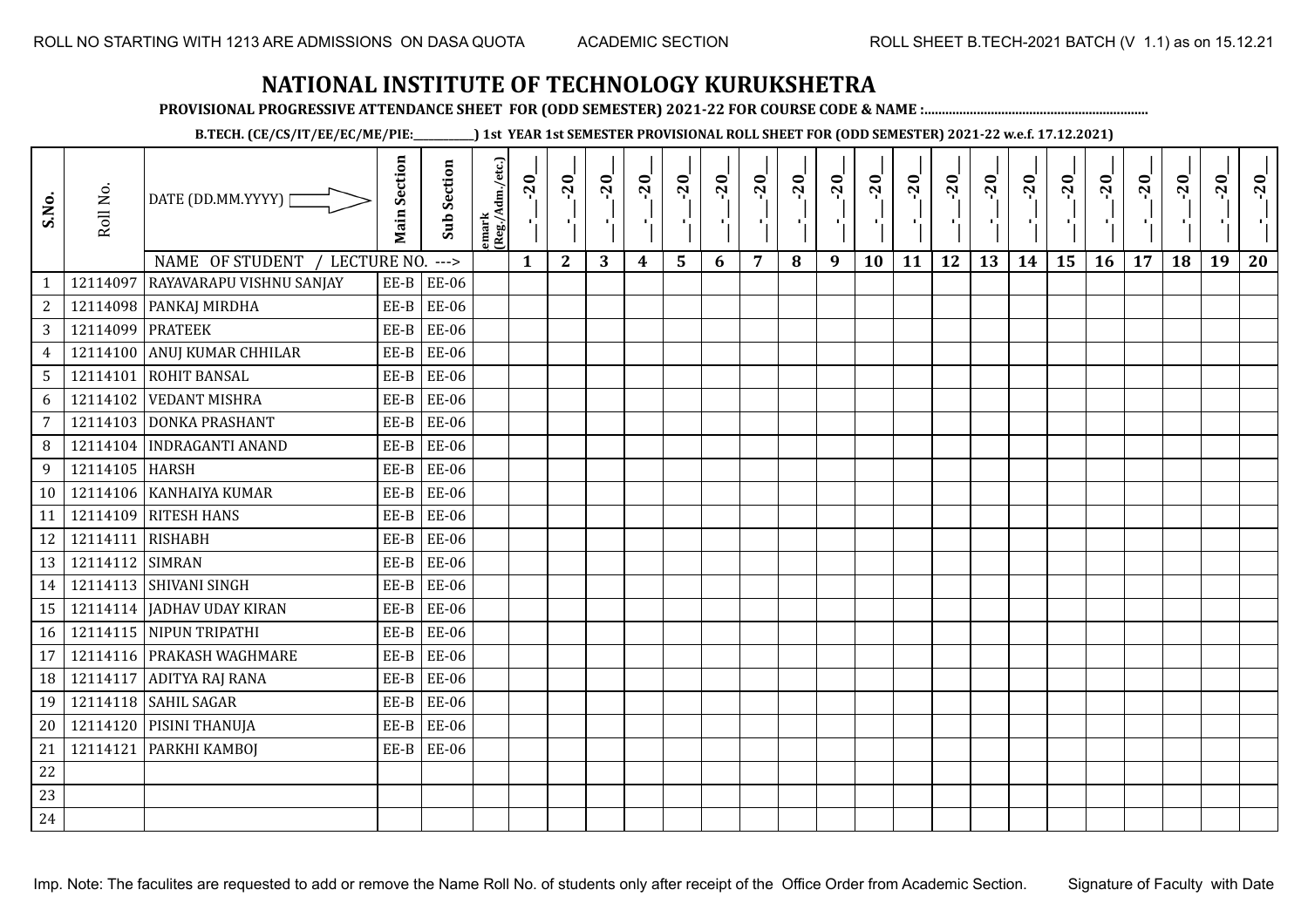**PROVISIONAL PROGRESSIVE ATTENDANCE SHEET FOR (ODD SEMESTER) 2021-22 FOR COURSE CODE & NAME :................................................................**

**B.TECH. (CE/CS/IT/EE/EC/ME/PIE:\_\_\_\_\_\_\_\_\_\_\_\_) 1st YEAR 1st SEMESTER PROVISIONAL ROLL SHEET FOR (ODD SEMESTER) 2021-22 w.e.f. 17.12.2021)**

| S.No.          | Roll No.         | DATE (DD.MM.YYYY)              | <b>Main Section</b> | <b>Sub Section</b> | emark<br>(Reg./Adm./etc.) | $-20$        | $-20$        | $-20$<br>л. | $-20$ | $-20$<br>л. | $-20$ | $-20$ | $-20$ | $-20$<br>π÷ | $-20$<br>л, | $-20$ | $-20$<br>пJ. | $-20$ | $-20$ | $-20$ | $-20$ | $-20$ | $-20$ | $-20$<br>ч. | $-20$ |
|----------------|------------------|--------------------------------|---------------------|--------------------|---------------------------|--------------|--------------|-------------|-------|-------------|-------|-------|-------|-------------|-------------|-------|--------------|-------|-------|-------|-------|-------|-------|-------------|-------|
|                | 12114097         | NAME OF STUDENT<br>LECTURE NO. |                     | $--->$             |                           | $\mathbf{1}$ | $\mathbf{2}$ | 3           | 4     | 5           | 6     | 7     | 8     | 9           | 10          | 11    | 12           | 13    | 14    | 15    | 16    | 17    | 18    | 19          | 20    |
| $\mathbf{1}$   |                  | RAYAVARAPU VISHNU SANJAY       | $EE-B$              | <b>EE-06</b>       |                           |              |              |             |       |             |       |       |       |             |             |       |              |       |       |       |       |       |       |             |       |
| $\overline{c}$ |                  | 12114098 PANKAJ MIRDHA         | $EE-B$              | EE-06              |                           |              |              |             |       |             |       |       |       |             |             |       |              |       |       |       |       |       |       |             |       |
| 3              | 12114099 PRATEEK |                                | EE-B                | <b>EE-06</b>       |                           |              |              |             |       |             |       |       |       |             |             |       |              |       |       |       |       |       |       |             |       |
| $\overline{4}$ | 12114100         | ANUJ KUMAR CHHILAR             | EE-B                | <b>EE-06</b>       |                           |              |              |             |       |             |       |       |       |             |             |       |              |       |       |       |       |       |       |             |       |
| 5              |                  | 12114101 ROHIT BANSAL          | $EE-B$              | <b>EE-06</b>       |                           |              |              |             |       |             |       |       |       |             |             |       |              |       |       |       |       |       |       |             |       |
| 6              | 12114102         | <b>VEDANT MISHRA</b>           | $EE-B$              | <b>EE-06</b>       |                           |              |              |             |       |             |       |       |       |             |             |       |              |       |       |       |       |       |       |             |       |
| 7              |                  | 12114103 DONKA PRASHANT        | $EE-B$              | <b>EE-06</b>       |                           |              |              |             |       |             |       |       |       |             |             |       |              |       |       |       |       |       |       |             |       |
| 8              |                  | 12114104 INDRAGANTI ANAND      | $EE-B$              | <b>EE-06</b>       |                           |              |              |             |       |             |       |       |       |             |             |       |              |       |       |       |       |       |       |             |       |
| 9              | 12114105 HARSH   |                                | EE-B                | <b>EE-06</b>       |                           |              |              |             |       |             |       |       |       |             |             |       |              |       |       |       |       |       |       |             |       |
| 10             |                  | 12114106 KANHAIYA KUMAR        | EE-B                | <b>EE-06</b>       |                           |              |              |             |       |             |       |       |       |             |             |       |              |       |       |       |       |       |       |             |       |
| 11             | 12114109         | <b>RITESH HANS</b>             | $EE-B$              | <b>EE-06</b>       |                           |              |              |             |       |             |       |       |       |             |             |       |              |       |       |       |       |       |       |             |       |
| 12             | 12114111 RISHABH |                                | EE-B                | <b>EE-06</b>       |                           |              |              |             |       |             |       |       |       |             |             |       |              |       |       |       |       |       |       |             |       |
| 13             | 12114112 SIMRAN  |                                | EE-B                | <b>EE-06</b>       |                           |              |              |             |       |             |       |       |       |             |             |       |              |       |       |       |       |       |       |             |       |
| 14             |                  | 12114113 SHIVANI SINGH         | EE-B                | <b>EE-06</b>       |                           |              |              |             |       |             |       |       |       |             |             |       |              |       |       |       |       |       |       |             |       |
| 15             |                  | 12114114 JADHAV UDAY KIRAN     | $EE-B$              | <b>EE-06</b>       |                           |              |              |             |       |             |       |       |       |             |             |       |              |       |       |       |       |       |       |             |       |
| 16             |                  | 12114115 NIPUN TRIPATHI        | $EE-B$              | <b>EE-06</b>       |                           |              |              |             |       |             |       |       |       |             |             |       |              |       |       |       |       |       |       |             |       |
| 17             |                  | 12114116 PRAKASH WAGHMARE      | $EE-B$              | <b>EE-06</b>       |                           |              |              |             |       |             |       |       |       |             |             |       |              |       |       |       |       |       |       |             |       |
| 18             | 12114117         | <b>ADITYA RAJ RANA</b>         | EE-B                | <b>EE-06</b>       |                           |              |              |             |       |             |       |       |       |             |             |       |              |       |       |       |       |       |       |             |       |
| 19             |                  | 12114118 SAHIL SAGAR           | $EE-B$              | <b>EE-06</b>       |                           |              |              |             |       |             |       |       |       |             |             |       |              |       |       |       |       |       |       |             |       |
| 20             |                  | 12114120 PISINI THANUJA        | $EE-B$              | EE-06              |                           |              |              |             |       |             |       |       |       |             |             |       |              |       |       |       |       |       |       |             |       |
| 21             | 12114121         | <b>PARKHI KAMBOJ</b>           | EE-B                | <b>EE-06</b>       |                           |              |              |             |       |             |       |       |       |             |             |       |              |       |       |       |       |       |       |             |       |
| 22             |                  |                                |                     |                    |                           |              |              |             |       |             |       |       |       |             |             |       |              |       |       |       |       |       |       |             |       |
| 23             |                  |                                |                     |                    |                           |              |              |             |       |             |       |       |       |             |             |       |              |       |       |       |       |       |       |             |       |
| 24             |                  |                                |                     |                    |                           |              |              |             |       |             |       |       |       |             |             |       |              |       |       |       |       |       |       |             |       |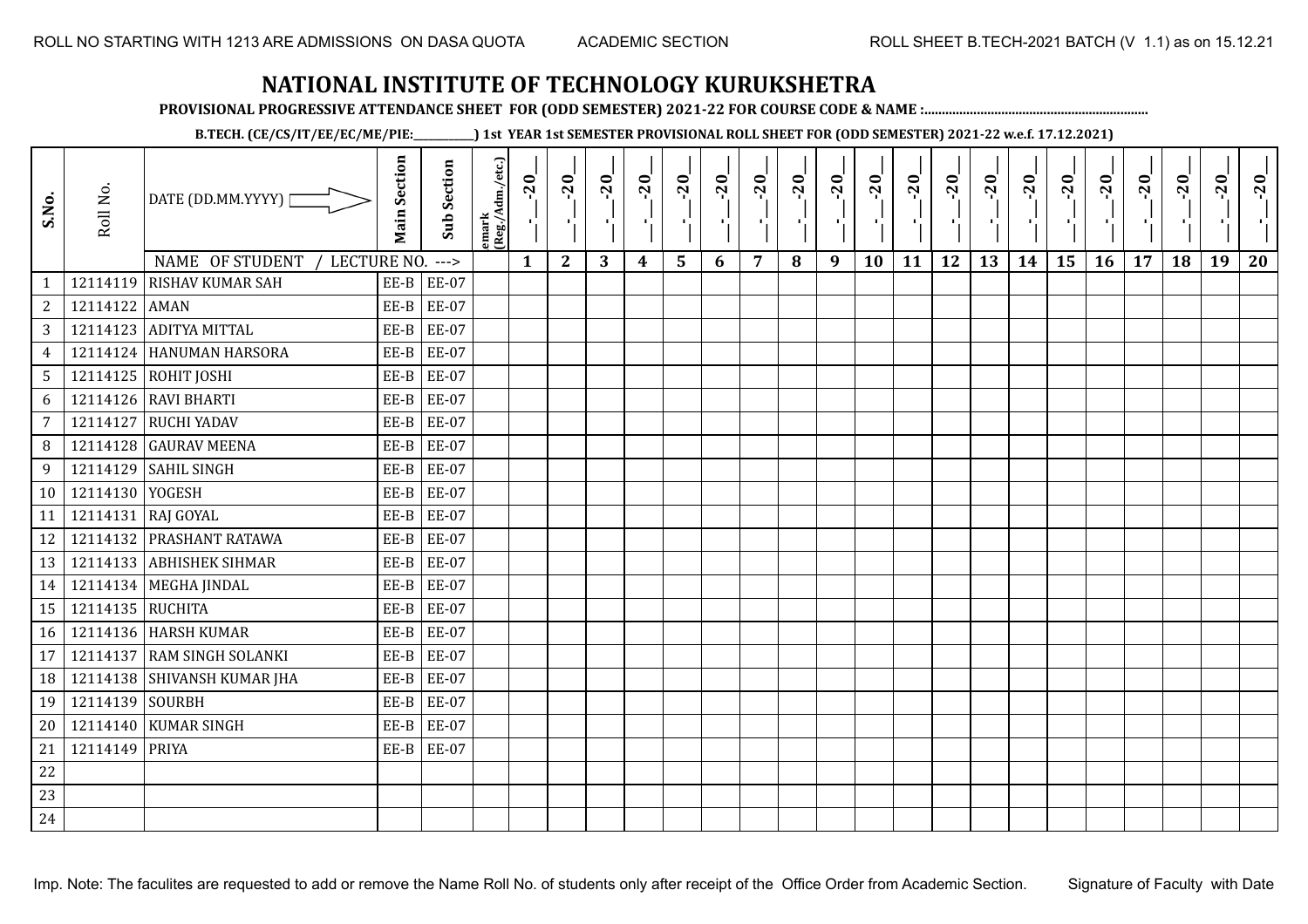**PROVISIONAL PROGRESSIVE ATTENDANCE SHEET FOR (ODD SEMESTER) 2021-22 FOR COURSE CODE & NAME :................................................................**

**B.TECH. (CE/CS/IT/EE/EC/ME/PIE:\_\_\_\_\_\_\_\_\_\_\_\_) 1st YEAR 1st SEMESTER PROVISIONAL ROLL SHEET FOR (ODD SEMESTER) 2021-22 w.e.f. 17.12.2021)**

| S.No.           | Roll No.        | DATE (DD.MM.YYYY)  <br>NAME OF STUDENT<br>LECTURE NO. ---> | <b>Main Section</b> | <b>Sub Section</b> | emark<br> (Reg./Adm./etc.) | $-20$<br>Ч.<br>$\mathbf{1}$ | $-20$<br>π÷<br>$\mathbf{2}$ | $-20$<br>3 | $-20$<br>4 | $-20$<br>$\blacksquare$<br>$5\phantom{1}$ | $-20$<br>×.<br>6 | $-20$<br>7 | $-20$<br>п÷<br>8 | $-20$<br>шĵ<br>9 | $-20$<br>л.<br>10 | $-20$<br>11 | $-20$<br>τj<br>12 | $-20$<br>- 10<br>13 | $-20$<br>τj<br>14 | $-20$<br>÷,<br>15 | $-20$<br>π÷<br>16 | $-20$<br>- 1<br>17 | $-20$<br>18 | $-20$<br>19 | $-20$<br>20 |
|-----------------|-----------------|------------------------------------------------------------|---------------------|--------------------|----------------------------|-----------------------------|-----------------------------|------------|------------|-------------------------------------------|------------------|------------|------------------|------------------|-------------------|-------------|-------------------|---------------------|-------------------|-------------------|-------------------|--------------------|-------------|-------------|-------------|
| $\mathbf{1}$    | 12114119        | <b>RISHAV KUMAR SAH</b>                                    | EE-B                | <b>EE-07</b>       |                            |                             |                             |            |            |                                           |                  |            |                  |                  |                   |             |                   |                     |                   |                   |                   |                    |             |             |             |
| $\mathbf{2}$    | 12114122 AMAN   |                                                            | $EE-B$              | <b>EE-07</b>       |                            |                             |                             |            |            |                                           |                  |            |                  |                  |                   |             |                   |                     |                   |                   |                   |                    |             |             |             |
| 3               |                 | 12114123 ADITYA MITTAL                                     | EE-B                | <b>EE-07</b>       |                            |                             |                             |            |            |                                           |                  |            |                  |                  |                   |             |                   |                     |                   |                   |                   |                    |             |             |             |
| $\overline{4}$  | 12114124        | <b>HANUMAN HARSORA</b>                                     | $EE-B$              | <b>EE-07</b>       |                            |                             |                             |            |            |                                           |                  |            |                  |                  |                   |             |                   |                     |                   |                   |                   |                    |             |             |             |
| $5\overline{)}$ |                 | 12114125 ROHIT JOSHI                                       | $EE-B$              | <b>EE-07</b>       |                            |                             |                             |            |            |                                           |                  |            |                  |                  |                   |             |                   |                     |                   |                   |                   |                    |             |             |             |
| 6               |                 | 12114126 RAVI BHARTI                                       | EE-B                | <b>EE-07</b>       |                            |                             |                             |            |            |                                           |                  |            |                  |                  |                   |             |                   |                     |                   |                   |                   |                    |             |             |             |
| 7               | 12114127        | <b>RUCHI YADAV</b>                                         | $EE-B$              | <b>EE-07</b>       |                            |                             |                             |            |            |                                           |                  |            |                  |                  |                   |             |                   |                     |                   |                   |                   |                    |             |             |             |
| 8               |                 | 12114128 GAURAV MEENA                                      | $EE-B$              | <b>EE-07</b>       |                            |                             |                             |            |            |                                           |                  |            |                  |                  |                   |             |                   |                     |                   |                   |                   |                    |             |             |             |
| 9               | 12114129        | <b>SAHIL SINGH</b>                                         | EE-B                | <b>EE-07</b>       |                            |                             |                             |            |            |                                           |                  |            |                  |                  |                   |             |                   |                     |                   |                   |                   |                    |             |             |             |
| 10              | 12114130 YOGESH |                                                            | EE-B                | <b>EE-07</b>       |                            |                             |                             |            |            |                                           |                  |            |                  |                  |                   |             |                   |                     |                   |                   |                   |                    |             |             |             |
| 11              | 12114131        | RAJ GOYAL                                                  | EE-B                | <b>EE-07</b>       |                            |                             |                             |            |            |                                           |                  |            |                  |                  |                   |             |                   |                     |                   |                   |                   |                    |             |             |             |
| 12              |                 | 12114132 PRASHANT RATAWA                                   | EE-B                | <b>EE-07</b>       |                            |                             |                             |            |            |                                           |                  |            |                  |                  |                   |             |                   |                     |                   |                   |                   |                    |             |             |             |
| 13              |                 | 12114133 ABHISHEK SIHMAR                                   | $EE-B$              | <b>EE-07</b>       |                            |                             |                             |            |            |                                           |                  |            |                  |                  |                   |             |                   |                     |                   |                   |                   |                    |             |             |             |
| 14              |                 | 12114134 MEGHA JINDAL                                      | EE-B                | <b>EE-07</b>       |                            |                             |                             |            |            |                                           |                  |            |                  |                  |                   |             |                   |                     |                   |                   |                   |                    |             |             |             |
| 15              | 12114135        | <b>RUCHITA</b>                                             | $EE-B$              | <b>EE-07</b>       |                            |                             |                             |            |            |                                           |                  |            |                  |                  |                   |             |                   |                     |                   |                   |                   |                    |             |             |             |
| 16              |                 | 12114136 HARSH KUMAR                                       | $EE-B$              | <b>EE-07</b>       |                            |                             |                             |            |            |                                           |                  |            |                  |                  |                   |             |                   |                     |                   |                   |                   |                    |             |             |             |
| 17              | 12114137        | <b>RAM SINGH SOLANKI</b>                                   | $EE-B$              | <b>EE-07</b>       |                            |                             |                             |            |            |                                           |                  |            |                  |                  |                   |             |                   |                     |                   |                   |                   |                    |             |             |             |
| 18              |                 | 12114138 SHIVANSH KUMAR JHA                                | $EE-B$              | <b>EE-07</b>       |                            |                             |                             |            |            |                                           |                  |            |                  |                  |                   |             |                   |                     |                   |                   |                   |                    |             |             |             |
| 19              | 12114139        | SOURBH                                                     | $EE-B$              | <b>EE-07</b>       |                            |                             |                             |            |            |                                           |                  |            |                  |                  |                   |             |                   |                     |                   |                   |                   |                    |             |             |             |
| 20              | 12114140        | <b>KUMAR SINGH</b>                                         | $EE-B$              | <b>EE-07</b>       |                            |                             |                             |            |            |                                           |                  |            |                  |                  |                   |             |                   |                     |                   |                   |                   |                    |             |             |             |
| 21              | 12114149        | <b>PRIYA</b>                                               | EE-B                | <b>EE-07</b>       |                            |                             |                             |            |            |                                           |                  |            |                  |                  |                   |             |                   |                     |                   |                   |                   |                    |             |             |             |
| 22              |                 |                                                            |                     |                    |                            |                             |                             |            |            |                                           |                  |            |                  |                  |                   |             |                   |                     |                   |                   |                   |                    |             |             |             |
| 23              |                 |                                                            |                     |                    |                            |                             |                             |            |            |                                           |                  |            |                  |                  |                   |             |                   |                     |                   |                   |                   |                    |             |             |             |
| 24              |                 |                                                            |                     |                    |                            |                             |                             |            |            |                                           |                  |            |                  |                  |                   |             |                   |                     |                   |                   |                   |                    |             |             |             |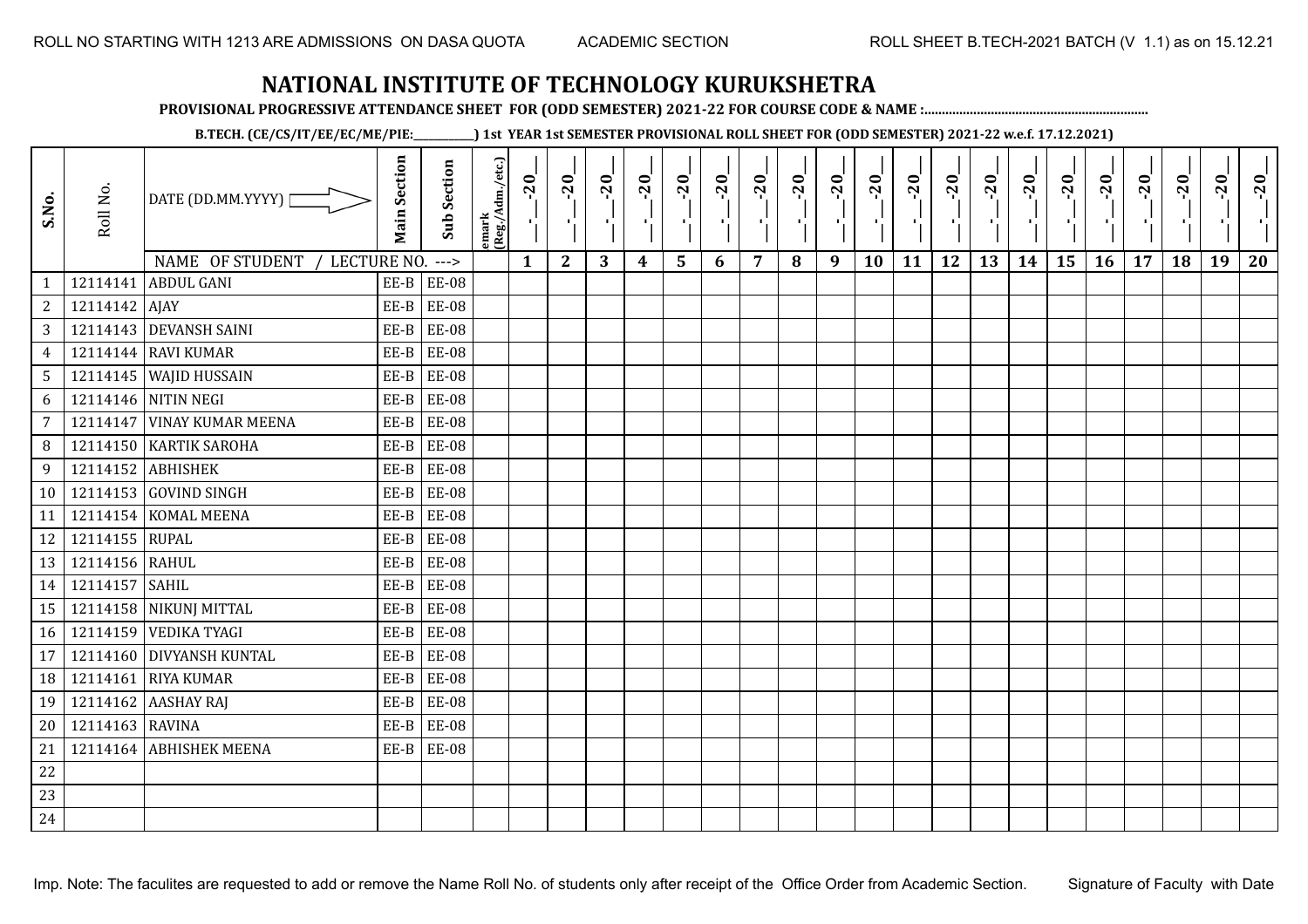**PROVISIONAL PROGRESSIVE ATTENDANCE SHEET FOR (ODD SEMESTER) 2021-22 FOR COURSE CODE & NAME :................................................................**

**B.TECH. (CE/CS/IT/EE/EC/ME/PIE:\_\_\_\_\_\_\_\_\_\_\_\_) 1st YEAR 1st SEMESTER PROVISIONAL ROLL SHEET FOR (ODD SEMESTER) 2021-22 w.e.f. 17.12.2021)**

| S.No.                        | Roll No.        | DATE (DD.MM.YYYY) [                                  | <b>Main Section</b> | <b>Sub Section</b>       | lemark<br>(Reg./Adm./etc.) | $-20$<br>4   | $-20$<br>- 10 | $-20$<br>로 | $-20$<br>$\blacksquare$ | $-20$<br>$\frac{1}{1}$ | $-20$<br>로 | $-20$<br>п÷ | $-20$<br>٠, | $-20$<br>$\mathcal{F}_{\mathbf{L}}$ | $-20$<br>×. | $-20$<br>ъĻ. | $-20$<br>тŀ | $-20$<br>л, | $-20$ | $-20$<br>шj | $-20$ | $-20$<br>$\mathbf{r}$ | $-20$<br>국 | $-20$ | $-20$ |
|------------------------------|-----------------|------------------------------------------------------|---------------------|--------------------------|----------------------------|--------------|---------------|------------|-------------------------|------------------------|------------|-------------|-------------|-------------------------------------|-------------|--------------|-------------|-------------|-------|-------------|-------|-----------------------|------------|-------|-------|
|                              |                 | NAME OF STUDENT / LECTURE NO.<br>12114141 ABDUL GANI |                     | $--->$<br>$EE-B$ $EE-08$ |                            | $\mathbf{1}$ | $\mathbf{2}$  | 3          | 4                       | 5                      | 6          | 7           | 8           | 9                                   | 10          | 11           | 12          | 13          | 14    | 15          | 16    | 17                    | 18         | 19    | 20    |
| $\mathbf{1}$<br>$\mathbf{2}$ | 12114142 AJAY   |                                                      | EE-B                | <b>EE-08</b>             |                            |              |               |            |                         |                        |            |             |             |                                     |             |              |             |             |       |             |       |                       |            |       |       |
| 3                            |                 | 12114143 DEVANSH SAINI                               | EE-B                | <b>EE-08</b>             |                            |              |               |            |                         |                        |            |             |             |                                     |             |              |             |             |       |             |       |                       |            |       |       |
| $\overline{4}$               |                 | 12114144 RAVI KUMAR                                  | EE-B                | <b>EE-08</b>             |                            |              |               |            |                         |                        |            |             |             |                                     |             |              |             |             |       |             |       |                       |            |       |       |
| 5                            |                 | 12114145 WAJID HUSSAIN                               | EE-B                | <b>EE-08</b>             |                            |              |               |            |                         |                        |            |             |             |                                     |             |              |             |             |       |             |       |                       |            |       |       |
| 6                            |                 | 12114146 NITIN NEGI                                  | EE-B                | <b>EE-08</b>             |                            |              |               |            |                         |                        |            |             |             |                                     |             |              |             |             |       |             |       |                       |            |       |       |
| $\overline{7}$               |                 | 12114147 VINAY KUMAR MEENA                           | EE-B                | <b>EE-08</b>             |                            |              |               |            |                         |                        |            |             |             |                                     |             |              |             |             |       |             |       |                       |            |       |       |
| 8                            |                 | 12114150 KARTIK SAROHA                               | EE-B                | <b>EE-08</b>             |                            |              |               |            |                         |                        |            |             |             |                                     |             |              |             |             |       |             |       |                       |            |       |       |
| 9                            |                 | 12114152 ABHISHEK                                    | EE-B                | <b>EE-08</b>             |                            |              |               |            |                         |                        |            |             |             |                                     |             |              |             |             |       |             |       |                       |            |       |       |
| 10 <sup>1</sup>              |                 | 12114153 GOVIND SINGH                                |                     | $EE-B$ $EE-08$           |                            |              |               |            |                         |                        |            |             |             |                                     |             |              |             |             |       |             |       |                       |            |       |       |
| 11                           |                 | 12114154 KOMAL MEENA                                 | EE-B                | <b>EE-08</b>             |                            |              |               |            |                         |                        |            |             |             |                                     |             |              |             |             |       |             |       |                       |            |       |       |
| 12                           | 12114155 RUPAL  |                                                      | EE-B                | <b>EE-08</b>             |                            |              |               |            |                         |                        |            |             |             |                                     |             |              |             |             |       |             |       |                       |            |       |       |
| 13                           | 12114156 RAHUL  |                                                      | EE-B                | <b>EE-08</b>             |                            |              |               |            |                         |                        |            |             |             |                                     |             |              |             |             |       |             |       |                       |            |       |       |
| 14                           | 12114157 SAHIL  |                                                      | EE-B                | <b>EE-08</b>             |                            |              |               |            |                         |                        |            |             |             |                                     |             |              |             |             |       |             |       |                       |            |       |       |
| 15                           |                 | 12114158 NIKUNJ MITTAL                               | EE-B                | <b>EE-08</b>             |                            |              |               |            |                         |                        |            |             |             |                                     |             |              |             |             |       |             |       |                       |            |       |       |
| 16                           |                 | 12114159 VEDIKA TYAGI                                | EE-B                | <b>EE-08</b>             |                            |              |               |            |                         |                        |            |             |             |                                     |             |              |             |             |       |             |       |                       |            |       |       |
| 17                           |                 | 12114160 DIVYANSH KUNTAL                             | EE-B                | <b>EE-08</b>             |                            |              |               |            |                         |                        |            |             |             |                                     |             |              |             |             |       |             |       |                       |            |       |       |
| 18                           |                 | 12114161 RIYA KUMAR                                  | EE-B                | <b>EE-08</b>             |                            |              |               |            |                         |                        |            |             |             |                                     |             |              |             |             |       |             |       |                       |            |       |       |
| 19                           |                 | 12114162 AASHAY RAJ                                  | EE-B                | <b>EE-08</b>             |                            |              |               |            |                         |                        |            |             |             |                                     |             |              |             |             |       |             |       |                       |            |       |       |
| 20                           | 12114163 RAVINA |                                                      | $EE-B$              | <b>EE-08</b>             |                            |              |               |            |                         |                        |            |             |             |                                     |             |              |             |             |       |             |       |                       |            |       |       |
| 21                           |                 | 12114164 ABHISHEK MEENA                              |                     | $EE-B$ $EE-08$           |                            |              |               |            |                         |                        |            |             |             |                                     |             |              |             |             |       |             |       |                       |            |       |       |
| 22                           |                 |                                                      |                     |                          |                            |              |               |            |                         |                        |            |             |             |                                     |             |              |             |             |       |             |       |                       |            |       |       |
| 23                           |                 |                                                      |                     |                          |                            |              |               |            |                         |                        |            |             |             |                                     |             |              |             |             |       |             |       |                       |            |       |       |
| 24                           |                 |                                                      |                     |                          |                            |              |               |            |                         |                        |            |             |             |                                     |             |              |             |             |       |             |       |                       |            |       |       |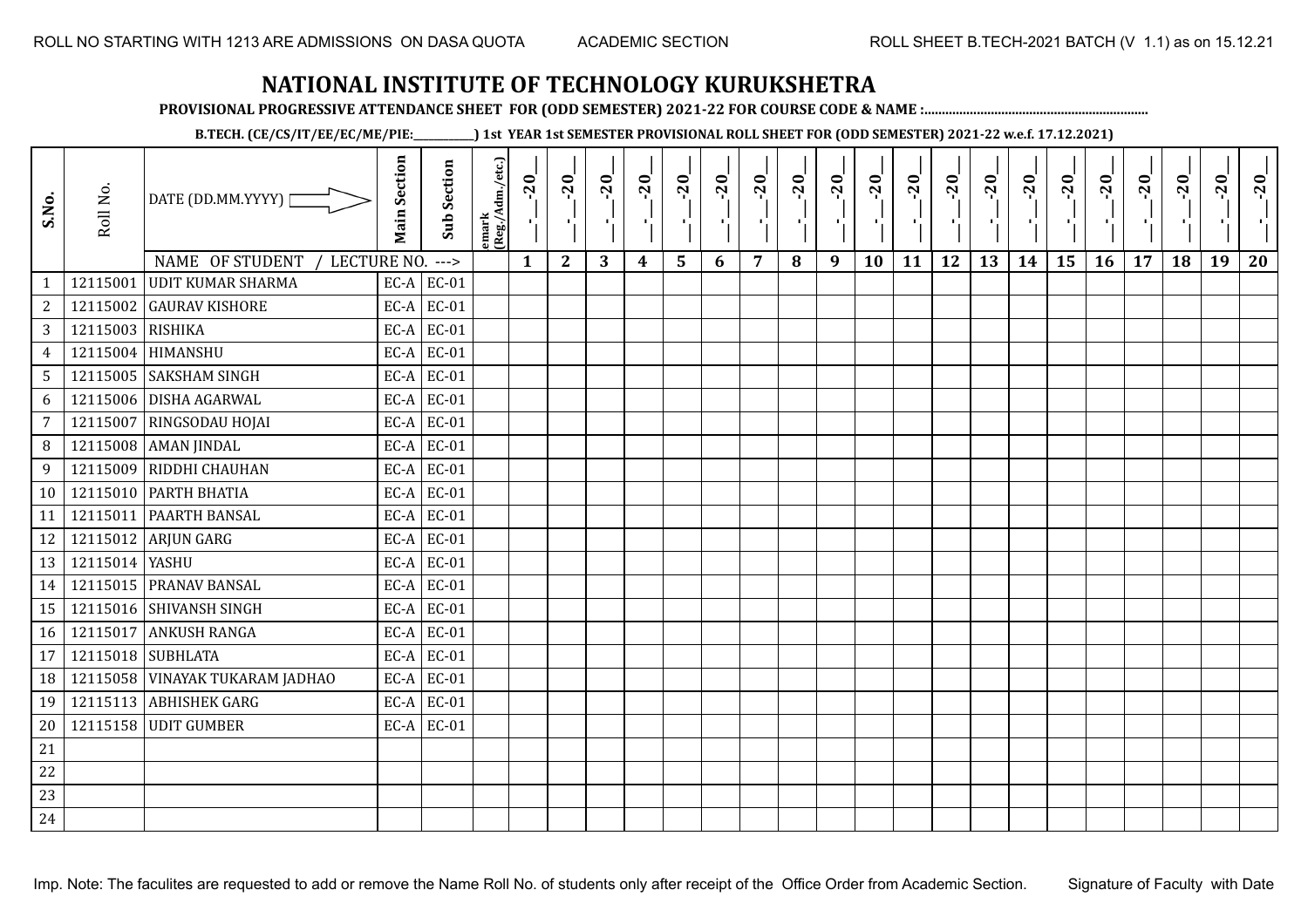**PROVISIONAL PROGRESSIVE ATTENDANCE SHEET FOR (ODD SEMESTER) 2021-22 FOR COURSE CODE & NAME :................................................................**

**B.TECH. (CE/CS/IT/EE/EC/ME/PIE:\_\_\_\_\_\_\_\_\_\_\_\_) 1st YEAR 1st SEMESTER PROVISIONAL ROLL SHEET FOR (ODD SEMESTER) 2021-22 w.e.f. 17.12.2021)**

| S.No.           | Roll No.         | DATE (DD.MM.YYYY)  <br>NAME OF STUDENT<br>LECTURE NO. ---> | <b>Main Section</b> | <b>Sub Section</b> | emark<br>(Reg./Adm./etc.) | $-20$<br>- C (<br>$\mathbf{1}$ | $-20$<br>л.<br>$\mathbf{2}$ | $-20$<br>$\mathbf{H}_{\mathrm{eff}}$<br>3 | $-20$<br>4 | $-20$<br>$\blacksquare$<br>5 | $-20$<br>×.<br>6 | $-20$<br>7 | $-20$<br>шĵ<br>8 | $-20$<br>шĵ<br>9 | $-20$<br>л.<br>10 | $-20$<br>11 | $-20$<br>$\mathbf{r}$<br>12 | $-20$<br>13 | $-20$<br>τj<br>14 | $-20$<br>٠,<br>15 | $-20$<br>π÷<br><b>16</b> | $-20$<br>- 1<br>17 | $-20$<br>18 | $-20$<br>19 | $-20$<br>20 |
|-----------------|------------------|------------------------------------------------------------|---------------------|--------------------|---------------------------|--------------------------------|-----------------------------|-------------------------------------------|------------|------------------------------|------------------|------------|------------------|------------------|-------------------|-------------|-----------------------------|-------------|-------------------|-------------------|--------------------------|--------------------|-------------|-------------|-------------|
| $\mathbf{1}$    | 12115001         | <b>UDIT KUMAR SHARMA</b>                                   |                     | $EC-A$ $EC-01$     |                           |                                |                             |                                           |            |                              |                  |            |                  |                  |                   |             |                             |             |                   |                   |                          |                    |             |             |             |
| $\overline{c}$  | 12115002         | <b>GAURAV KISHORE</b>                                      | EC-A                | EC-01              |                           |                                |                             |                                           |            |                              |                  |            |                  |                  |                   |             |                             |             |                   |                   |                          |                    |             |             |             |
| 3               | 12115003 RISHIKA |                                                            | $EC-A$              | EC-01              |                           |                                |                             |                                           |            |                              |                  |            |                  |                  |                   |             |                             |             |                   |                   |                          |                    |             |             |             |
| $\overline{4}$  | 12115004         | HIMANSHU                                                   | EC-A                | $EC-01$            |                           |                                |                             |                                           |            |                              |                  |            |                  |                  |                   |             |                             |             |                   |                   |                          |                    |             |             |             |
| $5\phantom{.0}$ |                  | 12115005 SAKSHAM SINGH                                     | EC-A                | EC-01              |                           |                                |                             |                                           |            |                              |                  |            |                  |                  |                   |             |                             |             |                   |                   |                          |                    |             |             |             |
| 6               | 12115006         | <b>DISHA AGARWAL</b>                                       | EC-A                | EC-01              |                           |                                |                             |                                           |            |                              |                  |            |                  |                  |                   |             |                             |             |                   |                   |                          |                    |             |             |             |
| 7               | 12115007         | RINGSODAU HOJAI                                            | EC-A                | EC-01              |                           |                                |                             |                                           |            |                              |                  |            |                  |                  |                   |             |                             |             |                   |                   |                          |                    |             |             |             |
| 8               | 12115008         | <b>AMAN JINDAL</b>                                         | EC-A                | EC-01              |                           |                                |                             |                                           |            |                              |                  |            |                  |                  |                   |             |                             |             |                   |                   |                          |                    |             |             |             |
| 9               | 12115009         | RIDDHI CHAUHAN                                             |                     | $EC-A$ EC-01       |                           |                                |                             |                                           |            |                              |                  |            |                  |                  |                   |             |                             |             |                   |                   |                          |                    |             |             |             |
| 10              |                  | 12115010 PARTH BHATIA                                      |                     | $EC-A$ EC-01       |                           |                                |                             |                                           |            |                              |                  |            |                  |                  |                   |             |                             |             |                   |                   |                          |                    |             |             |             |
| 11              | 12115011         | PAARTH BANSAL                                              | EC-A                | EC-01              |                           |                                |                             |                                           |            |                              |                  |            |                  |                  |                   |             |                             |             |                   |                   |                          |                    |             |             |             |
| 12              |                  | 12115012 ARJUN GARG                                        | EC-A                | EC-01              |                           |                                |                             |                                           |            |                              |                  |            |                  |                  |                   |             |                             |             |                   |                   |                          |                    |             |             |             |
| 13              | 12115014 YASHU   |                                                            | EC-A                | $EC-01$            |                           |                                |                             |                                           |            |                              |                  |            |                  |                  |                   |             |                             |             |                   |                   |                          |                    |             |             |             |
| 14              |                  | 12115015 PRANAV BANSAL                                     | $EC-A$              | EC-01              |                           |                                |                             |                                           |            |                              |                  |            |                  |                  |                   |             |                             |             |                   |                   |                          |                    |             |             |             |
| 15              |                  | 12115016 SHIVANSH SINGH                                    | EC-A                | EC-01              |                           |                                |                             |                                           |            |                              |                  |            |                  |                  |                   |             |                             |             |                   |                   |                          |                    |             |             |             |
| 16              | 12115017         | <b>ANKUSH RANGA</b>                                        | EC-A                | EC-01              |                           |                                |                             |                                           |            |                              |                  |            |                  |                  |                   |             |                             |             |                   |                   |                          |                    |             |             |             |
| 17              | 12115018         | <b>SUBHLATA</b>                                            | EC-A                | $EC-01$            |                           |                                |                             |                                           |            |                              |                  |            |                  |                  |                   |             |                             |             |                   |                   |                          |                    |             |             |             |
| 18              | 12115058         | VINAYAK TUKARAM JADHAO                                     |                     | $EC-A$ EC-01       |                           |                                |                             |                                           |            |                              |                  |            |                  |                  |                   |             |                             |             |                   |                   |                          |                    |             |             |             |
| 19              |                  | 12115113 ABHISHEK GARG                                     | EC-A                | EC-01              |                           |                                |                             |                                           |            |                              |                  |            |                  |                  |                   |             |                             |             |                   |                   |                          |                    |             |             |             |
| 20              |                  | 12115158 UDIT GUMBER                                       |                     | $EC-A$ EC-01       |                           |                                |                             |                                           |            |                              |                  |            |                  |                  |                   |             |                             |             |                   |                   |                          |                    |             |             |             |
| 21              |                  |                                                            |                     |                    |                           |                                |                             |                                           |            |                              |                  |            |                  |                  |                   |             |                             |             |                   |                   |                          |                    |             |             |             |
| 22              |                  |                                                            |                     |                    |                           |                                |                             |                                           |            |                              |                  |            |                  |                  |                   |             |                             |             |                   |                   |                          |                    |             |             |             |
| 23              |                  |                                                            |                     |                    |                           |                                |                             |                                           |            |                              |                  |            |                  |                  |                   |             |                             |             |                   |                   |                          |                    |             |             |             |
| 24              |                  |                                                            |                     |                    |                           |                                |                             |                                           |            |                              |                  |            |                  |                  |                   |             |                             |             |                   |                   |                          |                    |             |             |             |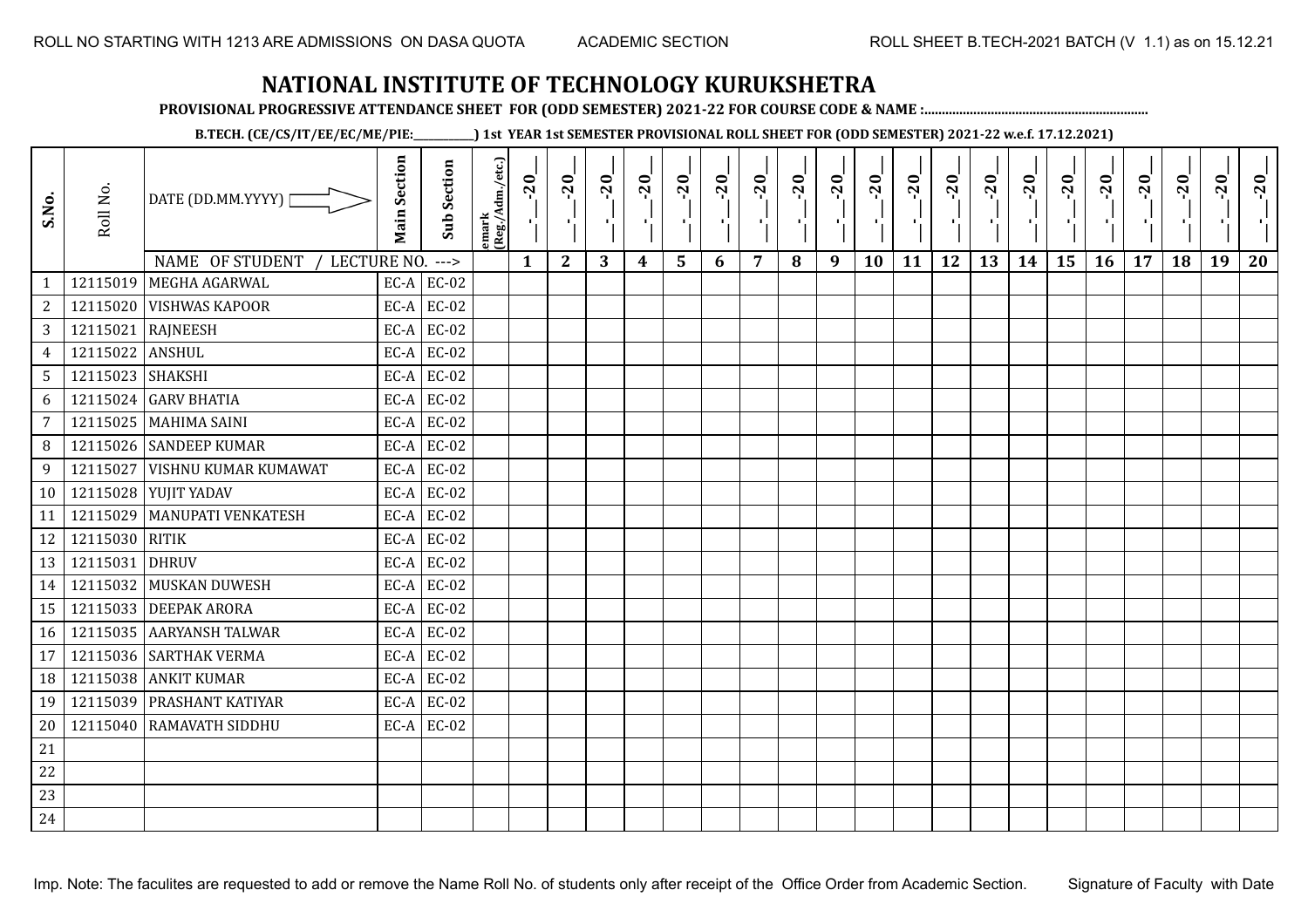**PROVISIONAL PROGRESSIVE ATTENDANCE SHEET FOR (ODD SEMESTER) 2021-22 FOR COURSE CODE & NAME :................................................................**

**B.TECH. (CE/CS/IT/EE/EC/ME/PIE:\_\_\_\_\_\_\_\_\_\_\_\_) 1st YEAR 1st SEMESTER PROVISIONAL ROLL SHEET FOR (ODD SEMESTER) 2021-22 w.e.f. 17.12.2021)**

| S.No.           | Roll No.         | DATE (DD.MM.YYYY) [              | <b>Main Section</b> | <b>Sub Section</b> | emark<br> (Reg./Adm./etc.) | $-20$ | $-20$<br>×.  | $-20$ | $-20$<br>п, | $-20$<br>٠, | $-20$<br>π÷ | $-20$<br>- 1 | $-20$ | $-20$<br>- 10 | $-20$<br>л, | $-20$ | $-20$<br>шĵ | $-20$<br>로 | $-20$<br>$\blacksquare$ | $-20$ | $-20$<br>$\mathcal{F}_{\mathbf{r}}$ . | $-20$ | $-20$ | $-20$<br>$\mathcal{F}_\mathbf{r}$ | $-20$ |
|-----------------|------------------|----------------------------------|---------------------|--------------------|----------------------------|-------|--------------|-------|-------------|-------------|-------------|--------------|-------|---------------|-------------|-------|-------------|------------|-------------------------|-------|---------------------------------------|-------|-------|-----------------------------------|-------|
|                 |                  | NAME OF STUDENT /<br>LECTURE NO. |                     | $--->$             |                            | 1     | $\mathbf{2}$ | 3     | 4           | 5           | 6           | 7            | 8     | 9             | 10          | 11    | 12          | 13         | 14                      | 15    | 16                                    | 17    | 18    | 19                                | 20    |
| $\mathbf{1}$    |                  | 12115019 MEGHA AGARWAL           |                     | $EC-A$ $EC-02$     |                            |       |              |       |             |             |             |              |       |               |             |       |             |            |                         |       |                                       |       |       |                                   |       |
| $\sqrt{2}$      |                  | 12115020 VISHWAS KAPOOR          |                     | $EC-A$ EC-02       |                            |       |              |       |             |             |             |              |       |               |             |       |             |            |                         |       |                                       |       |       |                                   |       |
| $\overline{3}$  |                  | 12115021 RAJNEESH                |                     | $EC-A$ EC-02       |                            |       |              |       |             |             |             |              |       |               |             |       |             |            |                         |       |                                       |       |       |                                   |       |
| $\overline{4}$  | 12115022 ANSHUL  |                                  | EC-A                | EC-02              |                            |       |              |       |             |             |             |              |       |               |             |       |             |            |                         |       |                                       |       |       |                                   |       |
| 5               | 12115023 SHAKSHI |                                  |                     | $EC-A$ EC-02       |                            |       |              |       |             |             |             |              |       |               |             |       |             |            |                         |       |                                       |       |       |                                   |       |
| 6               |                  | 12115024 GARV BHATIA             |                     | $EC-A$ EC-02       |                            |       |              |       |             |             |             |              |       |               |             |       |             |            |                         |       |                                       |       |       |                                   |       |
| $7\overline{ }$ |                  | 12115025 MAHIMA SAINI            |                     | $EC-A$ EC-02       |                            |       |              |       |             |             |             |              |       |               |             |       |             |            |                         |       |                                       |       |       |                                   |       |
| 8               |                  | 12115026 SANDEEP KUMAR           |                     | $EC-A$ EC-02       |                            |       |              |       |             |             |             |              |       |               |             |       |             |            |                         |       |                                       |       |       |                                   |       |
| 9               | 12115027         | <b>VISHNU KUMAR KUMAWAT</b>      |                     | $EC-A$ EC-02       |                            |       |              |       |             |             |             |              |       |               |             |       |             |            |                         |       |                                       |       |       |                                   |       |
| 10 <sup>1</sup> |                  | 12115028 YUJIT YADAV             |                     | $EC-A$ EC-02       |                            |       |              |       |             |             |             |              |       |               |             |       |             |            |                         |       |                                       |       |       |                                   |       |
| 11              |                  | 12115029   MANUPATI VENKATESH    |                     | $EC-A$ $EC-02$     |                            |       |              |       |             |             |             |              |       |               |             |       |             |            |                         |       |                                       |       |       |                                   |       |
| 12              | 12115030 RITIK   |                                  |                     | $EC-A$ EC-02       |                            |       |              |       |             |             |             |              |       |               |             |       |             |            |                         |       |                                       |       |       |                                   |       |
| 13              | 12115031         | <b>DHRUV</b>                     | EC-A                | EC-02              |                            |       |              |       |             |             |             |              |       |               |             |       |             |            |                         |       |                                       |       |       |                                   |       |
| 14              |                  | 12115032 MUSKAN DUWESH           |                     | $EC-A$ EC-02       |                            |       |              |       |             |             |             |              |       |               |             |       |             |            |                         |       |                                       |       |       |                                   |       |
| 15              |                  | 12115033 DEEPAK ARORA            | EC-A                | EC-02              |                            |       |              |       |             |             |             |              |       |               |             |       |             |            |                         |       |                                       |       |       |                                   |       |
| 16              |                  | 12115035 AARYANSH TALWAR         |                     | $EC-A$ EC-02       |                            |       |              |       |             |             |             |              |       |               |             |       |             |            |                         |       |                                       |       |       |                                   |       |
| 17              |                  | 12115036 SARTHAK VERMA           |                     | $EC-A$ EC-02       |                            |       |              |       |             |             |             |              |       |               |             |       |             |            |                         |       |                                       |       |       |                                   |       |
| 18              |                  | 12115038 ANKIT KUMAR             |                     | $EC-A$ EC-02       |                            |       |              |       |             |             |             |              |       |               |             |       |             |            |                         |       |                                       |       |       |                                   |       |
| 19              |                  | 12115039 PRASHANT KATIYAR        |                     | $EC-A$ EC-02       |                            |       |              |       |             |             |             |              |       |               |             |       |             |            |                         |       |                                       |       |       |                                   |       |
| 20              |                  | 12115040 RAMAVATH SIDDHU         |                     | $EC-A$ EC-02       |                            |       |              |       |             |             |             |              |       |               |             |       |             |            |                         |       |                                       |       |       |                                   |       |
| 21              |                  |                                  |                     |                    |                            |       |              |       |             |             |             |              |       |               |             |       |             |            |                         |       |                                       |       |       |                                   |       |
| 22              |                  |                                  |                     |                    |                            |       |              |       |             |             |             |              |       |               |             |       |             |            |                         |       |                                       |       |       |                                   |       |
| 23              |                  |                                  |                     |                    |                            |       |              |       |             |             |             |              |       |               |             |       |             |            |                         |       |                                       |       |       |                                   |       |
| 24              |                  |                                  |                     |                    |                            |       |              |       |             |             |             |              |       |               |             |       |             |            |                         |       |                                       |       |       |                                   |       |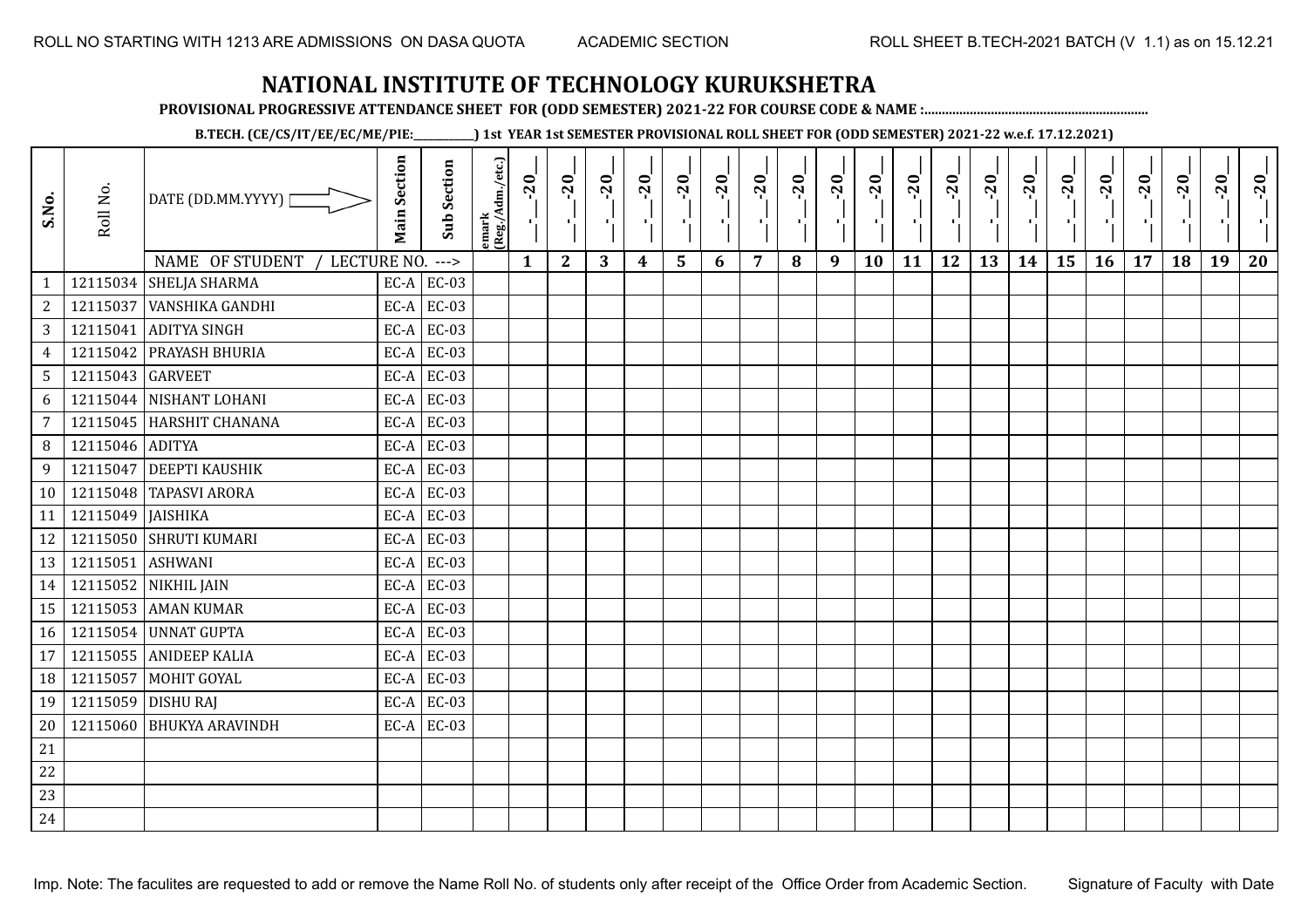**PROVISIONAL PROGRESSIVE ATTENDANCE SHEET FOR (ODD SEMESTER) 2021-22 FOR COURSE CODE & NAME :................................................................**

**B.TECH. (CE/CS/IT/EE/EC/ME/PIE:\_\_\_\_\_\_\_\_\_\_\_\_) 1st YEAR 1st SEMESTER PROVISIONAL ROLL SHEET FOR (ODD SEMESTER) 2021-22 w.e.f. 17.12.2021)**

| S.No.           | Roll No.          | DATE (DD.MM.YYYY) [<br>NAME OF STUDENT<br>LECTURE NO. | <b>Main Section</b> | Sub Section<br>$--->$ | emark<br> (Reg./Adm./etc.) | $-20$<br>Ч.<br>$\mathbf{1}$ | $-20$<br>×.<br>$\mathbf{2}$ | $-20$<br>-91<br>3 | $-20$<br>π÷<br>$\boldsymbol{4}$ | $-20$<br>٠,<br>5 | $-20$<br>п. | $-20$<br>п,<br>7 | $-20$<br>8 | $-20$<br>лj<br>9 | $-20$<br>л,<br>10 | $-20$<br>п÷<br>11 | $-20$<br>-10<br>12 | $-20$<br>로<br>13 | $-20$<br>шj<br>14 | $-20$<br>÷,<br>15 | $-20$<br>л.,<br>16 | $-20$<br>17 | $-20$<br>18 | $-20$<br>×.<br>19 | $-20$<br>пŀ.<br>20 |
|-----------------|-------------------|-------------------------------------------------------|---------------------|-----------------------|----------------------------|-----------------------------|-----------------------------|-------------------|---------------------------------|------------------|-------------|------------------|------------|------------------|-------------------|-------------------|--------------------|------------------|-------------------|-------------------|--------------------|-------------|-------------|-------------------|--------------------|
| $\mathbf{1}$    |                   | 12115034 SHELJA SHARMA                                |                     | $EC-A$ $EC-03$        |                            |                             |                             |                   |                                 |                  | 6           |                  |            |                  |                   |                   |                    |                  |                   |                   |                    |             |             |                   |                    |
| 2               | 12115037          | <b>VANSHIKA GANDHI</b>                                | EC-A                | <b>EC-03</b>          |                            |                             |                             |                   |                                 |                  |             |                  |            |                  |                   |                   |                    |                  |                   |                   |                    |             |             |                   |                    |
| $\mathbf{3}$    | 12115041          | <b>ADITYA SINGH</b>                                   | EC-A                | <b>EC-03</b>          |                            |                             |                             |                   |                                 |                  |             |                  |            |                  |                   |                   |                    |                  |                   |                   |                    |             |             |                   |                    |
| $\overline{4}$  | 12115042          | <b>PRAYASH BHURIA</b>                                 | EC-A                | <b>EC-03</b>          |                            |                             |                             |                   |                                 |                  |             |                  |            |                  |                   |                   |                    |                  |                   |                   |                    |             |             |                   |                    |
| $5\overline{)}$ | 12115043 GARVEET  |                                                       | EC-A                | <b>EC-03</b>          |                            |                             |                             |                   |                                 |                  |             |                  |            |                  |                   |                   |                    |                  |                   |                   |                    |             |             |                   |                    |
| 6               |                   | 12115044 NISHANT LOHANI                               | EC-A                | EC-03                 |                            |                             |                             |                   |                                 |                  |             |                  |            |                  |                   |                   |                    |                  |                   |                   |                    |             |             |                   |                    |
| $\overline{7}$  | 12115045          | <b>HARSHIT CHANANA</b>                                |                     | $EC-A$ EC-03          |                            |                             |                             |                   |                                 |                  |             |                  |            |                  |                   |                   |                    |                  |                   |                   |                    |             |             |                   |                    |
| 8               | 12115046 ADITYA   |                                                       | EC-A                | EC-03                 |                            |                             |                             |                   |                                 |                  |             |                  |            |                  |                   |                   |                    |                  |                   |                   |                    |             |             |                   |                    |
| 9               | 12115047          | <b>DEEPTI KAUSHIK</b>                                 |                     | $EC-A$ EC-03          |                            |                             |                             |                   |                                 |                  |             |                  |            |                  |                   |                   |                    |                  |                   |                   |                    |             |             |                   |                    |
| 10              |                   | 12115048 TAPASVI ARORA                                |                     | $EC-A$ EC-03          |                            |                             |                             |                   |                                 |                  |             |                  |            |                  |                   |                   |                    |                  |                   |                   |                    |             |             |                   |                    |
| 11              | 12115049 JAISHIKA |                                                       | EC-A                | <b>EC-03</b>          |                            |                             |                             |                   |                                 |                  |             |                  |            |                  |                   |                   |                    |                  |                   |                   |                    |             |             |                   |                    |
| 12              |                   | 12115050 SHRUTI KUMARI                                |                     | $EC-A$ EC-03          |                            |                             |                             |                   |                                 |                  |             |                  |            |                  |                   |                   |                    |                  |                   |                   |                    |             |             |                   |                    |
| 13              | 12115051          | <b>ASHWANI</b>                                        | EC-A                | <b>EC-03</b>          |                            |                             |                             |                   |                                 |                  |             |                  |            |                  |                   |                   |                    |                  |                   |                   |                    |             |             |                   |                    |
| 14              |                   | 12115052 NIKHIL JAIN                                  | EC-A                | EC-03                 |                            |                             |                             |                   |                                 |                  |             |                  |            |                  |                   |                   |                    |                  |                   |                   |                    |             |             |                   |                    |
| 15              | 12115053          | <b>AMAN KUMAR</b>                                     | EC-A                | <b>EC-03</b>          |                            |                             |                             |                   |                                 |                  |             |                  |            |                  |                   |                   |                    |                  |                   |                   |                    |             |             |                   |                    |
| 16              |                   | 12115054 UNNAT GUPTA                                  | EC-A                | <b>EC-03</b>          |                            |                             |                             |                   |                                 |                  |             |                  |            |                  |                   |                   |                    |                  |                   |                   |                    |             |             |                   |                    |
| 17              | 12115055          | <b>ANIDEEP KALIA</b>                                  | EC-A                | $EC-03$               |                            |                             |                             |                   |                                 |                  |             |                  |            |                  |                   |                   |                    |                  |                   |                   |                    |             |             |                   |                    |
| 18              | 12115057          | MOHIT GOYAL                                           |                     | $EC-A$ EC-03          |                            |                             |                             |                   |                                 |                  |             |                  |            |                  |                   |                   |                    |                  |                   |                   |                    |             |             |                   |                    |
| 19              | 12115059          | <b>DISHURAJ</b>                                       | EC-A                | EC-03                 |                            |                             |                             |                   |                                 |                  |             |                  |            |                  |                   |                   |                    |                  |                   |                   |                    |             |             |                   |                    |
| 20              |                   | 12115060 BHUKYA ARAVINDH                              |                     | $EC-A$ EC-03          |                            |                             |                             |                   |                                 |                  |             |                  |            |                  |                   |                   |                    |                  |                   |                   |                    |             |             |                   |                    |
| 21              |                   |                                                       |                     |                       |                            |                             |                             |                   |                                 |                  |             |                  |            |                  |                   |                   |                    |                  |                   |                   |                    |             |             |                   |                    |
| 22              |                   |                                                       |                     |                       |                            |                             |                             |                   |                                 |                  |             |                  |            |                  |                   |                   |                    |                  |                   |                   |                    |             |             |                   |                    |
| 23              |                   |                                                       |                     |                       |                            |                             |                             |                   |                                 |                  |             |                  |            |                  |                   |                   |                    |                  |                   |                   |                    |             |             |                   |                    |
| 24              |                   |                                                       |                     |                       |                            |                             |                             |                   |                                 |                  |             |                  |            |                  |                   |                   |                    |                  |                   |                   |                    |             |             |                   |                    |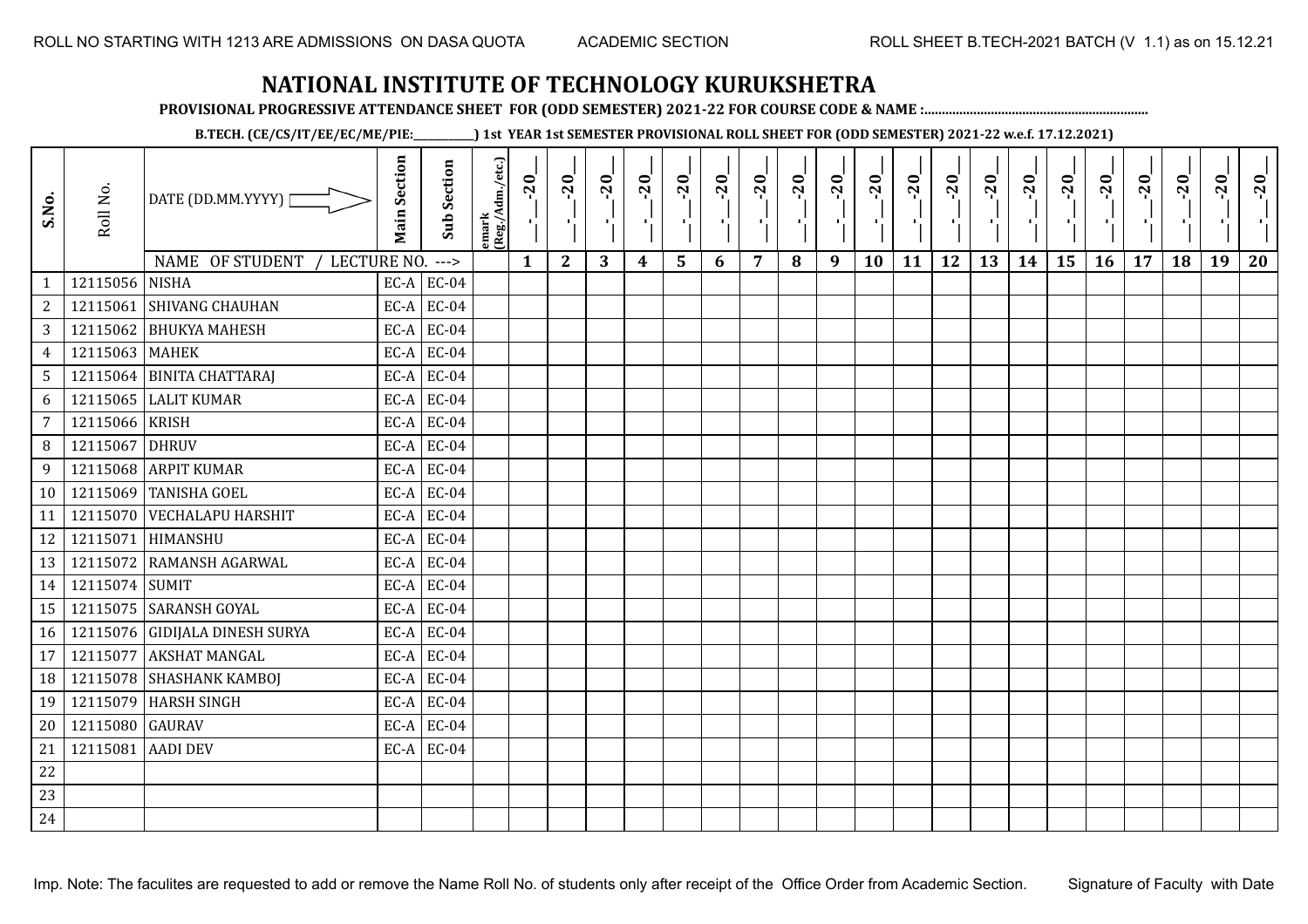**PROVISIONAL PROGRESSIVE ATTENDANCE SHEET FOR (ODD SEMESTER) 2021-22 FOR COURSE CODE & NAME :................................................................**

**B.TECH. (CE/CS/IT/EE/EC/ME/PIE:\_\_\_\_\_\_\_\_\_\_\_\_) 1st YEAR 1st SEMESTER PROVISIONAL ROLL SHEET FOR (ODD SEMESTER) 2021-22 w.e.f. 17.12.2021)**

| S.No.          | Roll No.          | DATE (DD.MM.YYYY) [            | <b>Main Section</b> | <b>Sub Section</b>       | emark<br>(Reg./Adm./etc.) | $-20$        | $-20$<br>P,  | $-20$<br>шÌ | $-20$<br>лj      | $-20$<br>국 | $-20$<br>л., | $-20$<br>- 1 | $-20$ | $-20$<br>×. | $-20$<br>×, | $-20$<br>п, | $-20$<br>τj | $-20$<br>로 | $-20$<br>$\blacksquare$ | $-20$<br>۱, | $-20$<br>л÷. | $-20$ | $-20$ | $-20$<br>-97 | $-20$ |
|----------------|-------------------|--------------------------------|---------------------|--------------------------|---------------------------|--------------|--------------|-------------|------------------|------------|--------------|--------------|-------|-------------|-------------|-------------|-------------|------------|-------------------------|-------------|--------------|-------|-------|--------------|-------|
| $\mathbf{1}$   | 12115056 NISHA    | NAME OF STUDENT<br>LECTURE NO. |                     | $--->$<br>$EC-A$ $EC-04$ |                           | $\mathbf{1}$ | $\mathbf{2}$ | 3           | $\boldsymbol{4}$ | 5          | 6            | 7            | 8     | 9           | 10          | 11          | 12          | 13         | 14                      | 15          | 16           | 17    | 18    | 19           | 20    |
| $\sqrt{2}$     |                   | 12115061 SHIVANG CHAUHAN       |                     | $EC-A$ EC-04             |                           |              |              |             |                  |            |              |              |       |             |             |             |             |            |                         |             |              |       |       |              |       |
| $\overline{3}$ |                   | 12115062 BHUKYA MAHESH         |                     | $EC-A$ EC-04             |                           |              |              |             |                  |            |              |              |       |             |             |             |             |            |                         |             |              |       |       |              |       |
| $\overline{4}$ | 12115063 MAHEK    |                                | EC-A                | <b>EC-04</b>             |                           |              |              |             |                  |            |              |              |       |             |             |             |             |            |                         |             |              |       |       |              |       |
| 5 <sup>1</sup> |                   | 12115064 BINITA CHATTARAJ      | EC-A                | EC-04                    |                           |              |              |             |                  |            |              |              |       |             |             |             |             |            |                         |             |              |       |       |              |       |
| 6              |                   | 12115065 LALIT KUMAR           | EC-A                | <b>EC-04</b>             |                           |              |              |             |                  |            |              |              |       |             |             |             |             |            |                         |             |              |       |       |              |       |
| $\overline{7}$ | 12115066 KRISH    |                                |                     | $EC-A$ EC-04             |                           |              |              |             |                  |            |              |              |       |             |             |             |             |            |                         |             |              |       |       |              |       |
| 8              | 12115067          | <b>DHRUV</b>                   |                     | $EC-A$ EC-04             |                           |              |              |             |                  |            |              |              |       |             |             |             |             |            |                         |             |              |       |       |              |       |
| 9              |                   | 12115068 ARPIT KUMAR           |                     | $EC-A$ EC-04             |                           |              |              |             |                  |            |              |              |       |             |             |             |             |            |                         |             |              |       |       |              |       |
| 10             |                   | 12115069 TANISHA GOEL          |                     | $EC-A$ EC-04             |                           |              |              |             |                  |            |              |              |       |             |             |             |             |            |                         |             |              |       |       |              |       |
| 11             |                   | 12115070 VECHALAPU HARSHIT     | EC-A                | <b>EC-04</b>             |                           |              |              |             |                  |            |              |              |       |             |             |             |             |            |                         |             |              |       |       |              |       |
| 12             |                   | 12115071 HIMANSHU              | EC-A                | EC-04                    |                           |              |              |             |                  |            |              |              |       |             |             |             |             |            |                         |             |              |       |       |              |       |
| 13             |                   | 12115072 RAMANSH AGARWAL       | EC-A                | <b>EC-04</b>             |                           |              |              |             |                  |            |              |              |       |             |             |             |             |            |                         |             |              |       |       |              |       |
| 14             | 12115074 SUMIT    |                                |                     | $EC-A$ EC-04             |                           |              |              |             |                  |            |              |              |       |             |             |             |             |            |                         |             |              |       |       |              |       |
| 15             |                   | 12115075 SARANSH GOYAL         | EC-A                | <b>EC-04</b>             |                           |              |              |             |                  |            |              |              |       |             |             |             |             |            |                         |             |              |       |       |              |       |
| 16             |                   | 12115076 GIDIJALA DINESH SURYA | EC-A                | <b>EC-04</b>             |                           |              |              |             |                  |            |              |              |       |             |             |             |             |            |                         |             |              |       |       |              |       |
| 17             |                   | 12115077 AKSHAT MANGAL         | EC-A                | <b>EC-04</b>             |                           |              |              |             |                  |            |              |              |       |             |             |             |             |            |                         |             |              |       |       |              |       |
| 18             |                   | 12115078 SHASHANK KAMBOJ       |                     | $EC-A$ EC-04             |                           |              |              |             |                  |            |              |              |       |             |             |             |             |            |                         |             |              |       |       |              |       |
| 19             |                   | 12115079 HARSH SINGH           | EC-A                | <b>EC-04</b>             |                           |              |              |             |                  |            |              |              |       |             |             |             |             |            |                         |             |              |       |       |              |       |
| 20             | 12115080 GAURAV   |                                |                     | $EC-A$ EC-04             |                           |              |              |             |                  |            |              |              |       |             |             |             |             |            |                         |             |              |       |       |              |       |
| 21             | 12115081 AADI DEV |                                |                     | $EC-A$ EC-04             |                           |              |              |             |                  |            |              |              |       |             |             |             |             |            |                         |             |              |       |       |              |       |
| $22\,$         |                   |                                |                     |                          |                           |              |              |             |                  |            |              |              |       |             |             |             |             |            |                         |             |              |       |       |              |       |
| 23             |                   |                                |                     |                          |                           |              |              |             |                  |            |              |              |       |             |             |             |             |            |                         |             |              |       |       |              |       |
| 24             |                   |                                |                     |                          |                           |              |              |             |                  |            |              |              |       |             |             |             |             |            |                         |             |              |       |       |              |       |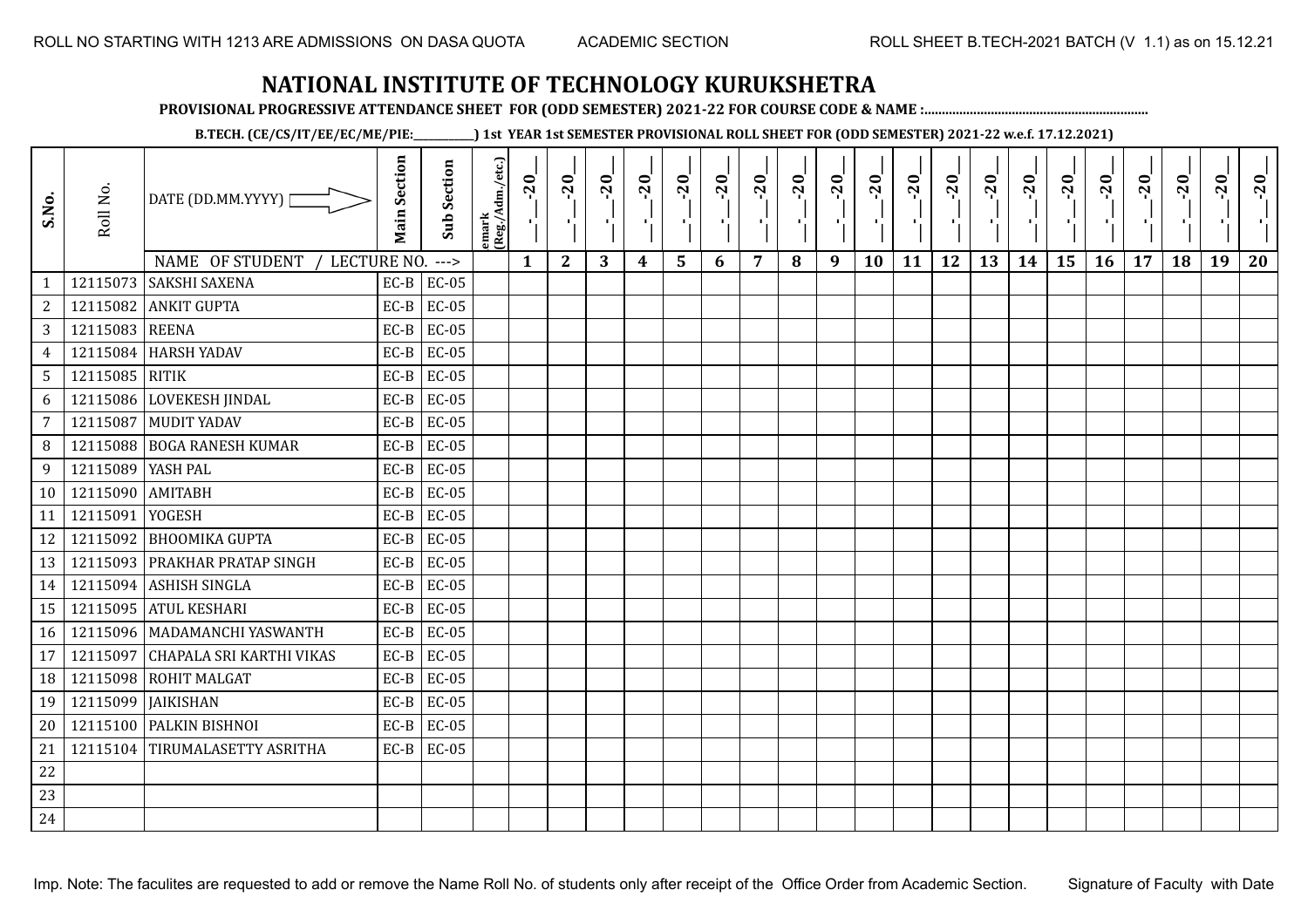**PROVISIONAL PROGRESSIVE ATTENDANCE SHEET FOR (ODD SEMESTER) 2021-22 FOR COURSE CODE & NAME :................................................................**

**B.TECH. (CE/CS/IT/EE/EC/ME/PIE:\_\_\_\_\_\_\_\_\_\_\_\_) 1st YEAR 1st SEMESTER PROVISIONAL ROLL SHEET FOR (ODD SEMESTER) 2021-22 w.e.f. 17.12.2021)**

| S.No.           | Roll No.             | DATE (DD.MM.YYYY)<br>NAME OF STUDENT | <b>Main Section</b> | <b>Sub Section</b>     | emark<br>(Reg./Adm./etc.) | $-20$        | $-20$<br>×.  | $-20$<br>л. | $-20$ | $-20$<br>л. | $-20$ | $-20$ | $-20$ | $-20$<br>ш | $-20$<br>л, | $-20$ | $-20$<br>πī | $-20$ | $-20$ | $-20$<br>۰, | $-20$ | $-20$ | $-20$ | $-20$<br>ч. | $-20$ |
|-----------------|----------------------|--------------------------------------|---------------------|------------------------|---------------------------|--------------|--------------|-------------|-------|-------------|-------|-------|-------|------------|-------------|-------|-------------|-------|-------|-------------|-------|-------|-------|-------------|-------|
| $\mathbf{1}$    | 12115073             | LECTURE NO.<br><b>SAKSHI SAXENA</b>  | $EC-B$              | $--->$<br><b>EC-05</b> |                           | $\mathbf{1}$ | $\mathbf{2}$ | 3           | 4     | 5           | 6     | 7     | 8     | 9          | 10          | 11    | 12          | 13    | 14    | 15          | 16    | 17    | 18    | 19          | 20    |
| $\overline{c}$  | 12115082             | <b>ANKIT GUPTA</b>                   | $EC-B$              | <b>EC-05</b>           |                           |              |              |             |       |             |       |       |       |            |             |       |             |       |       |             |       |       |       |             |       |
| 3               | 12115083 REENA       |                                      | $EC-B$              | <b>EC-05</b>           |                           |              |              |             |       |             |       |       |       |            |             |       |             |       |       |             |       |       |       |             |       |
| $\overline{4}$  | 12115084             | <b>HARSH YADAV</b>                   | $EC-B$              | <b>EC-05</b>           |                           |              |              |             |       |             |       |       |       |            |             |       |             |       |       |             |       |       |       |             |       |
| $5\phantom{.0}$ | 12115085 RITIK       |                                      | $EC-B$              | $EC-05$                |                           |              |              |             |       |             |       |       |       |            |             |       |             |       |       |             |       |       |       |             |       |
| 6               | 12115086             | LOVEKESH JINDAL                      | $EC-B$              | $EC-05$                |                           |              |              |             |       |             |       |       |       |            |             |       |             |       |       |             |       |       |       |             |       |
| 7               | 12115087             | <b>MUDIT YADAV</b>                   | $EC-B$              | <b>EC-05</b>           |                           |              |              |             |       |             |       |       |       |            |             |       |             |       |       |             |       |       |       |             |       |
| 8               | 12115088             | <b>BOGA RANESH KUMAR</b>             | $EC-B$              | $EC-05$                |                           |              |              |             |       |             |       |       |       |            |             |       |             |       |       |             |       |       |       |             |       |
| 9               | 12115089             | YASH PAL                             | $EC-B$              | <b>EC-05</b>           |                           |              |              |             |       |             |       |       |       |            |             |       |             |       |       |             |       |       |       |             |       |
| 10              | 12115090             | <b>AMITABH</b>                       | $EC-B$              | <b>EC-05</b>           |                           |              |              |             |       |             |       |       |       |            |             |       |             |       |       |             |       |       |       |             |       |
| 11              | 12115091             | <b>YOGESH</b>                        | $EC-B$              | <b>EC-05</b>           |                           |              |              |             |       |             |       |       |       |            |             |       |             |       |       |             |       |       |       |             |       |
| 12              |                      | 12115092 BHOOMIKA GUPTA              | $EC-B$              | <b>EC-05</b>           |                           |              |              |             |       |             |       |       |       |            |             |       |             |       |       |             |       |       |       |             |       |
| 13              |                      | 12115093   PRAKHAR PRATAP SINGH      | $EC-B$              | <b>EC-05</b>           |                           |              |              |             |       |             |       |       |       |            |             |       |             |       |       |             |       |       |       |             |       |
| 14              |                      | 12115094 ASHISH SINGLA               | $EC-B$              | <b>EC-05</b>           |                           |              |              |             |       |             |       |       |       |            |             |       |             |       |       |             |       |       |       |             |       |
| 15              | 12115095             | <b>ATUL KESHARI</b>                  | $EC-B$              | <b>EC-05</b>           |                           |              |              |             |       |             |       |       |       |            |             |       |             |       |       |             |       |       |       |             |       |
| 16              |                      | 12115096   MADAMANCHI YASWANTH       | $EC-B$              | EC-05                  |                           |              |              |             |       |             |       |       |       |            |             |       |             |       |       |             |       |       |       |             |       |
|                 | 12115097             | CHAPALA SRI KARTHI VIKAS             | $EC-B$              | <b>EC-05</b>           |                           |              |              |             |       |             |       |       |       |            |             |       |             |       |       |             |       |       |       |             |       |
| 17              |                      | <b>ROHIT MALGAT</b>                  | $EC-B$              | $EC-05$                |                           |              |              |             |       |             |       |       |       |            |             |       |             |       |       |             |       |       |       |             |       |
| 18              | 12115098<br>12115099 | <b>JAIKISHAN</b>                     | $EC-B$              | $EC-05$                |                           |              |              |             |       |             |       |       |       |            |             |       |             |       |       |             |       |       |       |             |       |
| 19              |                      |                                      |                     |                        |                           |              |              |             |       |             |       |       |       |            |             |       |             |       |       |             |       |       |       |             |       |
| 20              | 12115100             | <b>PALKIN BISHNOI</b>                | $EC-B$              | <b>EC-05</b>           |                           |              |              |             |       |             |       |       |       |            |             |       |             |       |       |             |       |       |       |             |       |
| 21              | 12115104             | TIRUMALASETTY ASRITHA                | $EC-B$              | <b>EC-05</b>           |                           |              |              |             |       |             |       |       |       |            |             |       |             |       |       |             |       |       |       |             |       |
| 22              |                      |                                      |                     |                        |                           |              |              |             |       |             |       |       |       |            |             |       |             |       |       |             |       |       |       |             |       |
| 23              |                      |                                      |                     |                        |                           |              |              |             |       |             |       |       |       |            |             |       |             |       |       |             |       |       |       |             |       |
| 24              |                      |                                      |                     |                        |                           |              |              |             |       |             |       |       |       |            |             |       |             |       |       |             |       |       |       |             |       |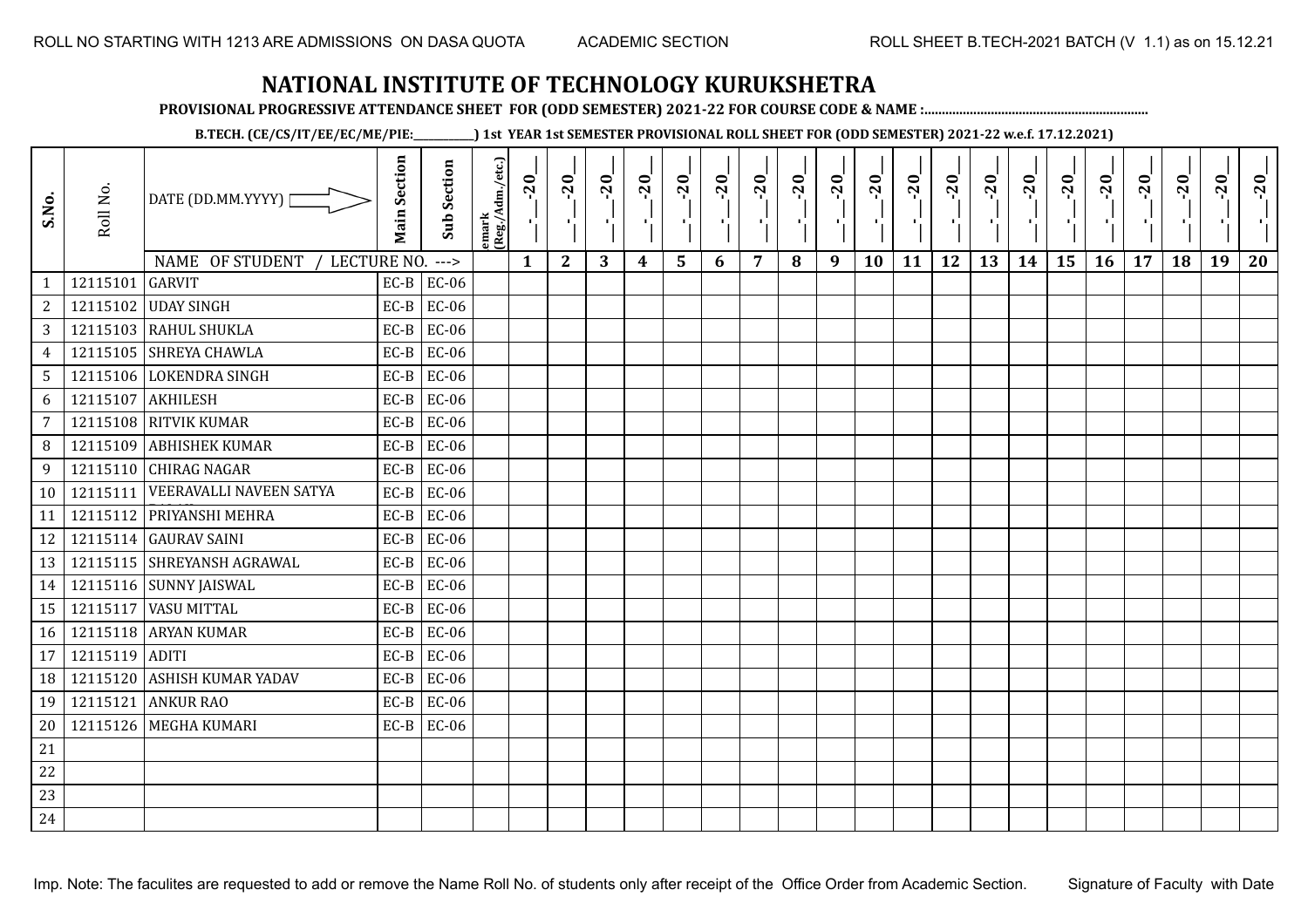**PROVISIONAL PROGRESSIVE ATTENDANCE SHEET FOR (ODD SEMESTER) 2021-22 FOR COURSE CODE & NAME :................................................................**

**B.TECH. (CE/CS/IT/EE/EC/ME/PIE:\_\_\_\_\_\_\_\_\_\_\_\_) 1st YEAR 1st SEMESTER PROVISIONAL ROLL SHEET FOR (ODD SEMESTER) 2021-22 w.e.f. 17.12.2021)**

| S.No.           | Roll No. | DATE (DD.MM.YYYY)  <br>NAME OF STUDENT<br>LECTURE NO. | <b>Main Section</b> | <b>Sub Section</b><br>$---$ | emark<br> (Reg./Adm./etc.) | $-20$<br>$\mathbf{1}$ | $-20$<br>π÷<br>$\mathbf{2}$ | $-20$<br>л÷.<br>3 | $-20$<br>π÷<br>4 | $-20$<br>лj<br>5 | $-20$<br>×,<br>6 | $-20$<br>$\overline{7}$ | $-20$<br>8 | $-20$<br>$\mathbf{L}$<br>9 | $-20$<br>л,<br>10 | $-20$<br>шj<br>11 | $-20$<br>π÷<br>12 | $-20$<br>로<br>13 | $-20$<br>$\blacksquare$<br>14 | $-20$<br>ا .<br>ا<br>15 | $-20$<br>-96<br>16 | $-20$<br>17 | $-20$<br>18 | $-20$<br>×.<br>19 | $-20$<br>20 |
|-----------------|----------|-------------------------------------------------------|---------------------|-----------------------------|----------------------------|-----------------------|-----------------------------|-------------------|------------------|------------------|------------------|-------------------------|------------|----------------------------|-------------------|-------------------|-------------------|------------------|-------------------------------|-------------------------|--------------------|-------------|-------------|-------------------|-------------|
| $\mathbf{1}$    | 12115101 | <b>GARVIT</b>                                         | $EC-B$              | <b>EC-06</b>                |                            |                       |                             |                   |                  |                  |                  |                         |            |                            |                   |                   |                   |                  |                               |                         |                    |             |             |                   |             |
| $\overline{c}$  |          | 12115102 UDAY SINGH                                   | $EC-B$              | EC-06                       |                            |                       |                             |                   |                  |                  |                  |                         |            |                            |                   |                   |                   |                  |                               |                         |                    |             |             |                   |             |
| 3               |          | 12115103 RAHUL SHUKLA                                 | $EC-B$              | <b>EC-06</b>                |                            |                       |                             |                   |                  |                  |                  |                         |            |                            |                   |                   |                   |                  |                               |                         |                    |             |             |                   |             |
| $\overline{4}$  |          | 12115105 SHREYA CHAWLA                                | $EC-B$              | <b>EC-06</b>                |                            |                       |                             |                   |                  |                  |                  |                         |            |                            |                   |                   |                   |                  |                               |                         |                    |             |             |                   |             |
| $5\phantom{.0}$ |          | 12115106 LOKENDRA SINGH                               | $EC-B$              | EC-06                       |                            |                       |                             |                   |                  |                  |                  |                         |            |                            |                   |                   |                   |                  |                               |                         |                    |             |             |                   |             |
| 6               | 12115107 | <b>AKHILESH</b>                                       | $EC-B$              | <b>EC-06</b>                |                            |                       |                             |                   |                  |                  |                  |                         |            |                            |                   |                   |                   |                  |                               |                         |                    |             |             |                   |             |
| 7               | 12115108 | <b>RITVIK KUMAR</b>                                   | $EC-B$              | EC-06                       |                            |                       |                             |                   |                  |                  |                  |                         |            |                            |                   |                   |                   |                  |                               |                         |                    |             |             |                   |             |
| 8               | 12115109 | <b>ABHISHEK KUMAR</b>                                 | $EC-B$              | <b>EC-06</b>                |                            |                       |                             |                   |                  |                  |                  |                         |            |                            |                   |                   |                   |                  |                               |                         |                    |             |             |                   |             |
| 9               |          | 12115110 CHIRAG NAGAR                                 | $EC-B$              | EC-06                       |                            |                       |                             |                   |                  |                  |                  |                         |            |                            |                   |                   |                   |                  |                               |                         |                    |             |             |                   |             |
| 10              | 12115111 | VEERAVALLI NAVEEN SATYA                               | $EC-B$              | <b>EC-06</b>                |                            |                       |                             |                   |                  |                  |                  |                         |            |                            |                   |                   |                   |                  |                               |                         |                    |             |             |                   |             |
| 11              | 12115112 | PRIYANSHI MEHRA                                       | $EC-B$              | <b>EC-06</b>                |                            |                       |                             |                   |                  |                  |                  |                         |            |                            |                   |                   |                   |                  |                               |                         |                    |             |             |                   |             |
| 12              |          | 12115114 GAURAV SAINI                                 | $EC-B$              | EC-06                       |                            |                       |                             |                   |                  |                  |                  |                         |            |                            |                   |                   |                   |                  |                               |                         |                    |             |             |                   |             |
| 13              |          | 12115115 SHREYANSH AGRAWAL                            | $EC-B$              | EC-06                       |                            |                       |                             |                   |                  |                  |                  |                         |            |                            |                   |                   |                   |                  |                               |                         |                    |             |             |                   |             |
| 14              |          | 12115116 SUNNY JAISWAL                                | $EC-B$              | <b>EC-06</b>                |                            |                       |                             |                   |                  |                  |                  |                         |            |                            |                   |                   |                   |                  |                               |                         |                    |             |             |                   |             |
| 15              | 12115117 | <b>VASU MITTAL</b>                                    | $EC-B$              | <b>EC-06</b>                |                            |                       |                             |                   |                  |                  |                  |                         |            |                            |                   |                   |                   |                  |                               |                         |                    |             |             |                   |             |
| 16              |          | 12115118 ARYAN KUMAR                                  | $EC-B$              | EC-06                       |                            |                       |                             |                   |                  |                  |                  |                         |            |                            |                   |                   |                   |                  |                               |                         |                    |             |             |                   |             |
| 17              | 12115119 | <b>ADITI</b>                                          | $EC-B$              | <b>EC-06</b>                |                            |                       |                             |                   |                  |                  |                  |                         |            |                            |                   |                   |                   |                  |                               |                         |                    |             |             |                   |             |
| 18              | 12115120 | <b>ASHISH KUMAR YADAV</b>                             | $EC-B$              | EC-06                       |                            |                       |                             |                   |                  |                  |                  |                         |            |                            |                   |                   |                   |                  |                               |                         |                    |             |             |                   |             |
| 19              | 12115121 | <b>ANKUR RAO</b>                                      | $EC-B$              | <b>EC-06</b>                |                            |                       |                             |                   |                  |                  |                  |                         |            |                            |                   |                   |                   |                  |                               |                         |                    |             |             |                   |             |
| 20              |          | 12115126 MEGHA KUMARI                                 | $EC-B$              | <b>EC-06</b>                |                            |                       |                             |                   |                  |                  |                  |                         |            |                            |                   |                   |                   |                  |                               |                         |                    |             |             |                   |             |
| 21              |          |                                                       |                     |                             |                            |                       |                             |                   |                  |                  |                  |                         |            |                            |                   |                   |                   |                  |                               |                         |                    |             |             |                   |             |
| 22              |          |                                                       |                     |                             |                            |                       |                             |                   |                  |                  |                  |                         |            |                            |                   |                   |                   |                  |                               |                         |                    |             |             |                   |             |
| 23              |          |                                                       |                     |                             |                            |                       |                             |                   |                  |                  |                  |                         |            |                            |                   |                   |                   |                  |                               |                         |                    |             |             |                   |             |
| 24              |          |                                                       |                     |                             |                            |                       |                             |                   |                  |                  |                  |                         |            |                            |                   |                   |                   |                  |                               |                         |                    |             |             |                   |             |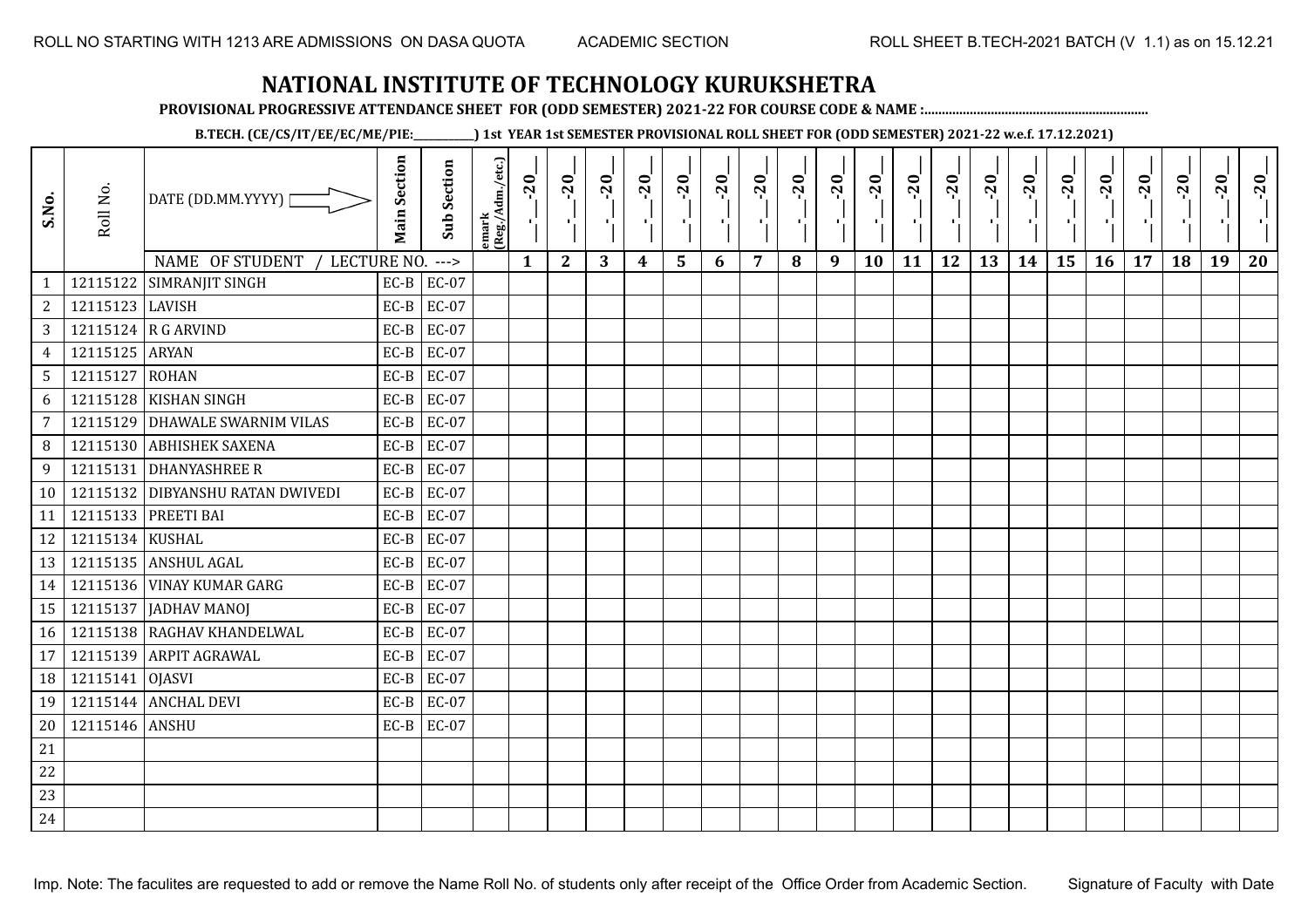**PROVISIONAL PROGRESSIVE ATTENDANCE SHEET FOR (ODD SEMESTER) 2021-22 FOR COURSE CODE & NAME :................................................................**

**B.TECH. (CE/CS/IT/EE/EC/ME/PIE:\_\_\_\_\_\_\_\_\_\_\_\_) 1st YEAR 1st SEMESTER PROVISIONAL ROLL SHEET FOR (ODD SEMESTER) 2021-22 w.e.f. 17.12.2021)**

| S.No.           | Roll No.        | DATE (DD.MM.YYYY)<br>NAME OF STUDENT /<br>LECTURE NO. | <b>Main Section</b> | <b>Sub Section</b><br>$---$ | emark<br>(Reg./Adm./etc.) | $-20$<br>$\mathbf{1}$ | $-20$<br>π÷<br>$\mathbf{2}$ | $-20$<br>л÷.<br>3 | $-20$<br>π÷ | $-20$<br>тj<br>5 | $-20$<br>×, | $-20$<br>$\overline{7}$ | $-20$<br>8 | $-20$<br>пļ<br>9 | $-20$<br>л,<br>10 | $-20$<br>πt<br>11 | $-20$<br>πt<br>12 | $-20$<br>로<br>13 | $-20$<br>$\blacksquare$<br>14 | $-20$<br>$\frac{1}{1}$<br>15 | $-20$<br>-96<br>16 | $-20$<br>17 | $-20$<br>18 | $-20$<br>×.<br>19 | $-20$<br>20 |
|-----------------|-----------------|-------------------------------------------------------|---------------------|-----------------------------|---------------------------|-----------------------|-----------------------------|-------------------|-------------|------------------|-------------|-------------------------|------------|------------------|-------------------|-------------------|-------------------|------------------|-------------------------------|------------------------------|--------------------|-------------|-------------|-------------------|-------------|
| $\mathbf{1}$    |                 | 12115122 SIMRANJIT SINGH                              | $EC-B$              | <b>EC-07</b>                |                           |                       |                             |                   | 4           |                  | 6           |                         |            |                  |                   |                   |                   |                  |                               |                              |                    |             |             |                   |             |
| $\mathbf{2}$    | 12115123 LAVISH |                                                       | $EC-B$              | EC-07                       |                           |                       |                             |                   |             |                  |             |                         |            |                  |                   |                   |                   |                  |                               |                              |                    |             |             |                   |             |
| 3               |                 | 12115124 R G ARVIND                                   | $EC-B$              | EC-07                       |                           |                       |                             |                   |             |                  |             |                         |            |                  |                   |                   |                   |                  |                               |                              |                    |             |             |                   |             |
| $\overline{4}$  | 12115125 ARYAN  |                                                       | $EC-B$              | EC-07                       |                           |                       |                             |                   |             |                  |             |                         |            |                  |                   |                   |                   |                  |                               |                              |                    |             |             |                   |             |
| $5\overline{)}$ | 12115127        | <b>ROHAN</b>                                          | $EC-B$              | <b>EC-07</b>                |                           |                       |                             |                   |             |                  |             |                         |            |                  |                   |                   |                   |                  |                               |                              |                    |             |             |                   |             |
| 6               | 12115128        | <b>KISHAN SINGH</b>                                   | $EC-B$              | <b>EC-07</b>                |                           |                       |                             |                   |             |                  |             |                         |            |                  |                   |                   |                   |                  |                               |                              |                    |             |             |                   |             |
| $\overline{7}$  | 12115129        | <b>DHAWALE SWARNIM VILAS</b>                          | $EC-B$              | EC-07                       |                           |                       |                             |                   |             |                  |             |                         |            |                  |                   |                   |                   |                  |                               |                              |                    |             |             |                   |             |
| 8               |                 | 12115130 ABHISHEK SAXENA                              | $EC-B$              | EC-07                       |                           |                       |                             |                   |             |                  |             |                         |            |                  |                   |                   |                   |                  |                               |                              |                    |             |             |                   |             |
| 9               | 12115131        | <b>DHANYASHREE R</b>                                  | $EC-B$              | EC-07                       |                           |                       |                             |                   |             |                  |             |                         |            |                  |                   |                   |                   |                  |                               |                              |                    |             |             |                   |             |
| 10              |                 | 12115132 DIBYANSHU RATAN DWIVEDI                      | $EC-B$              | EC-07                       |                           |                       |                             |                   |             |                  |             |                         |            |                  |                   |                   |                   |                  |                               |                              |                    |             |             |                   |             |
| 11              |                 | 12115133 PREETI BAI                                   | $EC-B$              | EC-07                       |                           |                       |                             |                   |             |                  |             |                         |            |                  |                   |                   |                   |                  |                               |                              |                    |             |             |                   |             |
| 12              | 12115134 KUSHAL |                                                       | $EC-B$              | EC-07                       |                           |                       |                             |                   |             |                  |             |                         |            |                  |                   |                   |                   |                  |                               |                              |                    |             |             |                   |             |
| 13              |                 | 12115135 ANSHUL AGAL                                  | $EC-B$              | EC-07                       |                           |                       |                             |                   |             |                  |             |                         |            |                  |                   |                   |                   |                  |                               |                              |                    |             |             |                   |             |
| 14              |                 | 12115136 VINAY KUMAR GARG                             | $EC-B$              | EC-07                       |                           |                       |                             |                   |             |                  |             |                         |            |                  |                   |                   |                   |                  |                               |                              |                    |             |             |                   |             |
| 15              | 12115137        | <b>JADHAV MANOJ</b>                                   | $EC-B$              | <b>EC-07</b>                |                           |                       |                             |                   |             |                  |             |                         |            |                  |                   |                   |                   |                  |                               |                              |                    |             |             |                   |             |
| 16              |                 | 12115138 RAGHAV KHANDELWAL                            | $EC-B$              | <b>EC-07</b>                |                           |                       |                             |                   |             |                  |             |                         |            |                  |                   |                   |                   |                  |                               |                              |                    |             |             |                   |             |
| 17              | 12115139        | <b>ARPIT AGRAWAL</b>                                  | $EC-B$              | EC-07                       |                           |                       |                             |                   |             |                  |             |                         |            |                  |                   |                   |                   |                  |                               |                              |                    |             |             |                   |             |
| 18              | 12115141 OJASVI |                                                       | $EC-B$              | EC-07                       |                           |                       |                             |                   |             |                  |             |                         |            |                  |                   |                   |                   |                  |                               |                              |                    |             |             |                   |             |
| 19              |                 | 12115144 ANCHAL DEVI                                  | $EC-B$              | <b>EC-07</b>                |                           |                       |                             |                   |             |                  |             |                         |            |                  |                   |                   |                   |                  |                               |                              |                    |             |             |                   |             |
| 20              | 12115146 ANSHU  |                                                       | $EC-B$              | <b>EC-07</b>                |                           |                       |                             |                   |             |                  |             |                         |            |                  |                   |                   |                   |                  |                               |                              |                    |             |             |                   |             |
| 21              |                 |                                                       |                     |                             |                           |                       |                             |                   |             |                  |             |                         |            |                  |                   |                   |                   |                  |                               |                              |                    |             |             |                   |             |
| 22              |                 |                                                       |                     |                             |                           |                       |                             |                   |             |                  |             |                         |            |                  |                   |                   |                   |                  |                               |                              |                    |             |             |                   |             |
| 23              |                 |                                                       |                     |                             |                           |                       |                             |                   |             |                  |             |                         |            |                  |                   |                   |                   |                  |                               |                              |                    |             |             |                   |             |
| 24              |                 |                                                       |                     |                             |                           |                       |                             |                   |             |                  |             |                         |            |                  |                   |                   |                   |                  |                               |                              |                    |             |             |                   |             |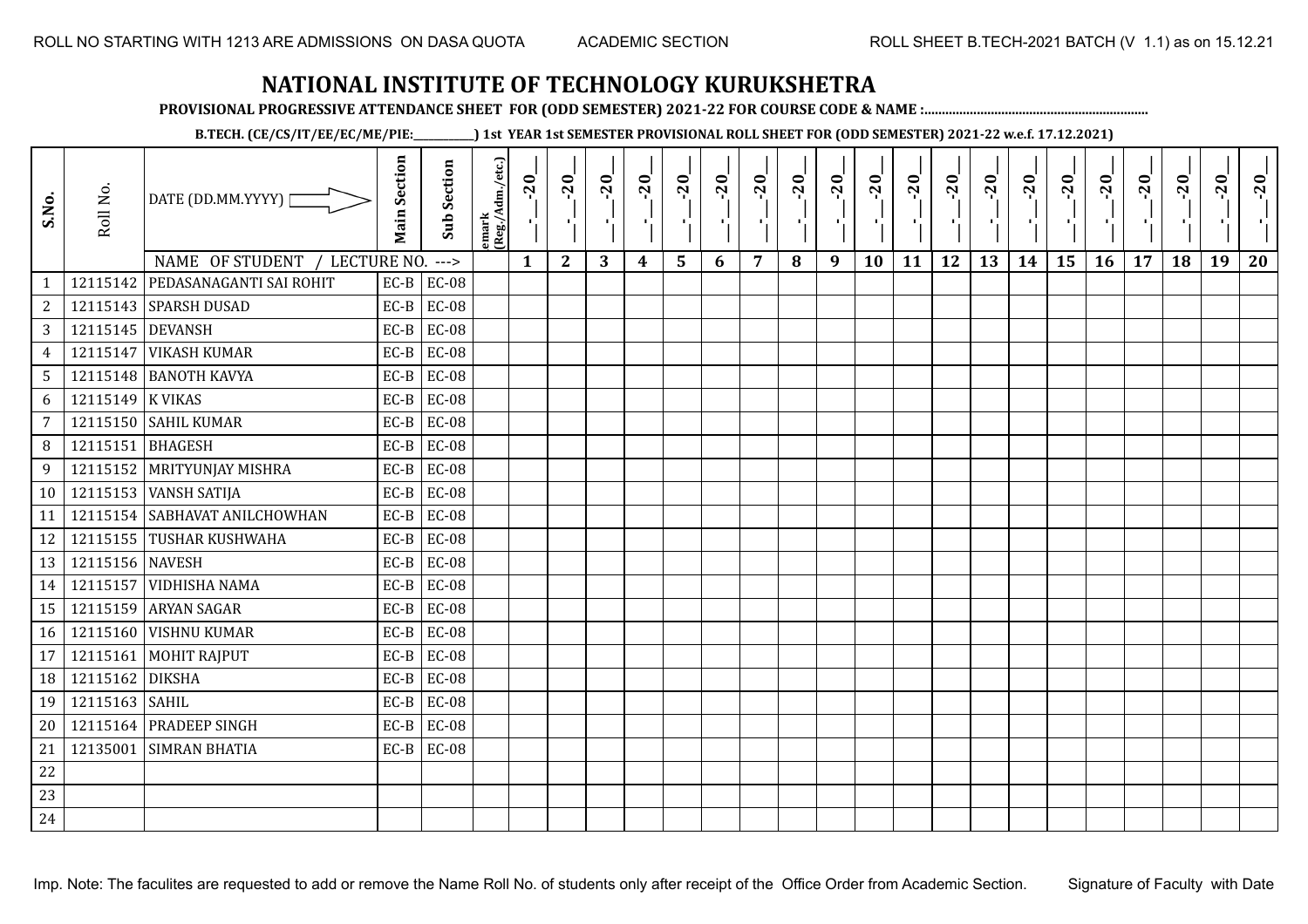**PROVISIONAL PROGRESSIVE ATTENDANCE SHEET FOR (ODD SEMESTER) 2021-22 FOR COURSE CODE & NAME :................................................................**

**B.TECH. (CE/CS/IT/EE/EC/ME/PIE:\_\_\_\_\_\_\_\_\_\_\_\_) 1st YEAR 1st SEMESTER PROVISIONAL ROLL SHEET FOR (ODD SEMESTER) 2021-22 w.e.f. 17.12.2021)**

| S.No.           | Roll No.         | DATE (DD.MM.YYYY) [            | <b>Main Section</b> | Sub Section  | emark<br> (Reg./Adm./etc.) | $-20$        | $-20$<br>×.  | $-20$<br>л. | $-20$ | $-20$<br>-90 | $-20$<br>тĪ. | $-20$ | $-20$ | $-20$<br>-10 | $-20$<br>$\mathbf{F}_{\mathbf{F}}$ | $-20$ | $-20$<br>пJ. | $-20$ | $-20$<br>$\blacksquare$ | $-20$<br>۱, | $-20$ | $-20$ | $-20$ | $-20$<br>$\mathcal{F}_{\mathcal{F}}$ | $-20$ |
|-----------------|------------------|--------------------------------|---------------------|--------------|----------------------------|--------------|--------------|-------------|-------|--------------|--------------|-------|-------|--------------|------------------------------------|-------|--------------|-------|-------------------------|-------------|-------|-------|-------|--------------------------------------|-------|
|                 |                  | NAME OF STUDENT<br>LECTURE NO. |                     | $---$        |                            | $\mathbf{1}$ | $\mathbf{2}$ | 3           | 4     | 5            | 6            | 7     | 8     | 9            | 10                                 | 11    | 12           | 13    | 14                      | 15          | 16    | 17    | 18    | 19                                   | 20    |
| $\mathbf{1}$    | 12115142         | PEDASANAGANTI SAI ROHIT        | $EC-B$              | <b>EC-08</b> |                            |              |              |             |       |              |              |       |       |              |                                    |       |              |       |                         |             |       |       |       |                                      |       |
| $\mathbf{2}$    |                  | 12115143 SPARSH DUSAD          | $EC-B$              | <b>EC-08</b> |                            |              |              |             |       |              |              |       |       |              |                                    |       |              |       |                         |             |       |       |       |                                      |       |
| 3               | 12115145 DEVANSH |                                | $EC-B$              | <b>EC-08</b> |                            |              |              |             |       |              |              |       |       |              |                                    |       |              |       |                         |             |       |       |       |                                      |       |
| $\overline{4}$  | 12115147         | <b>VIKASH KUMAR</b>            | $EC-B$              | <b>EC-08</b> |                            |              |              |             |       |              |              |       |       |              |                                    |       |              |       |                         |             |       |       |       |                                      |       |
| 5               |                  | 12115148 BANOTH KAVYA          | $EC-B$              | <b>EC-08</b> |                            |              |              |             |       |              |              |       |       |              |                                    |       |              |       |                         |             |       |       |       |                                      |       |
| 6               | 12115149 K VIKAS |                                | $EC-B$              | <b>EC-08</b> |                            |              |              |             |       |              |              |       |       |              |                                    |       |              |       |                         |             |       |       |       |                                      |       |
| $7\overline{ }$ |                  | 12115150 SAHIL KUMAR           | $EC-B$              | <b>EC-08</b> |                            |              |              |             |       |              |              |       |       |              |                                    |       |              |       |                         |             |       |       |       |                                      |       |
| 8               | 12115151         | <b>BHAGESH</b>                 | $EC-B$              | <b>EC-08</b> |                            |              |              |             |       |              |              |       |       |              |                                    |       |              |       |                         |             |       |       |       |                                      |       |
| 9               |                  | 12115152 MRITYUNJAY MISHRA     | $EC-B$              | <b>EC-08</b> |                            |              |              |             |       |              |              |       |       |              |                                    |       |              |       |                         |             |       |       |       |                                      |       |
| 10              |                  | 12115153 VANSH SATIJA          | $EC-B$              | <b>EC-08</b> |                            |              |              |             |       |              |              |       |       |              |                                    |       |              |       |                         |             |       |       |       |                                      |       |
| 11              |                  | 12115154 SABHAVAT ANILCHOWHAN  | $EC-B$              | <b>EC-08</b> |                            |              |              |             |       |              |              |       |       |              |                                    |       |              |       |                         |             |       |       |       |                                      |       |
| 12              |                  | 12115155 TUSHAR KUSHWAHA       | $EC-B$              | <b>EC-08</b> |                            |              |              |             |       |              |              |       |       |              |                                    |       |              |       |                         |             |       |       |       |                                      |       |
| 13              | 12115156 NAVESH  |                                | $EC-B$              | <b>EC-08</b> |                            |              |              |             |       |              |              |       |       |              |                                    |       |              |       |                         |             |       |       |       |                                      |       |
| 14              |                  | 12115157 VIDHISHA NAMA         | $EC-B$              | <b>EC-08</b> |                            |              |              |             |       |              |              |       |       |              |                                    |       |              |       |                         |             |       |       |       |                                      |       |
| 15              |                  | 12115159 ARYAN SAGAR           | $EC-B$              | <b>EC-08</b> |                            |              |              |             |       |              |              |       |       |              |                                    |       |              |       |                         |             |       |       |       |                                      |       |
| 16              |                  | 12115160 VISHNU KUMAR          | $EC-B$              | <b>EC-08</b> |                            |              |              |             |       |              |              |       |       |              |                                    |       |              |       |                         |             |       |       |       |                                      |       |
| 17              | 12115161         | MOHIT RAJPUT                   | $EC-B$              | <b>EC-08</b> |                            |              |              |             |       |              |              |       |       |              |                                    |       |              |       |                         |             |       |       |       |                                      |       |
| 18              | 12115162         | <b>DIKSHA</b>                  | $EC-B$              | <b>EC-08</b> |                            |              |              |             |       |              |              |       |       |              |                                    |       |              |       |                         |             |       |       |       |                                      |       |
| 19              | 12115163         | <b>SAHIL</b>                   | $EC-B$              | <b>EC-08</b> |                            |              |              |             |       |              |              |       |       |              |                                    |       |              |       |                         |             |       |       |       |                                      |       |
| 20              |                  | 12115164 PRADEEP SINGH         | $EC-B$              | <b>EC-08</b> |                            |              |              |             |       |              |              |       |       |              |                                    |       |              |       |                         |             |       |       |       |                                      |       |
| 21              | 12135001         | <b>SIMRAN BHATIA</b>           | $EC-B$              | <b>EC-08</b> |                            |              |              |             |       |              |              |       |       |              |                                    |       |              |       |                         |             |       |       |       |                                      |       |
| 22              |                  |                                |                     |              |                            |              |              |             |       |              |              |       |       |              |                                    |       |              |       |                         |             |       |       |       |                                      |       |
| 23              |                  |                                |                     |              |                            |              |              |             |       |              |              |       |       |              |                                    |       |              |       |                         |             |       |       |       |                                      |       |
| 24              |                  |                                |                     |              |                            |              |              |             |       |              |              |       |       |              |                                    |       |              |       |                         |             |       |       |       |                                      |       |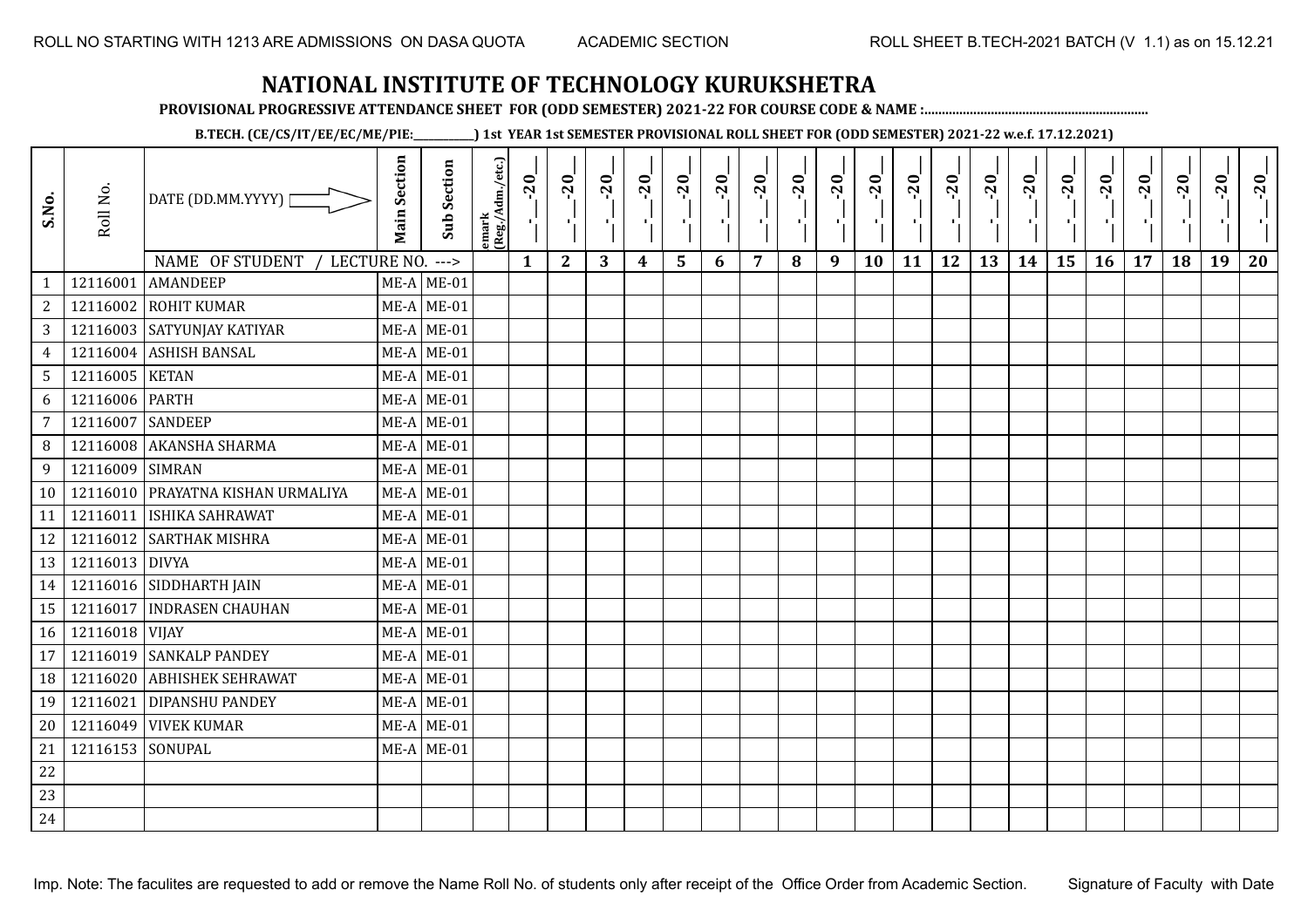**PROVISIONAL PROGRESSIVE ATTENDANCE SHEET FOR (ODD SEMESTER) 2021-22 FOR COURSE CODE & NAME :................................................................**

**B.TECH. (CE/CS/IT/EE/EC/ME/PIE:\_\_\_\_\_\_\_\_\_\_\_\_) 1st YEAR 1st SEMESTER PROVISIONAL ROLL SHEET FOR (ODD SEMESTER) 2021-22 w.e.f. 17.12.2021)**

| S.No.           | Roll No.       | DATE (DD.MM.YYYY) [<br>NAME OF STUDENT<br>LECTURE NO. | <b>Main Section</b> | <b>Sub Section</b><br>$---$ | emark<br> (Reg./Adm./etc.) | $-20$<br>Ч.<br>$\mathbf{1}$ | $-20$<br>×.<br>$\mathbf{2}$ | $-20$<br>-11<br>3 | $-20$<br>π÷<br>$\boldsymbol{4}$ | $-20$<br>r,<br>5 | $-20$<br>п,<br>6 | $-20$<br>7 | $-20$<br>8 | $-20$<br>лj<br>9 | $-20$<br>л,<br>10 | $-20$<br>лj<br>11 | $-20$<br>п.<br>12 | $-20$<br>Æ,<br>13 | $-20$<br>H)<br>14 | $-20$<br>÷,<br>15 | $-20$<br>л.,<br>16 | $-20$<br>17 | $-20$<br>18 | $-20$<br>л,<br>19 | $-20$<br>20 |
|-----------------|----------------|-------------------------------------------------------|---------------------|-----------------------------|----------------------------|-----------------------------|-----------------------------|-------------------|---------------------------------|------------------|------------------|------------|------------|------------------|-------------------|-------------------|-------------------|-------------------|-------------------|-------------------|--------------------|-------------|-------------|-------------------|-------------|
| $\mathbf{1}$    | 12116001       | <b>AMANDEEP</b>                                       |                     | $ME-A$ ME-01                |                            |                             |                             |                   |                                 |                  |                  |            |            |                  |                   |                   |                   |                   |                   |                   |                    |             |             |                   |             |
| $\sqrt{2}$      | 12116002       | <b>ROHIT KUMAR</b>                                    |                     | $ME-A$ ME-01                |                            |                             |                             |                   |                                 |                  |                  |            |            |                  |                   |                   |                   |                   |                   |                   |                    |             |             |                   |             |
| $\mathbf{3}$    |                | 12116003 SATYUNJAY KATIYAR                            |                     | $ME-A$ ME-01                |                            |                             |                             |                   |                                 |                  |                  |            |            |                  |                   |                   |                   |                   |                   |                   |                    |             |             |                   |             |
| $\overline{4}$  | 12116004       | <b>ASHISH BANSAL</b>                                  |                     | $ME-A$ ME-01                |                            |                             |                             |                   |                                 |                  |                  |            |            |                  |                   |                   |                   |                   |                   |                   |                    |             |             |                   |             |
| $5\phantom{.0}$ | 12116005 KETAN |                                                       |                     | $ME-A$ ME-01                |                            |                             |                             |                   |                                 |                  |                  |            |            |                  |                   |                   |                   |                   |                   |                   |                    |             |             |                   |             |
| 6               | 12116006       | <b>PARTH</b>                                          |                     | $ME-A$ ME-01                |                            |                             |                             |                   |                                 |                  |                  |            |            |                  |                   |                   |                   |                   |                   |                   |                    |             |             |                   |             |
| $\overline{7}$  | 12116007       | <b>SANDEEP</b>                                        |                     | $ME-A$ ME-01                |                            |                             |                             |                   |                                 |                  |                  |            |            |                  |                   |                   |                   |                   |                   |                   |                    |             |             |                   |             |
| 8               | 12116008       | <b>AKANSHA SHARMA</b>                                 |                     | $ME-A$ ME-01                |                            |                             |                             |                   |                                 |                  |                  |            |            |                  |                   |                   |                   |                   |                   |                   |                    |             |             |                   |             |
| 9               | 12116009       | <b>SIMRAN</b>                                         |                     | $ME-A$ ME-01                |                            |                             |                             |                   |                                 |                  |                  |            |            |                  |                   |                   |                   |                   |                   |                   |                    |             |             |                   |             |
| 10              |                | 12116010 PRAYATNA KISHAN URMALIYA                     |                     | $ME-A$ ME-01                |                            |                             |                             |                   |                                 |                  |                  |            |            |                  |                   |                   |                   |                   |                   |                   |                    |             |             |                   |             |
| 11              | 12116011       | ISHIKA SAHRAWAT                                       |                     | $ME-A$ ME-01                |                            |                             |                             |                   |                                 |                  |                  |            |            |                  |                   |                   |                   |                   |                   |                   |                    |             |             |                   |             |
| 12              |                | 12116012 SARTHAK MISHRA                               |                     | $ME-A$ ME-01                |                            |                             |                             |                   |                                 |                  |                  |            |            |                  |                   |                   |                   |                   |                   |                   |                    |             |             |                   |             |
| 13              | 12116013 DIVYA |                                                       |                     | $ME-A$ ME-01                |                            |                             |                             |                   |                                 |                  |                  |            |            |                  |                   |                   |                   |                   |                   |                   |                    |             |             |                   |             |
| 14              |                | 12116016 SIDDHARTH JAIN                               |                     | $ME-A$ ME-01                |                            |                             |                             |                   |                                 |                  |                  |            |            |                  |                   |                   |                   |                   |                   |                   |                    |             |             |                   |             |
| 15              | 12116017       | <b>INDRASEN CHAUHAN</b>                               |                     | $ME-A$ ME-01                |                            |                             |                             |                   |                                 |                  |                  |            |            |                  |                   |                   |                   |                   |                   |                   |                    |             |             |                   |             |
| 16              | 12116018 VIJAY |                                                       |                     | $ME-A$ ME-01                |                            |                             |                             |                   |                                 |                  |                  |            |            |                  |                   |                   |                   |                   |                   |                   |                    |             |             |                   |             |
| 17              |                | 12116019 SANKALP PANDEY                               |                     | $ME-A$ ME-01                |                            |                             |                             |                   |                                 |                  |                  |            |            |                  |                   |                   |                   |                   |                   |                   |                    |             |             |                   |             |
| 18              | 12116020       | <b>ABHISHEK SEHRAWAT</b>                              |                     | $ME-A$ ME-01                |                            |                             |                             |                   |                                 |                  |                  |            |            |                  |                   |                   |                   |                   |                   |                   |                    |             |             |                   |             |
| 19              | 12116021       | <b>DIPANSHU PANDEY</b>                                |                     | $ME-A$ ME-01                |                            |                             |                             |                   |                                 |                  |                  |            |            |                  |                   |                   |                   |                   |                   |                   |                    |             |             |                   |             |
| 20              | 12116049       | <b>VIVEK KUMAR</b>                                    |                     | $ME-A$ ME-01                |                            |                             |                             |                   |                                 |                  |                  |            |            |                  |                   |                   |                   |                   |                   |                   |                    |             |             |                   |             |
| 21              | 12116153       | SONUPAL                                               |                     | $ME-A$ ME-01                |                            |                             |                             |                   |                                 |                  |                  |            |            |                  |                   |                   |                   |                   |                   |                   |                    |             |             |                   |             |
| 22              |                |                                                       |                     |                             |                            |                             |                             |                   |                                 |                  |                  |            |            |                  |                   |                   |                   |                   |                   |                   |                    |             |             |                   |             |
| 23              |                |                                                       |                     |                             |                            |                             |                             |                   |                                 |                  |                  |            |            |                  |                   |                   |                   |                   |                   |                   |                    |             |             |                   |             |
| 24              |                |                                                       |                     |                             |                            |                             |                             |                   |                                 |                  |                  |            |            |                  |                   |                   |                   |                   |                   |                   |                    |             |             |                   |             |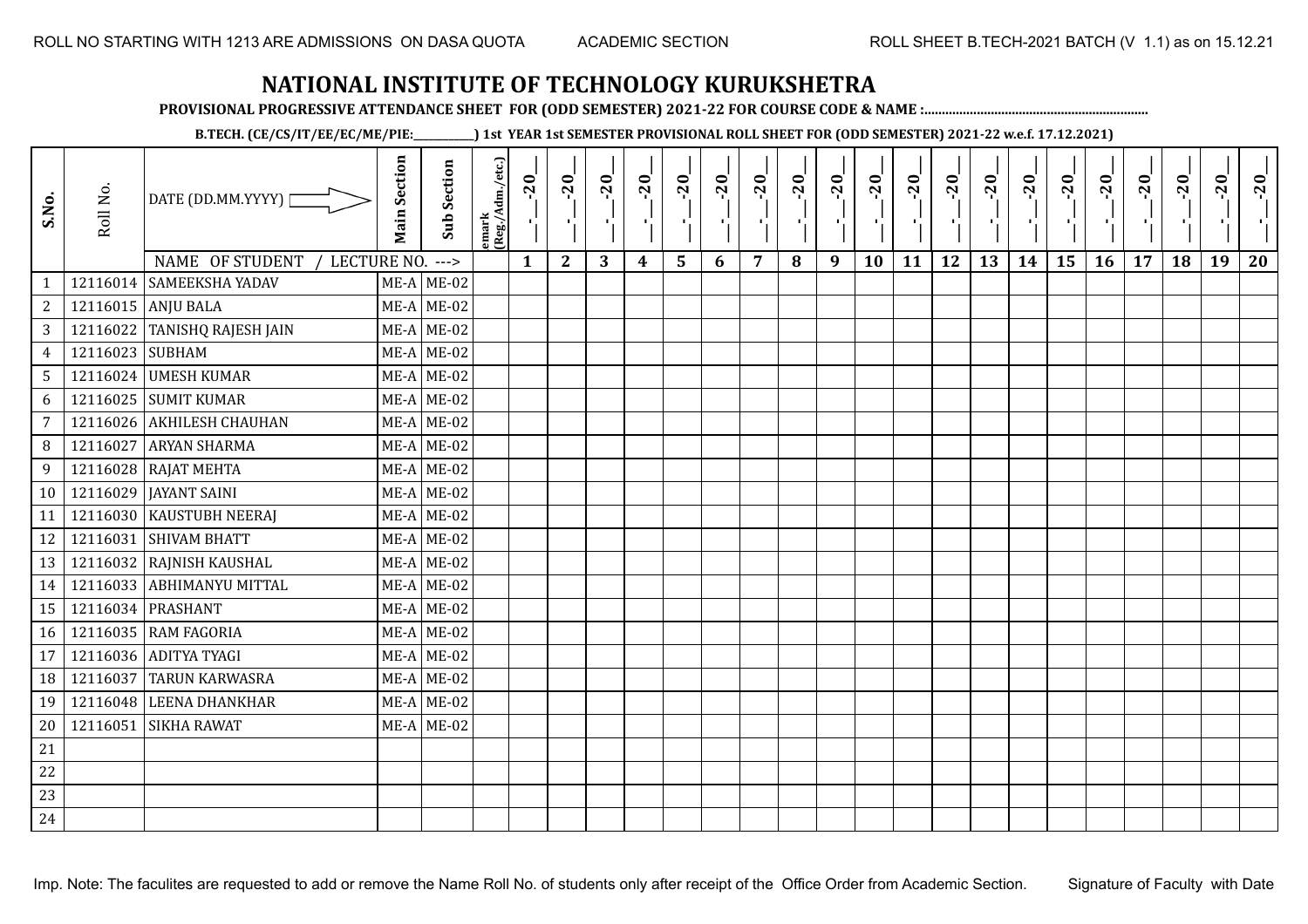**PROVISIONAL PROGRESSIVE ATTENDANCE SHEET FOR (ODD SEMESTER) 2021-22 FOR COURSE CODE & NAME :................................................................**

**B.TECH. (CE/CS/IT/EE/EC/ME/PIE:\_\_\_\_\_\_\_\_\_\_\_\_) 1st YEAR 1st SEMESTER PROVISIONAL ROLL SHEET FOR (ODD SEMESTER) 2021-22 w.e.f. 17.12.2021)**

| S.No.          | Roll No. | DATE (DD.MM.YYYY) [<br>NAME OF STUDENT<br>LECTURE NO. | <b>Main Section</b> | <b>Sub Section</b><br>$---$ | emark<br> (Reg./Adm./etc.) | $-20$<br>Ч.<br>$\mathbf{1}$ | $-20$<br>×.<br>$\mathbf{2}$ | $-20$<br>-91<br>3 | $-20$<br>×.<br>$\boldsymbol{4}$ | $-20$<br>٠,<br>5 | $-20$<br>п. | $-20$<br>$\overline{7}$ | $-20$<br>8 | $-20$<br>лj<br>9 | $-20$<br>л,<br>10 | $-20$<br>т. | $-20$<br>-10<br>12 | $-20$<br>로<br>13 | $-20$<br>шj<br>14 | $-20$<br>÷,<br>15 | $-20$<br>л÷.<br>16 | $-20$<br>17 | $-20$<br>18 | $-20$<br>×.<br>19 | $-20$<br>20 |
|----------------|----------|-------------------------------------------------------|---------------------|-----------------------------|----------------------------|-----------------------------|-----------------------------|-------------------|---------------------------------|------------------|-------------|-------------------------|------------|------------------|-------------------|-------------|--------------------|------------------|-------------------|-------------------|--------------------|-------------|-------------|-------------------|-------------|
| $\mathbf{1}$   |          | 12116014 SAMEEKSHA YADAV                              |                     | $ME-A$ ME-02                |                            |                             |                             |                   |                                 |                  | 6           |                         |            |                  |                   | 11          |                    |                  |                   |                   |                    |             |             |                   |             |
| 2              |          | 12116015 ANJU BALA                                    |                     | $ME-A$ ME-02                |                            |                             |                             |                   |                                 |                  |             |                         |            |                  |                   |             |                    |                  |                   |                   |                    |             |             |                   |             |
| 3              |          | 12116022 TANISHQ RAJESH JAIN                          |                     | $ME-A$ ME-02                |                            |                             |                             |                   |                                 |                  |             |                         |            |                  |                   |             |                    |                  |                   |                   |                    |             |             |                   |             |
| $\overline{4}$ | 12116023 | SUBHAM                                                |                     | $ME-A$ ME-02                |                            |                             |                             |                   |                                 |                  |             |                         |            |                  |                   |             |                    |                  |                   |                   |                    |             |             |                   |             |
| 5              |          | 12116024 UMESH KUMAR                                  |                     | $ME-A$ ME-02                |                            |                             |                             |                   |                                 |                  |             |                         |            |                  |                   |             |                    |                  |                   |                   |                    |             |             |                   |             |
| 6              | 12116025 | <b>SUMIT KUMAR</b>                                    |                     | $ME-A$ ME-02                |                            |                             |                             |                   |                                 |                  |             |                         |            |                  |                   |             |                    |                  |                   |                   |                    |             |             |                   |             |
| $\overline{7}$ | 12116026 | <b>AKHILESH CHAUHAN</b>                               |                     | $ME-A$ ME-02                |                            |                             |                             |                   |                                 |                  |             |                         |            |                  |                   |             |                    |                  |                   |                   |                    |             |             |                   |             |
| 8              | 12116027 | <b>ARYAN SHARMA</b>                                   |                     | $ME-A$ ME-02                |                            |                             |                             |                   |                                 |                  |             |                         |            |                  |                   |             |                    |                  |                   |                   |                    |             |             |                   |             |
| 9              |          | 12116028 RAJAT MEHTA                                  |                     | $ME-A$ ME-02                |                            |                             |                             |                   |                                 |                  |             |                         |            |                  |                   |             |                    |                  |                   |                   |                    |             |             |                   |             |
| 10             |          | 12116029   JAYANT SAINI                               |                     | $ME-A$ ME-02                |                            |                             |                             |                   |                                 |                  |             |                         |            |                  |                   |             |                    |                  |                   |                   |                    |             |             |                   |             |
| 11             |          | 12116030 KAUSTUBH NEERAJ                              |                     | $ME-A$ ME-02                |                            |                             |                             |                   |                                 |                  |             |                         |            |                  |                   |             |                    |                  |                   |                   |                    |             |             |                   |             |
| 12             |          | 12116031 SHIVAM BHATT                                 |                     | $ME-A$ ME-02                |                            |                             |                             |                   |                                 |                  |             |                         |            |                  |                   |             |                    |                  |                   |                   |                    |             |             |                   |             |
| 13             | 12116032 | <b>RAJNISH KAUSHAL</b>                                |                     | $ME-A$ ME-02                |                            |                             |                             |                   |                                 |                  |             |                         |            |                  |                   |             |                    |                  |                   |                   |                    |             |             |                   |             |
| 14             |          | 12116033 ABHIMANYU MITTAL                             |                     | $ME-A$ ME-02                |                            |                             |                             |                   |                                 |                  |             |                         |            |                  |                   |             |                    |                  |                   |                   |                    |             |             |                   |             |
| 15             |          | 12116034 PRASHANT                                     |                     | $ME-A$ ME-02                |                            |                             |                             |                   |                                 |                  |             |                         |            |                  |                   |             |                    |                  |                   |                   |                    |             |             |                   |             |
| 16             |          | 12116035 RAM FAGORIA                                  |                     | $ME-A$ ME-02                |                            |                             |                             |                   |                                 |                  |             |                         |            |                  |                   |             |                    |                  |                   |                   |                    |             |             |                   |             |
| 17             |          | 12116036 ADITYA TYAGI                                 |                     | $ME-A$ ME-02                |                            |                             |                             |                   |                                 |                  |             |                         |            |                  |                   |             |                    |                  |                   |                   |                    |             |             |                   |             |
| 18             | 12116037 | <b>TARUN KARWASRA</b>                                 |                     | $ME-A$ ME-02                |                            |                             |                             |                   |                                 |                  |             |                         |            |                  |                   |             |                    |                  |                   |                   |                    |             |             |                   |             |
| 19             |          | 12116048 LEENA DHANKHAR                               |                     | $ME-A$ ME-02                |                            |                             |                             |                   |                                 |                  |             |                         |            |                  |                   |             |                    |                  |                   |                   |                    |             |             |                   |             |
| 20             | 12116051 | <b>SIKHA RAWAT</b>                                    |                     | $ME-A$ ME-02                |                            |                             |                             |                   |                                 |                  |             |                         |            |                  |                   |             |                    |                  |                   |                   |                    |             |             |                   |             |
| 21             |          |                                                       |                     |                             |                            |                             |                             |                   |                                 |                  |             |                         |            |                  |                   |             |                    |                  |                   |                   |                    |             |             |                   |             |
| 22             |          |                                                       |                     |                             |                            |                             |                             |                   |                                 |                  |             |                         |            |                  |                   |             |                    |                  |                   |                   |                    |             |             |                   |             |
| 23             |          |                                                       |                     |                             |                            |                             |                             |                   |                                 |                  |             |                         |            |                  |                   |             |                    |                  |                   |                   |                    |             |             |                   |             |
| 24             |          |                                                       |                     |                             |                            |                             |                             |                   |                                 |                  |             |                         |            |                  |                   |             |                    |                  |                   |                   |                    |             |             |                   |             |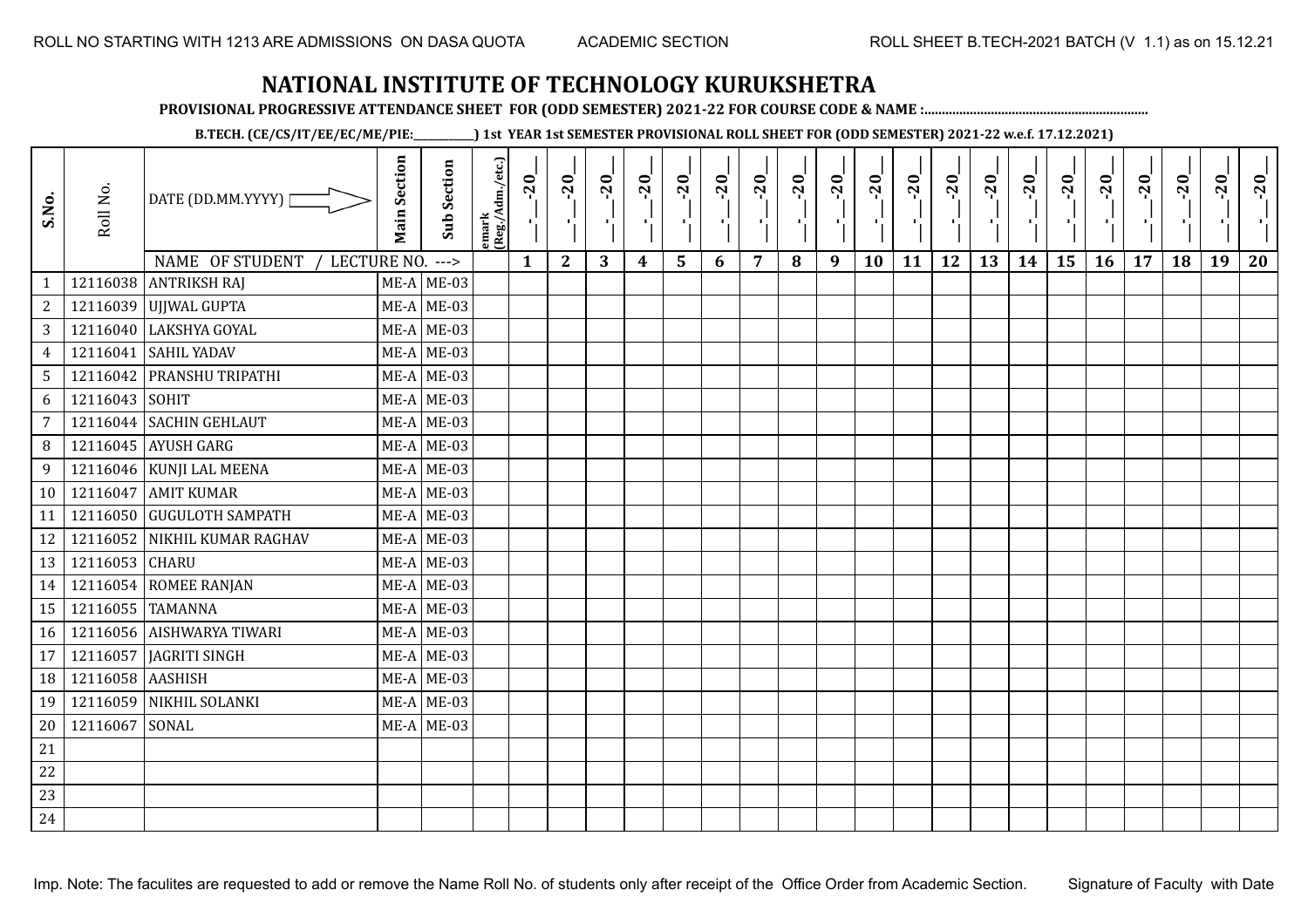**PROVISIONAL PROGRESSIVE ATTENDANCE SHEET FOR (ODD SEMESTER) 2021-22 FOR COURSE CODE & NAME :................................................................**

**B.TECH. (CE/CS/IT/EE/EC/ME/PIE:\_\_\_\_\_\_\_\_\_\_\_\_) 1st YEAR 1st SEMESTER PROVISIONAL ROLL SHEET FOR (ODD SEMESTER) 2021-22 w.e.f. 17.12.2021)**

| S.No.           | Roll No.         | DATE (DD.MM.YYYY)  <br>NAME OF STUDENT<br>LECTURE NO. ---> | <b>Main Section</b> | <b>Sub Section</b> | emark<br> (Reg./Adm./etc.) | $-20$<br>$\mathbf{1}$ | $-20$<br>ТÌ.<br>$\mathbf{2}$ | $-20$<br>л÷.<br>3 | $-20$<br>π÷<br>$\boldsymbol{4}$ | $-20$<br>J,<br>$5\phantom{1}$ | $-20$<br>×,<br>6 | $-20$<br>$\overline{7}$ | $-20$<br>8 | $-20$<br>пļ<br>9 | $-20$<br>л,<br>10 | $-20$<br>τj<br>11 | $-20$<br>п.<br>12 | $-20$<br>로<br>13 | $-20$<br>$\blacksquare$<br>14 | $-20$<br>ا.<br>ا<br>15 | $-20$<br>л.<br>16 | $-20$<br>17 | $-20$<br>18 | $-20$<br>×.<br>19 | $-20$<br>20 |
|-----------------|------------------|------------------------------------------------------------|---------------------|--------------------|----------------------------|-----------------------|------------------------------|-------------------|---------------------------------|-------------------------------|------------------|-------------------------|------------|------------------|-------------------|-------------------|-------------------|------------------|-------------------------------|------------------------|-------------------|-------------|-------------|-------------------|-------------|
| $\mathbf{1}$    |                  | 12116038 ANTRIKSH RAJ                                      |                     | $ME-A$ ME-03       |                            |                       |                              |                   |                                 |                               |                  |                         |            |                  |                   |                   |                   |                  |                               |                        |                   |             |             |                   |             |
| $\mathbf{2}$    |                  | 12116039 UJJWAL GUPTA                                      |                     | $ME-A$ ME-03       |                            |                       |                              |                   |                                 |                               |                  |                         |            |                  |                   |                   |                   |                  |                               |                        |                   |             |             |                   |             |
| 3               |                  | 12116040 LAKSHYA GOYAL                                     |                     | $ME-A$ ME-03       |                            |                       |                              |                   |                                 |                               |                  |                         |            |                  |                   |                   |                   |                  |                               |                        |                   |             |             |                   |             |
| $\overline{4}$  | 12116041         | <b>SAHIL YADAV</b>                                         |                     | $ME-A$ ME-03       |                            |                       |                              |                   |                                 |                               |                  |                         |            |                  |                   |                   |                   |                  |                               |                        |                   |             |             |                   |             |
| $5\overline{)}$ |                  | 12116042 PRANSHU TRIPATHI                                  |                     | $ME-A$ ME-03       |                            |                       |                              |                   |                                 |                               |                  |                         |            |                  |                   |                   |                   |                  |                               |                        |                   |             |             |                   |             |
| 6               | 12116043         | SOHIT                                                      |                     | $ME-A$ ME-03       |                            |                       |                              |                   |                                 |                               |                  |                         |            |                  |                   |                   |                   |                  |                               |                        |                   |             |             |                   |             |
| 7               | 12116044         | <b>SACHIN GEHLAUT</b>                                      |                     | $ME-A$ ME-03       |                            |                       |                              |                   |                                 |                               |                  |                         |            |                  |                   |                   |                   |                  |                               |                        |                   |             |             |                   |             |
| 8               |                  | 12116045 AYUSH GARG                                        |                     | $ME-A$ ME-03       |                            |                       |                              |                   |                                 |                               |                  |                         |            |                  |                   |                   |                   |                  |                               |                        |                   |             |             |                   |             |
| 9               |                  | 12116046 KUNJI LAL MEENA                                   |                     | $ME-A$ ME-03       |                            |                       |                              |                   |                                 |                               |                  |                         |            |                  |                   |                   |                   |                  |                               |                        |                   |             |             |                   |             |
| 10              |                  | 12116047 AMIT KUMAR                                        |                     | $ME-A$ ME-03       |                            |                       |                              |                   |                                 |                               |                  |                         |            |                  |                   |                   |                   |                  |                               |                        |                   |             |             |                   |             |
| 11              |                  | 12116050 GUGULOTH SAMPATH                                  |                     | $ME-A$ ME-03       |                            |                       |                              |                   |                                 |                               |                  |                         |            |                  |                   |                   |                   |                  |                               |                        |                   |             |             |                   |             |
| 12              |                  | 12116052 NIKHIL KUMAR RAGHAV                               |                     | $ME-A$ ME-03       |                            |                       |                              |                   |                                 |                               |                  |                         |            |                  |                   |                   |                   |                  |                               |                        |                   |             |             |                   |             |
| 13              | 12116053 CHARU   |                                                            |                     | $ME-A$ ME-03       |                            |                       |                              |                   |                                 |                               |                  |                         |            |                  |                   |                   |                   |                  |                               |                        |                   |             |             |                   |             |
| 14              |                  | 12116054 ROMEE RANJAN                                      |                     | $ME-A$ ME-03       |                            |                       |                              |                   |                                 |                               |                  |                         |            |                  |                   |                   |                   |                  |                               |                        |                   |             |             |                   |             |
| 15              | 12116055 TAMANNA |                                                            |                     | $ME-A$ ME-03       |                            |                       |                              |                   |                                 |                               |                  |                         |            |                  |                   |                   |                   |                  |                               |                        |                   |             |             |                   |             |
| 16              |                  | 12116056 AISHWARYA TIWARI                                  |                     | $ME-A$ ME-03       |                            |                       |                              |                   |                                 |                               |                  |                         |            |                  |                   |                   |                   |                  |                               |                        |                   |             |             |                   |             |
| 17              | 12116057         | JAGRITI SINGH                                              |                     | $ME-A$ ME-03       |                            |                       |                              |                   |                                 |                               |                  |                         |            |                  |                   |                   |                   |                  |                               |                        |                   |             |             |                   |             |
| 18              | 12116058 AASHISH |                                                            |                     | $ME-A$ ME-03       |                            |                       |                              |                   |                                 |                               |                  |                         |            |                  |                   |                   |                   |                  |                               |                        |                   |             |             |                   |             |
| 19              | 12116059         | NIKHIL SOLANKI                                             |                     | $ME-A$ ME-03       |                            |                       |                              |                   |                                 |                               |                  |                         |            |                  |                   |                   |                   |                  |                               |                        |                   |             |             |                   |             |
| 20              | 12116067         | SONAL                                                      |                     | $ME-A$ ME-03       |                            |                       |                              |                   |                                 |                               |                  |                         |            |                  |                   |                   |                   |                  |                               |                        |                   |             |             |                   |             |
| 21              |                  |                                                            |                     |                    |                            |                       |                              |                   |                                 |                               |                  |                         |            |                  |                   |                   |                   |                  |                               |                        |                   |             |             |                   |             |
| 22              |                  |                                                            |                     |                    |                            |                       |                              |                   |                                 |                               |                  |                         |            |                  |                   |                   |                   |                  |                               |                        |                   |             |             |                   |             |
| 23              |                  |                                                            |                     |                    |                            |                       |                              |                   |                                 |                               |                  |                         |            |                  |                   |                   |                   |                  |                               |                        |                   |             |             |                   |             |
| 24              |                  |                                                            |                     |                    |                            |                       |                              |                   |                                 |                               |                  |                         |            |                  |                   |                   |                   |                  |                               |                        |                   |             |             |                   |             |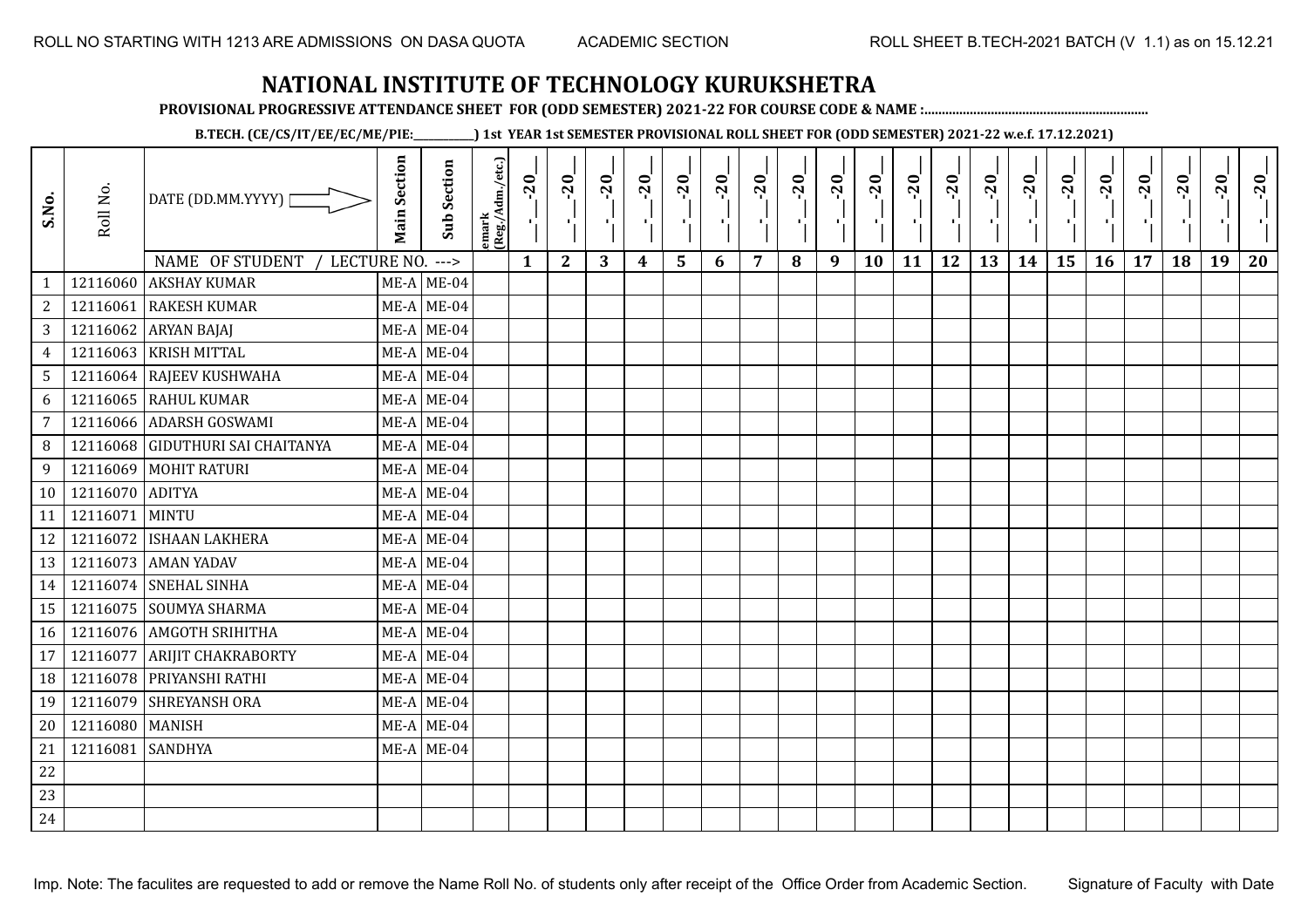**PROVISIONAL PROGRESSIVE ATTENDANCE SHEET FOR (ODD SEMESTER) 2021-22 FOR COURSE CODE & NAME :................................................................**

**B.TECH. (CE/CS/IT/EE/EC/ME/PIE:\_\_\_\_\_\_\_\_\_\_\_\_) 1st YEAR 1st SEMESTER PROVISIONAL ROLL SHEET FOR (ODD SEMESTER) 2021-22 w.e.f. 17.12.2021)**

| S.No.        | Roll No.        | DATE (DD.MM.YYYY) [<br>NAME OF STUDENT<br>LECTURE NO. | <b>Main Section</b> | <b>Sub Section</b><br>$---$ | emark<br> (Reg./Adm./etc.) | $-20$<br>$\mathcal{F}_{\mathbf{F}}$<br>$\mathbf{1}$ | $-20$<br>×.<br>$\mathbf{2}$ | $-20$<br>-91<br>3 | $-20$<br>π÷<br>$\boldsymbol{4}$ | $-20$<br>٠,<br>5 | $-20$<br>пf,<br>6 | $-20$<br>7 | $-20$<br>8 | $-20$<br>лj<br>9 | $-20$<br>÷,<br>10 | $-20$<br>тj<br>11 | $-20$<br>-10<br>12 | $-20$<br>로<br>13 | $-20$<br>шj<br>14 | $-20$<br>국<br>15 | $-20$<br>л÷.<br>16 | $-20$<br>17 | $-20$<br>18 | $-20$<br>×.<br>19 | $-20$<br>20 |
|--------------|-----------------|-------------------------------------------------------|---------------------|-----------------------------|----------------------------|-----------------------------------------------------|-----------------------------|-------------------|---------------------------------|------------------|-------------------|------------|------------|------------------|-------------------|-------------------|--------------------|------------------|-------------------|------------------|--------------------|-------------|-------------|-------------------|-------------|
| $\mathbf{1}$ | 12116060        | <b>AKSHAY KUMAR</b>                                   |                     | $ME-A$ ME-04                |                            |                                                     |                             |                   |                                 |                  |                   |            |            |                  |                   |                   |                    |                  |                   |                  |                    |             |             |                   |             |
| 2            | 12116061        | <b>RAKESH KUMAR</b>                                   |                     | $ME-A$ ME-04                |                            |                                                     |                             |                   |                                 |                  |                   |            |            |                  |                   |                   |                    |                  |                   |                  |                    |             |             |                   |             |
| 3            | 12116062        | <b>ARYAN BAJAJ</b>                                    |                     | $ME-A$ ME-04                |                            |                                                     |                             |                   |                                 |                  |                   |            |            |                  |                   |                   |                    |                  |                   |                  |                    |             |             |                   |             |
| 4            | 12116063        | <b>KRISH MITTAL</b>                                   |                     | $ME-A$ ME-04                |                            |                                                     |                             |                   |                                 |                  |                   |            |            |                  |                   |                   |                    |                  |                   |                  |                    |             |             |                   |             |
| 5            |                 | 12116064 RAJEEV KUSHWAHA                              |                     | $ME-A$ ME-04                |                            |                                                     |                             |                   |                                 |                  |                   |            |            |                  |                   |                   |                    |                  |                   |                  |                    |             |             |                   |             |
| 6            | 12116065        | <b>RAHUL KUMAR</b>                                    |                     | $ME-A$ ME-04                |                            |                                                     |                             |                   |                                 |                  |                   |            |            |                  |                   |                   |                    |                  |                   |                  |                    |             |             |                   |             |
| 7            | 12116066        | <b>ADARSH GOSWAMI</b>                                 |                     | $ME-A$ ME-04                |                            |                                                     |                             |                   |                                 |                  |                   |            |            |                  |                   |                   |                    |                  |                   |                  |                    |             |             |                   |             |
| 8            |                 | 12116068 GIDUTHURI SAI CHAITANYA                      |                     | $ME-A$ ME-04                |                            |                                                     |                             |                   |                                 |                  |                   |            |            |                  |                   |                   |                    |                  |                   |                  |                    |             |             |                   |             |
| 9            |                 | 12116069 MOHIT RATURI                                 |                     | $ME-A$ ME-04                |                            |                                                     |                             |                   |                                 |                  |                   |            |            |                  |                   |                   |                    |                  |                   |                  |                    |             |             |                   |             |
| 10           | 12116070 ADITYA |                                                       |                     | $ME-A$ ME-04                |                            |                                                     |                             |                   |                                 |                  |                   |            |            |                  |                   |                   |                    |                  |                   |                  |                    |             |             |                   |             |
| 11           | 12116071        | <b>MINTU</b>                                          |                     | $ME-A$ ME-04                |                            |                                                     |                             |                   |                                 |                  |                   |            |            |                  |                   |                   |                    |                  |                   |                  |                    |             |             |                   |             |
| 12           |                 | 12116072 ISHAAN LAKHERA                               |                     | $ME-A$ ME-04                |                            |                                                     |                             |                   |                                 |                  |                   |            |            |                  |                   |                   |                    |                  |                   |                  |                    |             |             |                   |             |
| 13           |                 | 12116073 AMAN YADAV                                   |                     | $ME-A$ ME-04                |                            |                                                     |                             |                   |                                 |                  |                   |            |            |                  |                   |                   |                    |                  |                   |                  |                    |             |             |                   |             |
| 14           |                 | 12116074 SNEHAL SINHA                                 |                     | $ME-A$ ME-04                |                            |                                                     |                             |                   |                                 |                  |                   |            |            |                  |                   |                   |                    |                  |                   |                  |                    |             |             |                   |             |
| 15           |                 | 12116075 SOUMYA SHARMA                                |                     | $ME-A$ ME-04                |                            |                                                     |                             |                   |                                 |                  |                   |            |            |                  |                   |                   |                    |                  |                   |                  |                    |             |             |                   |             |
| 16           |                 | 12116076 AMGOTH SRIHITHA                              |                     | $ME-A$ ME-04                |                            |                                                     |                             |                   |                                 |                  |                   |            |            |                  |                   |                   |                    |                  |                   |                  |                    |             |             |                   |             |
| 17           | 12116077        | <b>ARIJIT CHAKRABORTY</b>                             |                     | $ME-A$ ME-04                |                            |                                                     |                             |                   |                                 |                  |                   |            |            |                  |                   |                   |                    |                  |                   |                  |                    |             |             |                   |             |
| 18           | 12116078        | PRIYANSHI RATHI                                       |                     | $ME-A$ ME-04                |                            |                                                     |                             |                   |                                 |                  |                   |            |            |                  |                   |                   |                    |                  |                   |                  |                    |             |             |                   |             |
| 19           |                 | 12116079 SHREYANSH ORA                                |                     | $ME-A$ ME-04                |                            |                                                     |                             |                   |                                 |                  |                   |            |            |                  |                   |                   |                    |                  |                   |                  |                    |             |             |                   |             |
| 20           | 12116080 MANISH |                                                       |                     | $ME-A$ ME-04                |                            |                                                     |                             |                   |                                 |                  |                   |            |            |                  |                   |                   |                    |                  |                   |                  |                    |             |             |                   |             |
| 21           | 12116081        | <b>SANDHYA</b>                                        |                     | $ME-A$ ME-04                |                            |                                                     |                             |                   |                                 |                  |                   |            |            |                  |                   |                   |                    |                  |                   |                  |                    |             |             |                   |             |
| 22           |                 |                                                       |                     |                             |                            |                                                     |                             |                   |                                 |                  |                   |            |            |                  |                   |                   |                    |                  |                   |                  |                    |             |             |                   |             |
| 23           |                 |                                                       |                     |                             |                            |                                                     |                             |                   |                                 |                  |                   |            |            |                  |                   |                   |                    |                  |                   |                  |                    |             |             |                   |             |
| 24           |                 |                                                       |                     |                             |                            |                                                     |                             |                   |                                 |                  |                   |            |            |                  |                   |                   |                    |                  |                   |                  |                    |             |             |                   |             |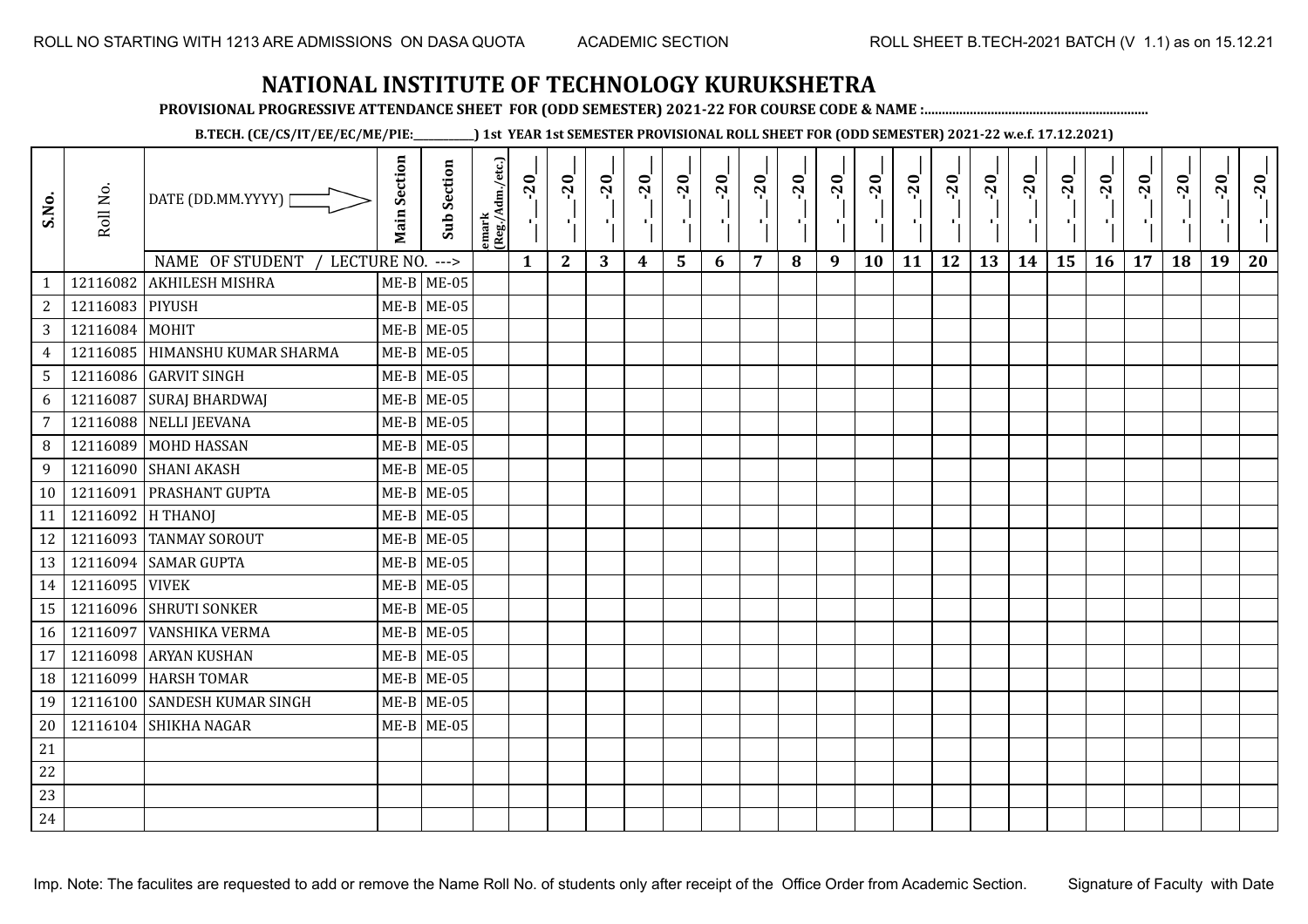**PROVISIONAL PROGRESSIVE ATTENDANCE SHEET FOR (ODD SEMESTER) 2021-22 FOR COURSE CODE & NAME :................................................................**

**B.TECH. (CE/CS/IT/EE/EC/ME/PIE:\_\_\_\_\_\_\_\_\_\_\_\_) 1st YEAR 1st SEMESTER PROVISIONAL ROLL SHEET FOR (ODD SEMESTER) 2021-22 w.e.f. 17.12.2021)**

| S.No.          | Roll No.          | DATE (DD.MM.YYYY) [<br>NAME OF STUDENT<br>LECTURE NO. | <b>Main Section</b> | <b>Sub Section</b><br>$--->$ | emark<br> (Reg./Adm./etc.) | $-20$<br>Ч.<br>$\mathbf{1}$ | $-20$<br>×.<br>$\mathbf{2}$ | $-20$<br>-91<br>3 | $-20$<br>π÷<br>$\boldsymbol{4}$ | $-20$<br>۱,<br>5 | $-20$<br>пf,<br>6 | $-20$<br>п,<br>7 | $-20$<br>8 | $-20$<br>лj<br>9 | $-20$<br>л,<br>10 | $-20$<br>п÷<br>11 | $-20$<br>-10<br>12 | $-20$<br>로<br>13 | $-20$<br>H)<br>14 | $-20$<br>국<br>15 | $-20$<br>л.,<br>16 | $-20$<br>17 | $-20$<br>18 | $-20$<br>×.<br>19 | $-20$<br>20 |
|----------------|-------------------|-------------------------------------------------------|---------------------|------------------------------|----------------------------|-----------------------------|-----------------------------|-------------------|---------------------------------|------------------|-------------------|------------------|------------|------------------|-------------------|-------------------|--------------------|------------------|-------------------|------------------|--------------------|-------------|-------------|-------------------|-------------|
| $\mathbf{1}$   | 12116082          | <b>AKHILESH MISHRA</b>                                |                     | $ME-B$ ME-05                 |                            |                             |                             |                   |                                 |                  |                   |                  |            |                  |                   |                   |                    |                  |                   |                  |                    |             |             |                   |             |
| 2              | 12116083 PIYUSH   |                                                       |                     | $ME-B$ ME-05                 |                            |                             |                             |                   |                                 |                  |                   |                  |            |                  |                   |                   |                    |                  |                   |                  |                    |             |             |                   |             |
| $\mathbf{3}$   | 12116084 MOHIT    |                                                       |                     | $ME-B$ ME-05                 |                            |                             |                             |                   |                                 |                  |                   |                  |            |                  |                   |                   |                    |                  |                   |                  |                    |             |             |                   |             |
| $\overline{4}$ | 12116085          | <b>HIMANSHU KUMAR SHARMA</b>                          |                     | $ME-B$ ME-05                 |                            |                             |                             |                   |                                 |                  |                   |                  |            |                  |                   |                   |                    |                  |                   |                  |                    |             |             |                   |             |
| 5              |                   | 12116086 GARVIT SINGH                                 |                     | $ME-B$ ME-05                 |                            |                             |                             |                   |                                 |                  |                   |                  |            |                  |                   |                   |                    |                  |                   |                  |                    |             |             |                   |             |
| 6              | 12116087          | <b>SURAJ BHARDWAJ</b>                                 |                     | $ME-B$ ME-05                 |                            |                             |                             |                   |                                 |                  |                   |                  |            |                  |                   |                   |                    |                  |                   |                  |                    |             |             |                   |             |
| $\overline{7}$ | 12116088          | NELLI JEEVANA                                         |                     | $ME-B$ ME-05                 |                            |                             |                             |                   |                                 |                  |                   |                  |            |                  |                   |                   |                    |                  |                   |                  |                    |             |             |                   |             |
| 8              | 12116089          | <b>MOHD HASSAN</b>                                    |                     | $ME-B$ ME-05                 |                            |                             |                             |                   |                                 |                  |                   |                  |            |                  |                   |                   |                    |                  |                   |                  |                    |             |             |                   |             |
| 9              |                   | 12116090 SHANI AKASH                                  |                     | $ME-B$ ME-05                 |                            |                             |                             |                   |                                 |                  |                   |                  |            |                  |                   |                   |                    |                  |                   |                  |                    |             |             |                   |             |
| 10             | 12116091          | <b>PRASHANT GUPTA</b>                                 |                     | $ME-B$ ME-05                 |                            |                             |                             |                   |                                 |                  |                   |                  |            |                  |                   |                   |                    |                  |                   |                  |                    |             |             |                   |             |
| 11             | 12116092 H THANOJ |                                                       |                     | $ME-B$ ME-05                 |                            |                             |                             |                   |                                 |                  |                   |                  |            |                  |                   |                   |                    |                  |                   |                  |                    |             |             |                   |             |
| 12             |                   | 12116093 TANMAY SOROUT                                |                     | $ME-B$ ME-05                 |                            |                             |                             |                   |                                 |                  |                   |                  |            |                  |                   |                   |                    |                  |                   |                  |                    |             |             |                   |             |
| 13             |                   | 12116094 SAMAR GUPTA                                  |                     | $ME-B$ ME-05                 |                            |                             |                             |                   |                                 |                  |                   |                  |            |                  |                   |                   |                    |                  |                   |                  |                    |             |             |                   |             |
| 14             | 12116095 VIVEK    |                                                       |                     | $ME-B$ ME-05                 |                            |                             |                             |                   |                                 |                  |                   |                  |            |                  |                   |                   |                    |                  |                   |                  |                    |             |             |                   |             |
| 15             |                   | 12116096 SHRUTI SONKER                                |                     | $ME-B$ ME-05                 |                            |                             |                             |                   |                                 |                  |                   |                  |            |                  |                   |                   |                    |                  |                   |                  |                    |             |             |                   |             |
| 16             | 12116097          | <b>VANSHIKA VERMA</b>                                 |                     | $ME-B$ ME-05                 |                            |                             |                             |                   |                                 |                  |                   |                  |            |                  |                   |                   |                    |                  |                   |                  |                    |             |             |                   |             |
| 17             | 12116098          | <b>ARYAN KUSHAN</b>                                   |                     | $ME-B$ ME-05                 |                            |                             |                             |                   |                                 |                  |                   |                  |            |                  |                   |                   |                    |                  |                   |                  |                    |             |             |                   |             |
| 18             | 12116099          | <b>HARSH TOMAR</b>                                    |                     | $ME-B$ ME-05                 |                            |                             |                             |                   |                                 |                  |                   |                  |            |                  |                   |                   |                    |                  |                   |                  |                    |             |             |                   |             |
| 19             |                   | 12116100 SANDESH KUMAR SINGH                          |                     | $ME-B$ ME-05                 |                            |                             |                             |                   |                                 |                  |                   |                  |            |                  |                   |                   |                    |                  |                   |                  |                    |             |             |                   |             |
| 20             |                   | 12116104 SHIKHA NAGAR                                 |                     | $ME-B$ ME-05                 |                            |                             |                             |                   |                                 |                  |                   |                  |            |                  |                   |                   |                    |                  |                   |                  |                    |             |             |                   |             |
| 21             |                   |                                                       |                     |                              |                            |                             |                             |                   |                                 |                  |                   |                  |            |                  |                   |                   |                    |                  |                   |                  |                    |             |             |                   |             |
| 22             |                   |                                                       |                     |                              |                            |                             |                             |                   |                                 |                  |                   |                  |            |                  |                   |                   |                    |                  |                   |                  |                    |             |             |                   |             |
| 23             |                   |                                                       |                     |                              |                            |                             |                             |                   |                                 |                  |                   |                  |            |                  |                   |                   |                    |                  |                   |                  |                    |             |             |                   |             |
| 24             |                   |                                                       |                     |                              |                            |                             |                             |                   |                                 |                  |                   |                  |            |                  |                   |                   |                    |                  |                   |                  |                    |             |             |                   |             |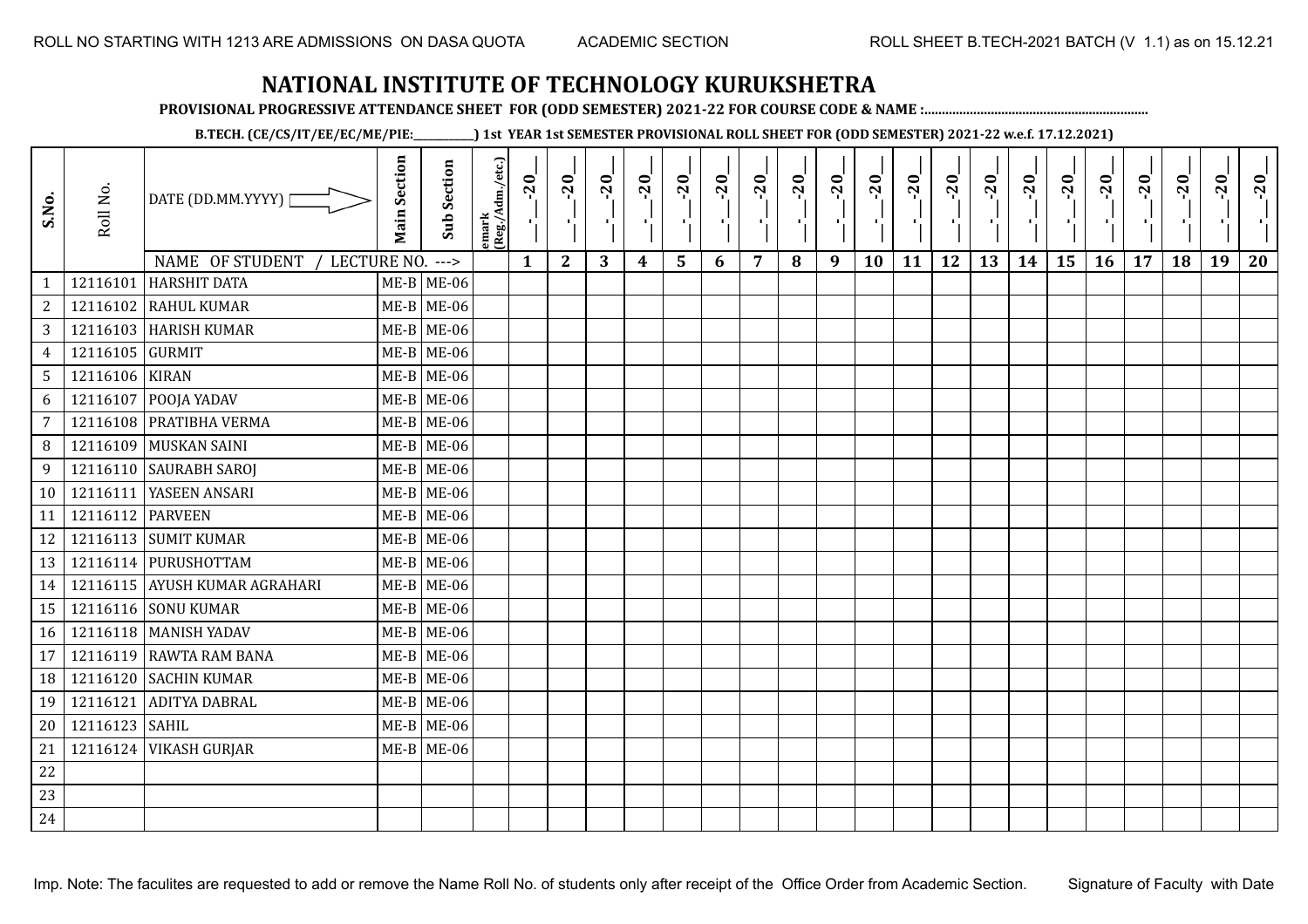**PROVISIONAL PROGRESSIVE ATTENDANCE SHEET FOR (ODD SEMESTER) 2021-22 FOR COURSE CODE & NAME :................................................................**

**B.TECH. (CE/CS/IT/EE/EC/ME/PIE:\_\_\_\_\_\_\_\_\_\_\_\_) 1st YEAR 1st SEMESTER PROVISIONAL ROLL SHEET FOR (ODD SEMESTER) 2021-22 w.e.f. 17.12.2021)**

| S.No.           | Roll No.        | DATE (DD.MM.YYYY)<br>NAME OF STUDENT<br>LECTURE NO. | <b>Main Section</b> | <b>Sub Section</b>     | emark<br>(Reg./Adm./etc.) | $-20$        | $-20$<br>π÷  | $-20$<br>л÷. | $-20$<br>π÷      | $-20$<br>чJ | $-20$<br>×, | $-20$ | $-20$ | $-20$<br>пļ | $-20$<br>л,<br>10 | $-20$<br>τj | $-20$<br>π÷<br>12 | $-20$<br>로 | $-20$<br>$\blacksquare$ | $-20$<br>۱,<br>15 | $-20$<br>к. | $-20$<br>17 | $-20$<br>18 | $-20$<br>×.<br>19 | $-20$ |
|-----------------|-----------------|-----------------------------------------------------|---------------------|------------------------|---------------------------|--------------|--------------|--------------|------------------|-------------|-------------|-------|-------|-------------|-------------------|-------------|-------------------|------------|-------------------------|-------------------|-------------|-------------|-------------|-------------------|-------|
| $\mathbf{1}$    | 12116101        | <b>HARSHIT DATA</b>                                 |                     | $--->$<br>$ME-B$ ME-06 |                           | $\mathbf{1}$ | $\mathbf{2}$ | 3            | $\boldsymbol{4}$ | 5           | 6           | 7     | 8     | 9           |                   | 11          |                   | 13         | 14                      |                   | 16          |             |             |                   | 20    |
| $\overline{c}$  | 12116102        | <b>RAHUL KUMAR</b>                                  |                     | $ME-B$ ME-06           |                           |              |              |              |                  |             |             |       |       |             |                   |             |                   |            |                         |                   |             |             |             |                   |       |
| 3               |                 | 12116103 HARISH KUMAR                               |                     | $ME-B$ ME-06           |                           |              |              |              |                  |             |             |       |       |             |                   |             |                   |            |                         |                   |             |             |             |                   |       |
| $\overline{4}$  | 12116105 GURMIT |                                                     |                     | $ME-B$ ME-06           |                           |              |              |              |                  |             |             |       |       |             |                   |             |                   |            |                         |                   |             |             |             |                   |       |
| $5\overline{)}$ | 12116106 KIRAN  |                                                     |                     | $ME-B$ ME-06           |                           |              |              |              |                  |             |             |       |       |             |                   |             |                   |            |                         |                   |             |             |             |                   |       |
| 6               | 12116107        | POOJA YADAV                                         |                     | $ME-B$ ME-06           |                           |              |              |              |                  |             |             |       |       |             |                   |             |                   |            |                         |                   |             |             |             |                   |       |
| 7               | 12116108        | PRATIBHA VERMA                                      |                     | $ME-B$ ME-06           |                           |              |              |              |                  |             |             |       |       |             |                   |             |                   |            |                         |                   |             |             |             |                   |       |
| 8               | 12116109        | MUSKAN SAINI                                        |                     | $ME-B$ ME-06           |                           |              |              |              |                  |             |             |       |       |             |                   |             |                   |            |                         |                   |             |             |             |                   |       |
| 9               |                 | 12116110 SAURABH SAROJ                              |                     | $ME-B$ ME-06           |                           |              |              |              |                  |             |             |       |       |             |                   |             |                   |            |                         |                   |             |             |             |                   |       |
| 10              | 12116111        | YASEEN ANSARI                                       |                     | $ME-B$ ME-06           |                           |              |              |              |                  |             |             |       |       |             |                   |             |                   |            |                         |                   |             |             |             |                   |       |
| 11              | 12116112        | <b>PARVEEN</b>                                      |                     | $ME-B$ ME-06           |                           |              |              |              |                  |             |             |       |       |             |                   |             |                   |            |                         |                   |             |             |             |                   |       |
| 12              |                 | 12116113 SUMIT KUMAR                                |                     | $ME-B$ ME-06           |                           |              |              |              |                  |             |             |       |       |             |                   |             |                   |            |                         |                   |             |             |             |                   |       |
| 13              |                 | 12116114 PURUSHOTTAM                                |                     | $ME-B$ ME-06           |                           |              |              |              |                  |             |             |       |       |             |                   |             |                   |            |                         |                   |             |             |             |                   |       |
| 14              |                 | 12116115 AYUSH KUMAR AGRAHARI                       |                     | $ME-B$ ME-06           |                           |              |              |              |                  |             |             |       |       |             |                   |             |                   |            |                         |                   |             |             |             |                   |       |
| 15              |                 | 12116116 SONU KUMAR                                 |                     | $ME-B$ ME-06           |                           |              |              |              |                  |             |             |       |       |             |                   |             |                   |            |                         |                   |             |             |             |                   |       |
| 16              |                 | 12116118 MANISH YADAV                               |                     | $ME-B$ ME-06           |                           |              |              |              |                  |             |             |       |       |             |                   |             |                   |            |                         |                   |             |             |             |                   |       |
| 17              | 12116119        | <b>RAWTA RAM BANA</b>                               |                     | $ME-B$ ME-06           |                           |              |              |              |                  |             |             |       |       |             |                   |             |                   |            |                         |                   |             |             |             |                   |       |
| 18              | 12116120        | <b>SACHIN KUMAR</b>                                 |                     | $ME-B$ ME-06           |                           |              |              |              |                  |             |             |       |       |             |                   |             |                   |            |                         |                   |             |             |             |                   |       |
| 19              | 12116121        | <b>ADITYA DABRAL</b>                                |                     | $ME-B$ ME-06           |                           |              |              |              |                  |             |             |       |       |             |                   |             |                   |            |                         |                   |             |             |             |                   |       |
| 20              | 12116123 SAHIL  |                                                     |                     | $ME-B$ ME-06           |                           |              |              |              |                  |             |             |       |       |             |                   |             |                   |            |                         |                   |             |             |             |                   |       |
| 21              |                 | 12116124 VIKASH GURJAR                              |                     | $ME-B$ ME-06           |                           |              |              |              |                  |             |             |       |       |             |                   |             |                   |            |                         |                   |             |             |             |                   |       |
| 22              |                 |                                                     |                     |                        |                           |              |              |              |                  |             |             |       |       |             |                   |             |                   |            |                         |                   |             |             |             |                   |       |
| 23              |                 |                                                     |                     |                        |                           |              |              |              |                  |             |             |       |       |             |                   |             |                   |            |                         |                   |             |             |             |                   |       |
| 24              |                 |                                                     |                     |                        |                           |              |              |              |                  |             |             |       |       |             |                   |             |                   |            |                         |                   |             |             |             |                   |       |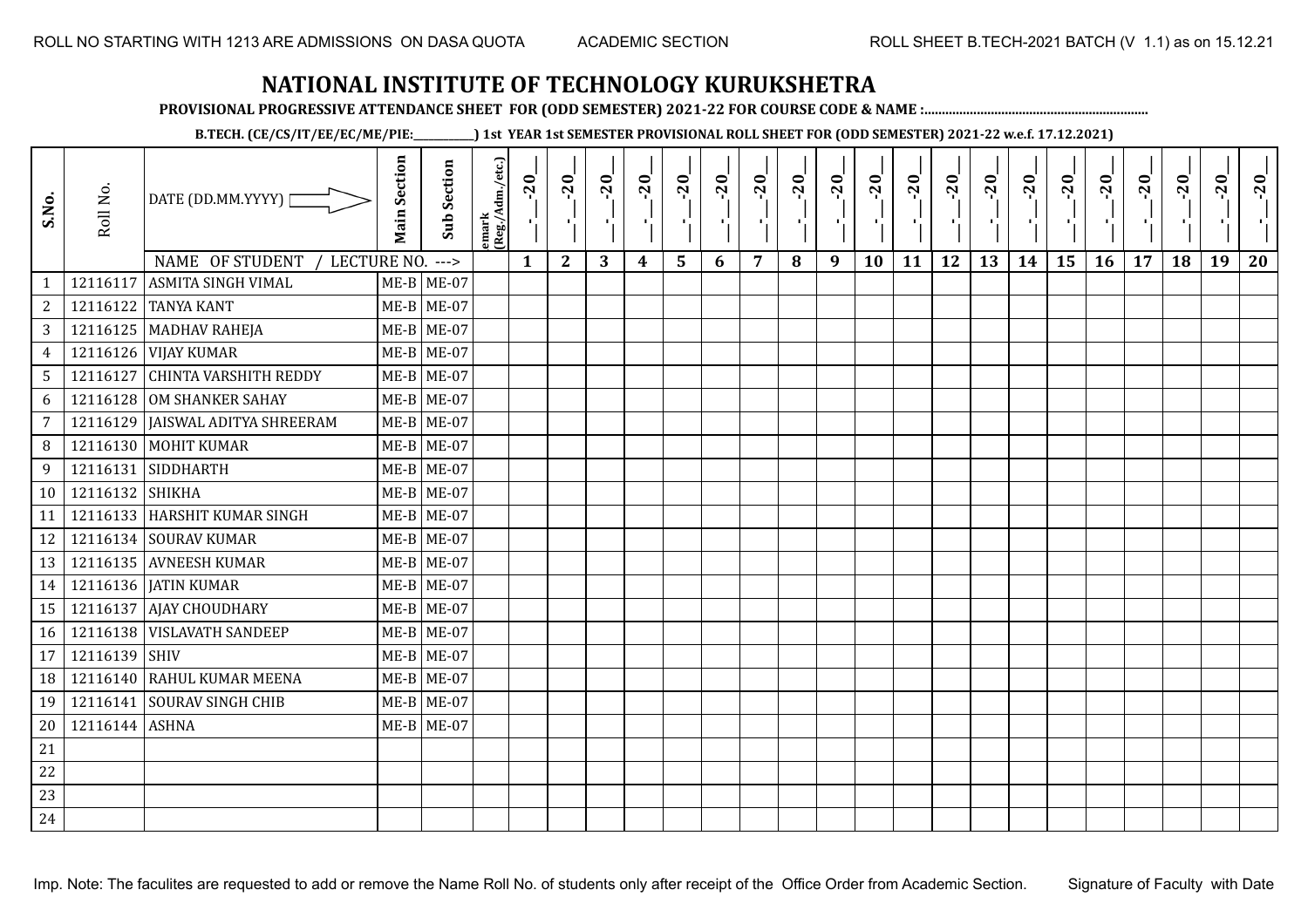**PROVISIONAL PROGRESSIVE ATTENDANCE SHEET FOR (ODD SEMESTER) 2021-22 FOR COURSE CODE & NAME :................................................................**

**B.TECH. (CE/CS/IT/EE/EC/ME/PIE:\_\_\_\_\_\_\_\_\_\_\_\_) 1st YEAR 1st SEMESTER PROVISIONAL ROLL SHEET FOR (ODD SEMESTER) 2021-22 w.e.f. 17.12.2021)**

| S.No.           | Roll No.        | DATE (DD.MM.YYYY) [<br>NAME OF STUDENT   | <b>Main Section</b> | <b>Sub Section</b>   | emark<br> (Reg./Adm./etc.) | $-20$        | $-20$<br>$\mathcal{F}_{\rm L}$ | $-20$<br>π÷ | $-20$<br>т.      | $-20$<br>۱, | $-20$<br>л., | $-20$<br>- 1 | $-20$ | $-20$<br>-9 | $-20$<br>л, | $-20$<br>тj | $-20$<br>π÷<br>12 | $-20$<br>로 | $-20$<br>$\blacksquare$ | $-20$<br>۱, | $-20$<br>$\mathcal{F}_1$ . | $-20$ | $-20$<br>18 | $-20$<br>$\mathcal{F}_1$ .<br>19 | $-20$ |
|-----------------|-----------------|------------------------------------------|---------------------|----------------------|----------------------------|--------------|--------------------------------|-------------|------------------|-------------|--------------|--------------|-------|-------------|-------------|-------------|-------------------|------------|-------------------------|-------------|----------------------------|-------|-------------|----------------------------------|-------|
|                 | 12116117        | LECTURE NO.<br><b>ASMITA SINGH VIMAL</b> |                     | $--->$<br>ME-B ME-07 |                            | $\mathbf{1}$ | $\mathbf{2}$                   | 3           | $\boldsymbol{4}$ | 5           | 6            | 7            | 8     | 9           | 10          | 11          |                   | 13         | 14                      | 15          | 16                         | 17    |             |                                  | 20    |
| $\overline{2}$  |                 | 12116122 TANYA KANT                      |                     | ME-B ME-07           |                            |              |                                |             |                  |             |              |              |       |             |             |             |                   |            |                         |             |                            |       |             |                                  |       |
| $\mathbf{3}$    |                 | 12116125   MADHAV RAHEJA                 |                     | $ME-B$ ME-07         |                            |              |                                |             |                  |             |              |              |       |             |             |             |                   |            |                         |             |                            |       |             |                                  |       |
| $\overline{4}$  |                 | 12116126 VIJAY KUMAR                     |                     | $ME-B$ ME-07         |                            |              |                                |             |                  |             |              |              |       |             |             |             |                   |            |                         |             |                            |       |             |                                  |       |
| 5 <sup>5</sup>  |                 | 12116127 CHINTA VARSHITH REDDY           |                     | $ME-B$ ME-07         |                            |              |                                |             |                  |             |              |              |       |             |             |             |                   |            |                         |             |                            |       |             |                                  |       |
| 6               |                 | 12116128 OM SHANKER SAHAY                |                     | $ME-B$ ME-07         |                            |              |                                |             |                  |             |              |              |       |             |             |             |                   |            |                         |             |                            |       |             |                                  |       |
| $\overline{7}$  |                 | 12116129   JAISWAL ADITYA SHREERAM       |                     | $ME-B$ ME-07         |                            |              |                                |             |                  |             |              |              |       |             |             |             |                   |            |                         |             |                            |       |             |                                  |       |
| 8               |                 | 12116130 MOHIT KUMAR                     |                     | $ME-B$ ME-07         |                            |              |                                |             |                  |             |              |              |       |             |             |             |                   |            |                         |             |                            |       |             |                                  |       |
| 9               |                 | 12116131 SIDDHARTH                       |                     | $ME-B$ ME-07         |                            |              |                                |             |                  |             |              |              |       |             |             |             |                   |            |                         |             |                            |       |             |                                  |       |
| 10 <sup>1</sup> | 12116132 SHIKHA |                                          |                     | $ME-B$ ME-07         |                            |              |                                |             |                  |             |              |              |       |             |             |             |                   |            |                         |             |                            |       |             |                                  |       |
| 11              |                 | 12116133 HARSHIT KUMAR SINGH             |                     | $ME-B$ ME-07         |                            |              |                                |             |                  |             |              |              |       |             |             |             |                   |            |                         |             |                            |       |             |                                  |       |
| 12              |                 | 12116134 SOURAV KUMAR                    |                     | $ME-B$ ME-07         |                            |              |                                |             |                  |             |              |              |       |             |             |             |                   |            |                         |             |                            |       |             |                                  |       |
| 13              |                 | 12116135 AVNEESH KUMAR                   |                     | $ME-B$ ME-07         |                            |              |                                |             |                  |             |              |              |       |             |             |             |                   |            |                         |             |                            |       |             |                                  |       |
| 14              |                 | 12116136   JATIN KUMAR                   |                     | $ME-B$ ME-07         |                            |              |                                |             |                  |             |              |              |       |             |             |             |                   |            |                         |             |                            |       |             |                                  |       |
| 15              |                 | 12116137 AJAY CHOUDHARY                  |                     | $ME-B$ ME-07         |                            |              |                                |             |                  |             |              |              |       |             |             |             |                   |            |                         |             |                            |       |             |                                  |       |
| 16              |                 | 12116138 VISLAVATH SANDEEP               |                     | $ME-B$ ME-07         |                            |              |                                |             |                  |             |              |              |       |             |             |             |                   |            |                         |             |                            |       |             |                                  |       |
| 17              | 12116139 SHIV   |                                          |                     | $ME-B$ ME-07         |                            |              |                                |             |                  |             |              |              |       |             |             |             |                   |            |                         |             |                            |       |             |                                  |       |
| 18              |                 | 12116140 RAHUL KUMAR MEENA               |                     | $ME-B$ ME-07         |                            |              |                                |             |                  |             |              |              |       |             |             |             |                   |            |                         |             |                            |       |             |                                  |       |
| 19              |                 | 12116141 SOURAV SINGH CHIB               |                     | $ME-B$ ME-07         |                            |              |                                |             |                  |             |              |              |       |             |             |             |                   |            |                         |             |                            |       |             |                                  |       |
| 20              | 12116144 ASHNA  |                                          |                     | $ME-B$ ME-07         |                            |              |                                |             |                  |             |              |              |       |             |             |             |                   |            |                         |             |                            |       |             |                                  |       |
| 21              |                 |                                          |                     |                      |                            |              |                                |             |                  |             |              |              |       |             |             |             |                   |            |                         |             |                            |       |             |                                  |       |
| 22              |                 |                                          |                     |                      |                            |              |                                |             |                  |             |              |              |       |             |             |             |                   |            |                         |             |                            |       |             |                                  |       |
| 23              |                 |                                          |                     |                      |                            |              |                                |             |                  |             |              |              |       |             |             |             |                   |            |                         |             |                            |       |             |                                  |       |
| 24              |                 |                                          |                     |                      |                            |              |                                |             |                  |             |              |              |       |             |             |             |                   |            |                         |             |                            |       |             |                                  |       |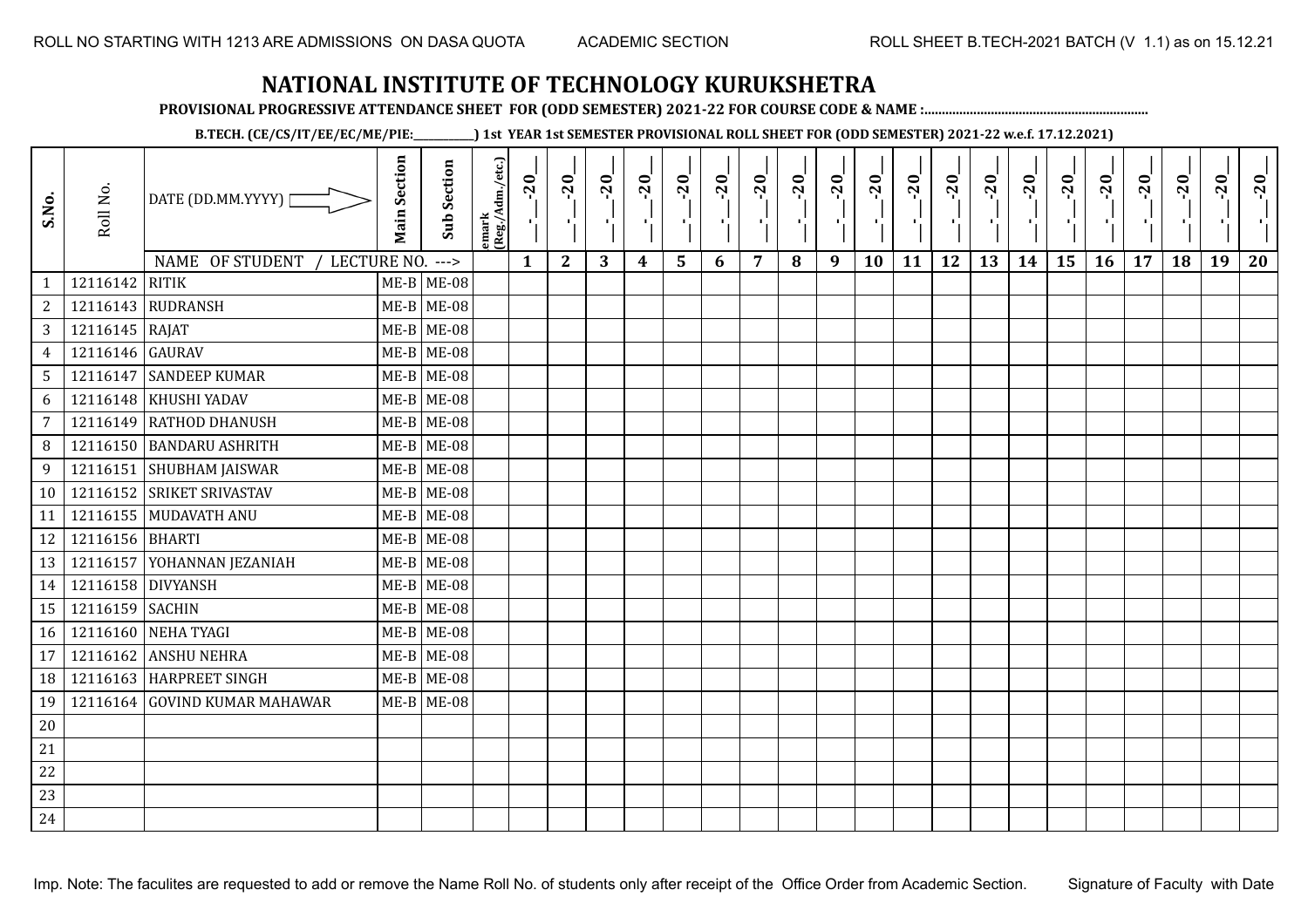**PROVISIONAL PROGRESSIVE ATTENDANCE SHEET FOR (ODD SEMESTER) 2021-22 FOR COURSE CODE & NAME :................................................................**

**B.TECH. (CE/CS/IT/EE/EC/ME/PIE:\_\_\_\_\_\_\_\_\_\_\_\_) 1st YEAR 1st SEMESTER PROVISIONAL ROLL SHEET FOR (ODD SEMESTER) 2021-22 w.e.f. 17.12.2021)**

| S.No.          | Roll No.          | DATE (DD.MM.YYYY)                             | <b>Main Section</b> | <b>Sub Section</b>     | emark<br> Reg./Adm./etc.) | $-20$<br>4   | $-20$<br>-10 | $-20$<br>Æ. | $-20$<br>$\mathbf{r}$ | $-20$<br>국 | $-20$<br>π÷ | $-20$<br>п÷    | $-20$ | $-20$<br>-10 | $-20$<br>۱, | $-20$ | $-20$<br>шĵ | $-20$<br>로 | $-20$<br>-10 | $-20$<br>۱, | $-20$ | $-20$ | $-20$<br>J. | $-20$<br>ч, | $-20$ |
|----------------|-------------------|-----------------------------------------------|---------------------|------------------------|---------------------------|--------------|--------------|-------------|-----------------------|------------|-------------|----------------|-------|--------------|-------------|-------|-------------|------------|--------------|-------------|-------|-------|-------------|-------------|-------|
| $\mathbf{1}$   | 12116142          | NAME OF STUDENT / LECTURE NO.<br><b>RITIK</b> |                     | $--->$<br>$ME-B$ ME-08 |                           | $\mathbf{1}$ | $\mathbf{2}$ | 3           | 4                     | 5          | 6           | $\overline{7}$ | 8     | 9            | <b>10</b>   | 11    | 12          | 13         | 14           | 15          | 16    | 17    | 18          | 19          | 20    |
| 2              |                   | 12116143 RUDRANSH                             |                     | $ME-B$ ME-08           |                           |              |              |             |                       |            |             |                |       |              |             |       |             |            |              |             |       |       |             |             |       |
| 3              | 12116145 RAJAT    |                                               |                     | $ME-B$ ME-08           |                           |              |              |             |                       |            |             |                |       |              |             |       |             |            |              |             |       |       |             |             |       |
| $\overline{4}$ | 12116146 GAURAV   |                                               |                     | $ME-B$ ME-08           |                           |              |              |             |                       |            |             |                |       |              |             |       |             |            |              |             |       |       |             |             |       |
| 5 <sup>1</sup> |                   | 12116147 SANDEEP KUMAR                        |                     | $ME-B$ ME-08           |                           |              |              |             |                       |            |             |                |       |              |             |       |             |            |              |             |       |       |             |             |       |
| 6              |                   | 12116148 KHUSHI YADAV                         |                     | $ME-B$ ME-08           |                           |              |              |             |                       |            |             |                |       |              |             |       |             |            |              |             |       |       |             |             |       |
| $\overline{7}$ |                   | 12116149 RATHOD DHANUSH                       |                     | $ME-B$ ME-08           |                           |              |              |             |                       |            |             |                |       |              |             |       |             |            |              |             |       |       |             |             |       |
| 8              |                   | 12116150 BANDARU ASHRITH                      |                     | $ME-B$ ME-08           |                           |              |              |             |                       |            |             |                |       |              |             |       |             |            |              |             |       |       |             |             |       |
| 9              |                   | 12116151 SHUBHAM JAISWAR                      |                     | $ME-B$ ME-08           |                           |              |              |             |                       |            |             |                |       |              |             |       |             |            |              |             |       |       |             |             |       |
| 10             |                   | 12116152 SRIKET SRIVASTAV                     |                     | $ME-B$ ME-08           |                           |              |              |             |                       |            |             |                |       |              |             |       |             |            |              |             |       |       |             |             |       |
| 11             |                   | 12116155 MUDAVATH ANU                         |                     | $ME-B$ ME-08           |                           |              |              |             |                       |            |             |                |       |              |             |       |             |            |              |             |       |       |             |             |       |
| 12             | 12116156 BHARTI   |                                               |                     | $ME-B$ ME-08           |                           |              |              |             |                       |            |             |                |       |              |             |       |             |            |              |             |       |       |             |             |       |
| 13             |                   | 12116157 YOHANNAN JEZANIAH                    |                     | $ME-B$ ME-08           |                           |              |              |             |                       |            |             |                |       |              |             |       |             |            |              |             |       |       |             |             |       |
| 14             | 12116158 DIVYANSH |                                               |                     | $ME-B$ ME-08           |                           |              |              |             |                       |            |             |                |       |              |             |       |             |            |              |             |       |       |             |             |       |
| 15             | 12116159 SACHIN   |                                               |                     | $ME-B$ ME-08           |                           |              |              |             |                       |            |             |                |       |              |             |       |             |            |              |             |       |       |             |             |       |
| 16             |                   | 12116160 NEHA TYAGI                           |                     | $ME-B$ ME-08           |                           |              |              |             |                       |            |             |                |       |              |             |       |             |            |              |             |       |       |             |             |       |
| 17             |                   | 12116162 ANSHU NEHRA                          |                     | $ME-B$ ME-08           |                           |              |              |             |                       |            |             |                |       |              |             |       |             |            |              |             |       |       |             |             |       |
| 18             |                   | 12116163 HARPREET SINGH                       |                     | $ME-B$ ME-08           |                           |              |              |             |                       |            |             |                |       |              |             |       |             |            |              |             |       |       |             |             |       |
| 19             |                   | 12116164 GOVIND KUMAR MAHAWAR                 |                     | $ME-B$ ME-08           |                           |              |              |             |                       |            |             |                |       |              |             |       |             |            |              |             |       |       |             |             |       |
| $20\,$         |                   |                                               |                     |                        |                           |              |              |             |                       |            |             |                |       |              |             |       |             |            |              |             |       |       |             |             |       |
| 21             |                   |                                               |                     |                        |                           |              |              |             |                       |            |             |                |       |              |             |       |             |            |              |             |       |       |             |             |       |
| 22             |                   |                                               |                     |                        |                           |              |              |             |                       |            |             |                |       |              |             |       |             |            |              |             |       |       |             |             |       |
| 23             |                   |                                               |                     |                        |                           |              |              |             |                       |            |             |                |       |              |             |       |             |            |              |             |       |       |             |             |       |
| 24             |                   |                                               |                     |                        |                           |              |              |             |                       |            |             |                |       |              |             |       |             |            |              |             |       |       |             |             |       |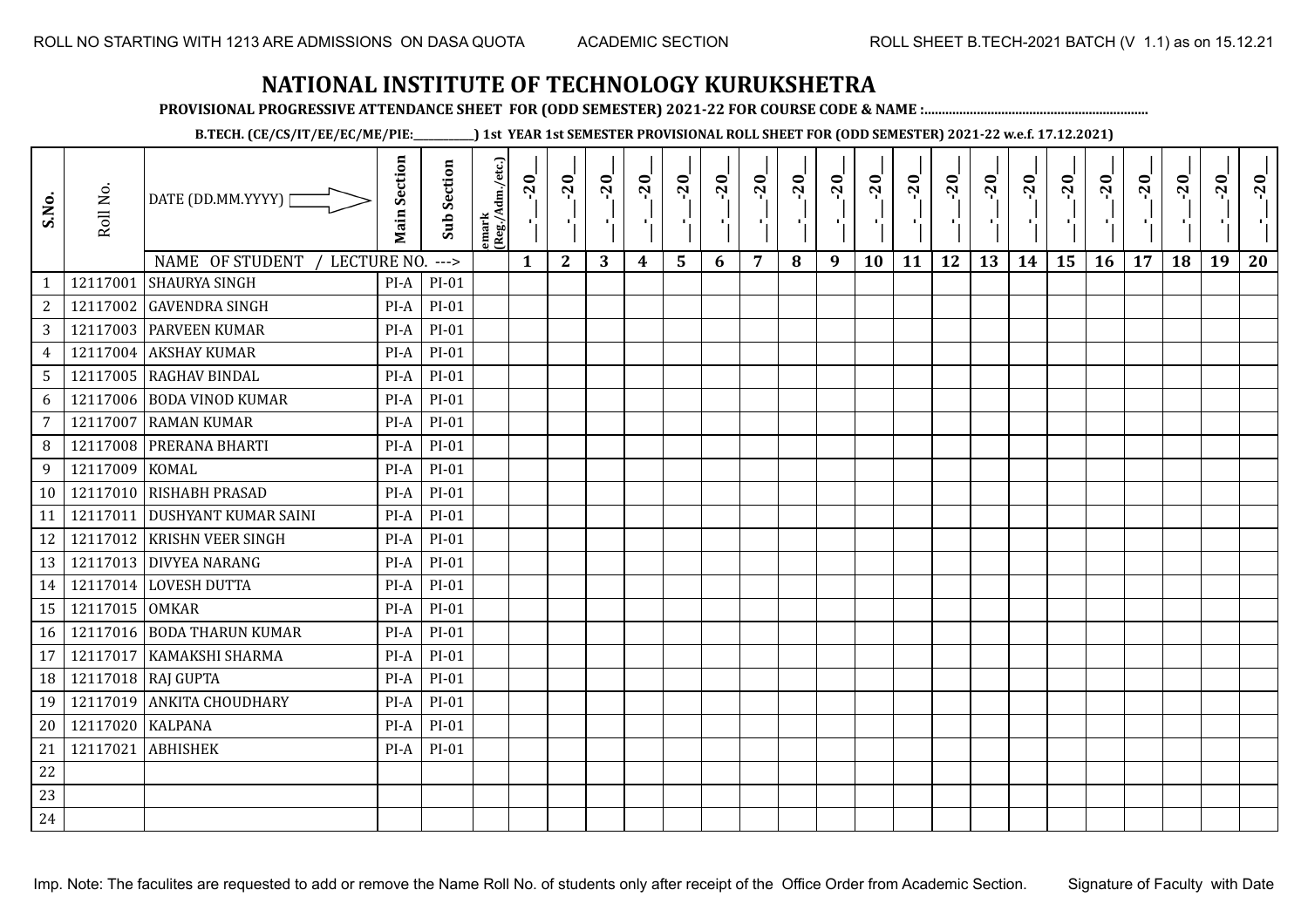**PROVISIONAL PROGRESSIVE ATTENDANCE SHEET FOR (ODD SEMESTER) 2021-22 FOR COURSE CODE & NAME :................................................................**

**B.TECH. (CE/CS/IT/EE/EC/ME/PIE:\_\_\_\_\_\_\_\_\_\_\_\_) 1st YEAR 1st SEMESTER PROVISIONAL ROLL SHEET FOR (ODD SEMESTER) 2021-22 w.e.f. 17.12.2021)**

| S.No.           | Roll No.       | DATE (DD.MM.YYYY) [<br>NAME OF STUDENT<br>LECTURE NO. | <b>Main Section</b> | <b>Sub Section</b><br>$---$ | emark<br>(Reg./Adm./etc.) | $\overline{20}$<br>Ч.<br>$\mathbf{1}$ | $-20$<br>л.,<br>$\mathbf{2}$ | $-20$<br>л,<br>3 | $-20$<br>л.<br>4 | $-20$<br>5 | $-20$<br>$\mathbf{L}$<br>6 | $-20$<br>л.<br>7 | $-20$<br>п÷<br>8 | $-20$<br>п.,<br>9 | $-20$<br>л.<br>10 | $-20$<br>×,<br>11 | $-20$<br>τj<br>12 | $-20$<br>п÷<br>13 | $-20$<br>τj<br>14 | $-20$<br>÷,<br>15 | $-20$<br>π÷<br>16 | $-20$<br>$\mathbf{I}$<br>17 | $-20$<br>18 | $-20$<br>$\blacksquare$<br>19 | $-20$<br>20 |
|-----------------|----------------|-------------------------------------------------------|---------------------|-----------------------------|---------------------------|---------------------------------------|------------------------------|------------------|------------------|------------|----------------------------|------------------|------------------|-------------------|-------------------|-------------------|-------------------|-------------------|-------------------|-------------------|-------------------|-----------------------------|-------------|-------------------------------|-------------|
| $\mathbf{1}$    | 12117001       | <b>SHAURYA SINGH</b>                                  | $PI-A$              | $PI-01$                     |                           |                                       |                              |                  |                  |            |                            |                  |                  |                   |                   |                   |                   |                   |                   |                   |                   |                             |             |                               |             |
| 2               | 12117002       | <b>GAVENDRA SINGH</b>                                 | PI-A                | $PI-01$                     |                           |                                       |                              |                  |                  |            |                            |                  |                  |                   |                   |                   |                   |                   |                   |                   |                   |                             |             |                               |             |
| 3               | 12117003       | <b>PARVEEN KUMAR</b>                                  | PI-A                | $PI-01$                     |                           |                                       |                              |                  |                  |            |                            |                  |                  |                   |                   |                   |                   |                   |                   |                   |                   |                             |             |                               |             |
| 4               | 12117004       | <b>AKSHAY KUMAR</b>                                   | $PI-A$              | $PI-01$                     |                           |                                       |                              |                  |                  |            |                            |                  |                  |                   |                   |                   |                   |                   |                   |                   |                   |                             |             |                               |             |
| $5\phantom{.0}$ | 12117005       | <b>RAGHAV BINDAL</b>                                  | PI-A                | $PI-01$                     |                           |                                       |                              |                  |                  |            |                            |                  |                  |                   |                   |                   |                   |                   |                   |                   |                   |                             |             |                               |             |
| 6               | 12117006       | <b>BODA VINOD KUMAR</b>                               | PI-A                | $PI-01$                     |                           |                                       |                              |                  |                  |            |                            |                  |                  |                   |                   |                   |                   |                   |                   |                   |                   |                             |             |                               |             |
| $\overline{7}$  | 12117007       | <b>RAMAN KUMAR</b>                                    | $PI-A$              | $PI-01$                     |                           |                                       |                              |                  |                  |            |                            |                  |                  |                   |                   |                   |                   |                   |                   |                   |                   |                             |             |                               |             |
| 8               | 12117008       | PRERANA BHARTI                                        | PI-A                | $PI-01$                     |                           |                                       |                              |                  |                  |            |                            |                  |                  |                   |                   |                   |                   |                   |                   |                   |                   |                             |             |                               |             |
| 9               | 12117009       | <b>KOMAL</b>                                          | $PI-A$              | $PI-01$                     |                           |                                       |                              |                  |                  |            |                            |                  |                  |                   |                   |                   |                   |                   |                   |                   |                   |                             |             |                               |             |
| 10              | 12117010       | <b>RISHABH PRASAD</b>                                 | $PI-A$              | $PI-01$                     |                           |                                       |                              |                  |                  |            |                            |                  |                  |                   |                   |                   |                   |                   |                   |                   |                   |                             |             |                               |             |
| 11              | 12117011       | <b>DUSHYANT KUMAR SAINI</b>                           | $PI-A$              | $PI-01$                     |                           |                                       |                              |                  |                  |            |                            |                  |                  |                   |                   |                   |                   |                   |                   |                   |                   |                             |             |                               |             |
| 12              |                | 12117012 KRISHN VEER SINGH                            | PI-A                | $PI-01$                     |                           |                                       |                              |                  |                  |            |                            |                  |                  |                   |                   |                   |                   |                   |                   |                   |                   |                             |             |                               |             |
| 13              |                | 12117013 DIVYEA NARANG                                | $PI-A$              | $PI-01$                     |                           |                                       |                              |                  |                  |            |                            |                  |                  |                   |                   |                   |                   |                   |                   |                   |                   |                             |             |                               |             |
| 14              |                | 12117014 LOVESH DUTTA                                 | PI-A                | $PI-01$                     |                           |                                       |                              |                  |                  |            |                            |                  |                  |                   |                   |                   |                   |                   |                   |                   |                   |                             |             |                               |             |
| 15              | 12117015 OMKAR |                                                       | PI-A                | $PI-01$                     |                           |                                       |                              |                  |                  |            |                            |                  |                  |                   |                   |                   |                   |                   |                   |                   |                   |                             |             |                               |             |
| 16              |                | 12117016 BODA THARUN KUMAR                            | $PI-A$              | $PI-01$                     |                           |                                       |                              |                  |                  |            |                            |                  |                  |                   |                   |                   |                   |                   |                   |                   |                   |                             |             |                               |             |
| 17              | 12117017       | KAMAKSHI SHARMA                                       | $PI-A$              | $PI-01$                     |                           |                                       |                              |                  |                  |            |                            |                  |                  |                   |                   |                   |                   |                   |                   |                   |                   |                             |             |                               |             |
| 18              | 12117018       | <b>RAJ GUPTA</b>                                      | PI-A                | $PI-01$                     |                           |                                       |                              |                  |                  |            |                            |                  |                  |                   |                   |                   |                   |                   |                   |                   |                   |                             |             |                               |             |
| 19              |                | 12117019 ANKITA CHOUDHARY                             | $PI-A$              | $PI-01$                     |                           |                                       |                              |                  |                  |            |                            |                  |                  |                   |                   |                   |                   |                   |                   |                   |                   |                             |             |                               |             |
| 20              | 12117020       | <b>KALPANA</b>                                        | $PI-A$              | $PI-01$                     |                           |                                       |                              |                  |                  |            |                            |                  |                  |                   |                   |                   |                   |                   |                   |                   |                   |                             |             |                               |             |
| 21              | 12117021       | <b>ABHISHEK</b>                                       | $PI-A$              | $PI-01$                     |                           |                                       |                              |                  |                  |            |                            |                  |                  |                   |                   |                   |                   |                   |                   |                   |                   |                             |             |                               |             |
| 22              |                |                                                       |                     |                             |                           |                                       |                              |                  |                  |            |                            |                  |                  |                   |                   |                   |                   |                   |                   |                   |                   |                             |             |                               |             |
| 23              |                |                                                       |                     |                             |                           |                                       |                              |                  |                  |            |                            |                  |                  |                   |                   |                   |                   |                   |                   |                   |                   |                             |             |                               |             |
| 24              |                |                                                       |                     |                             |                           |                                       |                              |                  |                  |            |                            |                  |                  |                   |                   |                   |                   |                   |                   |                   |                   |                             |             |                               |             |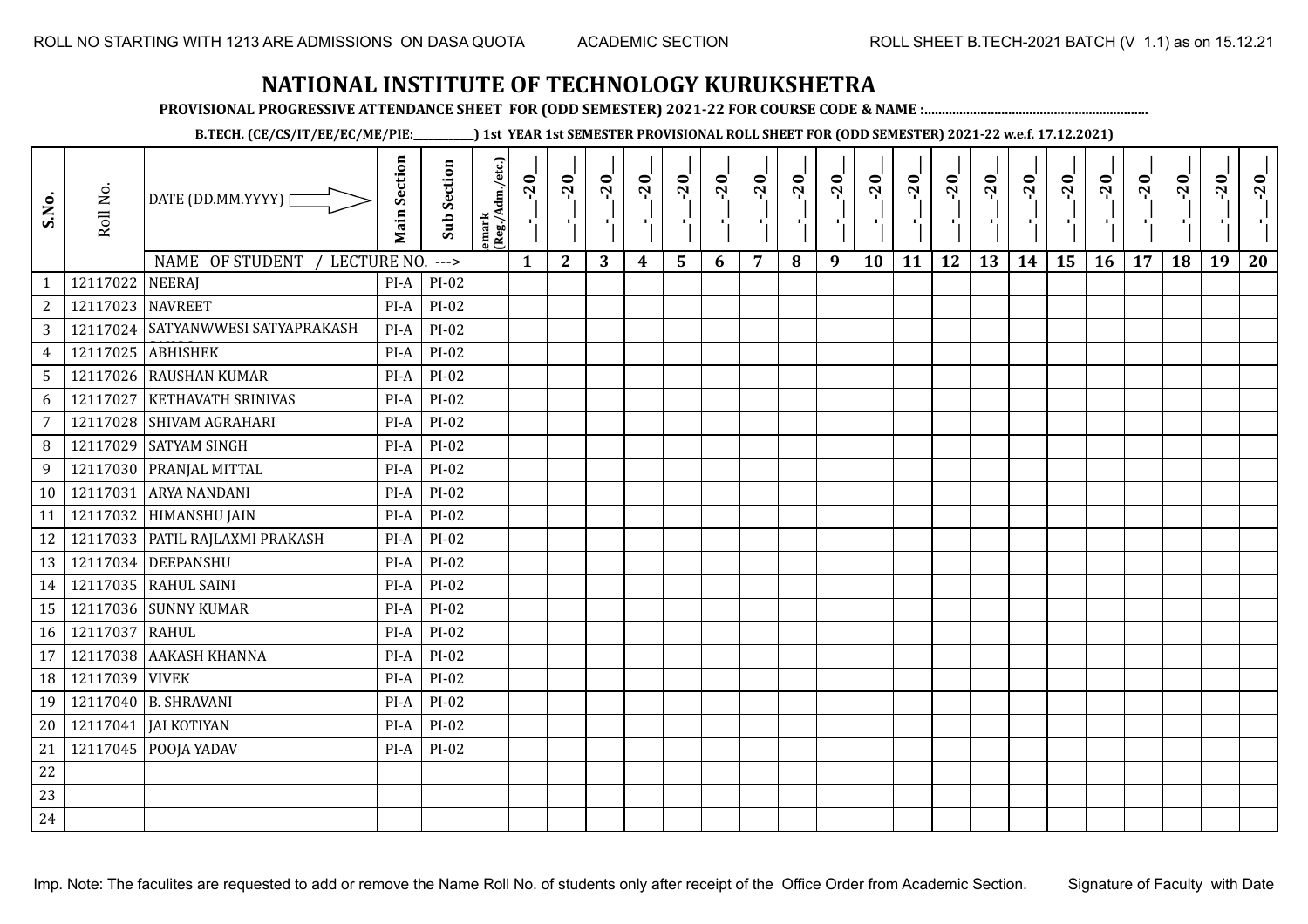**PROVISIONAL PROGRESSIVE ATTENDANCE SHEET FOR (ODD SEMESTER) 2021-22 FOR COURSE CODE & NAME :................................................................**

**B.TECH. (CE/CS/IT/EE/EC/ME/PIE:\_\_\_\_\_\_\_\_\_\_\_\_) 1st YEAR 1st SEMESTER PROVISIONAL ROLL SHEET FOR (ODD SEMESTER) 2021-22 w.e.f. 17.12.2021)**

| S.No.           | Roll No.         | DATE (DD.MM.YYYY) [<br>NAME OF STUDENT<br>LECTURE NO. | <b>Main Section</b> | <b>Sub Section</b><br>$---$ | emark<br> (Reg./Adm./etc.) | 20<br>Ч.<br>$\mathbf{1}$ | $-20$<br>π÷<br>$\overline{2}$ | $-20$<br>шJ.<br>3 | $-20$<br>π÷<br>$\boldsymbol{4}$ | $-20$<br>$\blacksquare$<br>5 | $-20$<br>$\mathbf{I}$<br>6 | $-20$<br>л.<br>7 | $-20$<br>8 | $-20$<br>л.<br>9 | $-20$<br>л,<br>10 | $-20$<br>пf,<br>11 | $-20$<br>п,<br>12 | $-20$<br>чļ.<br>13 | $-20$<br>$\blacksquare$<br>14 | $-20$<br>۱,<br>15 | $-20$<br>-9<br>16 | $-20$<br>17 | $-20$<br>18 | $-20$<br>×.<br>19 | $-20$<br>20 |
|-----------------|------------------|-------------------------------------------------------|---------------------|-----------------------------|----------------------------|--------------------------|-------------------------------|-------------------|---------------------------------|------------------------------|----------------------------|------------------|------------|------------------|-------------------|--------------------|-------------------|--------------------|-------------------------------|-------------------|-------------------|-------------|-------------|-------------------|-------------|
| $\mathbf{1}$    | 12117022         | <b>NEERAJ</b>                                         | PI-A                | PI-02                       |                            |                          |                               |                   |                                 |                              |                            |                  |            |                  |                   |                    |                   |                    |                               |                   |                   |             |             |                   |             |
| $\mathbf{2}$    | 12117023 NAVREET |                                                       | PI-A                | PI-02                       |                            |                          |                               |                   |                                 |                              |                            |                  |            |                  |                   |                    |                   |                    |                               |                   |                   |             |             |                   |             |
| 3               |                  | 12117024 SATYANWWESI SATYAPRAKASH                     | $PI-A$              | PI-02                       |                            |                          |                               |                   |                                 |                              |                            |                  |            |                  |                   |                    |                   |                    |                               |                   |                   |             |             |                   |             |
| $\overline{4}$  | 12117025         | <b>ABHISHEK</b>                                       | PI-A                | PI-02                       |                            |                          |                               |                   |                                 |                              |                            |                  |            |                  |                   |                    |                   |                    |                               |                   |                   |             |             |                   |             |
| $5\phantom{.0}$ |                  | 12117026 RAUSHAN KUMAR                                | PI-A                | PI-02                       |                            |                          |                               |                   |                                 |                              |                            |                  |            |                  |                   |                    |                   |                    |                               |                   |                   |             |             |                   |             |
| 6               | 12117027         | KETHAVATH SRINIVAS                                    | PI-A                | PI-02                       |                            |                          |                               |                   |                                 |                              |                            |                  |            |                  |                   |                    |                   |                    |                               |                   |                   |             |             |                   |             |
| $\overline{7}$  | 12117028         | SHIVAM AGRAHARI                                       | PI-A                | PI-02                       |                            |                          |                               |                   |                                 |                              |                            |                  |            |                  |                   |                    |                   |                    |                               |                   |                   |             |             |                   |             |
| 8               | 12117029         | <b>SATYAM SINGH</b>                                   | PI-A                | PI-02                       |                            |                          |                               |                   |                                 |                              |                            |                  |            |                  |                   |                    |                   |                    |                               |                   |                   |             |             |                   |             |
| 9               |                  | 12117030 PRANJAL MITTAL                               | PI-A                | $PI-02$                     |                            |                          |                               |                   |                                 |                              |                            |                  |            |                  |                   |                    |                   |                    |                               |                   |                   |             |             |                   |             |
| 10              | 12117031         | <b>ARYA NANDANI</b>                                   | PI-A                | $PI-02$                     |                            |                          |                               |                   |                                 |                              |                            |                  |            |                  |                   |                    |                   |                    |                               |                   |                   |             |             |                   |             |
| 11              |                  | 12117032 HIMANSHU JAIN                                | $PI-A$              | PI-02                       |                            |                          |                               |                   |                                 |                              |                            |                  |            |                  |                   |                    |                   |                    |                               |                   |                   |             |             |                   |             |
| 12              |                  | 12117033   PATIL RAJLAXMI PRAKASH                     | $PI-A$              | $PI-02$                     |                            |                          |                               |                   |                                 |                              |                            |                  |            |                  |                   |                    |                   |                    |                               |                   |                   |             |             |                   |             |
| 13              |                  | 12117034 DEEPANSHU                                    | PI-A                | PI-02                       |                            |                          |                               |                   |                                 |                              |                            |                  |            |                  |                   |                    |                   |                    |                               |                   |                   |             |             |                   |             |
| 14              |                  | 12117035 RAHUL SAINI                                  | PI-A                | PI-02                       |                            |                          |                               |                   |                                 |                              |                            |                  |            |                  |                   |                    |                   |                    |                               |                   |                   |             |             |                   |             |
| 15              |                  | 12117036 SUNNY KUMAR                                  | PI-A                | PI-02                       |                            |                          |                               |                   |                                 |                              |                            |                  |            |                  |                   |                    |                   |                    |                               |                   |                   |             |             |                   |             |
| 16              | 12117037         | <b>RAHUL</b>                                          | $PI-A$              | PI-02                       |                            |                          |                               |                   |                                 |                              |                            |                  |            |                  |                   |                    |                   |                    |                               |                   |                   |             |             |                   |             |
| 17              |                  | 12117038 AAKASH KHANNA                                | $PI-A$              | PI-02                       |                            |                          |                               |                   |                                 |                              |                            |                  |            |                  |                   |                    |                   |                    |                               |                   |                   |             |             |                   |             |
| 18              | 12117039 VIVEK   |                                                       | PI-A                | PI-02                       |                            |                          |                               |                   |                                 |                              |                            |                  |            |                  |                   |                    |                   |                    |                               |                   |                   |             |             |                   |             |
| 19              |                  | 12117040 B. SHRAVANI                                  | PI-A                | PI-02                       |                            |                          |                               |                   |                                 |                              |                            |                  |            |                  |                   |                    |                   |                    |                               |                   |                   |             |             |                   |             |
| 20              | 12117041         | <b>JAI KOTIYAN</b>                                    | $PI-A$              | PI-02                       |                            |                          |                               |                   |                                 |                              |                            |                  |            |                  |                   |                    |                   |                    |                               |                   |                   |             |             |                   |             |
| 21              | 12117045         | POOJA YADAV                                           | PI-A                | PI-02                       |                            |                          |                               |                   |                                 |                              |                            |                  |            |                  |                   |                    |                   |                    |                               |                   |                   |             |             |                   |             |
| 22              |                  |                                                       |                     |                             |                            |                          |                               |                   |                                 |                              |                            |                  |            |                  |                   |                    |                   |                    |                               |                   |                   |             |             |                   |             |
| 23              |                  |                                                       |                     |                             |                            |                          |                               |                   |                                 |                              |                            |                  |            |                  |                   |                    |                   |                    |                               |                   |                   |             |             |                   |             |
| 24              |                  |                                                       |                     |                             |                            |                          |                               |                   |                                 |                              |                            |                  |            |                  |                   |                    |                   |                    |                               |                   |                   |             |             |                   |             |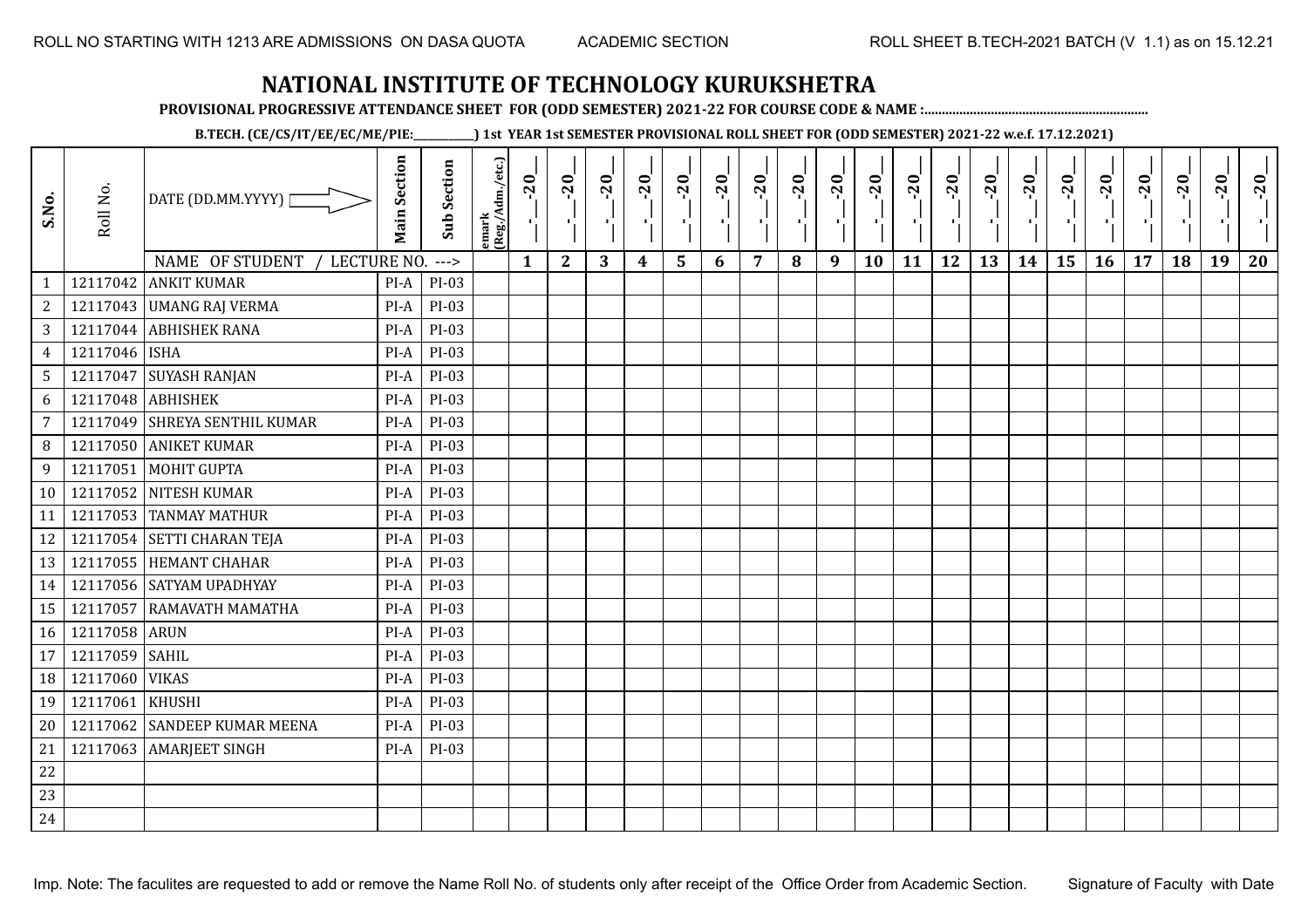**PROVISIONAL PROGRESSIVE ATTENDANCE SHEET FOR (ODD SEMESTER) 2021-22 FOR COURSE CODE & NAME :................................................................**

**B.TECH. (CE/CS/IT/EE/EC/ME/PIE:\_\_\_\_\_\_\_\_\_\_\_\_) 1st YEAR 1st SEMESTER PROVISIONAL ROLL SHEET FOR (ODD SEMESTER) 2021-22 w.e.f. 17.12.2021)**

| S.No.          | Roll No.      | DATE (DD.MM.YYYY) [            | <b>Main Section</b> | <b>Sub Section</b> | emark<br> (Reg./Adm./etc.) | $-20$<br>$\mathcal{A}_1$ . | $-20$<br>×,  | $-20$<br>л. | $-20$<br>л. | $-20$          | $-20$<br>-10 | $-20$ | $-20$<br>п. | $-20$<br>х÷ | $-20$<br>×, | $-20$<br>л. | $-20$<br>лj | $-20$ | $-20$<br>D. | $-20$<br>۱, | $-20$<br>π÷ | $-20$ | $-20$ | $-20$<br>×. | $-20$ |
|----------------|---------------|--------------------------------|---------------------|--------------------|----------------------------|----------------------------|--------------|-------------|-------------|----------------|--------------|-------|-------------|-------------|-------------|-------------|-------------|-------|-------------|-------------|-------------|-------|-------|-------------|-------|
|                | 12117042      | NAME OF STUDENT<br>LECTURE NO. |                     | $--->$             |                            | $\mathbf{1}$               | $\mathbf{2}$ | 3           | 4           | $5\phantom{1}$ | 6            | 7     | 8           | 9           | 10          | 11          | 12          | 13    | 14          | 15          | 16          | 17    | 18    | 19          | 20    |
| $\mathbf{1}$   |               | <b>ANKIT KUMAR</b>             | $PI-A$              | PI-03<br>PI-03     |                            |                            |              |             |             |                |              |       |             |             |             |             |             |       |             |             |             |       |       |             |       |
| $\sqrt{2}$     | 12117043      | <b>UMANG RAJ VERMA</b>         | $PI-A$              |                    |                            |                            |              |             |             |                |              |       |             |             |             |             |             |       |             |             |             |       |       |             |       |
| $\sqrt{3}$     | 12117044      | <b>ABHISHEK RANA</b>           | PI-A                | $PI-03$            |                            |                            |              |             |             |                |              |       |             |             |             |             |             |       |             |             |             |       |       |             |       |
| $\overline{4}$ | 12117046 ISHA |                                | $PI-A$              | $PI-03$            |                            |                            |              |             |             |                |              |       |             |             |             |             |             |       |             |             |             |       |       |             |       |
| 5              | 12117047      | <b>SUYASH RANJAN</b>           | PI-A                | PI-03              |                            |                            |              |             |             |                |              |       |             |             |             |             |             |       |             |             |             |       |       |             |       |
| 6              | 12117048      | <b>ABHISHEK</b>                | PI-A                | $PI-03$            |                            |                            |              |             |             |                |              |       |             |             |             |             |             |       |             |             |             |       |       |             |       |
| $\overline{7}$ | 12117049      | <b>SHREYA SENTHIL KUMAR</b>    | $PI-A$              | PI-03              |                            |                            |              |             |             |                |              |       |             |             |             |             |             |       |             |             |             |       |       |             |       |
| 8              | 12117050      | <b>ANIKET KUMAR</b>            | $PI-A$              | PI-03              |                            |                            |              |             |             |                |              |       |             |             |             |             |             |       |             |             |             |       |       |             |       |
| 9              | 12117051      | <b>MOHIT GUPTA</b>             | $PI-A$              | PI-03              |                            |                            |              |             |             |                |              |       |             |             |             |             |             |       |             |             |             |       |       |             |       |
| 10             | 12117052      | NITESH KUMAR                   | $PI-A$              | PI-03              |                            |                            |              |             |             |                |              |       |             |             |             |             |             |       |             |             |             |       |       |             |       |
| 11             |               | 12117053 TANMAY MATHUR         | PI-A                | $PI-03$            |                            |                            |              |             |             |                |              |       |             |             |             |             |             |       |             |             |             |       |       |             |       |
| 12             |               | 12117054 SETTI CHARAN TEJA     | $PI-A$              | PI-03              |                            |                            |              |             |             |                |              |       |             |             |             |             |             |       |             |             |             |       |       |             |       |
| 13             |               | 12117055 HEMANT CHAHAR         | PI-A                | $PI-03$            |                            |                            |              |             |             |                |              |       |             |             |             |             |             |       |             |             |             |       |       |             |       |
| 14             |               | 12117056 SATYAM UPADHYAY       | PI-A                | PI-03              |                            |                            |              |             |             |                |              |       |             |             |             |             |             |       |             |             |             |       |       |             |       |
| 15             | 12117057      | RAMAVATH MAMATHA               | $PI-A$              | PI-03              |                            |                            |              |             |             |                |              |       |             |             |             |             |             |       |             |             |             |       |       |             |       |
| 16             | 12117058      | <b>ARUN</b>                    | $PI-A$              | PI-03              |                            |                            |              |             |             |                |              |       |             |             |             |             |             |       |             |             |             |       |       |             |       |
| 17             | 12117059      | <b>SAHIL</b>                   | PI-A                | $PI-03$            |                            |                            |              |             |             |                |              |       |             |             |             |             |             |       |             |             |             |       |       |             |       |
| 18             | 12117060      | <b>VIKAS</b>                   | $PI-A$              | PI-03              |                            |                            |              |             |             |                |              |       |             |             |             |             |             |       |             |             |             |       |       |             |       |
| 19             | 12117061      | <b>KHUSHI</b>                  | $PI-A$              | PI-03              |                            |                            |              |             |             |                |              |       |             |             |             |             |             |       |             |             |             |       |       |             |       |
| 20             | 12117062      | <b>SANDEEP KUMAR MEENA</b>     | PI-A                | PI-03              |                            |                            |              |             |             |                |              |       |             |             |             |             |             |       |             |             |             |       |       |             |       |
| 21             | 12117063      | <b>AMARJEET SINGH</b>          | $PI-A$              | PI-03              |                            |                            |              |             |             |                |              |       |             |             |             |             |             |       |             |             |             |       |       |             |       |
| $22\,$         |               |                                |                     |                    |                            |                            |              |             |             |                |              |       |             |             |             |             |             |       |             |             |             |       |       |             |       |
| 23             |               |                                |                     |                    |                            |                            |              |             |             |                |              |       |             |             |             |             |             |       |             |             |             |       |       |             |       |
| 24             |               |                                |                     |                    |                            |                            |              |             |             |                |              |       |             |             |             |             |             |       |             |             |             |       |       |             |       |